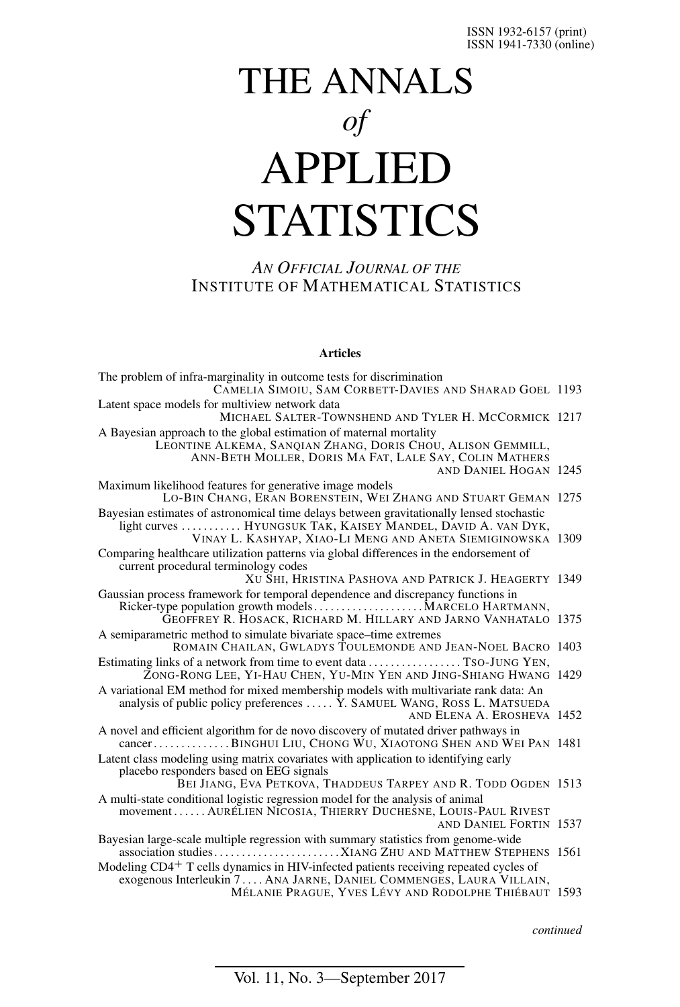# THE ANNALS *of* APPLIED STATISTICS

*AN OFFICIAL JOURNAL OF THE* INSTITUTE OF MATHEMATICAL STATISTICS

#### **Articles**

The problem of infra-marginality in outcome tests for discrimination CAMELIA SIMOIU, SAM CORBETT-DAVIES AND SHARAD GOEL 1193 Latent space models for multiview network data MICHAEL SALTER-TOWNSHEND AND TYLER H. MCCORMICK 1217 A Bayesian approach to the global estimation of maternal mortality ANN-BETH MOLLER, DORIS MA FAT, LALE SAY, COLIN MATHERS AND DANIEL HOGAN 1245 Maximum likelihood features for generative image models LO-BIN CHANG, ERAN BORENSTEIN, WEI ZHANG AND STUART GEMAN 1275 Bayesian estimates of astronomical time delays between gravitationally lensed stochastic light curves . . . . . . . . . . . HYUNGSUK TAK, KAISEY MANDEL, DAVID A. VAN DYK, VINAY L. KASHYAP, XIAO-LI MENG AND ANETA SIEMIGINOWSKA <sup>1309</sup> Comparing healthcare utilization patterns via global differences in the endorsement of current procedural terminology codes XU SHI, HRISTINA PASHOVA AND PATRICK J. HEAGERTY 1349 Gaussian process framework for temporal dependence and discrepancy functions in Ricker-type population growth models . . ..................MARCELO HARTMANN, GEOFFREY R. HOSACK, RICHARD M. HILLARY AND JARNO VANHATALO 1375 A semiparametric method to simulate bivariate space–time extremes ROMAIN CHAILAN, GWLADYS TOULEMONDE AND JEAN-NOEL BACRO 1403 Estimating links of a network from time to event data . . . . . . . . . . . . . . . . . TSO-JUNG YEN, ZONG-RONG LEE, YI-HAU CHEN, YU-MIN YEN AND JING-SHIANG HWANG <sup>1429</sup> A variational EM method for mixed membership models with multivariate rank data: An analysis of public policy preferences ..... Y. SAMUEL WANG, ROSS L. MATSUEDA AND ELENA A. EROSHEVA 1452 A novel and efficient algorithm for de novo discovery of mutated driver pathways in cancer . . . . . . . . . . . . . . BINGHUI LIU, CHONG WU, XIAOTONG SHEN AND WEI PAN 1481 Latent class modeling using matrix covariates with application to identifying early placebo responders based on EEG signals BEI JIANG, EVA PETKOVA, THADDEUS TARPEY AND R. TODD OGDEN 1513 A multi-state conditional logistic regression model for the analysis of animal movement . . . . . . AURÉLIEN NICOSIA, THIERRY DUCHESNE, LOUIS-PAUL RIVEST AND DANIEL FORTIN 1537 Bayesian large-scale multiple regression with summary statistics from genome-wide association studies. . . . . . . . . . . . . . . . . . . . . . . XIANG ZHU AND MATTHEW STEPHENS 1561 Modeling CD4+ T cells dynamics in HIV-infected patients receiving repeated cycles of exogenous Interleukin 7 . . . . ANA JARNE, DANIEL COMMENGES, LAURA VILLAIN, MÉLANIE PRAGUE, YVES LÉVY AND RODOLPHE THIÉBAUT <sup>1593</sup>

*continued*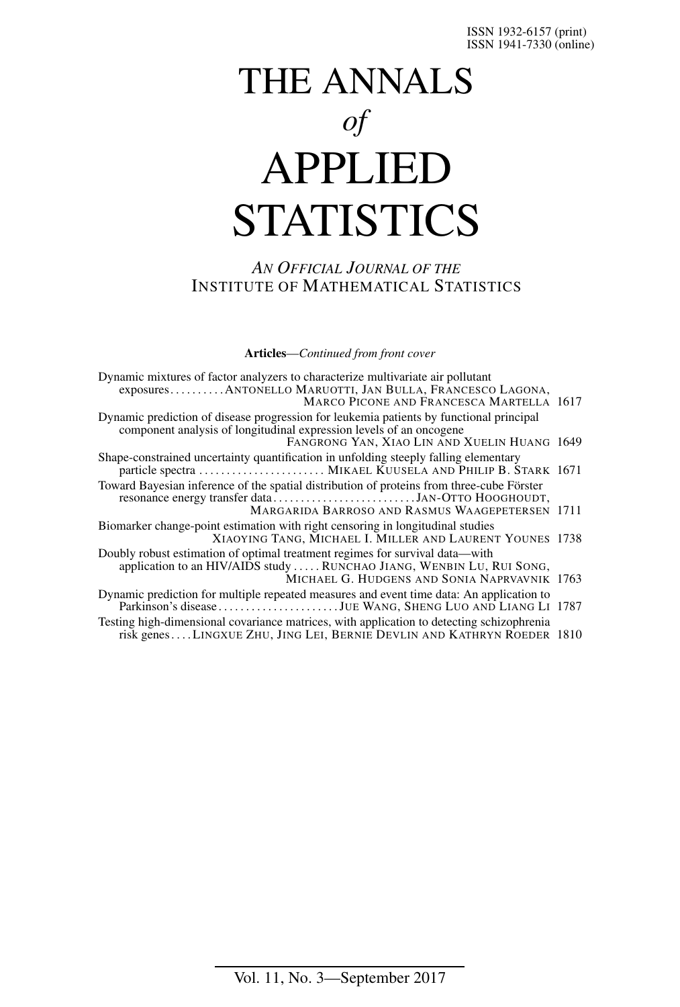# THE ANNALS *of* APPLIED **STATISTICS**

*AN OFFICIAL JOURNAL OF THE* INSTITUTE OF MATHEMATICAL STATISTICS

**Articles**—*Continued from front cover*

| Dynamic mixtures of factor analyzers to characterize multivariate air pollutant<br>exposuresANTONELLO MARUOTTI, JAN BULLA, FRANCESCO LAGONA,<br>MARCO PICONE AND FRANCESCA MARTELLA 1617                       |  |
|----------------------------------------------------------------------------------------------------------------------------------------------------------------------------------------------------------------|--|
| Dynamic prediction of disease progression for leukemia patients by functional principal<br>component analysis of longitudinal expression levels of an oncogene<br>FANGRONG YAN, XIAO LIN AND XUELIN HUANG 1649 |  |
| Shape-constrained uncertainty quantification in unfolding steeply falling elementary<br>particle spectra  MIKAEL KUUSELA AND PHILIP B. STARK 1671                                                              |  |
| Toward Bayesian inference of the spatial distribution of proteins from three-cube Förster<br>resonance energy transfer dataJAN-OTTO HOOGHOUDT,<br>MARGARIDA BARROSO AND RASMUS WAAGEPETERSEN 1711              |  |
| Biomarker change-point estimation with right censoring in longitudinal studies<br>XIAOYING TANG, MICHAEL I. MILLER AND LAURENT YOUNES 1738                                                                     |  |
| Doubly robust estimation of optimal treatment regimes for survival data—with<br>application to an HIV/AIDS study  RUNCHAO JIANG, WENBIN LU, RUI SONG,<br>MICHAEL G. HUDGENS AND SONIA NAPRVAVNIK 1763          |  |
| Dynamic prediction for multiple repeated measures and event time data: An application to<br>Parkinson's disease JUE WANG, SHENG LUO AND LIANG LI 1787                                                          |  |
| Testing high-dimensional covariance matrices, with application to detecting schizophrenia<br>risk genesLINGXUE ZHU, JING LEI, BERNIE DEVLIN AND KATHRYN ROEDER 1810                                            |  |

Vol. 11, No. 3—September 2017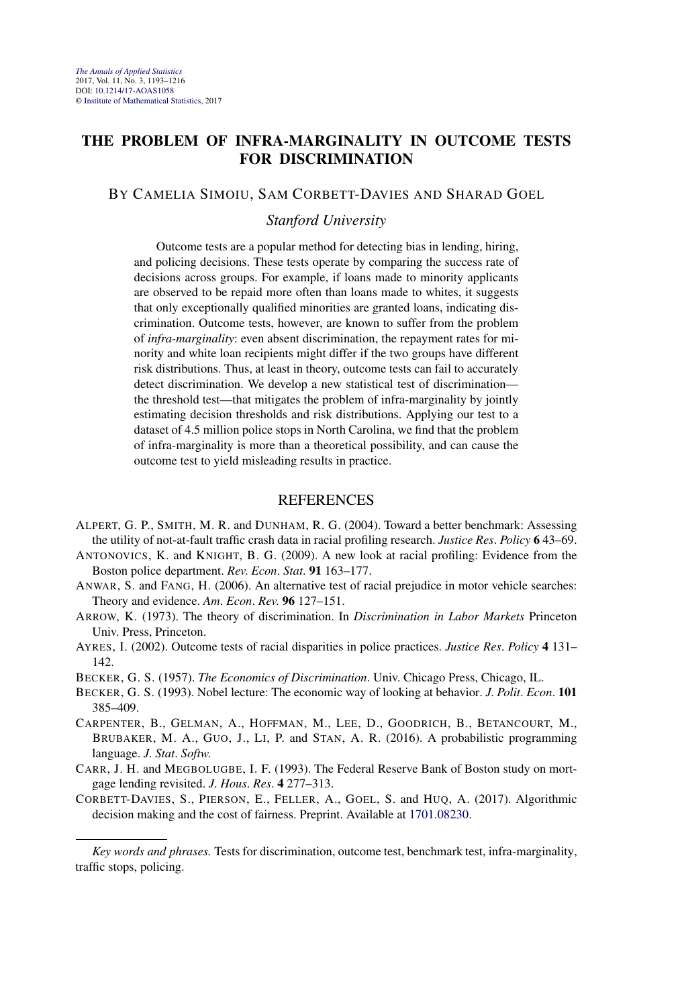## **THE PROBLEM OF INFRA-MARGINALITY IN OUTCOME TESTS FOR DISCRIMINATION**

#### BY CAMELIA SIMOIU, SAM CORBETT-DAVIES AND SHARAD GOEL

### *Stanford University*

Outcome tests are a popular method for detecting bias in lending, hiring, and policing decisions. These tests operate by comparing the success rate of decisions across groups. For example, if loans made to minority applicants are observed to be repaid more often than loans made to whites, it suggests that only exceptionally qualified minorities are granted loans, indicating discrimination. Outcome tests, however, are known to suffer from the problem of *infra-marginality*: even absent discrimination, the repayment rates for minority and white loan recipients might differ if the two groups have different risk distributions. Thus, at least in theory, outcome tests can fail to accurately detect discrimination. We develop a new statistical test of discrimination the threshold test—that mitigates the problem of infra-marginality by jointly estimating decision thresholds and risk distributions. Applying our test to a dataset of 4.5 million police stops in North Carolina, we find that the problem of infra-marginality is more than a theoretical possibility, and can cause the outcome test to yield misleading results in practice.

- ALPERT, G. P., SMITH, M. R. and DUNHAM, R. G. (2004). Toward a better benchmark: Assessing the utility of not-at-fault traffic crash data in racial profiling research. *Justice Res*. *Policy* **6** 43–69.
- ANTONOVICS, K. and KNIGHT, B. G. (2009). A new look at racial profiling: Evidence from the Boston police department. *Rev*. *Econ*. *Stat*. **91** 163–177.
- ANWAR, S. and FANG, H. (2006). An alternative test of racial prejudice in motor vehicle searches: Theory and evidence. *Am*. *Econ*. *Rev*. **96** 127–151.
- ARROW, K. (1973). The theory of discrimination. In *Discrimination in Labor Markets* Princeton Univ. Press, Princeton.
- AYRES, I. (2002). Outcome tests of racial disparities in police practices. *Justice Res*. *Policy* **4** 131– 142.
- BECKER, G. S. (1957). *The Economics of Discrimination*. Univ. Chicago Press, Chicago, IL.
- BECKER, G. S. (1993). Nobel lecture: The economic way of looking at behavior. *J*. *Polit*. *Econ*. **101** 385–409.
- CARPENTER, B., GELMAN, A., HOFFMAN, M., LEE, D., GOODRICH, B., BETANCOURT, M., BRUBAKER, M. A., GUO, J., LI, P. and STAN, A. R. (2016). A probabilistic programming language. *J*. *Stat*. *Softw*.
- CARR, J. H. and MEGBOLUGBE, I. F. (1993). The Federal Reserve Bank of Boston study on mortgage lending revisited. *J*. *Hous*. *Res*. **4** 277–313.
- CORBETT-DAVIES, S., PIERSON, E., FELLER, A., GOEL, S. and HUQ, A. (2017). Algorithmic decision making and the cost of fairness. Preprint. Available at [1701.08230](http://arxiv.org/abs/1701.08230).

*Key words and phrases.* Tests for discrimination, outcome test, benchmark test, infra-marginality, traffic stops, policing.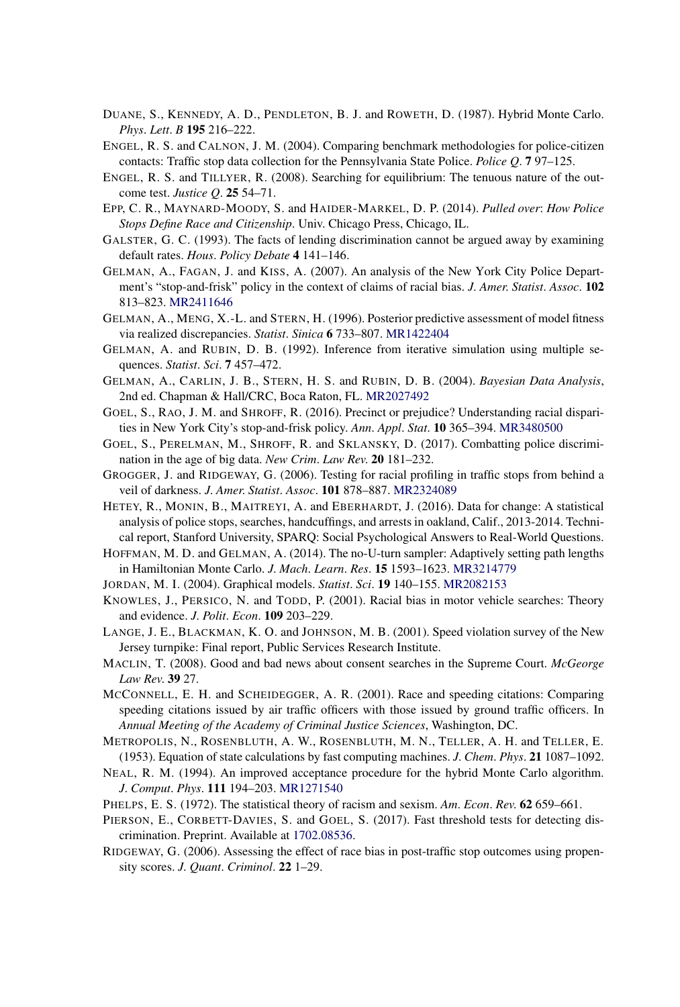- DUANE, S., KENNEDY, A. D., PENDLETON, B. J. and ROWETH, D. (1987). Hybrid Monte Carlo. *Phys*. *Lett*. *B* **195** 216–222.
- ENGEL, R. S. and CALNON, J. M. (2004). Comparing benchmark methodologies for police-citizen contacts: Traffic stop data collection for the Pennsylvania State Police. *Police Q*. **7** 97–125.
- ENGEL, R. S. and TILLYER, R. (2008). Searching for equilibrium: The tenuous nature of the outcome test. *Justice Q*. **25** 54–71.
- EPP, C. R., MAYNARD-MOODY, S. and HAIDER-MARKEL, D. P. (2014). *Pulled over*: *How Police Stops Define Race and Citizenship*. Univ. Chicago Press, Chicago, IL.
- GALSTER, G. C. (1993). The facts of lending discrimination cannot be argued away by examining default rates. *Hous*. *Policy Debate* **4** 141–146.
- GELMAN, A., FAGAN, J. and KISS, A. (2007). An analysis of the New York City Police Department's "stop-and-frisk" policy in the context of claims of racial bias. *J*. *Amer*. *Statist*. *Assoc*. **102** 813–823. [MR2411646](http://www.ams.org/mathscinet-getitem?mr=2411646)
- GELMAN, A., MENG, X.-L. and STERN, H. (1996). Posterior predictive assessment of model fitness via realized discrepancies. *Statist*. *Sinica* **6** 733–807. [MR1422404](http://www.ams.org/mathscinet-getitem?mr=1422404)
- GELMAN, A. and RUBIN, D. B. (1992). Inference from iterative simulation using multiple sequences. *Statist*. *Sci*. **7** 457–472.
- GELMAN, A., CARLIN, J. B., STERN, H. S. and RUBIN, D. B. (2004). *Bayesian Data Analysis*, 2nd ed. Chapman & Hall/CRC, Boca Raton, FL. [MR2027492](http://www.ams.org/mathscinet-getitem?mr=2027492)
- GOEL, S., RAO, J. M. and SHROFF, R. (2016). Precinct or prejudice? Understanding racial disparities in New York City's stop-and-frisk policy. *Ann*. *Appl*. *Stat*. **10** 365–394. [MR3480500](http://www.ams.org/mathscinet-getitem?mr=3480500)
- GOEL, S., PERELMAN, M., SHROFF, R. and SKLANSKY, D. (2017). Combatting police discrimination in the age of big data. *New Crim*. *Law Rev*. **20** 181–232.
- GROGGER, J. and RIDGEWAY, G. (2006). Testing for racial profiling in traffic stops from behind a veil of darkness. *J*. *Amer*. *Statist*. *Assoc*. **101** 878–887. [MR2324089](http://www.ams.org/mathscinet-getitem?mr=2324089)
- HETEY, R., MONIN, B., MAITREYI, A. and EBERHARDT, J. (2016). Data for change: A statistical analysis of police stops, searches, handcuffings, and arrests in oakland, Calif., 2013-2014. Technical report, Stanford University, SPARQ: Social Psychological Answers to Real-World Questions.
- HOFFMAN, M. D. and GELMAN, A. (2014). The no-U-turn sampler: Adaptively setting path lengths in Hamiltonian Monte Carlo. *J*. *Mach*. *Learn*. *Res*. **15** 1593–1623. [MR3214779](http://www.ams.org/mathscinet-getitem?mr=3214779)
- JORDAN, M. I. (2004). Graphical models. *Statist*. *Sci*. **19** 140–155. [MR2082153](http://www.ams.org/mathscinet-getitem?mr=2082153)
- KNOWLES, J., PERSICO, N. and TODD, P. (2001). Racial bias in motor vehicle searches: Theory and evidence. *J*. *Polit*. *Econ*. **109** 203–229.
- LANGE, J. E., BLACKMAN, K. O. and JOHNSON, M. B. (2001). Speed violation survey of the New Jersey turnpike: Final report, Public Services Research Institute.
- MACLIN, T. (2008). Good and bad news about consent searches in the Supreme Court. *McGeorge Law Rev*. **39** 27.
- MCCONNELL, E. H. and SCHEIDEGGER, A. R. (2001). Race and speeding citations: Comparing speeding citations issued by air traffic officers with those issued by ground traffic officers. In *Annual Meeting of the Academy of Criminal Justice Sciences*, Washington, DC.
- METROPOLIS, N., ROSENBLUTH, A. W., ROSENBLUTH, M. N., TELLER, A. H. and TELLER, E. (1953). Equation of state calculations by fast computing machines. *J*. *Chem*. *Phys*. **21** 1087–1092.
- NEAL, R. M. (1994). An improved acceptance procedure for the hybrid Monte Carlo algorithm. *J*. *Comput*. *Phys*. **111** 194–203. [MR1271540](http://www.ams.org/mathscinet-getitem?mr=1271540)
- PHELPS, E. S. (1972). The statistical theory of racism and sexism. *Am*. *Econ*. *Rev*. **62** 659–661.
- PIERSON, E., CORBETT-DAVIES, S. and GOEL, S. (2017). Fast threshold tests for detecting discrimination. Preprint. Available at [1702.08536](http://arxiv.org/abs/1702.08536).
- RIDGEWAY, G. (2006). Assessing the effect of race bias in post-traffic stop outcomes using propensity scores. *J*. *Quant*. *Criminol*. **22** 1–29.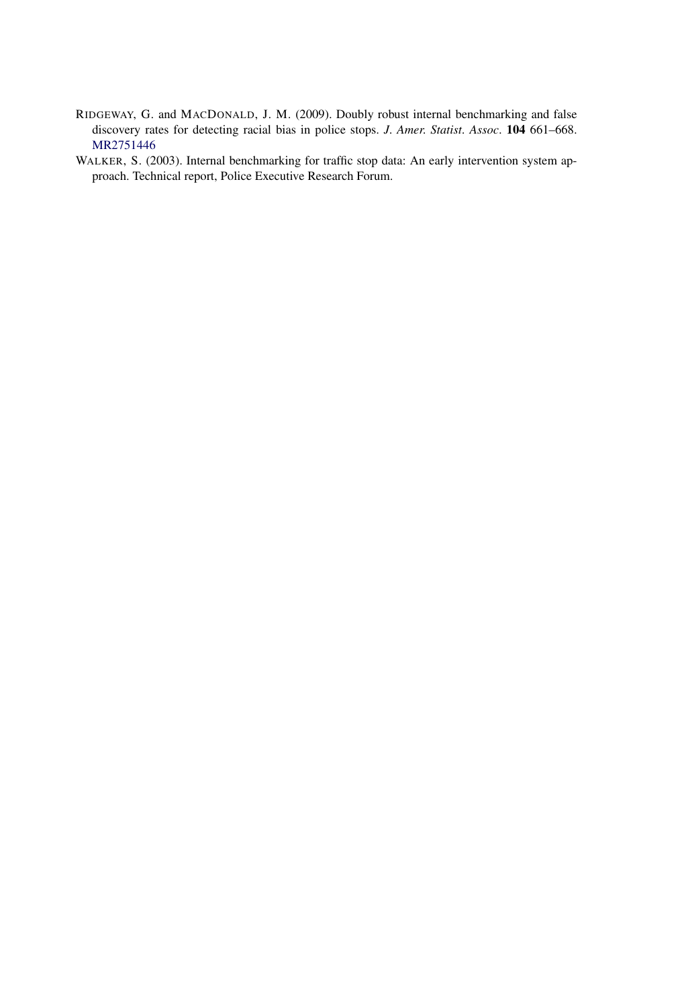- RIDGEWAY, G. and MACDONALD, J. M. (2009). Doubly robust internal benchmarking and false discovery rates for detecting racial bias in police stops. *J*. *Amer*. *Statist*. *Assoc*. **104** 661–668. [MR2751446](http://www.ams.org/mathscinet-getitem?mr=2751446)
- WALKER, S. (2003). Internal benchmarking for traffic stop data: An early intervention system approach. Technical report, Police Executive Research Forum.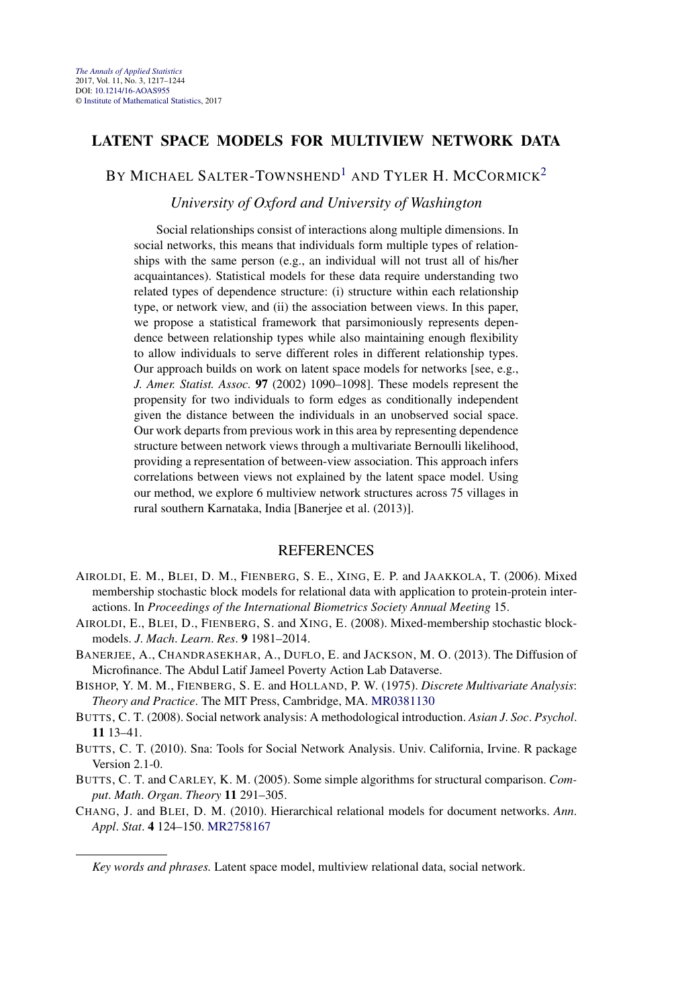### **LATENT SPACE MODELS FOR MULTIVIEW NETWORK DATA**

BY MICHAEL SALTER-TOWNSHEND<sup>[1](#page-23-0)</sup> AND TYLER H. MCCORMICK<sup>[2](#page-23-0)</sup>

*University of Oxford and University of Washington*

Social relationships consist of interactions along multiple dimensions. In social networks, this means that individuals form multiple types of relationships with the same person (e.g., an individual will not trust all of his/her acquaintances). Statistical models for these data require understanding two related types of dependence structure: (i) structure within each relationship type, or network view, and (ii) the association between views. In this paper, we propose a statistical framework that parsimoniously represents dependence between relationship types while also maintaining enough flexibility to allow individuals to serve different roles in different relationship types. Our approach builds on work on latent space models for networks [see, e.g., *J. Amer. Statist. Assoc.* **97** (2002) 1090–1098]. These models represent the propensity for two individuals to form edges as conditionally independent given the distance between the individuals in an unobserved social space. Our work departs from previous work in this area by representing dependence structure between network views through a multivariate Bernoulli likelihood, providing a representation of between-view association. This approach infers correlations between views not explained by the latent space model. Using our method, we explore 6 multiview network structures across 75 villages in rural southern Karnataka, India [Banerjee et al. (2013)].

- AIROLDI, E. M., BLEI, D. M., FIENBERG, S. E., XING, E. P. and JAAKKOLA, T. (2006). Mixed membership stochastic block models for relational data with application to protein-protein interactions. In *Proceedings of the International Biometrics Society Annual Meeting* 15.
- AIROLDI, E., BLEI, D., FIENBERG, S. and XING, E. (2008). Mixed-membership stochastic blockmodels. *J*. *Mach*. *Learn*. *Res*. **9** 1981–2014.
- BANERJEE, A., CHANDRASEKHAR, A., DUFLO, E. and JACKSON, M. O. (2013). The Diffusion of Microfinance. The Abdul Latif Jameel Poverty Action Lab Dataverse.
- BISHOP, Y. M. M., FIENBERG, S. E. and HOLLAND, P. W. (1975). *Discrete Multivariate Analysis*: *Theory and Practice*. The MIT Press, Cambridge, MA. [MR0381130](http://www.ams.org/mathscinet-getitem?mr=0381130)
- BUTTS, C. T. (2008). Social network analysis: A methodological introduction. *Asian J*. *Soc*. *Psychol*. **11** 13–41.
- BUTTS, C. T. (2010). Sna: Tools for Social Network Analysis. Univ. California, Irvine. R package Version 2.1-0.
- BUTTS, C. T. and CARLEY, K. M. (2005). Some simple algorithms for structural comparison. *Comput*. *Math*. *Organ*. *Theory* **11** 291–305.
- CHANG, J. and BLEI, D. M. (2010). Hierarchical relational models for document networks. *Ann*. *Appl*. *Stat*. **4** 124–150. [MR2758167](http://www.ams.org/mathscinet-getitem?mr=2758167)

*Key words and phrases.* Latent space model, multiview relational data, social network.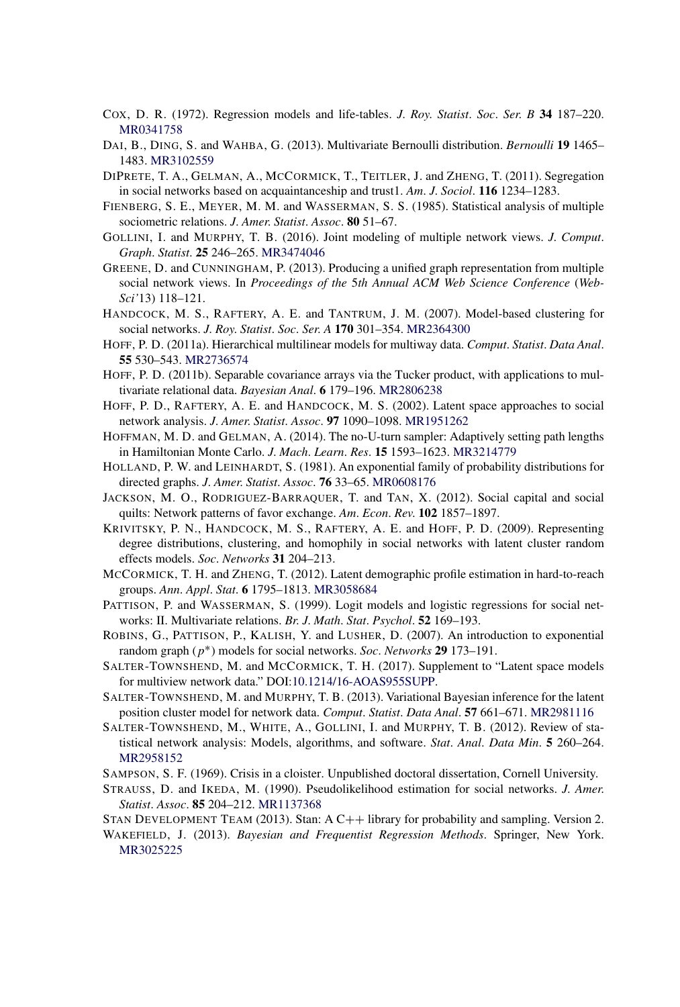- COX, D. R. (1972). Regression models and life-tables. *J*. *Roy*. *Statist*. *Soc*. *Ser*. *B* **34** 187–220. [MR0341758](http://www.ams.org/mathscinet-getitem?mr=0341758)
- DAI, B., DING, S. and WAHBA, G. (2013). Multivariate Bernoulli distribution. *Bernoulli* **19** 1465– 1483. [MR3102559](http://www.ams.org/mathscinet-getitem?mr=3102559)
- DIPRETE, T. A., GELMAN, A., MCCORMICK, T., TEITLER, J. and ZHENG, T. (2011). Segregation in social networks based on acquaintanceship and trust1. *Am*. *J*. *Sociol*. **116** 1234–1283.
- FIENBERG, S. E., MEYER, M. M. and WASSERMAN, S. S. (1985). Statistical analysis of multiple sociometric relations. *J*. *Amer*. *Statist*. *Assoc*. **80** 51–67.
- GOLLINI, I. and MURPHY, T. B. (2016). Joint modeling of multiple network views. *J*. *Comput*. *Graph*. *Statist*. **25** 246–265. [MR3474046](http://www.ams.org/mathscinet-getitem?mr=3474046)
- GREENE, D. and CUNNINGHAM, P. (2013). Producing a unified graph representation from multiple social network views. In *Proceedings of the* 5*th Annual ACM Web Science Conference* (*Web-Sci'*13) 118–121.
- HANDCOCK, M. S., RAFTERY, A. E. and TANTRUM, J. M. (2007). Model-based clustering for social networks. *J*. *Roy*. *Statist*. *Soc*. *Ser*. *A* **170** 301–354. [MR2364300](http://www.ams.org/mathscinet-getitem?mr=2364300)
- HOFF, P. D. (2011a). Hierarchical multilinear models for multiway data. *Comput*. *Statist*. *Data Anal*. **55** 530–543. [MR2736574](http://www.ams.org/mathscinet-getitem?mr=2736574)
- HOFF, P. D. (2011b). Separable covariance arrays via the Tucker product, with applications to multivariate relational data. *Bayesian Anal*. **6** 179–196. [MR2806238](http://www.ams.org/mathscinet-getitem?mr=2806238)
- HOFF, P. D., RAFTERY, A. E. and HANDCOCK, M. S. (2002). Latent space approaches to social network analysis. *J*. *Amer*. *Statist*. *Assoc*. **97** 1090–1098. [MR1951262](http://www.ams.org/mathscinet-getitem?mr=1951262)
- HOFFMAN, M. D. and GELMAN, A. (2014). The no-U-turn sampler: Adaptively setting path lengths in Hamiltonian Monte Carlo. *J*. *Mach*. *Learn*. *Res*. **15** 1593–1623. [MR3214779](http://www.ams.org/mathscinet-getitem?mr=3214779)
- HOLLAND, P. W. and LEINHARDT, S. (1981). An exponential family of probability distributions for directed graphs. *J*. *Amer*. *Statist*. *Assoc*. **76** 33–65. [MR0608176](http://www.ams.org/mathscinet-getitem?mr=0608176)
- JACKSON, M. O., RODRIGUEZ-BARRAQUER, T. and TAN, X. (2012). Social capital and social quilts: Network patterns of favor exchange. *Am*. *Econ*. *Rev*. **102** 1857–1897.
- KRIVITSKY, P. N., HANDCOCK, M. S., RAFTERY, A. E. and HOFF, P. D. (2009). Representing degree distributions, clustering, and homophily in social networks with latent cluster random effects models. *Soc*. *Networks* **31** 204–213.
- MCCORMICK, T. H. and ZHENG, T. (2012). Latent demographic profile estimation in hard-to-reach groups. *Ann*. *Appl*. *Stat*. **6** 1795–1813. [MR3058684](http://www.ams.org/mathscinet-getitem?mr=3058684)
- PATTISON, P. and WASSERMAN, S. (1999). Logit models and logistic regressions for social networks: II. Multivariate relations. *Br*. *J*. *Math*. *Stat*. *Psychol*. **52** 169–193.
- ROBINS, G., PATTISON, P., KALISH, Y. and LUSHER, D. (2007). An introduction to exponential random graph (*p*∗) models for social networks. *Soc*. *Networks* **29** 173–191.
- SALTER-TOWNSHEND, M. and MCCORMICK, T. H. (2017). Supplement to "Latent space models for multiview network data." DOI[:10.1214/16-AOAS955SUPP.](http://dx.doi.org/10.1214/16-AOAS955SUPP)
- SALTER-TOWNSHEND, M. and MURPHY, T. B. (2013). Variational Bayesian inference for the latent position cluster model for network data. *Comput*. *Statist*. *Data Anal*. **57** 661–671. [MR2981116](http://www.ams.org/mathscinet-getitem?mr=2981116)
- SALTER-TOWNSHEND, M., WHITE, A., GOLLINI, I. and MURPHY, T. B. (2012). Review of statistical network analysis: Models, algorithms, and software. *Stat*. *Anal*. *Data Min*. **5** 260–264. [MR2958152](http://www.ams.org/mathscinet-getitem?mr=2958152)
- SAMPSON, S. F. (1969). Crisis in a cloister. Unpublished doctoral dissertation, Cornell University.
- STRAUSS, D. and IKEDA, M. (1990). Pseudolikelihood estimation for social networks. *J*. *Amer*. *Statist*. *Assoc*. **85** 204–212. [MR1137368](http://www.ams.org/mathscinet-getitem?mr=1137368)
- STAN DEVELOPMENT TEAM (2013). Stan: A C++ library for probability and sampling. Version 2.

WAKEFIELD, J. (2013). *Bayesian and Frequentist Regression Methods*. Springer, New York. [MR3025225](http://www.ams.org/mathscinet-getitem?mr=3025225)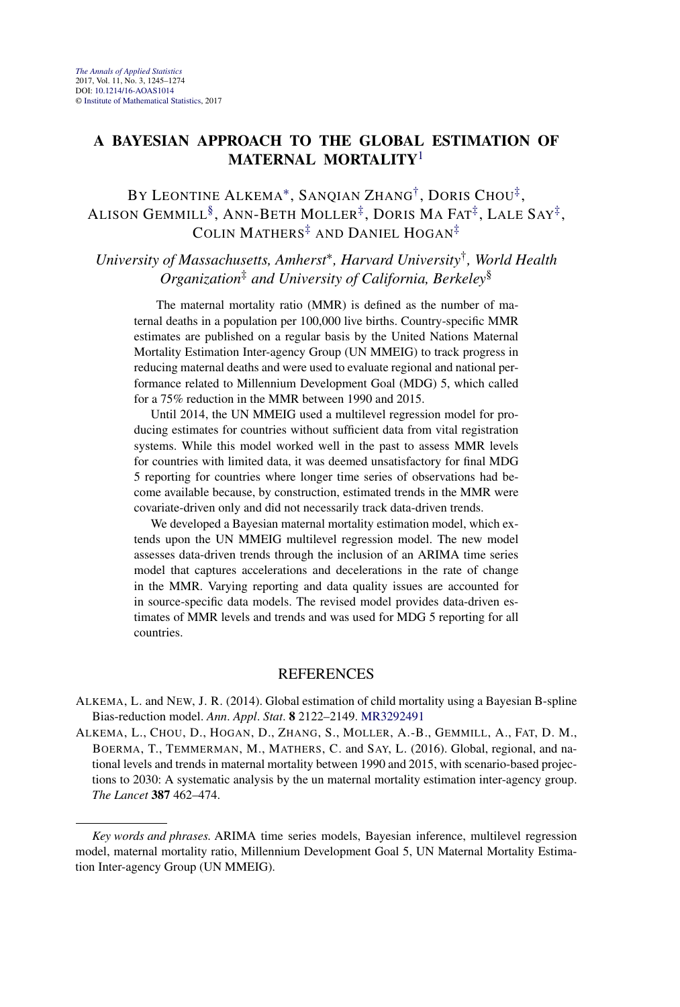## <span id="page-7-0"></span>**A BAYESIAN APPROACH TO THE GLOBAL ESTIMATION OF MATERNAL MORTALITY**[1](#page-23-0)

BY LEONTINE ALKEMA<sup>\*</sup>, SANQIAN ZHANG<sup>†</sup>, DORIS CHOU<sup>‡</sup>, ALISON GEMMILL§, ANN-BETH MOLLER‡, DORIS MA FAT‡, LALE SAY‡, COLIN MATHERS‡ AND DANIEL HOGAN‡

*University of Massachusetts, Amherst*∗*, Harvard University*†*, World Health Organization*‡ *and University of California, Berkeley*§

The maternal mortality ratio (MMR) is defined as the number of maternal deaths in a population per 100,000 live births. Country-specific MMR estimates are published on a regular basis by the United Nations Maternal Mortality Estimation Inter-agency Group (UN MMEIG) to track progress in reducing maternal deaths and were used to evaluate regional and national performance related to Millennium Development Goal (MDG) 5, which called for a 75% reduction in the MMR between 1990 and 2015.

Until 2014, the UN MMEIG used a multilevel regression model for producing estimates for countries without sufficient data from vital registration systems. While this model worked well in the past to assess MMR levels for countries with limited data, it was deemed unsatisfactory for final MDG 5 reporting for countries where longer time series of observations had become available because, by construction, estimated trends in the MMR were covariate-driven only and did not necessarily track data-driven trends.

We developed a Bayesian maternal mortality estimation model, which extends upon the UN MMEIG multilevel regression model. The new model assesses data-driven trends through the inclusion of an ARIMA time series model that captures accelerations and decelerations in the rate of change in the MMR. Varying reporting and data quality issues are accounted for in source-specific data models. The revised model provides data-driven estimates of MMR levels and trends and was used for MDG 5 reporting for all countries.

- ALKEMA, L. and NEW, J. R. (2014). Global estimation of child mortality using a Bayesian B-spline Bias-reduction model. *Ann*. *Appl*. *Stat*. **8** 2122–2149. [MR3292491](http://www.ams.org/mathscinet-getitem?mr=3292491)
- ALKEMA, L., CHOU, D., HOGAN, D., ZHANG, S., MOLLER, A.-B., GEMMILL, A., FAT, D. M., BOERMA, T., TEMMERMAN, M., MATHERS, C. and SAY, L. (2016). Global, regional, and national levels and trends in maternal mortality between 1990 and 2015, with scenario-based projections to 2030: A systematic analysis by the un maternal mortality estimation inter-agency group. *The Lancet* **387** 462–474.

*Key words and phrases.* ARIMA time series models, Bayesian inference, multilevel regression model, maternal mortality ratio, Millennium Development Goal 5, UN Maternal Mortality Estimation Inter-agency Group (UN MMEIG).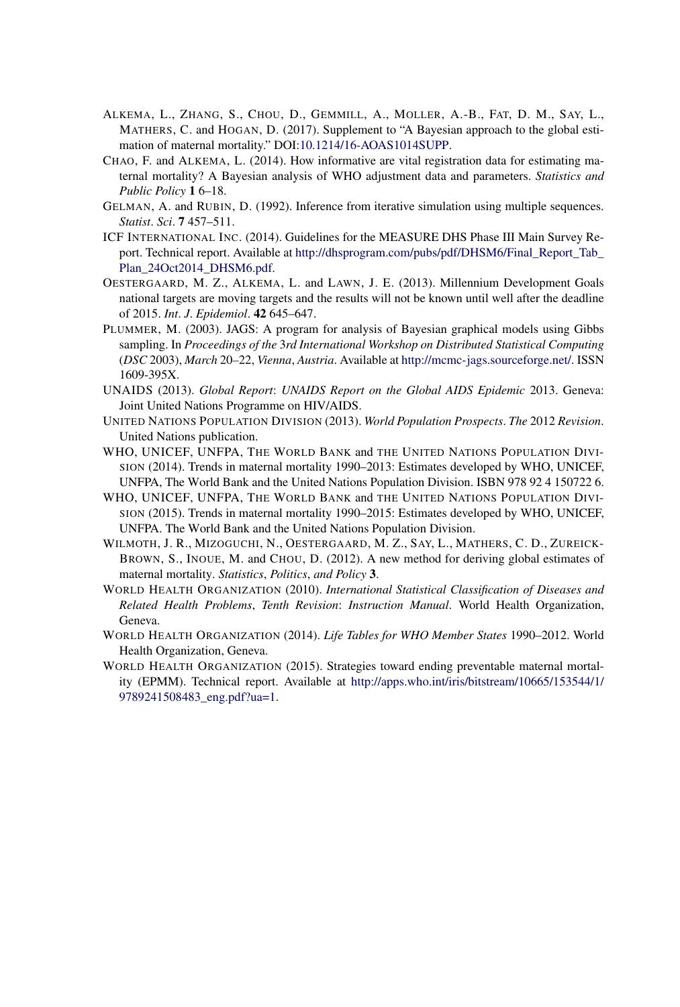- ALKEMA, L., ZHANG, S., CHOU, D., GEMMILL, A., MOLLER, A.-B., FAT, D. M., SAY, L., MATHERS, C. and HOGAN, D. (2017). Supplement to "A Bayesian approach to the global estimation of maternal mortality." DOI[:10.1214/16-AOAS1014SUPP.](http://dx.doi.org/10.1214/16-AOAS1014SUPP)
- CHAO, F. and ALKEMA, L. (2014). How informative are vital registration data for estimating maternal mortality? A Bayesian analysis of WHO adjustment data and parameters. *Statistics and Public Policy* **1** 6–18.
- GELMAN, A. and RUBIN, D. (1992). Inference from iterative simulation using multiple sequences. *Statist*. *Sci*. **7** 457–511.
- ICF INTERNATIONAL INC. (2014). Guidelines for the MEASURE DHS Phase III Main Survey Report. Technical report. Available at [http://dhsprogram.com/pubs/pdf/DHSM6/Final\\_Report\\_Tab\\_](http://dhsprogram.com/pubs/pdf/DHSM6/Final_Report_Tab_Plan_24Oct2014_DHSM6.pdf) [Plan\\_24Oct2014\\_DHSM6.pdf.](http://dhsprogram.com/pubs/pdf/DHSM6/Final_Report_Tab_Plan_24Oct2014_DHSM6.pdf)
- OESTERGAARD, M. Z., ALKEMA, L. and LAWN, J. E. (2013). Millennium Development Goals national targets are moving targets and the results will not be known until well after the deadline of 2015. *Int*. *J*. *Epidemiol*. **42** 645–647.
- PLUMMER, M. (2003). JAGS: A program for analysis of Bayesian graphical models using Gibbs sampling. In *Proceedings of the* 3*rd International Workshop on Distributed Statistical Computing* (*DSC* 2003), *March* 20*–*22, *Vienna*, *Austria*. Available at <http://mcmc-jags.sourceforge.net/>. ISSN 1609-395X.
- UNAIDS (2013). *Global Report*: *UNAIDS Report on the Global AIDS Epidemic* 2013. Geneva: Joint United Nations Programme on HIV/AIDS.
- UNITED NATIONS POPULATION DIVISION (2013). *World Population Prospects*. *The* 2012 *Revision*. United Nations publication.
- WHO, UNICEF, UNFPA, THE WORLD BANK and THE UNITED NATIONS POPULATION DIVI-SION (2014). Trends in maternal mortality 1990–2013: Estimates developed by WHO, UNICEF, UNFPA, The World Bank and the United Nations Population Division. ISBN 978 92 4 150722 6.
- WHO, UNICEF, UNFPA, THE WORLD BANK and THE UNITED NATIONS POPULATION DIVI-SION (2015). Trends in maternal mortality 1990–2015: Estimates developed by WHO, UNICEF, UNFPA. The World Bank and the United Nations Population Division.
- WILMOTH, J. R., MIZOGUCHI, N., OESTERGAARD, M. Z., SAY, L., MATHERS, C. D., ZUREICK-BROWN, S., INOUE, M. and CHOU, D. (2012). A new method for deriving global estimates of maternal mortality. *Statistics*, *Politics*, *and Policy* **3**.
- WORLD HEALTH ORGANIZATION (2010). *International Statistical Classification of Diseases and Related Health Problems*, *Tenth Revision*: *Instruction Manual*. World Health Organization, Geneva.
- WORLD HEALTH ORGANIZATION (2014). *Life Tables for WHO Member States* 1990–2012. World Health Organization, Geneva.
- WORLD HEALTH ORGANIZATION (2015). Strategies toward ending preventable maternal mortality (EPMM). Technical report. Available at [http://apps.who.int/iris/bitstream/10665/153544/1/](http://apps.who.int/iris/bitstream/10665/153544/1/9789241508483_eng.pdf?ua=1) [9789241508483\\_eng.pdf?ua=1](http://apps.who.int/iris/bitstream/10665/153544/1/9789241508483_eng.pdf?ua=1).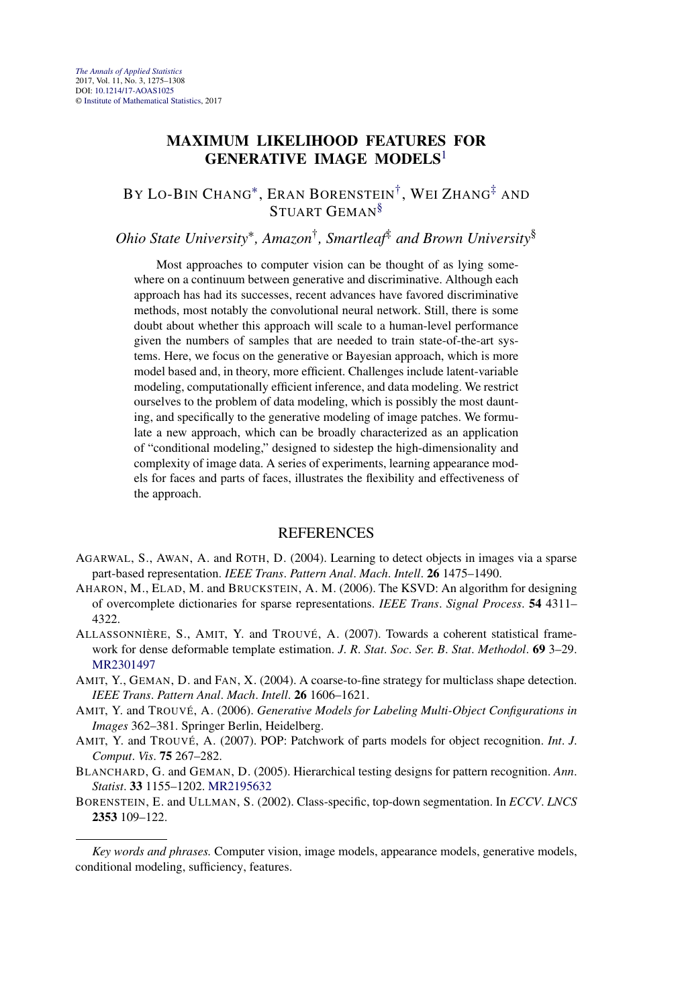## **MAXIMUM LIKELIHOOD FEATURES FOR GENERATIVE IMAGE MODELS**[1](#page-23-0)

## BY LO-BIN CHANG<sup>\*</sup>, ERAN BORENSTEIN<sup>†</sup>, WEI ZHANG<sup>[‡](#page-7-0)</sup> AND STUART GEMAN<sup>[§](#page-7-0)</sup>

# *Ohio State University*∗*, Amazon*†*, Smartleaf*‡ *and Brown University*§

Most approaches to computer vision can be thought of as lying somewhere on a continuum between generative and discriminative. Although each approach has had its successes, recent advances have favored discriminative methods, most notably the convolutional neural network. Still, there is some doubt about whether this approach will scale to a human-level performance given the numbers of samples that are needed to train state-of-the-art systems. Here, we focus on the generative or Bayesian approach, which is more model based and, in theory, more efficient. Challenges include latent-variable modeling, computationally efficient inference, and data modeling. We restrict ourselves to the problem of data modeling, which is possibly the most daunting, and specifically to the generative modeling of image patches. We formulate a new approach, which can be broadly characterized as an application of "conditional modeling," designed to sidestep the high-dimensionality and complexity of image data. A series of experiments, learning appearance models for faces and parts of faces, illustrates the flexibility and effectiveness of the approach.

- AGARWAL, S., AWAN, A. and ROTH, D. (2004). Learning to detect objects in images via a sparse part-based representation. *IEEE Trans*. *Pattern Anal*. *Mach*. *Intell*. **26** 1475–1490.
- AHARON, M., ELAD, M. and BRUCKSTEIN, A. M. (2006). The KSVD: An algorithm for designing of overcomplete dictionaries for sparse representations. *IEEE Trans*. *Signal Process*. **54** 4311– 4322.
- ALLASSONNIÈRE, S., AMIT, Y. and TROUVÉ, A. (2007). Towards a coherent statistical framework for dense deformable template estimation. *J*. *R*. *Stat*. *Soc*. *Ser*. *B*. *Stat*. *Methodol*. **69** 3–29. [MR2301497](http://www.ams.org/mathscinet-getitem?mr=2301497)
- AMIT, Y., GEMAN, D. and FAN, X. (2004). A coarse-to-fine strategy for multiclass shape detection. *IEEE Trans*. *Pattern Anal*. *Mach*. *Intell*. **26** 1606–1621.
- AMIT, Y. and TROUVÉ, A. (2006). *Generative Models for Labeling Multi-Object Configurations in Images* 362–381. Springer Berlin, Heidelberg.
- AMIT, Y. and TROUVÉ, A. (2007). POP: Patchwork of parts models for object recognition. *Int*. *J*. *Comput*. *Vis*. **75** 267–282.
- BLANCHARD, G. and GEMAN, D. (2005). Hierarchical testing designs for pattern recognition. *Ann*. *Statist*. **33** 1155–1202. [MR2195632](http://www.ams.org/mathscinet-getitem?mr=2195632)
- BORENSTEIN, E. and ULLMAN, S. (2002). Class-specific, top-down segmentation. In *ECCV*. *LNCS* **2353** 109–122.

*Key words and phrases.* Computer vision, image models, appearance models, generative models, conditional modeling, sufficiency, features.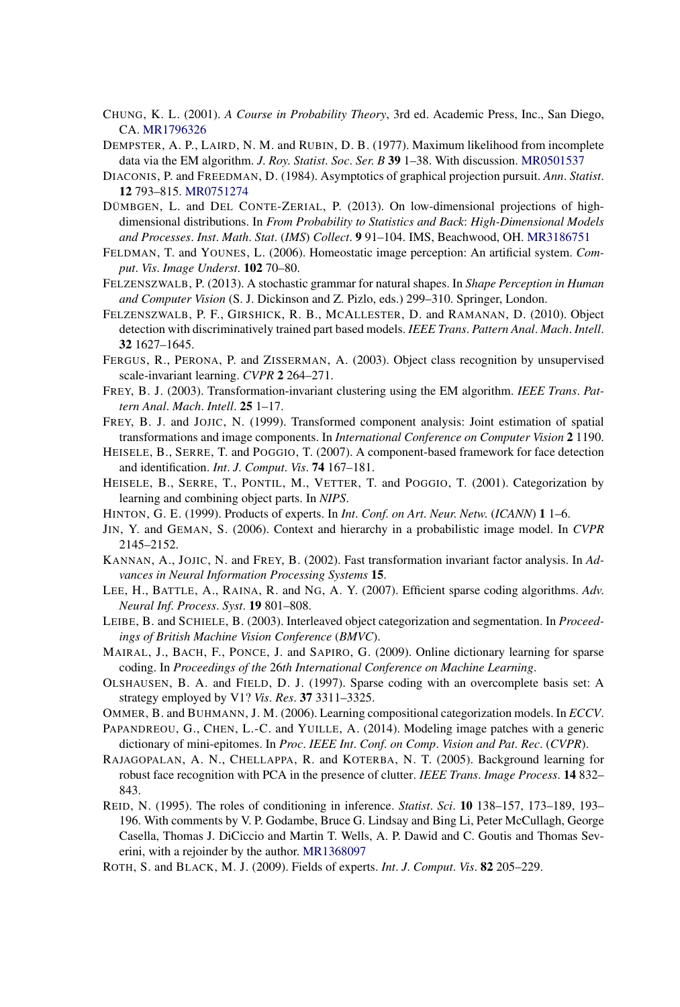- CHUNG, K. L. (2001). *A Course in Probability Theory*, 3rd ed. Academic Press, Inc., San Diego, CA. [MR1796326](http://www.ams.org/mathscinet-getitem?mr=1796326)
- DEMPSTER, A. P., LAIRD, N. M. and RUBIN, D. B. (1977). Maximum likelihood from incomplete data via the EM algorithm. *J*. *Roy*. *Statist*. *Soc*. *Ser*. *B* **39** 1–38. With discussion. [MR0501537](http://www.ams.org/mathscinet-getitem?mr=0501537)
- DIACONIS, P. and FREEDMAN, D. (1984). Asymptotics of graphical projection pursuit. *Ann*. *Statist*. **12** 793–815. [MR0751274](http://www.ams.org/mathscinet-getitem?mr=0751274)
- DÜMBGEN, L. and DEL CONTE-ZERIAL, P. (2013). On low-dimensional projections of highdimensional distributions. In *From Probability to Statistics and Back*: *High-Dimensional Models and Processes*. *Inst*. *Math*. *Stat*. (*IMS*) *Collect*. **9** 91–104. IMS, Beachwood, OH. [MR3186751](http://www.ams.org/mathscinet-getitem?mr=3186751)
- FELDMAN, T. and YOUNES, L. (2006). Homeostatic image perception: An artificial system. *Comput*. *Vis*. *Image Underst*. **102** 70–80.
- FELZENSZWALB, P. (2013). A stochastic grammar for natural shapes. In *Shape Perception in Human and Computer Vision* (S. J. Dickinson and Z. Pizlo, eds.) 299–310. Springer, London.
- FELZENSZWALB, P. F., GIRSHICK, R. B., MCALLESTER, D. and RAMANAN, D. (2010). Object detection with discriminatively trained part based models. *IEEE Trans*. *Pattern Anal*. *Mach*. *Intell*. **32** 1627–1645.
- FERGUS, R., PERONA, P. and ZISSERMAN, A. (2003). Object class recognition by unsupervised scale-invariant learning. *CVPR* **2** 264–271.
- FREY, B. J. (2003). Transformation-invariant clustering using the EM algorithm. *IEEE Trans*. *Pattern Anal*. *Mach*. *Intell*. **25** 1–17.
- FREY, B. J. and JOJIC, N. (1999). Transformed component analysis: Joint estimation of spatial transformations and image components. In *International Conference on Computer Vision* **2** 1190.
- HEISELE, B., SERRE, T. and POGGIO, T. (2007). A component-based framework for face detection and identification. *Int*. *J*. *Comput*. *Vis*. **74** 167–181.
- HEISELE, B., SERRE, T., PONTIL, M., VETTER, T. and POGGIO, T. (2001). Categorization by learning and combining object parts. In *NIPS*.
- HINTON, G. E. (1999). Products of experts. In *Int*. *Conf*. *on Art*. *Neur*. *Netw*. (*ICANN*) **1** 1–6.
- JIN, Y. and GEMAN, S. (2006). Context and hierarchy in a probabilistic image model. In *CVPR* 2145–2152.
- KANNAN, A., JOJIC, N. and FREY, B. (2002). Fast transformation invariant factor analysis. In *Advances in Neural Information Processing Systems* **15**.
- LEE, H., BATTLE, A., RAINA, R. and NG, A. Y. (2007). Efficient sparse coding algorithms. *Adv*. *Neural Inf*. *Process*. *Syst*. **19** 801–808.
- LEIBE, B. and SCHIELE, B. (2003). Interleaved object categorization and segmentation. In *Proceedings of British Machine Vision Conference* (*BMVC*).
- MAIRAL, J., BACH, F., PONCE, J. and SAPIRO, G. (2009). Online dictionary learning for sparse coding. In *Proceedings of the* 26*th International Conference on Machine Learning*.
- OLSHAUSEN, B. A. and FIELD, D. J. (1997). Sparse coding with an overcomplete basis set: A strategy employed by V1? *Vis*. *Res*. **37** 3311–3325.
- OMMER, B. and BUHMANN, J. M. (2006). Learning compositional categorization models. In *ECCV*.
- PAPANDREOU, G., CHEN, L.-C. and YUILLE, A. (2014). Modeling image patches with a generic dictionary of mini-epitomes. In *Proc*. *IEEE Int*. *Conf*. *on Comp*. *Vision and Pat*. *Rec*. (*CVPR*).
- RAJAGOPALAN, A. N., CHELLAPPA, R. and KOTERBA, N. T. (2005). Background learning for robust face recognition with PCA in the presence of clutter. *IEEE Trans*. *Image Process*. **14** 832– 843.
- REID, N. (1995). The roles of conditioning in inference. *Statist*. *Sci*. **10** 138–157, 173–189, 193– 196. With comments by V. P. Godambe, Bruce G. Lindsay and Bing Li, Peter McCullagh, George Casella, Thomas J. DiCiccio and Martin T. Wells, A. P. Dawid and C. Goutis and Thomas Severini, with a rejoinder by the author. [MR1368097](http://www.ams.org/mathscinet-getitem?mr=1368097)
- ROTH, S. and BLACK, M. J. (2009). Fields of experts. *Int*. *J*. *Comput*. *Vis*. **82** 205–229.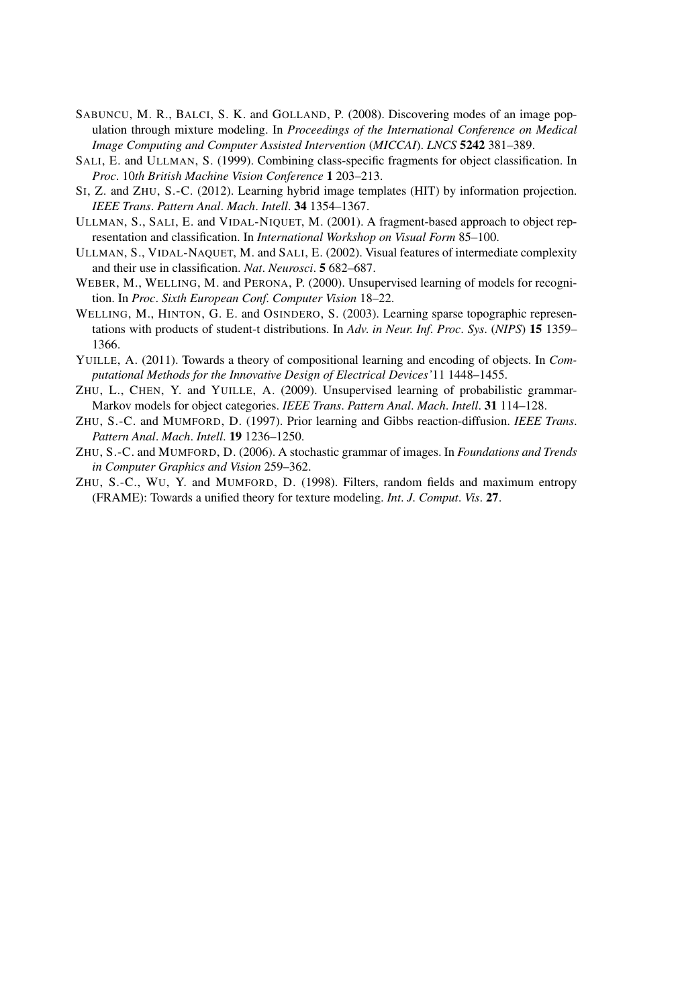- SABUNCU, M. R., BALCI, S. K. and GOLLAND, P. (2008). Discovering modes of an image population through mixture modeling. In *Proceedings of the International Conference on Medical Image Computing and Computer Assisted Intervention* (*MICCAI*). *LNCS* **5242** 381–389.
- SALI, E. and ULLMAN, S. (1999). Combining class-specific fragments for object classification. In *Proc*. 10*th British Machine Vision Conference* **1** 203–213.
- SI, Z. and ZHU, S.-C. (2012). Learning hybrid image templates (HIT) by information projection. *IEEE Trans*. *Pattern Anal*. *Mach*. *Intell*. **34** 1354–1367.
- ULLMAN, S., SALI, E. and VIDAL-NIQUET, M. (2001). A fragment-based approach to object representation and classification. In *International Workshop on Visual Form* 85–100.
- ULLMAN, S., VIDAL-NAQUET, M. and SALI, E. (2002). Visual features of intermediate complexity and their use in classification. *Nat*. *Neurosci*. **5** 682–687.
- WEBER, M., WELLING, M. and PERONA, P. (2000). Unsupervised learning of models for recognition. In *Proc*. *Sixth European Conf*. *Computer Vision* 18–22.
- WELLING, M., HINTON, G. E. and OSINDERO, S. (2003). Learning sparse topographic representations with products of student-t distributions. In *Adv*. *in Neur*. *Inf*. *Proc*. *Sys*. (*NIPS*) **15** 1359– 1366.
- YUILLE, A. (2011). Towards a theory of compositional learning and encoding of objects. In *Computational Methods for the Innovative Design of Electrical Devices'*11 1448–1455.
- ZHU, L., CHEN, Y. and YUILLE, A. (2009). Unsupervised learning of probabilistic grammar-Markov models for object categories. *IEEE Trans*. *Pattern Anal*. *Mach*. *Intell*. **31** 114–128.
- ZHU, S.-C. and MUMFORD, D. (1997). Prior learning and Gibbs reaction-diffusion. *IEEE Trans*. *Pattern Anal*. *Mach*. *Intell*. **19** 1236–1250.
- ZHU, S.-C. and MUMFORD, D. (2006). A stochastic grammar of images. In *Foundations and Trends in Computer Graphics and Vision* 259–362.
- ZHU, S.-C., WU, Y. and MUMFORD, D. (1998). Filters, random fields and maximum entropy (FRAME): Towards a unified theory for texture modeling. *Int*. *J*. *Comput*. *Vis*. **27**.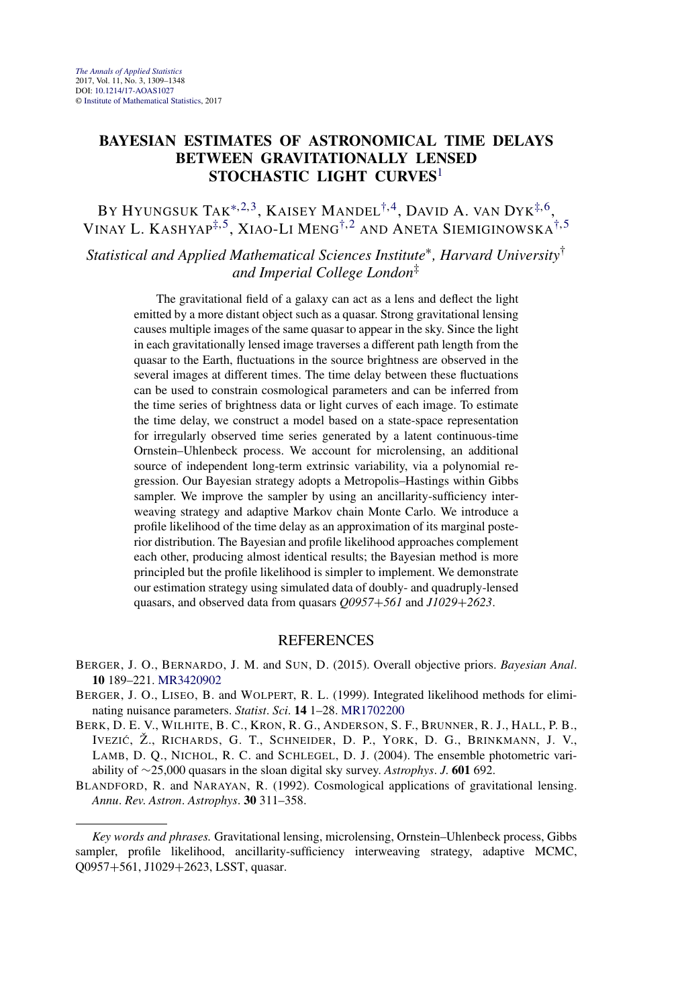## <span id="page-12-0"></span>**BAYESIAN ESTIMATES OF ASTRONOMICAL TIME DELAYS BETWEEN GRAVITATIONALLY LENSED STOCHASTIC LIGHT CURVES**[1](#page-23-0)

BY HYUNGSUK TAK<sup>\*, 2, 3</sup>, KAISEY MANDEL<sup>†, 4</sup>, DAVID A. VAN DYK<sup>‡, 6</sup>, VINAY L. KASHYAP‡,5, XIAO-LI MENG†,[2](#page-23-0) AND ANETA SIEMIGINOWSKA†,5

*Statistical and Applied Mathematical Sciences Institute*∗*, Harvard University*† *and Imperial College London*‡

> The gravitational field of a galaxy can act as a lens and deflect the light emitted by a more distant object such as a quasar. Strong gravitational lensing causes multiple images of the same quasar to appear in the sky. Since the light in each gravitationally lensed image traverses a different path length from the quasar to the Earth, fluctuations in the source brightness are observed in the several images at different times. The time delay between these fluctuations can be used to constrain cosmological parameters and can be inferred from the time series of brightness data or light curves of each image. To estimate the time delay, we construct a model based on a state-space representation for irregularly observed time series generated by a latent continuous-time Ornstein–Uhlenbeck process. We account for microlensing, an additional source of independent long-term extrinsic variability, via a polynomial regression. Our Bayesian strategy adopts a Metropolis–Hastings within Gibbs sampler. We improve the sampler by using an ancillarity-sufficiency interweaving strategy and adaptive Markov chain Monte Carlo. We introduce a profile likelihood of the time delay as an approximation of its marginal posterior distribution. The Bayesian and profile likelihood approaches complement each other, producing almost identical results; the Bayesian method is more principled but the profile likelihood is simpler to implement. We demonstrate our estimation strategy using simulated data of doubly- and quadruply-lensed quasars, and observed data from quasars *Q0957*+*561* and *J1029*+*2623*.

- BERGER, J. O., BERNARDO, J. M. and SUN, D. (2015). Overall objective priors. *Bayesian Anal*. **10** 189–221. [MR3420902](http://www.ams.org/mathscinet-getitem?mr=3420902)
- BERGER, J. O., LISEO, B. and WOLPERT, R. L. (1999). Integrated likelihood methods for eliminating nuisance parameters. *Statist*. *Sci*. **14** 1–28. [MR1702200](http://www.ams.org/mathscinet-getitem?mr=1702200)
- BERK, D. E. V., WILHITE, B. C., KRON, R. G., ANDERSON, S. F., BRUNNER, R. J., HALL, P. B., IVEZIĆ, Ž., RICHARDS, G. T., SCHNEIDER, D. P., YORK, D. G., BRINKMANN, J. V., LAMB, D. Q., NICHOL, R. C. and SCHLEGEL, D. J. (2004). The ensemble photometric variability of ∼25,000 quasars in the sloan digital sky survey. *Astrophys*. *J*. **601** 692.
- BLANDFORD, R. and NARAYAN, R. (1992). Cosmological applications of gravitational lensing. *Annu*. *Rev*. *Astron*. *Astrophys*. **30** 311–358.

*Key words and phrases.* Gravitational lensing, microlensing, Ornstein–Uhlenbeck process, Gibbs sampler, profile likelihood, ancillarity-sufficiency interweaving strategy, adaptive MCMC, Q0957+561, J1029+2623, LSST, quasar.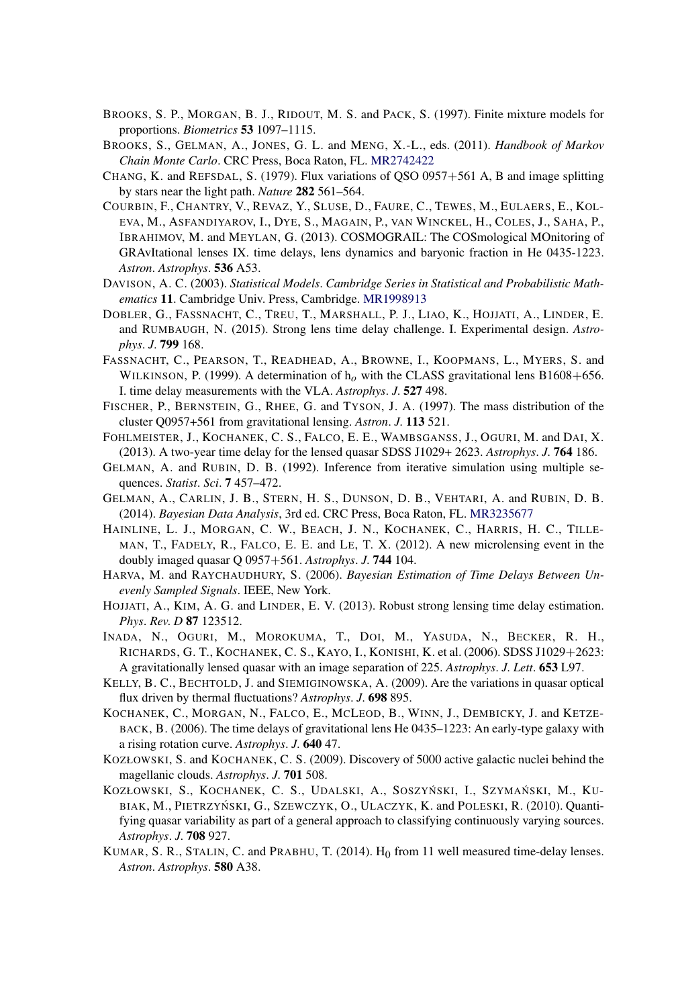- BROOKS, S. P., MORGAN, B. J., RIDOUT, M. S. and PACK, S. (1997). Finite mixture models for proportions. *Biometrics* **53** 1097–1115.
- BROOKS, S., GELMAN, A., JONES, G. L. and MENG, X.-L., eds. (2011). *Handbook of Markov Chain Monte Carlo*. CRC Press, Boca Raton, FL. [MR2742422](http://www.ams.org/mathscinet-getitem?mr=2742422)
- CHANG, K. and REFSDAL, S. (1979). Flux variations of QSO 0957+561 A, B and image splitting by stars near the light path. *Nature* **282** 561–564.
- COURBIN, F., CHANTRY, V., REVAZ, Y., SLUSE, D., FAURE, C., TEWES, M., EULAERS, E., KOL-EVA, M., ASFANDIYAROV, I., DYE, S., MAGAIN, P., VAN WINCKEL, H., COLES, J., SAHA, P., IBRAHIMOV, M. and MEYLAN, G. (2013). COSMOGRAIL: The COSmological MOnitoring of GRAvItational lenses IX. time delays, lens dynamics and baryonic fraction in He 0435-1223. *Astron*. *Astrophys*. **536** A53.
- DAVISON, A. C. (2003). *Statistical Models*. *Cambridge Series in Statistical and Probabilistic Mathematics* **11**. Cambridge Univ. Press, Cambridge. [MR1998913](http://www.ams.org/mathscinet-getitem?mr=1998913)
- DOBLER, G., FASSNACHT, C., TREU, T., MARSHALL, P. J., LIAO, K., HOJJATI, A., LINDER, E. and RUMBAUGH, N. (2015). Strong lens time delay challenge. I. Experimental design. *Astrophys*. *J*. **799** 168.
- FASSNACHT, C., PEARSON, T., READHEAD, A., BROWNE, I., KOOPMANS, L., MYERS, S. and WILKINSON, P. (1999). A determination of h*<sup>o</sup>* with the CLASS gravitational lens B1608+656. I. time delay measurements with the VLA. *Astrophys*. *J*. **527** 498.
- FISCHER, P., BERNSTEIN, G., RHEE, G. and TYSON, J. A. (1997). The mass distribution of the cluster Q0957+561 from gravitational lensing. *Astron*. *J*. **113** 521.
- FOHLMEISTER, J., KOCHANEK, C. S., FALCO, E. E., WAMBSGANSS, J., OGURI, M. and DAI, X. (2013). A two-year time delay for the lensed quasar SDSS J1029+ 2623. *Astrophys*. *J*. **764** 186.
- GELMAN, A. and RUBIN, D. B. (1992). Inference from iterative simulation using multiple sequences. *Statist*. *Sci*. **7** 457–472.
- GELMAN, A., CARLIN, J. B., STERN, H. S., DUNSON, D. B., VEHTARI, A. and RUBIN, D. B. (2014). *Bayesian Data Analysis*, 3rd ed. CRC Press, Boca Raton, FL. [MR3235677](http://www.ams.org/mathscinet-getitem?mr=3235677)
- HAINLINE, L. J., MORGAN, C. W., BEACH, J. N., KOCHANEK, C., HARRIS, H. C., TILLE-MAN, T., FADELY, R., FALCO, E. E. and LE, T. X. (2012). A new microlensing event in the doubly imaged quasar Q 0957+561. *Astrophys*. *J*. **744** 104.
- HARVA, M. and RAYCHAUDHURY, S. (2006). *Bayesian Estimation of Time Delays Between Unevenly Sampled Signals*. IEEE, New York.
- HOJJATI, A., KIM, A. G. and LINDER, E. V. (2013). Robust strong lensing time delay estimation. *Phys*. *Rev*. *D* **87** 123512.
- INADA, N., OGURI, M., MOROKUMA, T., DOI, M., YASUDA, N., BECKER, R. H., RICHARDS, G. T., KOCHANEK, C. S., KAYO, I., KONISHI, K. et al. (2006). SDSS J1029+2623: A gravitationally lensed quasar with an image separation of 225. *Astrophys*. *J*. *Lett*. **653** L97.
- KELLY, B. C., BECHTOLD, J. and SIEMIGINOWSKA, A. (2009). Are the variations in quasar optical flux driven by thermal fluctuations? *Astrophys*. *J*. **698** 895.
- KOCHANEK, C., MORGAN, N., FALCO, E., MCLEOD, B., WINN, J., DEMBICKY, J. and KETZE-BACK, B. (2006). The time delays of gravitational lens He 0435–1223: An early-type galaxy with a rising rotation curve. *Astrophys*. *J*. **640** 47.
- KOZŁOWSKI, S. and KOCHANEK, C. S. (2009). Discovery of 5000 active galactic nuclei behind the magellanic clouds. *Astrophys*. *J*. **701** 508.
- KOZŁOWSKI, S., KOCHANEK, C. S., UDALSKI, A., SOSZYŃSKI, I., SZYMAŃSKI, M., KU-BIAK, M., PIETRZYŃSKI, G., SZEWCZYK, O., ULACZYK, K. and POLESKI, R. (2010). Quantifying quasar variability as part of a general approach to classifying continuously varying sources. *Astrophys*. *J*. **708** 927.
- KUMAR, S. R., STALIN, C. and PRABHU, T.  $(2014)$ . H<sub>0</sub> from 11 well measured time-delay lenses. *Astron*. *Astrophys*. **580** A38.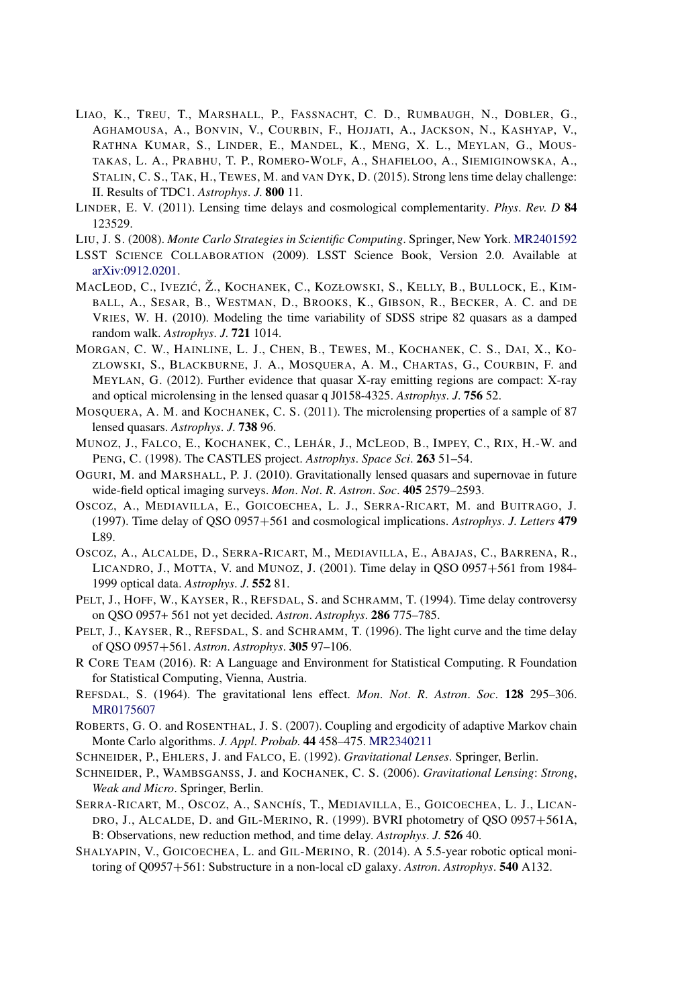- LIAO, K., TREU, T., MARSHALL, P., FASSNACHT, C. D., RUMBAUGH, N., DOBLER, G., AGHAMOUSA, A., BONVIN, V., COURBIN, F., HOJJATI, A., JACKSON, N., KASHYAP, V., RATHNA KUMAR, S., LINDER, E., MANDEL, K., MENG, X. L., MEYLAN, G., MOUS-TAKAS, L. A., PRABHU, T. P., ROMERO-WOLF, A., SHAFIELOO, A., SIEMIGINOWSKA, A., STALIN, C. S., TAK, H., TEWES, M. and VAN DYK, D. (2015). Strong lens time delay challenge: II. Results of TDC1. *Astrophys*. *J*. **800** 11.
- LINDER, E. V. (2011). Lensing time delays and cosmological complementarity. *Phys*. *Rev*. *D* **84** 123529.
- LIU, J. S. (2008). *Monte Carlo Strategies in Scientific Computing*. Springer, New York. [MR2401592](http://www.ams.org/mathscinet-getitem?mr=2401592)
- LSST SCIENCE COLLABORATION (2009). LSST Science Book, Version 2.0. Available at [arXiv:0912.0201.](http://arxiv.org/abs/arXiv:0912.0201)
- MACLEOD, C., IVEZIĆ, Ž., KOCHANEK, C., KOZŁOWSKI, S., KELLY, B., BULLOCK, E., KIM-BALL, A., SESAR, B., WESTMAN, D., BROOKS, K., GIBSON, R., BECKER, A. C. and DE VRIES, W. H. (2010). Modeling the time variability of SDSS stripe 82 quasars as a damped random walk. *Astrophys*. *J*. **721** 1014.
- MORGAN, C. W., HAINLINE, L. J., CHEN, B., TEWES, M., KOCHANEK, C. S., DAI, X., KO-ZLOWSKI, S., BLACKBURNE, J. A., MOSQUERA, A. M., CHARTAS, G., COURBIN, F. and MEYLAN, G. (2012). Further evidence that quasar X-ray emitting regions are compact: X-ray and optical microlensing in the lensed quasar q J0158-4325. *Astrophys*. *J*. **756** 52.
- MOSQUERA, A. M. and KOCHANEK, C. S. (2011). The microlensing properties of a sample of 87 lensed quasars. *Astrophys*. *J*. **738** 96.
- MUNOZ, J., FALCO, E., KOCHANEK, C., LEHÁR, J., MCLEOD, B., IMPEY, C., RIX, H.-W. and PENG, C. (1998). The CASTLES project. *Astrophys*. *Space Sci*. **263** 51–54.
- OGURI, M. and MARSHALL, P. J. (2010). Gravitationally lensed quasars and supernovae in future wide-field optical imaging surveys. *Mon*. *Not*. *R*. *Astron*. *Soc*. **405** 2579–2593.
- OSCOZ, A., MEDIAVILLA, E., GOICOECHEA, L. J., SERRA-RICART, M. and BUITRAGO, J. (1997). Time delay of QSO 0957+561 and cosmological implications. *Astrophys*. *J*. *Letters* **479** L89.
- OSCOZ, A., ALCALDE, D., SERRA-RICART, M., MEDIAVILLA, E., ABAJAS, C., BARRENA, R., LICANDRO, J., MOTTA, V. and MUNOZ, J. (2001). Time delay in QSO 0957+561 from 1984- 1999 optical data. *Astrophys*. *J*. **552** 81.
- PELT, J., HOFF, W., KAYSER, R., REFSDAL, S. and SCHRAMM, T. (1994). Time delay controversy on QSO 0957+ 561 not yet decided. *Astron*. *Astrophys*. **286** 775–785.
- PELT, J., KAYSER, R., REFSDAL, S. and SCHRAMM, T. (1996). The light curve and the time delay of QSO 0957+561. *Astron*. *Astrophys*. **305** 97–106.
- R CORE TEAM (2016). R: A Language and Environment for Statistical Computing. R Foundation for Statistical Computing, Vienna, Austria.
- REFSDAL, S. (1964). The gravitational lens effect. *Mon*. *Not*. *R*. *Astron*. *Soc*. **128** 295–306. [MR0175607](http://www.ams.org/mathscinet-getitem?mr=0175607)
- ROBERTS, G. O. and ROSENTHAL, J. S. (2007). Coupling and ergodicity of adaptive Markov chain Monte Carlo algorithms. *J*. *Appl*. *Probab*. **44** 458–475. [MR2340211](http://www.ams.org/mathscinet-getitem?mr=2340211)
- SCHNEIDER, P., EHLERS, J. and FALCO, E. (1992). *Gravitational Lenses*. Springer, Berlin.
- SCHNEIDER, P., WAMBSGANSS, J. and KOCHANEK, C. S. (2006). *Gravitational Lensing*: *Strong*, *Weak and Micro*. Springer, Berlin.
- SERRA-RICART, M., OSCOZ, A., SANCHÍS, T., MEDIAVILLA, E., GOICOECHEA, L. J., LICAN-DRO, J., ALCALDE, D. and GIL-MERINO, R. (1999). BVRI photometry of QSO 0957+561A, B: Observations, new reduction method, and time delay. *Astrophys*. *J*. **526** 40.
- SHALYAPIN, V., GOICOECHEA, L. and GIL-MERINO, R. (2014). A 5.5-year robotic optical monitoring of Q0957+561: Substructure in a non-local cD galaxy. *Astron*. *Astrophys*. **540** A132.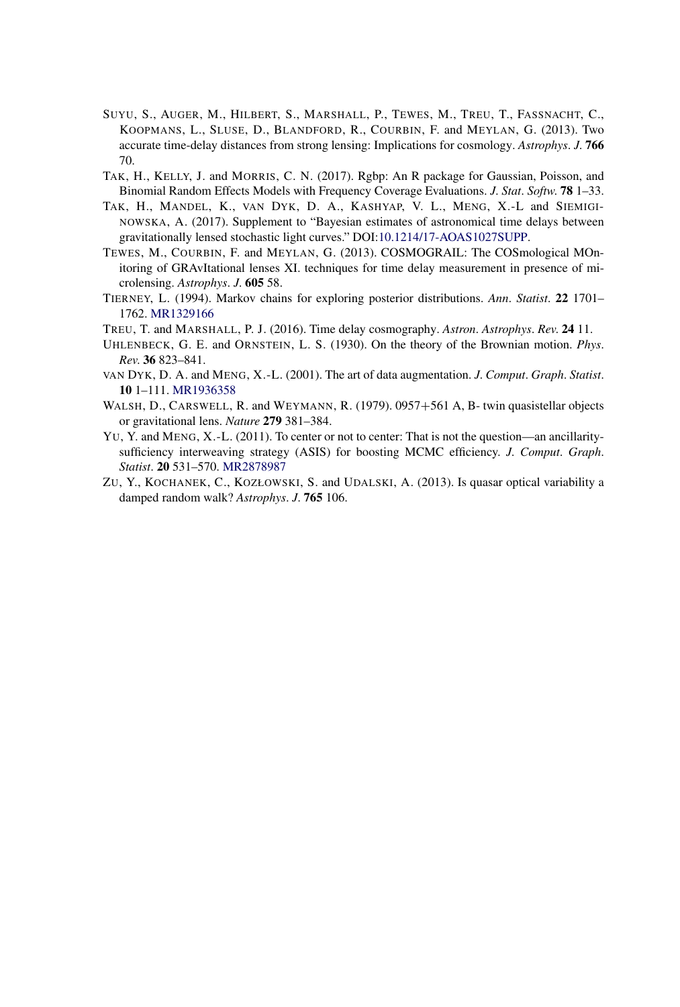- SUYU, S., AUGER, M., HILBERT, S., MARSHALL, P., TEWES, M., TREU, T., FASSNACHT, C., KOOPMANS, L., SLUSE, D., BLANDFORD, R., COURBIN, F. and MEYLAN, G. (2013). Two accurate time-delay distances from strong lensing: Implications for cosmology. *Astrophys*. *J*. **766** 70.
- TAK, H., KELLY, J. and MORRIS, C. N. (2017). Rgbp: An R package for Gaussian, Poisson, and Binomial Random Effects Models with Frequency Coverage Evaluations. *J*. *Stat*. *Softw*. **78** 1–33.
- TAK, H., MANDEL, K., VAN DYK, D. A., KASHYAP, V. L., MENG, X.-L and SIEMIGI-NOWSKA, A. (2017). Supplement to "Bayesian estimates of astronomical time delays between gravitationally lensed stochastic light curves." DOI[:10.1214/17-AOAS1027SUPP](http://dx.doi.org/10.1214/17-AOAS1027SUPP).
- TEWES, M., COURBIN, F. and MEYLAN, G. (2013). COSMOGRAIL: The COSmological MOnitoring of GRAvItational lenses XI. techniques for time delay measurement in presence of microlensing. *Astrophys*. *J*. **605** 58.
- TIERNEY, L. (1994). Markov chains for exploring posterior distributions. *Ann*. *Statist*. **22** 1701– 1762. [MR1329166](http://www.ams.org/mathscinet-getitem?mr=1329166)
- TREU, T. and MARSHALL, P. J. (2016). Time delay cosmography. *Astron*. *Astrophys*. *Rev*. **24** 11.
- UHLENBECK, G. E. and ORNSTEIN, L. S. (1930). On the theory of the Brownian motion. *Phys*. *Rev*. **36** 823–841.
- VAN DYK, D. A. and MENG, X.-L. (2001). The art of data augmentation. *J*. *Comput*. *Graph*. *Statist*. **10** 1–111. [MR1936358](http://www.ams.org/mathscinet-getitem?mr=1936358)
- WALSH, D., CARSWELL, R. and WEYMANN, R. (1979). 0957 + 561 A, B- twin quasistellar objects or gravitational lens. *Nature* **279** 381–384.
- YU, Y. and MENG, X.-L. (2011). To center or not to center: That is not the question—an ancillaritysufficiency interweaving strategy (ASIS) for boosting MCMC efficiency. *J*. *Comput*. *Graph*. *Statist*. **20** 531–570. [MR2878987](http://www.ams.org/mathscinet-getitem?mr=2878987)
- ZU, Y., KOCHANEK, C., KOZŁOWSKI, S. and UDALSKI, A. (2013). Is quasar optical variability a damped random walk? *Astrophys*. *J*. **765** 106.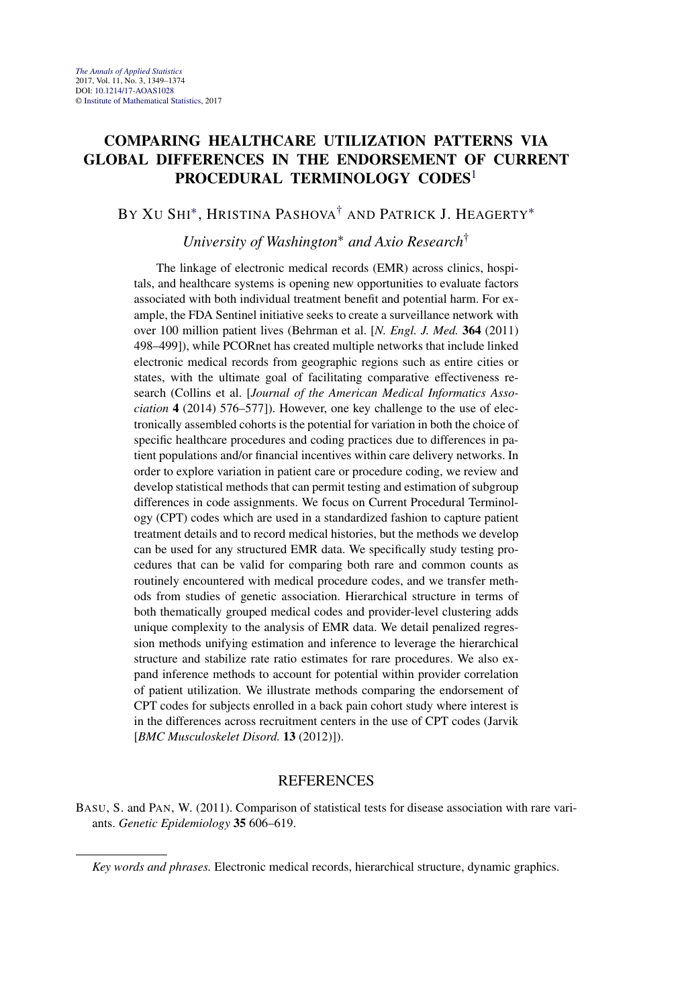## **COMPARING HEALTHCARE UTILIZATION PATTERNS VIA GLOBAL DIFFERENCES IN THE ENDORSEMENT OF CURRENT PROCEDURAL TERMINOLOGY CODES**[1](#page-23-0)

## BY XU SHI<sup>\*</sup>, HRISTINA PASHOVA<sup>[†](#page-12-0)</sup> AND PATRICK J. HEAGERTY<sup>\*</sup>

#### *University of Washington*<sup>∗</sup> *and Axio Research*†

The linkage of electronic medical records (EMR) across clinics, hospitals, and healthcare systems is opening new opportunities to evaluate factors associated with both individual treatment benefit and potential harm. For example, the FDA Sentinel initiative seeks to create a surveillance network with over 100 million patient lives (Behrman et al. [*N. Engl. J. Med.* **364** (2011) 498–499]), while PCORnet has created multiple networks that include linked electronic medical records from geographic regions such as entire cities or states, with the ultimate goal of facilitating comparative effectiveness research (Collins et al. [*Journal of the American Medical Informatics Association* **4** (2014) 576–577]). However, one key challenge to the use of electronically assembled cohorts is the potential for variation in both the choice of specific healthcare procedures and coding practices due to differences in patient populations and/or financial incentives within care delivery networks. In order to explore variation in patient care or procedure coding, we review and develop statistical methods that can permit testing and estimation of subgroup differences in code assignments. We focus on Current Procedural Terminology (CPT) codes which are used in a standardized fashion to capture patient treatment details and to record medical histories, but the methods we develop can be used for any structured EMR data. We specifically study testing procedures that can be valid for comparing both rare and common counts as routinely encountered with medical procedure codes, and we transfer methods from studies of genetic association. Hierarchical structure in terms of both thematically grouped medical codes and provider-level clustering adds unique complexity to the analysis of EMR data. We detail penalized regression methods unifying estimation and inference to leverage the hierarchical structure and stabilize rate ratio estimates for rare procedures. We also expand inference methods to account for potential within provider correlation of patient utilization. We illustrate methods comparing the endorsement of CPT codes for subjects enrolled in a back pain cohort study where interest is in the differences across recruitment centers in the use of CPT codes (Jarvik [*BMC Musculoskelet Disord.* **13** (2012)]).

#### REFERENCES

BASU, S. and PAN, W. (2011). Comparison of statistical tests for disease association with rare variants. *Genetic Epidemiology* **35** 606–619.

*Key words and phrases.* Electronic medical records, hierarchical structure, dynamic graphics.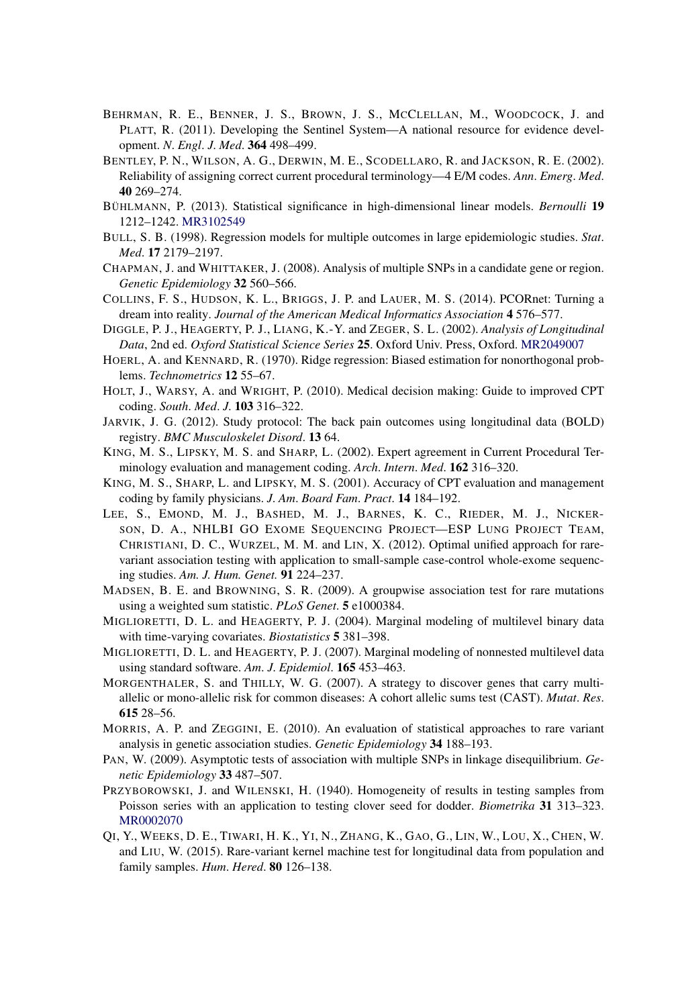- BEHRMAN, R. E., BENNER, J. S., BROWN, J. S., MCCLELLAN, M., WOODCOCK, J. and PLATT, R. (2011). Developing the Sentinel System—A national resource for evidence development. *N*. *Engl*. *J*. *Med*. **364** 498–499.
- BENTLEY, P. N., WILSON, A. G., DERWIN, M. E., SCODELLARO, R. and JACKSON, R. E. (2002). Reliability of assigning correct current procedural terminology—4 E/M codes. *Ann*. *Emerg*. *Med*. **40** 269–274.
- BÜHLMANN, P. (2013). Statistical significance in high-dimensional linear models. *Bernoulli* **19** 1212–1242. [MR3102549](http://www.ams.org/mathscinet-getitem?mr=3102549)
- BULL, S. B. (1998). Regression models for multiple outcomes in large epidemiologic studies. *Stat*. *Med*. **17** 2179–2197.
- CHAPMAN, J. and WHITTAKER, J. (2008). Analysis of multiple SNPs in a candidate gene or region. *Genetic Epidemiology* **32** 560–566.
- COLLINS, F. S., HUDSON, K. L., BRIGGS, J. P. and LAUER, M. S. (2014). PCORnet: Turning a dream into reality. *Journal of the American Medical Informatics Association* **4** 576–577.
- DIGGLE, P. J., HEAGERTY, P. J., LIANG, K.-Y. and ZEGER, S. L. (2002). *Analysis of Longitudinal Data*, 2nd ed. *Oxford Statistical Science Series* **25**. Oxford Univ. Press, Oxford. [MR2049007](http://www.ams.org/mathscinet-getitem?mr=2049007)
- HOERL, A. and KENNARD, R. (1970). Ridge regression: Biased estimation for nonorthogonal problems. *Technometrics* **12** 55–67.
- HOLT, J., WARSY, A. and WRIGHT, P. (2010). Medical decision making: Guide to improved CPT coding. *South*. *Med*. *J*. **103** 316–322.
- JARVIK, J. G. (2012). Study protocol: The back pain outcomes using longitudinal data (BOLD) registry. *BMC Musculoskelet Disord*. **13** 64.
- KING, M. S., LIPSKY, M. S. and SHARP, L. (2002). Expert agreement in Current Procedural Terminology evaluation and management coding. *Arch*. *Intern*. *Med*. **162** 316–320.
- KING, M. S., SHARP, L. and LIPSKY, M. S. (2001). Accuracy of CPT evaluation and management coding by family physicians. *J*. *Am*. *Board Fam*. *Pract*. **14** 184–192.
- LEE, S., EMOND, M. J., BASHED, M. J., BARNES, K. C., RIEDER, M. J., NICKER-SON, D. A., NHLBI GO EXOME SEQUENCING PROJECT—ESP LUNG PROJECT TEAM, CHRISTIANI, D. C., WURZEL, M. M. and LIN, X. (2012). Optimal unified approach for rarevariant association testing with application to small-sample case-control whole-exome sequencing studies. *Am. J. Hum. Genet.* **91** 224–237.
- MADSEN, B. E. and BROWNING, S. R. (2009). A groupwise association test for rare mutations using a weighted sum statistic. *PLoS Genet*. **5** e1000384.
- MIGLIORETTI, D. L. and HEAGERTY, P. J. (2004). Marginal modeling of multilevel binary data with time-varying covariates. *Biostatistics* **5** 381–398.
- MIGLIORETTI, D. L. and HEAGERTY, P. J. (2007). Marginal modeling of nonnested multilevel data using standard software. *Am*. *J*. *Epidemiol*. **165** 453–463.
- MORGENTHALER, S. and THILLY, W. G. (2007). A strategy to discover genes that carry multiallelic or mono-allelic risk for common diseases: A cohort allelic sums test (CAST). *Mutat*. *Res*. **615** 28–56.
- MORRIS, A. P. and ZEGGINI, E. (2010). An evaluation of statistical approaches to rare variant analysis in genetic association studies. *Genetic Epidemiology* **34** 188–193.
- PAN, W. (2009). Asymptotic tests of association with multiple SNPs in linkage disequilibrium. *Genetic Epidemiology* **33** 487–507.
- PRZYBOROWSKI, J. and WILENSKI, H. (1940). Homogeneity of results in testing samples from Poisson series with an application to testing clover seed for dodder. *Biometrika* **31** 313–323. [MR0002070](http://www.ams.org/mathscinet-getitem?mr=0002070)
- QI, Y., WEEKS, D. E., TIWARI, H. K., YI, N., ZHANG, K., GAO, G., LIN, W., LOU, X., CHEN, W. and LIU, W. (2015). Rare-variant kernel machine test for longitudinal data from population and family samples. *Hum*. *Hered*. **80** 126–138.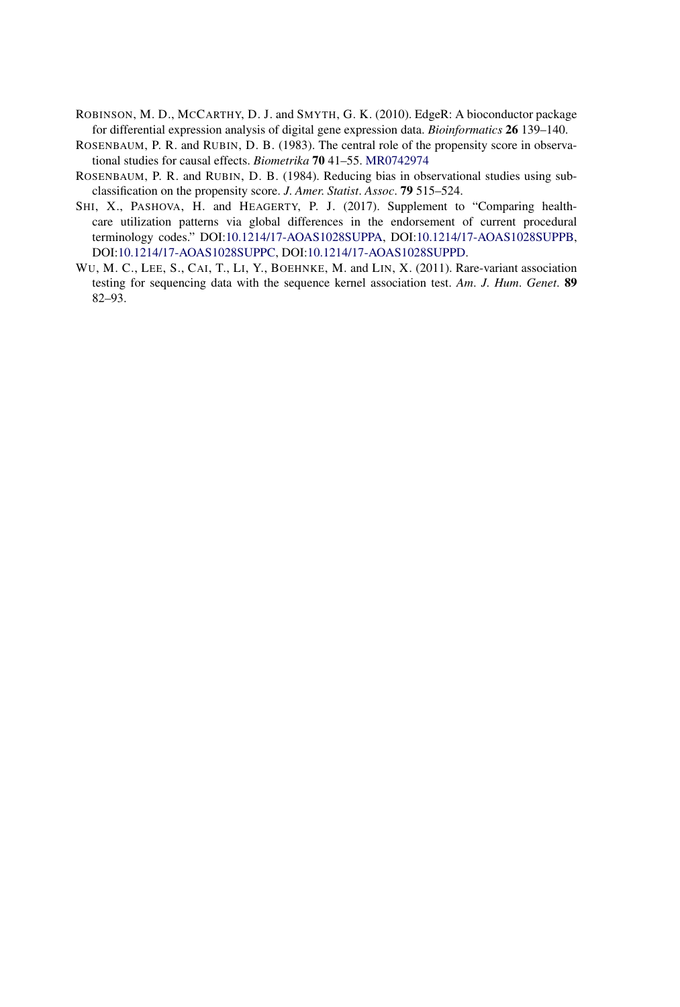- ROBINSON, M. D., MCCARTHY, D. J. and SMYTH, G. K. (2010). EdgeR: A bioconductor package for differential expression analysis of digital gene expression data. *Bioinformatics* **26** 139–140.
- ROSENBAUM, P. R. and RUBIN, D. B. (1983). The central role of the propensity score in observational studies for causal effects. *Biometrika* **70** 41–55. [MR0742974](http://www.ams.org/mathscinet-getitem?mr=0742974)
- ROSENBAUM, P. R. and RUBIN, D. B. (1984). Reducing bias in observational studies using subclassification on the propensity score. *J*. *Amer*. *Statist*. *Assoc*. **79** 515–524.
- SHI, X., PASHOVA, H. and HEAGERTY, P. J. (2017). Supplement to "Comparing healthcare utilization patterns via global differences in the endorsement of current procedural terminology codes." DOI[:10.1214/17-AOAS1028SUPPA,](http://dx.doi.org/10.1214/17-AOAS1028SUPPA) DOI[:10.1214/17-AOAS1028SUPPB](http://dx.doi.org/10.1214/17-AOAS1028SUPPB), DOI[:10.1214/17-AOAS1028SUPPC,](http://dx.doi.org/10.1214/17-AOAS1028SUPPC) DOI[:10.1214/17-AOAS1028SUPPD.](http://dx.doi.org/10.1214/17-AOAS1028SUPPD)
- WU, M. C., LEE, S., CAI, T., LI, Y., BOEHNKE, M. and LIN, X. (2011). Rare-variant association testing for sequencing data with the sequence kernel association test. *Am*. *J*. *Hum*. *Genet*. **89** 82–93.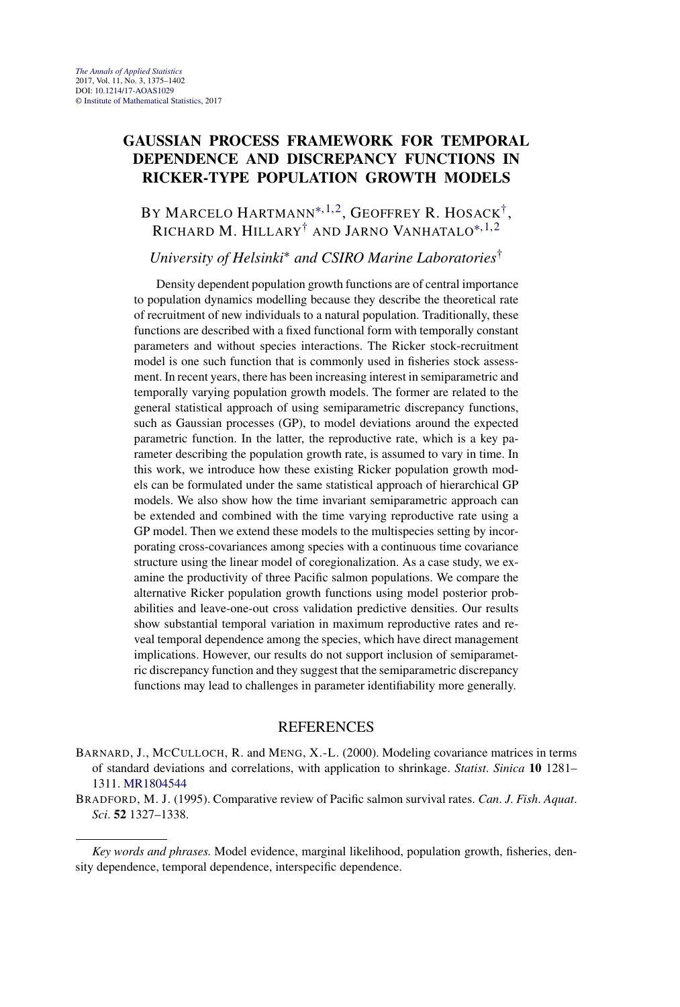## **GAUSSIAN PROCESS FRAMEWORK FOR TEMPORAL DEPENDENCE AND DISCREPANCY FUNCTIONS IN RICKER-TYPE POPULATION GROWTH MODELS**

# BY MARCELO HARTMANN<sup>\*, 1, 2</sup>, GEOFFREY R. HOSACK<sup>[†](#page-7-0)</sup>, RICHARD M. HILLARY<sup>[†](#page-7-0)</sup> AND JARNO VANHATALO<sup>\*, 1,2</sup>

## *University of Helsinki*<sup>∗</sup> *and CSIRO Marine Laboratories*†

Density dependent population growth functions are of central importance to population dynamics modelling because they describe the theoretical rate of recruitment of new individuals to a natural population. Traditionally, these functions are described with a fixed functional form with temporally constant parameters and without species interactions. The Ricker stock-recruitment model is one such function that is commonly used in fisheries stock assessment. In recent years, there has been increasing interest in semiparametric and temporally varying population growth models. The former are related to the general statistical approach of using semiparametric discrepancy functions, such as Gaussian processes (GP), to model deviations around the expected parametric function. In the latter, the reproductive rate, which is a key parameter describing the population growth rate, is assumed to vary in time. In this work, we introduce how these existing Ricker population growth models can be formulated under the same statistical approach of hierarchical GP models. We also show how the time invariant semiparametric approach can be extended and combined with the time varying reproductive rate using a GP model. Then we extend these models to the multispecies setting by incorporating cross-covariances among species with a continuous time covariance structure using the linear model of coregionalization. As a case study, we examine the productivity of three Pacific salmon populations. We compare the alternative Ricker population growth functions using model posterior probabilities and leave-one-out cross validation predictive densities. Our results show substantial temporal variation in maximum reproductive rates and reveal temporal dependence among the species, which have direct management implications. However, our results do not support inclusion of semiparametric discrepancy function and they suggest that the semiparametric discrepancy functions may lead to challenges in parameter identifiability more generally.

#### REFERENCES

BARNARD, J., MCCULLOCH, R. and MENG, X.-L. (2000). Modeling covariance matrices in terms of standard deviations and correlations, with application to shrinkage. *Statist*. *Sinica* **10** 1281– 1311. [MR1804544](http://www.ams.org/mathscinet-getitem?mr=1804544)

BRADFORD, M. J. (1995). Comparative review of Pacific salmon survival rates. *Can*. *J*. *Fish*. *Aquat*. *Sci*. **52** 1327–1338.

*Key words and phrases.* Model evidence, marginal likelihood, population growth, fisheries, density dependence, temporal dependence, interspecific dependence.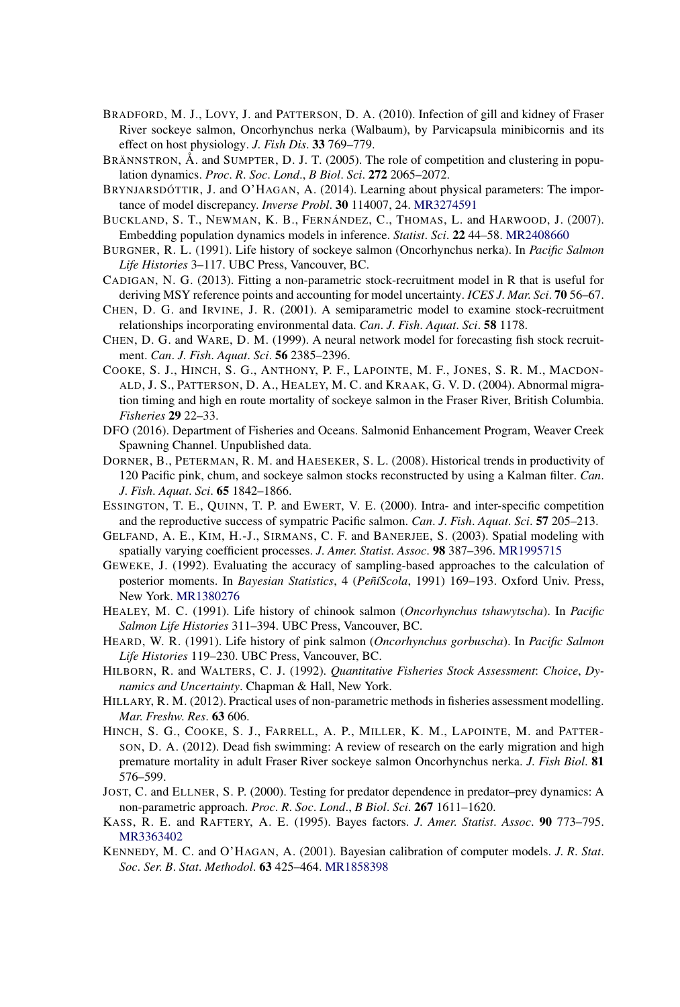- BRADFORD, M. J., LOVY, J. and PATTERSON, D. A. (2010). Infection of gill and kidney of Fraser River sockeye salmon, Oncorhynchus nerka (Walbaum), by Parvicapsula minibicornis and its effect on host physiology. *J*. *Fish Dis*. **33** 769–779.
- BRÄNNSTRON, Å. and SUMPTER, D. J. T. (2005). The role of competition and clustering in population dynamics. *Proc*. *R*. *Soc*. *Lond*., *B Biol*. *Sci*. **272** 2065–2072.
- BRYNJARSDÓTTIR, J. and O'HAGAN, A. (2014). Learning about physical parameters: The importance of model discrepancy. *Inverse Probl*. **30** 114007, 24. [MR3274591](http://www.ams.org/mathscinet-getitem?mr=3274591)
- BUCKLAND, S. T., NEWMAN, K. B., FERNÁNDEZ, C., THOMAS, L. and HARWOOD, J. (2007). Embedding population dynamics models in inference. *Statist*. *Sci*. **22** 44–58. [MR2408660](http://www.ams.org/mathscinet-getitem?mr=2408660)
- BURGNER, R. L. (1991). Life history of sockeye salmon (Oncorhynchus nerka). In *Pacific Salmon Life Histories* 3–117. UBC Press, Vancouver, BC.
- CADIGAN, N. G. (2013). Fitting a non-parametric stock-recruitment model in R that is useful for deriving MSY reference points and accounting for model uncertainty. *ICES J*. *Mar*. *Sci*. **70** 56–67.
- CHEN, D. G. and IRVINE, J. R. (2001). A semiparametric model to examine stock-recruitment relationships incorporating environmental data. *Can*. *J*. *Fish*. *Aquat*. *Sci*. **58** 1178.
- CHEN, D. G. and WARE, D. M. (1999). A neural network model for forecasting fish stock recruitment. *Can*. *J*. *Fish*. *Aquat*. *Sci*. **56** 2385–2396.
- COOKE, S. J., HINCH, S. G., ANTHONY, P. F., LAPOINTE, M. F., JONES, S. R. M., MACDON-ALD, J. S., PATTERSON, D. A., HEALEY, M. C. and KRAAK, G. V. D. (2004). Abnormal migration timing and high en route mortality of sockeye salmon in the Fraser River, British Columbia. *Fisheries* **29** 22–33.
- DFO (2016). Department of Fisheries and Oceans. Salmonid Enhancement Program, Weaver Creek Spawning Channel. Unpublished data.
- DORNER, B., PETERMAN, R. M. and HAESEKER, S. L. (2008). Historical trends in productivity of 120 Pacific pink, chum, and sockeye salmon stocks reconstructed by using a Kalman filter. *Can*. *J*. *Fish*. *Aquat*. *Sci*. **65** 1842–1866.
- ESSINGTON, T. E., QUINN, T. P. and EWERT, V. E. (2000). Intra- and inter-specific competition and the reproductive success of sympatric Pacific salmon. *Can*. *J*. *Fish*. *Aquat*. *Sci*. **57** 205–213.
- GELFAND, A. E., KIM, H.-J., SIRMANS, C. F. and BANERJEE, S. (2003). Spatial modeling with spatially varying coefficient processes. *J*. *Amer*. *Statist*. *Assoc*. **98** 387–396. [MR1995715](http://www.ams.org/mathscinet-getitem?mr=1995715)
- GEWEKE, J. (1992). Evaluating the accuracy of sampling-based approaches to the calculation of posterior moments. In *Bayesian Statistics*,4(*PeñíScola*, 1991) 169–193. Oxford Univ. Press, New York. [MR1380276](http://www.ams.org/mathscinet-getitem?mr=1380276)
- HEALEY, M. C. (1991). Life history of chinook salmon (*Oncorhynchus tshawytscha*). In *Pacific Salmon Life Histories* 311–394. UBC Press, Vancouver, BC.
- HEARD, W. R. (1991). Life history of pink salmon (*Oncorhynchus gorbuscha*). In *Pacific Salmon Life Histories* 119–230. UBC Press, Vancouver, BC.
- HILBORN, R. and WALTERS, C. J. (1992). *Quantitative Fisheries Stock Assessment*: *Choice*, *Dynamics and Uncertainty*. Chapman & Hall, New York.
- HILLARY, R. M. (2012). Practical uses of non-parametric methods in fisheries assessment modelling. *Mar*. *Freshw*. *Res*. **63** 606.
- HINCH, S. G., COOKE, S. J., FARRELL, A. P., MILLER, K. M., LAPOINTE, M. and PATTER-SON, D. A. (2012). Dead fish swimming: A review of research on the early migration and high premature mortality in adult Fraser River sockeye salmon Oncorhynchus nerka. *J*. *Fish Biol*. **81** 576–599.
- JOST, C. and ELLNER, S. P. (2000). Testing for predator dependence in predator–prey dynamics: A non-parametric approach. *Proc*. *R*. *Soc*. *Lond*., *B Biol*. *Sci*. **267** 1611–1620.
- KASS, R. E. and RAFTERY, A. E. (1995). Bayes factors. *J*. *Amer*. *Statist*. *Assoc*. **90** 773–795. [MR3363402](http://www.ams.org/mathscinet-getitem?mr=3363402)
- KENNEDY, M. C. and O'HAGAN, A. (2001). Bayesian calibration of computer models. *J*. *R*. *Stat*. *Soc*. *Ser*. *B*. *Stat*. *Methodol*. **63** 425–464. [MR1858398](http://www.ams.org/mathscinet-getitem?mr=1858398)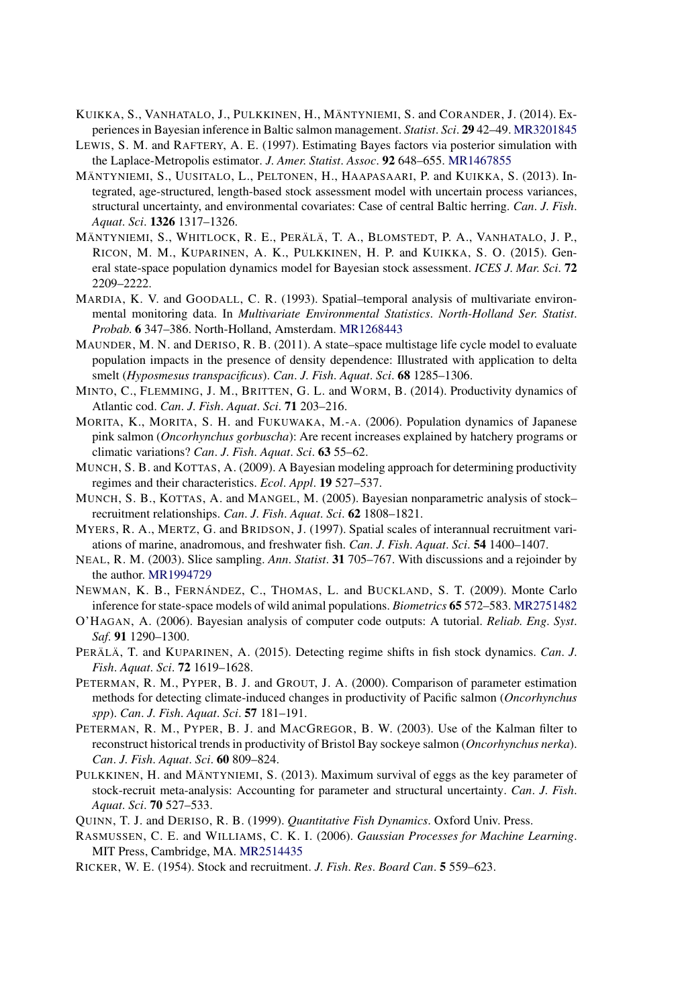- KUIKKA, S., VANHATALO, J., PULKKINEN, H., MÄNTYNIEMI, S. and CORANDER, J. (2014). Experiences in Bayesian inference in Baltic salmon management. *Statist*. *Sci*. **29** 42–49. [MR3201845](http://www.ams.org/mathscinet-getitem?mr=3201845)
- LEWIS, S. M. and RAFTERY, A. E. (1997). Estimating Bayes factors via posterior simulation with the Laplace-Metropolis estimator. *J*. *Amer*. *Statist*. *Assoc*. **92** 648–655. [MR1467855](http://www.ams.org/mathscinet-getitem?mr=1467855)
- MÄNTYNIEMI, S., UUSITALO, L., PELTONEN, H., HAAPASAARI, P. and KUIKKA, S. (2013). Integrated, age-structured, length-based stock assessment model with uncertain process variances, structural uncertainty, and environmental covariates: Case of central Baltic herring. *Can*. *J*. *Fish*. *Aquat*. *Sci*. **1326** 1317–1326.
- MÄNTYNIEMI, S., WHITLOCK, R. E., PERÄLÄ, T. A., BLOMSTEDT, P. A., VANHATALO, J. P., RICON, M. M., KUPARINEN, A. K., PULKKINEN, H. P. and KUIKKA, S. O. (2015). General state-space population dynamics model for Bayesian stock assessment. *ICES J*. *Mar*. *Sci*. **72** 2209–2222.
- MARDIA, K. V. and GOODALL, C. R. (1993). Spatial–temporal analysis of multivariate environmental monitoring data. In *Multivariate Environmental Statistics*. *North-Holland Ser*. *Statist*. *Probab*. **6** 347–386. North-Holland, Amsterdam. [MR1268443](http://www.ams.org/mathscinet-getitem?mr=1268443)
- MAUNDER, M. N. and DERISO, R. B. (2011). A state–space multistage life cycle model to evaluate population impacts in the presence of density dependence: Illustrated with application to delta smelt (*Hyposmesus transpacificus*). *Can*. *J*. *Fish*. *Aquat*. *Sci*. **68** 1285–1306.
- MINTO, C., FLEMMING, J. M., BRITTEN, G. L. and WORM, B. (2014). Productivity dynamics of Atlantic cod. *Can*. *J*. *Fish*. *Aquat*. *Sci*. **71** 203–216.
- MORITA, K., MORITA, S. H. and FUKUWAKA, M.-A. (2006). Population dynamics of Japanese pink salmon (*Oncorhynchus gorbuscha*): Are recent increases explained by hatchery programs or climatic variations? *Can*. *J*. *Fish*. *Aquat*. *Sci*. **63** 55–62.
- MUNCH, S. B. and KOTTAS, A. (2009). A Bayesian modeling approach for determining productivity regimes and their characteristics. *Ecol*. *Appl*. **19** 527–537.
- MUNCH, S. B., KOTTAS, A. and MANGEL, M. (2005). Bayesian nonparametric analysis of stock– recruitment relationships. *Can*. *J*. *Fish*. *Aquat*. *Sci*. **62** 1808–1821.
- MYERS, R. A., MERTZ, G. and BRIDSON, J. (1997). Spatial scales of interannual recruitment variations of marine, anadromous, and freshwater fish. *Can*. *J*. *Fish*. *Aquat*. *Sci*. **54** 1400–1407.
- NEAL, R. M. (2003). Slice sampling. *Ann*. *Statist*. **31** 705–767. With discussions and a rejoinder by the author. [MR1994729](http://www.ams.org/mathscinet-getitem?mr=1994729)
- NEWMAN, K. B., FERNÁNDEZ, C., THOMAS, L. and BUCKLAND, S. T. (2009). Monte Carlo inference for state-space models of wild animal populations. *Biometrics* **65** 572–583. [MR2751482](http://www.ams.org/mathscinet-getitem?mr=2751482)
- O'HAGAN, A. (2006). Bayesian analysis of computer code outputs: A tutorial. *Reliab*. *Eng*. *Syst*. *Saf*. **91** 1290–1300.
- PERÄLÄ, T. and KUPARINEN, A. (2015). Detecting regime shifts in fish stock dynamics. *Can*. *J*. *Fish*. *Aquat*. *Sci*. **72** 1619–1628.
- PETERMAN, R. M., PYPER, B. J. and GROUT, J. A. (2000). Comparison of parameter estimation methods for detecting climate-induced changes in productivity of Pacific salmon (*Oncorhynchus spp*). *Can*. *J*. *Fish*. *Aquat*. *Sci*. **57** 181–191.
- PETERMAN, R. M., PYPER, B. J. and MACGREGOR, B. W. (2003). Use of the Kalman filter to reconstruct historical trends in productivity of Bristol Bay sockeye salmon (*Oncorhynchus nerka*). *Can*. *J*. *Fish*. *Aquat*. *Sci*. **60** 809–824.
- PULKKINEN, H. and MÄNTYNIEMI, S. (2013). Maximum survival of eggs as the key parameter of stock-recruit meta-analysis: Accounting for parameter and structural uncertainty. *Can*. *J*. *Fish*. *Aquat*. *Sci*. **70** 527–533.
- QUINN, T. J. and DERISO, R. B. (1999). *Quantitative Fish Dynamics*. Oxford Univ. Press.
- RASMUSSEN, C. E. and WILLIAMS, C. K. I. (2006). *Gaussian Processes for Machine Learning*. MIT Press, Cambridge, MA. [MR2514435](http://www.ams.org/mathscinet-getitem?mr=2514435)
- RICKER, W. E. (1954). Stock and recruitment. *J*. *Fish*. *Res*. *Board Can*. **5** 559–623.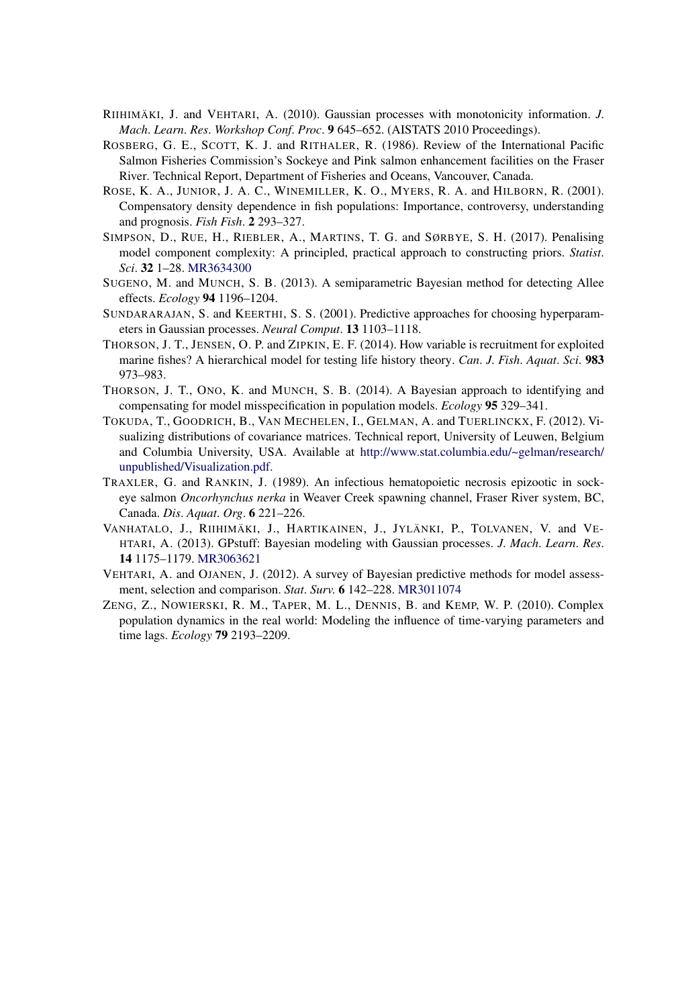- RIIHIMÄKI, J. and VEHTARI, A. (2010). Gaussian processes with monotonicity information. *J*. *Mach*. *Learn*. *Res*. *Workshop Conf*. *Proc*. **9** 645–652. (AISTATS 2010 Proceedings).
- ROSBERG, G. E., SCOTT, K. J. and RITHALER, R. (1986). Review of the International Pacific Salmon Fisheries Commission's Sockeye and Pink salmon enhancement facilities on the Fraser River. Technical Report, Department of Fisheries and Oceans, Vancouver, Canada.
- ROSE, K. A., JUNIOR, J. A. C., WINEMILLER, K. O., MYERS, R. A. and HILBORN, R. (2001). Compensatory density dependence in fish populations: Importance, controversy, understanding and prognosis. *Fish Fish*. **2** 293–327.
- SIMPSON, D., RUE, H., RIEBLER, A., MARTINS, T. G. and SØRBYE, S. H. (2017). Penalising model component complexity: A principled, practical approach to constructing priors. *Statist*. *Sci*. **32** 1–28. [MR3634300](http://www.ams.org/mathscinet-getitem?mr=3634300)
- SUGENO, M. and MUNCH, S. B. (2013). A semiparametric Bayesian method for detecting Allee effects. *Ecology* **94** 1196–1204.
- SUNDARARAJAN, S. and KEERTHI, S. S. (2001). Predictive approaches for choosing hyperparameters in Gaussian processes. *Neural Comput*. **13** 1103–1118.
- THORSON, J. T., JENSEN, O. P. and ZIPKIN, E. F. (2014). How variable is recruitment for exploited marine fishes? A hierarchical model for testing life history theory. *Can*. *J*. *Fish*. *Aquat*. *Sci*. **983** 973–983.
- THORSON, J. T., ONO, K. and MUNCH, S. B. (2014). A Bayesian approach to identifying and compensating for model misspecification in population models. *Ecology* **95** 329–341.
- TOKUDA, T., GOODRICH, B., VAN MECHELEN, I., GELMAN, A. and TUERLINCKX, F. (2012). Visualizing distributions of covariance matrices. Technical report, University of Leuwen, Belgium and Columbia University, USA. Available at [http://www.stat.columbia.edu/~gelman/research/](http://www.stat.columbia.edu/~gelman/research/unpublished/Visualization.pdf) [unpublished/Visualization.pdf](http://www.stat.columbia.edu/~gelman/research/unpublished/Visualization.pdf).
- TRAXLER, G. and RANKIN, J. (1989). An infectious hematopoietic necrosis epizootic in sockeye salmon *Oncorhynchus nerka* in Weaver Creek spawning channel, Fraser River system, BC, Canada. *Dis*. *Aquat*. *Org*. **6** 221–226.
- VANHATALO, J., RIIHIMÄKI, J., HARTIKAINEN, J., JYLÄNKI, P., TOLVANEN, V. and VE-HTARI, A. (2013). GPstuff: Bayesian modeling with Gaussian processes. *J*. *Mach*. *Learn*. *Res*. **14** 1175–1179. [MR3063621](http://www.ams.org/mathscinet-getitem?mr=3063621)
- VEHTARI, A. and OJANEN, J. (2012). A survey of Bayesian predictive methods for model assessment, selection and comparison. *Stat*. *Surv*. **6** 142–228. [MR3011074](http://www.ams.org/mathscinet-getitem?mr=3011074)
- ZENG, Z., NOWIERSKI, R. M., TAPER, M. L., DENNIS, B. and KEMP, W. P. (2010). Complex population dynamics in the real world: Modeling the influence of time-varying parameters and time lags. *Ecology* **79** 2193–2209.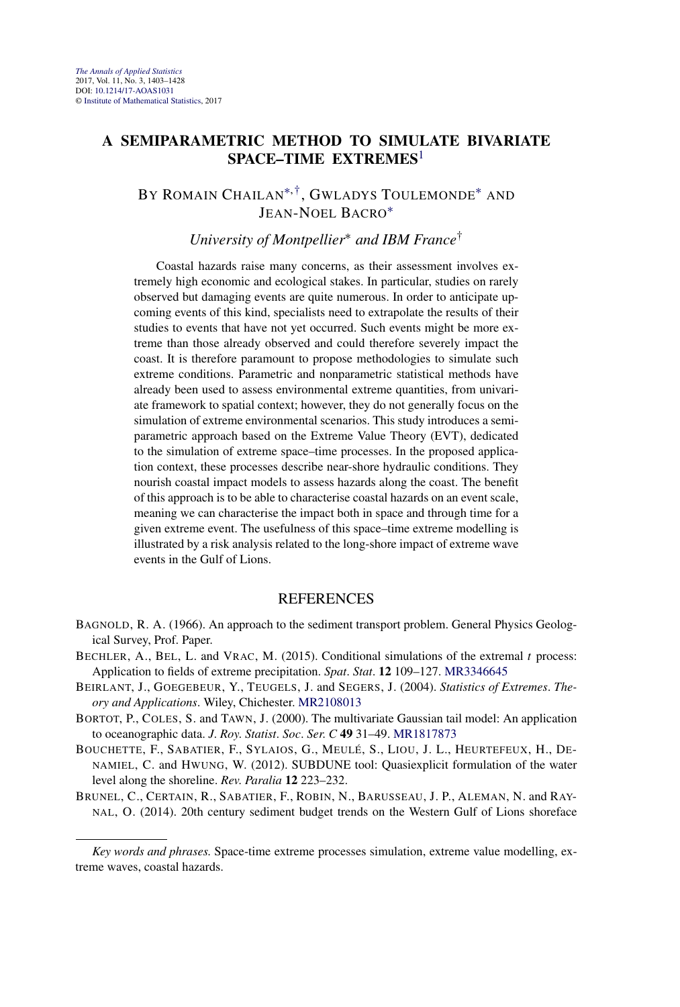## <span id="page-23-0"></span>**A SEMIPARAMETRIC METHOD TO SIMULATE BIVARIATE SPACE–TIME EXTREMES**[1](#page-7-0)

## BY ROMAIN CHAILAN<sup>\*,†</sup>, GWLADYS TOULEMONDE<sup>\*</sup> AND JEAN-NOEL BACRO∗

#### *University of Montpellier*<sup>∗</sup> *and IBM France*†

Coastal hazards raise many concerns, as their assessment involves extremely high economic and ecological stakes. In particular, studies on rarely observed but damaging events are quite numerous. In order to anticipate upcoming events of this kind, specialists need to extrapolate the results of their studies to events that have not yet occurred. Such events might be more extreme than those already observed and could therefore severely impact the coast. It is therefore paramount to propose methodologies to simulate such extreme conditions. Parametric and nonparametric statistical methods have already been used to assess environmental extreme quantities, from univariate framework to spatial context; however, they do not generally focus on the simulation of extreme environmental scenarios. This study introduces a semiparametric approach based on the Extreme Value Theory (EVT), dedicated to the simulation of extreme space–time processes. In the proposed application context, these processes describe near-shore hydraulic conditions. They nourish coastal impact models to assess hazards along the coast. The benefit of this approach is to be able to characterise coastal hazards on an event scale, meaning we can characterise the impact both in space and through time for a given extreme event. The usefulness of this space–time extreme modelling is illustrated by a risk analysis related to the long-shore impact of extreme wave events in the Gulf of Lions.

- BAGNOLD, R. A. (1966). An approach to the sediment transport problem. General Physics Geological Survey, Prof. Paper.
- BECHLER, A., BEL, L. and VRAC, M. (2015). Conditional simulations of the extremal *t* process: Application to fields of extreme precipitation. *Spat*. *Stat*. **12** 109–127. [MR3346645](http://www.ams.org/mathscinet-getitem?mr=3346645)
- BEIRLANT, J., GOEGEBEUR, Y., TEUGELS, J. and SEGERS, J. (2004). *Statistics of Extremes*. *Theory and Applications*. Wiley, Chichester. [MR2108013](http://www.ams.org/mathscinet-getitem?mr=2108013)
- BORTOT, P., COLES, S. and TAWN, J. (2000). The multivariate Gaussian tail model: An application to oceanographic data. *J*. *Roy*. *Statist*. *Soc*. *Ser*. *C* **49** 31–49. [MR1817873](http://www.ams.org/mathscinet-getitem?mr=1817873)
- BOUCHETTE, F., SABATIER, F., SYLAIOS, G., MEULÉ, S., LIOU, J. L., HEURTEFEUX, H., DE-NAMIEL, C. and HWUNG, W. (2012). SUBDUNE tool: Quasiexplicit formulation of the water level along the shoreline. *Rev*. *Paralia* **12** 223–232.
- BRUNEL, C., CERTAIN, R., SABATIER, F., ROBIN, N., BARUSSEAU, J. P., ALEMAN, N. and RAY-NAL, O. (2014). 20th century sediment budget trends on the Western Gulf of Lions shoreface

*Key words and phrases.* Space-time extreme processes simulation, extreme value modelling, extreme waves, coastal hazards.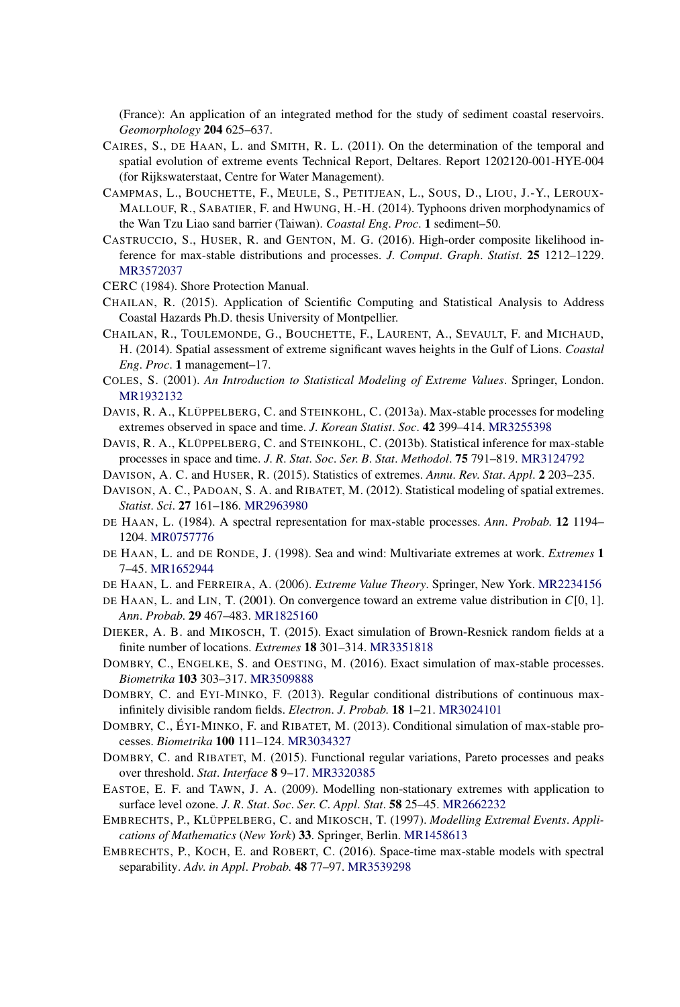(France): An application of an integrated method for the study of sediment coastal reservoirs. *Geomorphology* **204** 625–637.

- CAIRES, S., DE HAAN, L. and SMITH, R. L. (2011). On the determination of the temporal and spatial evolution of extreme events Technical Report, Deltares. Report 1202120-001-HYE-004 (for Rijkswaterstaat, Centre for Water Management).
- CAMPMAS, L., BOUCHETTE, F., MEULE, S., PETITJEAN, L., SOUS, D., LIOU, J.-Y., LEROUX-MALLOUF, R., SABATIER, F. and HWUNG, H.-H. (2014). Typhoons driven morphodynamics of the Wan Tzu Liao sand barrier (Taiwan). *Coastal Eng*. *Proc*. **1** sediment–50.
- CASTRUCCIO, S., HUSER, R. and GENTON, M. G. (2016). High-order composite likelihood inference for max-stable distributions and processes. *J*. *Comput*. *Graph*. *Statist*. **25** 1212–1229. [MR3572037](http://www.ams.org/mathscinet-getitem?mr=3572037)
- CERC (1984). Shore Protection Manual.
- CHAILAN, R. (2015). Application of Scientific Computing and Statistical Analysis to Address Coastal Hazards Ph.D. thesis University of Montpellier.
- CHAILAN, R., TOULEMONDE, G., BOUCHETTE, F., LAURENT, A., SEVAULT, F. and MICHAUD, H. (2014). Spatial assessment of extreme significant waves heights in the Gulf of Lions. *Coastal Eng*. *Proc*. **1** management–17.
- COLES, S. (2001). *An Introduction to Statistical Modeling of Extreme Values*. Springer, London. [MR1932132](http://www.ams.org/mathscinet-getitem?mr=1932132)
- DAVIS, R. A., KLÜPPELBERG, C. and STEINKOHL, C. (2013a). Max-stable processes for modeling extremes observed in space and time. *J*. *Korean Statist*. *Soc*. **42** 399–414. [MR3255398](http://www.ams.org/mathscinet-getitem?mr=3255398)
- DAVIS, R. A., KLÜPPELBERG, C. and STEINKOHL, C. (2013b). Statistical inference for max-stable processes in space and time. *J*. *R*. *Stat*. *Soc*. *Ser*. *B*. *Stat*. *Methodol*. **75** 791–819. [MR3124792](http://www.ams.org/mathscinet-getitem?mr=3124792)
- DAVISON, A. C. and HUSER, R. (2015). Statistics of extremes. *Annu*. *Rev*. *Stat*. *Appl*. **2** 203–235.
- DAVISON, A. C., PADOAN, S. A. and RIBATET, M. (2012). Statistical modeling of spatial extremes. *Statist*. *Sci*. **27** 161–186. [MR2963980](http://www.ams.org/mathscinet-getitem?mr=2963980)
- DE HAAN, L. (1984). A spectral representation for max-stable processes. *Ann*. *Probab*. **12** 1194– 1204. [MR0757776](http://www.ams.org/mathscinet-getitem?mr=0757776)
- DE HAAN, L. and DE RONDE, J. (1998). Sea and wind: Multivariate extremes at work. *Extremes* **1** 7–45. [MR1652944](http://www.ams.org/mathscinet-getitem?mr=1652944)
- DE HAAN, L. and FERREIRA, A. (2006). *Extreme Value Theory*. Springer, New York. [MR2234156](http://www.ams.org/mathscinet-getitem?mr=2234156)
- DE HAAN, L. and LIN, T. (2001). On convergence toward an extreme value distribution in *C*[0*,* 1]. *Ann*. *Probab*. **29** 467–483. [MR1825160](http://www.ams.org/mathscinet-getitem?mr=1825160)
- DIEKER, A. B. and MIKOSCH, T. (2015). Exact simulation of Brown-Resnick random fields at a finite number of locations. *Extremes* **18** 301–314. [MR3351818](http://www.ams.org/mathscinet-getitem?mr=3351818)
- DOMBRY, C., ENGELKE, S. and OESTING, M. (2016). Exact simulation of max-stable processes. *Biometrika* **103** 303–317. [MR3509888](http://www.ams.org/mathscinet-getitem?mr=3509888)
- DOMBRY, C. and EYI-MINKO, F. (2013). Regular conditional distributions of continuous maxinfinitely divisible random fields. *Electron*. *J*. *Probab*. **18** 1–21. [MR3024101](http://www.ams.org/mathscinet-getitem?mr=3024101)
- DOMBRY, C., ÉYI-MINKO, F. and RIBATET, M. (2013). Conditional simulation of max-stable processes. *Biometrika* **100** 111–124. [MR3034327](http://www.ams.org/mathscinet-getitem?mr=3034327)
- DOMBRY, C. and RIBATET, M. (2015). Functional regular variations, Pareto processes and peaks over threshold. *Stat*. *Interface* **8** 9–17. [MR3320385](http://www.ams.org/mathscinet-getitem?mr=3320385)
- EASTOE, E. F. and TAWN, J. A. (2009). Modelling non-stationary extremes with application to surface level ozone. *J*. *R*. *Stat*. *Soc*. *Ser*. *C*. *Appl*. *Stat*. **58** 25–45. [MR2662232](http://www.ams.org/mathscinet-getitem?mr=2662232)
- EMBRECHTS, P., KLÜPPELBERG, C. and MIKOSCH, T. (1997). *Modelling Extremal Events*. *Applications of Mathematics* (*New York*) **33**. Springer, Berlin. [MR1458613](http://www.ams.org/mathscinet-getitem?mr=1458613)
- EMBRECHTS, P., KOCH, E. and ROBERT, C. (2016). Space-time max-stable models with spectral separability. *Adv*. *in Appl*. *Probab*. **48** 77–97. [MR3539298](http://www.ams.org/mathscinet-getitem?mr=3539298)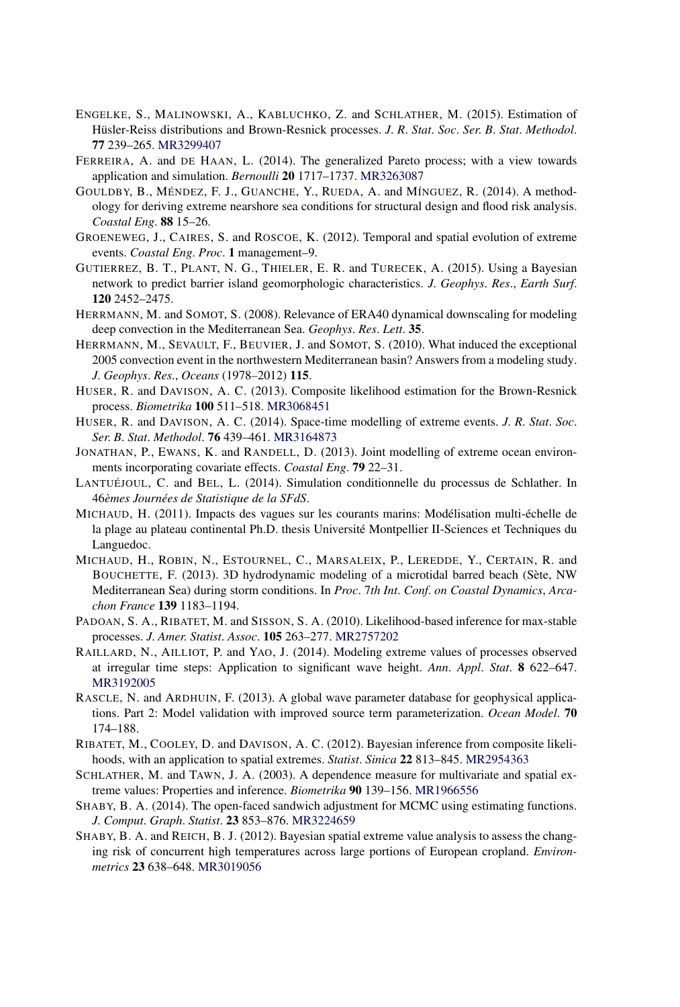- ENGELKE, S., MALINOWSKI, A., KABLUCHKO, Z. and SCHLATHER, M. (2015). Estimation of Hüsler-Reiss distributions and Brown-Resnick processes. *J*. *R*. *Stat*. *Soc*. *Ser*. *B*. *Stat*. *Methodol*. **77** 239–265. [MR3299407](http://www.ams.org/mathscinet-getitem?mr=3299407)
- FERREIRA, A. and DE HAAN, L. (2014). The generalized Pareto process; with a view towards application and simulation. *Bernoulli* **20** 1717–1737. [MR3263087](http://www.ams.org/mathscinet-getitem?mr=3263087)
- GOULDBY, B., MÉNDEZ, F. J., GUANCHE, Y., RUEDA, A. and MÍNGUEZ, R. (2014). A methodology for deriving extreme nearshore sea conditions for structural design and flood risk analysis. *Coastal Eng*. **88** 15–26.
- GROENEWEG, J., CAIRES, S. and ROSCOE, K. (2012). Temporal and spatial evolution of extreme events. *Coastal Eng*. *Proc*. **1** management–9.
- GUTIERREZ, B. T., PLANT, N. G., THIELER, E. R. and TURECEK, A. (2015). Using a Bayesian network to predict barrier island geomorphologic characteristics. *J*. *Geophys*. *Res*., *Earth Surf*. **120** 2452–2475.
- HERRMANN, M. and SOMOT, S. (2008). Relevance of ERA40 dynamical downscaling for modeling deep convection in the Mediterranean Sea. *Geophys*. *Res*. *Lett*. **35**.
- HERRMANN, M., SEVAULT, F., BEUVIER, J. and SOMOT, S. (2010). What induced the exceptional 2005 convection event in the northwestern Mediterranean basin? Answers from a modeling study. *J*. *Geophys*. *Res*., *Oceans* (1978*–*2012) **115**.
- HUSER, R. and DAVISON, A. C. (2013). Composite likelihood estimation for the Brown-Resnick process. *Biometrika* **100** 511–518. [MR3068451](http://www.ams.org/mathscinet-getitem?mr=3068451)
- HUSER, R. and DAVISON, A. C. (2014). Space-time modelling of extreme events. *J*. *R*. *Stat*. *Soc*. *Ser*. *B*. *Stat*. *Methodol*. **76** 439–461. [MR3164873](http://www.ams.org/mathscinet-getitem?mr=3164873)
- JONATHAN, P., EWANS, K. and RANDELL, D. (2013). Joint modelling of extreme ocean environments incorporating covariate effects. *Coastal Eng*. **79** 22–31.
- LANTUÉJOUL, C. and BEL, L. (2014). Simulation conditionnelle du processus de Schlather. In 46*èmes Journées de Statistique de la SFdS*.
- MICHAUD, H. (2011). Impacts des vagues sur les courants marins: Modélisation multi-échelle de la plage au plateau continental Ph.D. thesis Université Montpellier II-Sciences et Techniques du Languedoc.
- MICHAUD, H., ROBIN, N., ESTOURNEL, C., MARSALEIX, P., LEREDDE, Y., CERTAIN, R. and BOUCHETTE, F. (2013). 3D hydrodynamic modeling of a microtidal barred beach (Sète, NW Mediterranean Sea) during storm conditions. In *Proc*. 7*th Int*. *Conf*. *on Coastal Dynamics*, *Arcachon France* **139** 1183–1194.
- PADOAN, S. A., RIBATET, M. and SISSON, S. A. (2010). Likelihood-based inference for max-stable processes. *J*. *Amer*. *Statist*. *Assoc*. **105** 263–277. [MR2757202](http://www.ams.org/mathscinet-getitem?mr=2757202)
- RAILLARD, N., AILLIOT, P. and YAO, J. (2014). Modeling extreme values of processes observed at irregular time steps: Application to significant wave height. *Ann*. *Appl*. *Stat*. **8** 622–647. [MR3192005](http://www.ams.org/mathscinet-getitem?mr=3192005)
- RASCLE, N. and ARDHUIN, F. (2013). A global wave parameter database for geophysical applications. Part 2: Model validation with improved source term parameterization. *Ocean Model*. **70** 174–188.
- RIBATET, M., COOLEY, D. and DAVISON, A. C. (2012). Bayesian inference from composite likelihoods, with an application to spatial extremes. *Statist*. *Sinica* **22** 813–845. [MR2954363](http://www.ams.org/mathscinet-getitem?mr=2954363)
- SCHLATHER, M. and TAWN, J. A. (2003). A dependence measure for multivariate and spatial extreme values: Properties and inference. *Biometrika* **90** 139–156. [MR1966556](http://www.ams.org/mathscinet-getitem?mr=1966556)
- SHABY, B. A. (2014). The open-faced sandwich adjustment for MCMC using estimating functions. *J*. *Comput*. *Graph*. *Statist*. **23** 853–876. [MR3224659](http://www.ams.org/mathscinet-getitem?mr=3224659)
- SHABY, B. A. and REICH, B. J. (2012). Bayesian spatial extreme value analysis to assess the changing risk of concurrent high temperatures across large portions of European cropland. *Environmetrics* **23** 638–648. [MR3019056](http://www.ams.org/mathscinet-getitem?mr=3019056)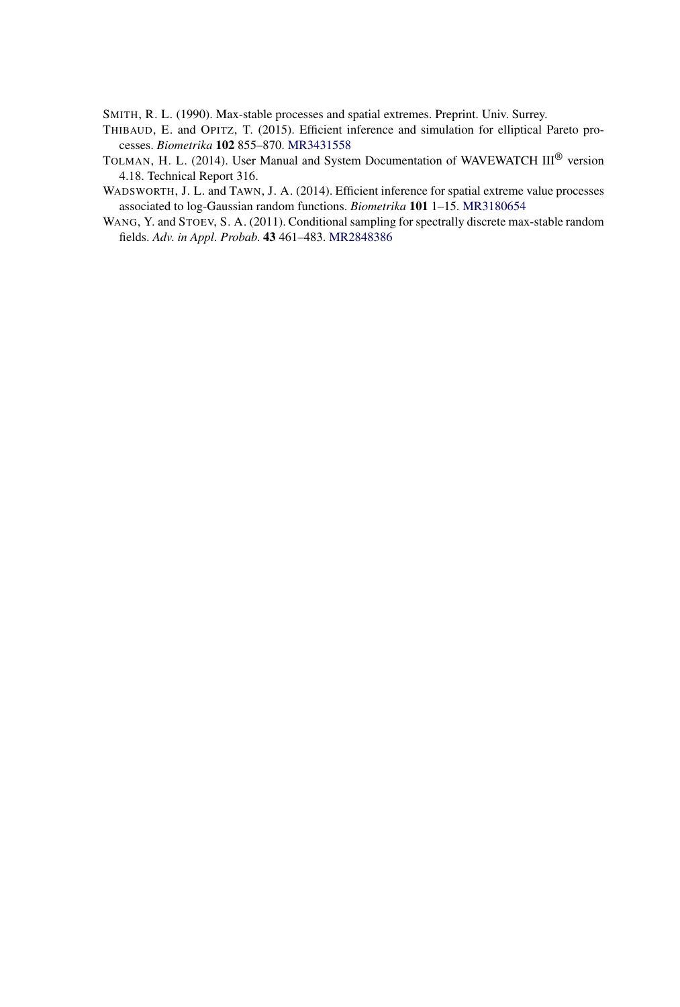SMITH, R. L. (1990). Max-stable processes and spatial extremes. Preprint. Univ. Surrey.

- THIBAUD, E. and OPITZ, T. (2015). Efficient inference and simulation for elliptical Pareto processes. *Biometrika* **102** 855–870. [MR3431558](http://www.ams.org/mathscinet-getitem?mr=3431558)
- TOLMAN, H. L. (2014). User Manual and System Documentation of WAVEWATCH III® version 4.18. Technical Report 316.
- WADSWORTH, J. L. and TAWN, J. A. (2014). Efficient inference for spatial extreme value processes associated to log-Gaussian random functions. *Biometrika* **101** 1–15. [MR3180654](http://www.ams.org/mathscinet-getitem?mr=3180654)
- WANG, Y. and STOEV, S. A. (2011). Conditional sampling for spectrally discrete max-stable random fields. *Adv*. *in Appl*. *Probab*. **43** 461–483. [MR2848386](http://www.ams.org/mathscinet-getitem?mr=2848386)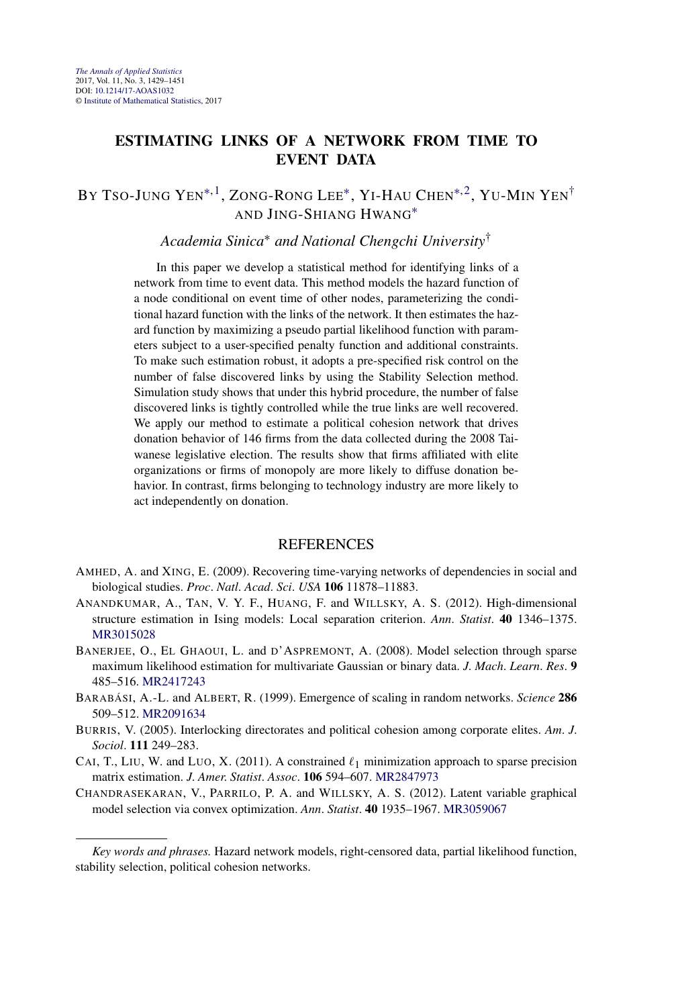## **ESTIMATING LINKS OF A NETWORK FROM TIME TO EVENT DATA**

## BY TSO-JUNG YEN<sup>\*, 1</sup>, ZONG-RONG LEE<sup>\*</sup>, YI-HAU CHEN<sup>\*, 2</sup>, YU-MIN YEN<sup>[†](#page-7-0)</sup> AND JING-SHIANG HWANG∗

#### *Academia Sinica*<sup>∗</sup> *and National Chengchi University*†

In this paper we develop a statistical method for identifying links of a network from time to event data. This method models the hazard function of a node conditional on event time of other nodes, parameterizing the conditional hazard function with the links of the network. It then estimates the hazard function by maximizing a pseudo partial likelihood function with parameters subject to a user-specified penalty function and additional constraints. To make such estimation robust, it adopts a pre-specified risk control on the number of false discovered links by using the Stability Selection method. Simulation study shows that under this hybrid procedure, the number of false discovered links is tightly controlled while the true links are well recovered. We apply our method to estimate a political cohesion network that drives donation behavior of 146 firms from the data collected during the 2008 Taiwanese legislative election. The results show that firms affiliated with elite organizations or firms of monopoly are more likely to diffuse donation behavior. In contrast, firms belonging to technology industry are more likely to act independently on donation.

- AMHED, A. and XING, E. (2009). Recovering time-varying networks of dependencies in social and biological studies. *Proc*. *Natl*. *Acad*. *Sci*. *USA* **106** 11878–11883.
- ANANDKUMAR, A., TAN, V. Y. F., HUANG, F. and WILLSKY, A. S. (2012). High-dimensional structure estimation in Ising models: Local separation criterion. *Ann*. *Statist*. **40** 1346–1375. [MR3015028](http://www.ams.org/mathscinet-getitem?mr=3015028)
- BANERJEE, O., EL GHAOUI, L. and D'ASPREMONT, A. (2008). Model selection through sparse maximum likelihood estimation for multivariate Gaussian or binary data. *J*. *Mach*. *Learn*. *Res*. **9** 485–516. [MR2417243](http://www.ams.org/mathscinet-getitem?mr=2417243)
- BARABÁSI, A.-L. and ALBERT, R. (1999). Emergence of scaling in random networks. *Science* **286** 509–512. [MR2091634](http://www.ams.org/mathscinet-getitem?mr=2091634)
- BURRIS, V. (2005). Interlocking directorates and political cohesion among corporate elites. *Am*. *J*. *Sociol*. **111** 249–283.
- CAI, T., LIU, W. and LUO, X. (2011). A constrained  $\ell_1$  minimization approach to sparse precision matrix estimation. *J*. *Amer*. *Statist*. *Assoc*. **106** 594–607. [MR2847973](http://www.ams.org/mathscinet-getitem?mr=2847973)
- CHANDRASEKARAN, V., PARRILO, P. A. and WILLSKY, A. S. (2012). Latent variable graphical model selection via convex optimization. *Ann*. *Statist*. **40** 1935–1967. [MR3059067](http://www.ams.org/mathscinet-getitem?mr=3059067)

*Key words and phrases.* Hazard network models, right-censored data, partial likelihood function, stability selection, political cohesion networks.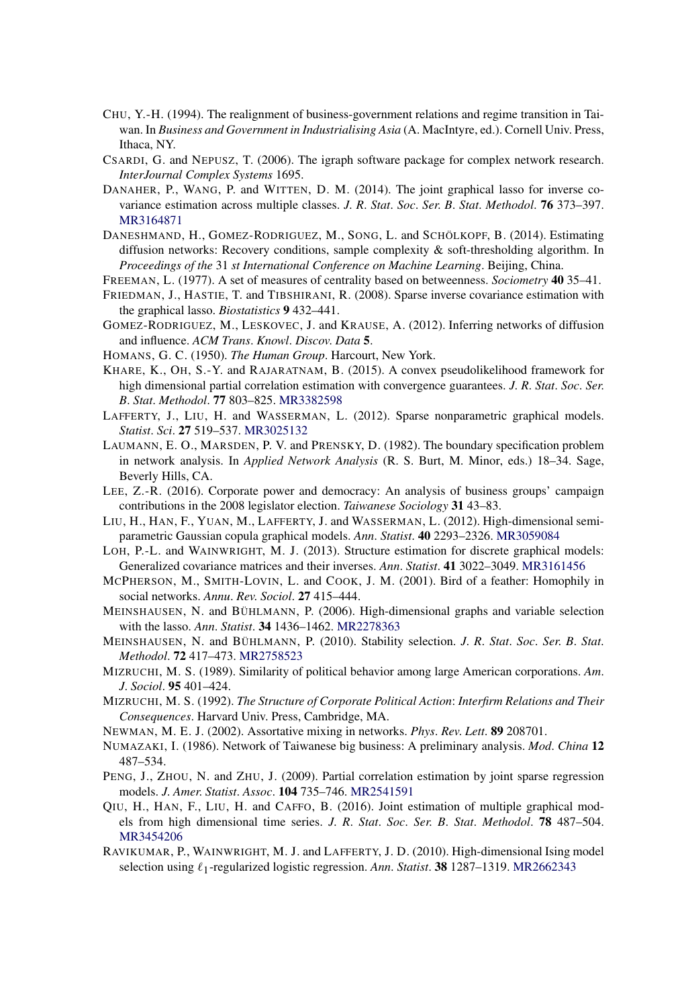- CHU, Y.-H. (1994). The realignment of business-government relations and regime transition in Taiwan. In *Business and Government in Industrialising Asia* (A. MacIntyre, ed.). Cornell Univ. Press, Ithaca, NY.
- CSARDI, G. and NEPUSZ, T. (2006). The igraph software package for complex network research. *InterJournal Complex Systems* 1695.
- DANAHER, P., WANG, P. and WITTEN, D. M. (2014). The joint graphical lasso for inverse covariance estimation across multiple classes. *J*. *R*. *Stat*. *Soc*. *Ser*. *B*. *Stat*. *Methodol*. **76** 373–397. [MR3164871](http://www.ams.org/mathscinet-getitem?mr=3164871)
- DANESHMAND, H., GOMEZ-RODRIGUEZ, M., SONG, L. and SCHÖLKOPF, B. (2014). Estimating diffusion networks: Recovery conditions, sample complexity  $\&$  soft-thresholding algorithm. In *Proceedings of the* 31 *st International Conference on Machine Learning*. Beijing, China.
- FREEMAN, L. (1977). A set of measures of centrality based on betweenness. *Sociometry* **40** 35–41.
- FRIEDMAN, J., HASTIE, T. and TIBSHIRANI, R. (2008). Sparse inverse covariance estimation with the graphical lasso. *Biostatistics* **9** 432–441.
- GOMEZ-RODRIGUEZ, M., LESKOVEC, J. and KRAUSE, A. (2012). Inferring networks of diffusion and influence. *ACM Trans*. *Knowl*. *Discov*. *Data* **5**.
- HOMANS, G. C. (1950). *The Human Group*. Harcourt, New York.
- KHARE, K., OH, S.-Y. and RAJARATNAM, B. (2015). A convex pseudolikelihood framework for high dimensional partial correlation estimation with convergence guarantees. *J*. *R*. *Stat*. *Soc*. *Ser*. *B*. *Stat*. *Methodol*. **77** 803–825. [MR3382598](http://www.ams.org/mathscinet-getitem?mr=3382598)
- LAFFERTY, J., LIU, H. and WASSERMAN, L. (2012). Sparse nonparametric graphical models. *Statist*. *Sci*. **27** 519–537. [MR3025132](http://www.ams.org/mathscinet-getitem?mr=3025132)
- LAUMANN, E. O., MARSDEN, P. V. and PRENSKY, D. (1982). The boundary specification problem in network analysis. In *Applied Network Analysis* (R. S. Burt, M. Minor, eds.) 18–34. Sage, Beverly Hills, CA.
- LEE, Z.-R. (2016). Corporate power and democracy: An analysis of business groups' campaign contributions in the 2008 legislator election. *Taiwanese Sociology* **31** 43–83.
- LIU, H., HAN, F., YUAN, M., LAFFERTY, J. and WASSERMAN, L. (2012). High-dimensional semiparametric Gaussian copula graphical models. *Ann*. *Statist*. **40** 2293–2326. [MR3059084](http://www.ams.org/mathscinet-getitem?mr=3059084)
- LOH, P.-L. and WAINWRIGHT, M. J. (2013). Structure estimation for discrete graphical models: Generalized covariance matrices and their inverses. *Ann*. *Statist*. **41** 3022–3049. [MR3161456](http://www.ams.org/mathscinet-getitem?mr=3161456)
- MCPHERSON, M., SMITH-LOVIN, L. and COOK, J. M. (2001). Bird of a feather: Homophily in social networks. *Annu*. *Rev*. *Sociol*. **27** 415–444.
- MEINSHAUSEN, N. and BÜHLMANN, P. (2006). High-dimensional graphs and variable selection with the lasso. *Ann*. *Statist*. **34** 1436–1462. [MR2278363](http://www.ams.org/mathscinet-getitem?mr=2278363)
- MEINSHAUSEN, N. and BÜHLMANN, P. (2010). Stability selection. *J*. *R*. *Stat*. *Soc*. *Ser*. *B*. *Stat*. *Methodol*. **72** 417–473. [MR2758523](http://www.ams.org/mathscinet-getitem?mr=2758523)
- MIZRUCHI, M. S. (1989). Similarity of political behavior among large American corporations. *Am*. *J*. *Sociol*. **95** 401–424.
- MIZRUCHI, M. S. (1992). *The Structure of Corporate Political Action*: *Interfirm Relations and Their Consequences*. Harvard Univ. Press, Cambridge, MA.
- NEWMAN, M. E. J. (2002). Assortative mixing in networks. *Phys*. *Rev*. *Lett*. **89** 208701.
- NUMAZAKI, I. (1986). Network of Taiwanese big business: A preliminary analysis. *Mod*. *China* **12** 487–534.
- PENG, J., ZHOU, N. and ZHU, J. (2009). Partial correlation estimation by joint sparse regression models. *J*. *Amer*. *Statist*. *Assoc*. **104** 735–746. [MR2541591](http://www.ams.org/mathscinet-getitem?mr=2541591)
- QIU, H., HAN, F., LIU, H. and CAFFO, B. (2016). Joint estimation of multiple graphical models from high dimensional time series. *J*. *R*. *Stat*. *Soc*. *Ser*. *B*. *Stat*. *Methodol*. **78** 487–504. [MR3454206](http://www.ams.org/mathscinet-getitem?mr=3454206)
- RAVIKUMAR, P., WAINWRIGHT, M. J. and LAFFERTY, J. D. (2010). High-dimensional Ising model selection using  $\ell_1$ -regularized logistic regression. Ann. Statist. 38 1287-1319. [MR2662343](http://www.ams.org/mathscinet-getitem?mr=2662343)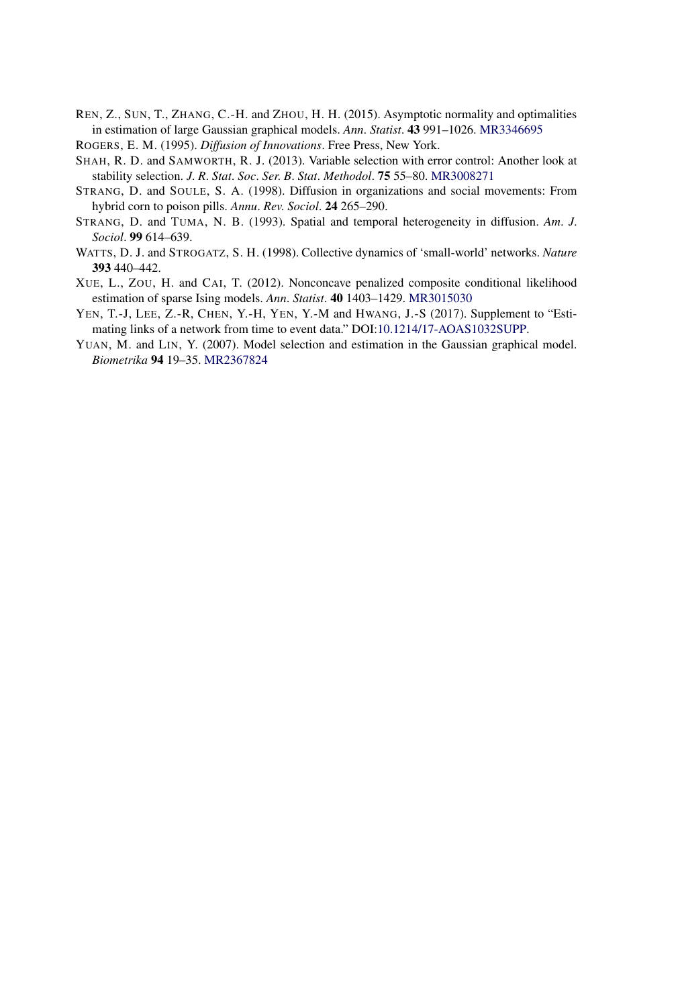REN, Z., SUN, T., ZHANG, C.-H. and ZHOU, H. H. (2015). Asymptotic normality and optimalities in estimation of large Gaussian graphical models. *Ann*. *Statist*. **43** 991–1026. [MR3346695](http://www.ams.org/mathscinet-getitem?mr=3346695)

ROGERS, E. M. (1995). *Diffusion of Innovations*. Free Press, New York.

- SHAH, R. D. and SAMWORTH, R. J. (2013). Variable selection with error control: Another look at stability selection. *J*. *R*. *Stat*. *Soc*. *Ser*. *B*. *Stat*. *Methodol*. **75** 55–80. [MR3008271](http://www.ams.org/mathscinet-getitem?mr=3008271)
- STRANG, D. and SOULE, S. A. (1998). Diffusion in organizations and social movements: From hybrid corn to poison pills. *Annu*. *Rev*. *Sociol*. **24** 265–290.
- STRANG, D. and TUMA, N. B. (1993). Spatial and temporal heterogeneity in diffusion. *Am*. *J*. *Sociol*. **99** 614–639.
- WATTS, D. J. and STROGATZ, S. H. (1998). Collective dynamics of 'small-world' networks. *Nature* **393** 440–442.
- XUE, L., ZOU, H. and CAI, T. (2012). Nonconcave penalized composite conditional likelihood estimation of sparse Ising models. *Ann*. *Statist*. **40** 1403–1429. [MR3015030](http://www.ams.org/mathscinet-getitem?mr=3015030)
- YEN, T.-J, LEE, Z.-R, CHEN, Y.-H, YEN, Y.-M and HWANG, J.-S (2017). Supplement to "Estimating links of a network from time to event data." DOI[:10.1214/17-AOAS1032SUPP](http://dx.doi.org/10.1214/17-AOAS1032SUPP).
- YUAN, M. and LIN, Y. (2007). Model selection and estimation in the Gaussian graphical model. *Biometrika* **94** 19–35. [MR2367824](http://www.ams.org/mathscinet-getitem?mr=2367824)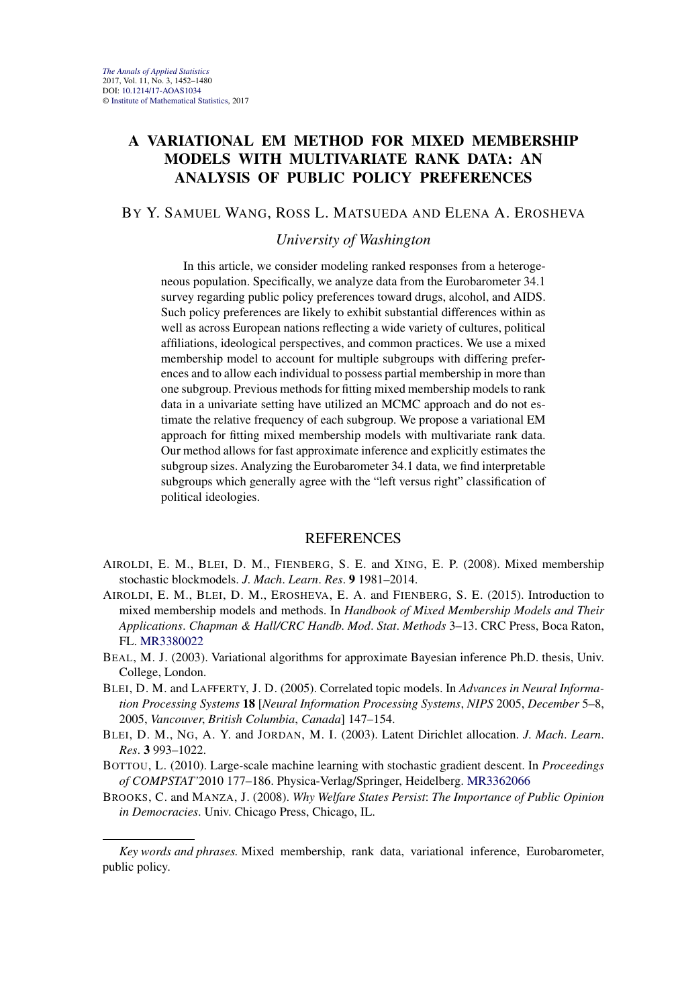## **A VARIATIONAL EM METHOD FOR MIXED MEMBERSHIP MODELS WITH MULTIVARIATE RANK DATA: AN ANALYSIS OF PUBLIC POLICY PREFERENCES**

#### BY Y. SAMUEL WANG, ROSS L. MATSUEDA AND ELENA A. EROSHEVA

#### *University of Washington*

In this article, we consider modeling ranked responses from a heterogeneous population. Specifically, we analyze data from the Eurobarometer 34.1 survey regarding public policy preferences toward drugs, alcohol, and AIDS. Such policy preferences are likely to exhibit substantial differences within as well as across European nations reflecting a wide variety of cultures, political affiliations, ideological perspectives, and common practices. We use a mixed membership model to account for multiple subgroups with differing preferences and to allow each individual to possess partial membership in more than one subgroup. Previous methods for fitting mixed membership models to rank data in a univariate setting have utilized an MCMC approach and do not estimate the relative frequency of each subgroup. We propose a variational EM approach for fitting mixed membership models with multivariate rank data. Our method allows for fast approximate inference and explicitly estimates the subgroup sizes. Analyzing the Eurobarometer 34.1 data, we find interpretable subgroups which generally agree with the "left versus right" classification of political ideologies.

- AIROLDI, E. M., BLEI, D. M., FIENBERG, S. E. and XING, E. P. (2008). Mixed membership stochastic blockmodels. *J*. *Mach*. *Learn*. *Res*. **9** 1981–2014.
- AIROLDI, E. M., BLEI, D. M., EROSHEVA, E. A. and FIENBERG, S. E. (2015). Introduction to mixed membership models and methods. In *Handbook of Mixed Membership Models and Their Applications*. *Chapman & Hall/CRC Handb*. *Mod*. *Stat*. *Methods* 3–13. CRC Press, Boca Raton, FL. [MR3380022](http://www.ams.org/mathscinet-getitem?mr=3380022)
- BEAL, M. J. (2003). Variational algorithms for approximate Bayesian inference Ph.D. thesis, Univ. College, London.
- BLEI, D. M. and LAFFERTY, J. D. (2005). Correlated topic models. In *Advances in Neural Information Processing Systems* **18** [*Neural Information Processing Systems*, *NIPS* 2005, *December* 5*–*8, 2005, *Vancouver*, *British Columbia*, *Canada*] 147–154.
- BLEI, D. M., NG, A. Y. and JORDAN, M. I. (2003). Latent Dirichlet allocation. *J*. *Mach*. *Learn*. *Res*. **3** 993–1022.
- BOTTOU, L. (2010). Large-scale machine learning with stochastic gradient descent. In *Proceedings of COMPSTAT'*2010 177–186. Physica-Verlag/Springer, Heidelberg. [MR3362066](http://www.ams.org/mathscinet-getitem?mr=3362066)
- BROOKS, C. and MANZA, J. (2008). *Why Welfare States Persist*: *The Importance of Public Opinion in Democracies*. Univ. Chicago Press, Chicago, IL.

*Key words and phrases.* Mixed membership, rank data, variational inference, Eurobarometer, public policy.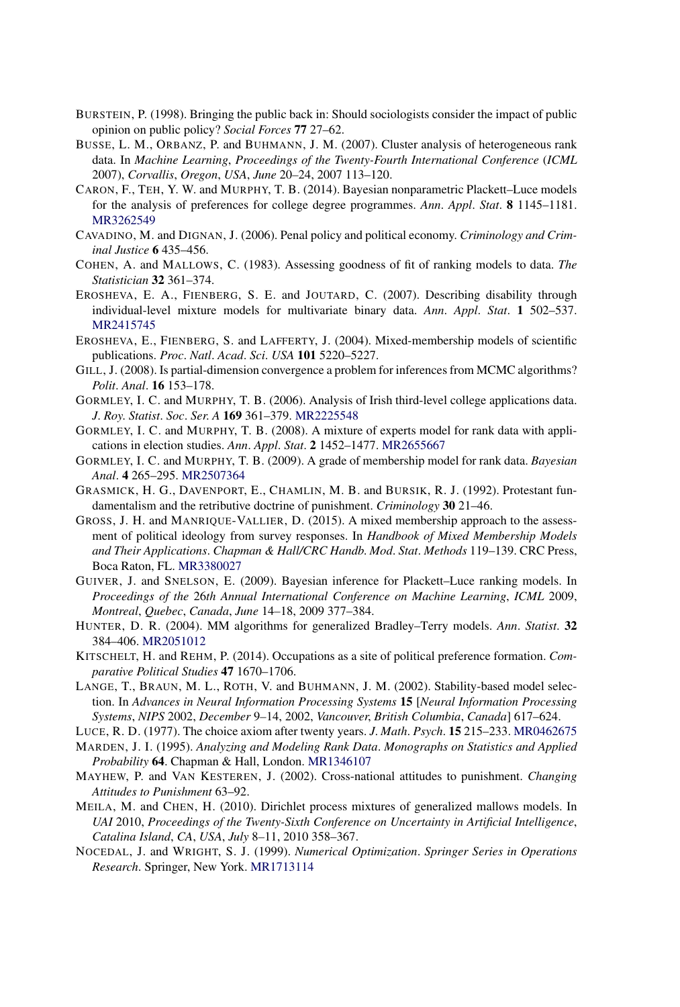- BURSTEIN, P. (1998). Bringing the public back in: Should sociologists consider the impact of public opinion on public policy? *Social Forces* **77** 27–62.
- BUSSE, L. M., ORBANZ, P. and BUHMANN, J. M. (2007). Cluster analysis of heterogeneous rank data. In *Machine Learning*, *Proceedings of the Twenty-Fourth International Conference* (*ICML* 2007), *Corvallis*, *Oregon*, *USA*, *June* 20*–*24, 2007 113–120.
- CARON, F., TEH, Y. W. and MURPHY, T. B. (2014). Bayesian nonparametric Plackett–Luce models for the analysis of preferences for college degree programmes. *Ann*. *Appl*. *Stat*. **8** 1145–1181. [MR3262549](http://www.ams.org/mathscinet-getitem?mr=3262549)
- CAVADINO, M. and DIGNAN, J. (2006). Penal policy and political economy. *Criminology and Criminal Justice* **6** 435–456.
- COHEN, A. and MALLOWS, C. (1983). Assessing goodness of fit of ranking models to data. *The Statistician* **32** 361–374.
- EROSHEVA, E. A., FIENBERG, S. E. and JOUTARD, C. (2007). Describing disability through individual-level mixture models for multivariate binary data. *Ann*. *Appl*. *Stat*. **1** 502–537. [MR2415745](http://www.ams.org/mathscinet-getitem?mr=2415745)
- EROSHEVA, E., FIENBERG, S. and LAFFERTY, J. (2004). Mixed-membership models of scientific publications. *Proc*. *Natl*. *Acad*. *Sci*. *USA* **101** 5220–5227.
- GILL, J. (2008). Is partial-dimension convergence a problem for inferences from MCMC algorithms? *Polit*. *Anal*. **16** 153–178.
- GORMLEY, I. C. and MURPHY, T. B. (2006). Analysis of Irish third-level college applications data. *J*. *Roy*. *Statist*. *Soc*. *Ser*. *A* **169** 361–379. [MR2225548](http://www.ams.org/mathscinet-getitem?mr=2225548)
- GORMLEY, I. C. and MURPHY, T. B. (2008). A mixture of experts model for rank data with applications in election studies. *Ann*. *Appl*. *Stat*. **2** 1452–1477. [MR2655667](http://www.ams.org/mathscinet-getitem?mr=2655667)
- GORMLEY, I. C. and MURPHY, T. B. (2009). A grade of membership model for rank data. *Bayesian Anal*. **4** 265–295. [MR2507364](http://www.ams.org/mathscinet-getitem?mr=2507364)
- GRASMICK, H. G., DAVENPORT, E., CHAMLIN, M. B. and BURSIK, R. J. (1992). Protestant fundamentalism and the retributive doctrine of punishment. *Criminology* **30** 21–46.
- GROSS, J. H. and MANRIQUE-VALLIER, D. (2015). A mixed membership approach to the assessment of political ideology from survey responses. In *Handbook of Mixed Membership Models and Their Applications*. *Chapman & Hall/CRC Handb*. *Mod*. *Stat*. *Methods* 119–139. CRC Press, Boca Raton, FL. [MR3380027](http://www.ams.org/mathscinet-getitem?mr=3380027)
- GUIVER, J. and SNELSON, E. (2009). Bayesian inference for Plackett–Luce ranking models. In *Proceedings of the* 26*th Annual International Conference on Machine Learning*, *ICML* 2009, *Montreal*, *Quebec*, *Canada*, *June* 14*–*18, 2009 377–384.
- HUNTER, D. R. (2004). MM algorithms for generalized Bradley–Terry models. *Ann*. *Statist*. **32** 384–406. [MR2051012](http://www.ams.org/mathscinet-getitem?mr=2051012)
- KITSCHELT, H. and REHM, P. (2014). Occupations as a site of political preference formation. *Comparative Political Studies* **47** 1670–1706.
- LANGE, T., BRAUN, M. L., ROTH, V. and BUHMANN, J. M. (2002). Stability-based model selection. In *Advances in Neural Information Processing Systems* **15** [*Neural Information Processing Systems*, *NIPS* 2002, *December* 9*–*14, 2002, *Vancouver*, *British Columbia*, *Canada*] 617–624.
- LUCE, R. D. (1977). The choice axiom after twenty years. *J*. *Math*. *Psych*. **15** 215–233. [MR0462675](http://www.ams.org/mathscinet-getitem?mr=0462675)
- MARDEN, J. I. (1995). *Analyzing and Modeling Rank Data*. *Monographs on Statistics and Applied Probability* **64**. Chapman & Hall, London. [MR1346107](http://www.ams.org/mathscinet-getitem?mr=1346107)
- MAYHEW, P. and VAN KESTEREN, J. (2002). Cross-national attitudes to punishment. *Changing Attitudes to Punishment* 63–92.
- MEILA, M. and CHEN, H. (2010). Dirichlet process mixtures of generalized mallows models. In *UAI* 2010, *Proceedings of the Twenty-Sixth Conference on Uncertainty in Artificial Intelligence*, *Catalina Island*, *CA*, *USA*, *July* 8*–*11, 2010 358–367.
- NOCEDAL, J. and WRIGHT, S. J. (1999). *Numerical Optimization*. *Springer Series in Operations Research*. Springer, New York. [MR1713114](http://www.ams.org/mathscinet-getitem?mr=1713114)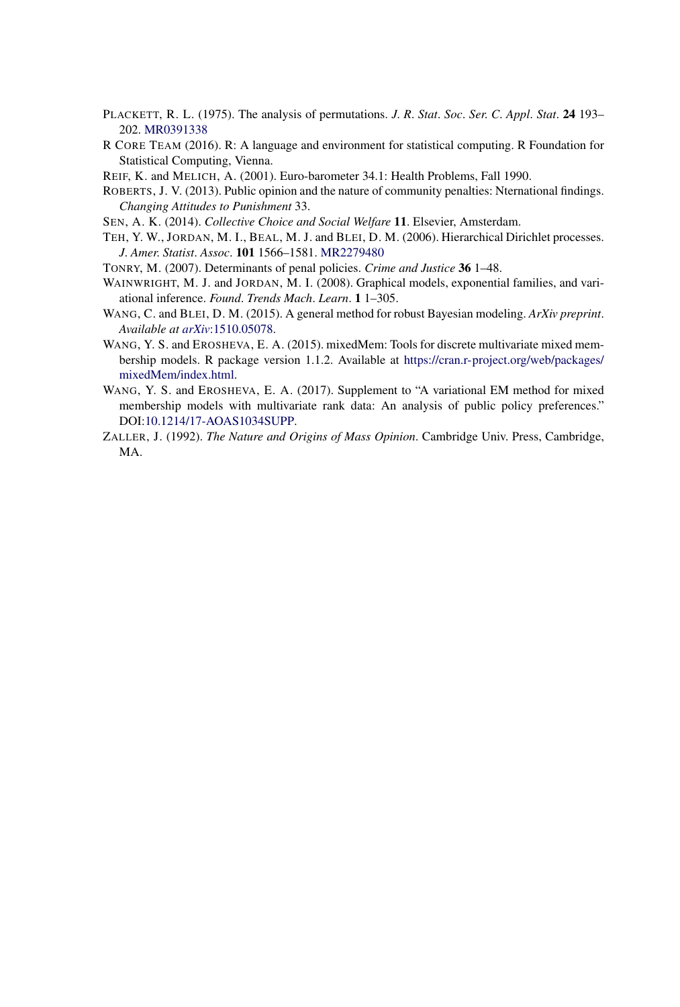- PLACKETT, R. L. (1975). The analysis of permutations. *J*. *R*. *Stat*. *Soc*. *Ser*. *C*. *Appl*. *Stat*. **24** 193– 202. [MR0391338](http://www.ams.org/mathscinet-getitem?mr=0391338)
- R CORE TEAM (2016). R: A language and environment for statistical computing. R Foundation for Statistical Computing, Vienna.
- REIF, K. and MELICH, A. (2001). Euro-barometer 34.1: Health Problems, Fall 1990.
- ROBERTS, J. V. (2013). Public opinion and the nature of community penalties: Nternational findings. *Changing Attitudes to Punishment* 33.
- SEN, A. K. (2014). *Collective Choice and Social Welfare* **11**. Elsevier, Amsterdam.
- TEH, Y. W., JORDAN, M. I., BEAL, M. J. and BLEI, D. M. (2006). Hierarchical Dirichlet processes. *J*. *Amer*. *Statist*. *Assoc*. **101** 1566–1581. [MR2279480](http://www.ams.org/mathscinet-getitem?mr=2279480)
- TONRY, M. (2007). Determinants of penal policies. *Crime and Justice* **36** 1–48.
- WAINWRIGHT, M. J. and JORDAN, M. I. (2008). Graphical models, exponential families, and variational inference. *Found*. *Trends Mach*. *Learn*. **1** 1–305.
- WANG, C. and BLEI, D. M. (2015). A general method for robust Bayesian modeling. *ArXiv preprint*. *Available at arXiv*[:1510.05078](http://arxiv.org/abs/arXiv:1510.05078).
- WANG, Y. S. and EROSHEVA, E. A. (2015). mixedMem: Tools for discrete multivariate mixed membership models. R package version 1.1.2. Available at [https://cran.r-project.org/web/packages/](https://cran.r-project.org/web/packages/mixedMem/index.html) [mixedMem/index.html](https://cran.r-project.org/web/packages/mixedMem/index.html).
- WANG, Y. S. and EROSHEVA, E. A. (2017). Supplement to "A variational EM method for mixed membership models with multivariate rank data: An analysis of public policy preferences." DOI[:10.1214/17-AOAS1034SUPP](http://dx.doi.org/10.1214/17-AOAS1034SUPP).
- ZALLER, J. (1992). *The Nature and Origins of Mass Opinion*. Cambridge Univ. Press, Cambridge, MA.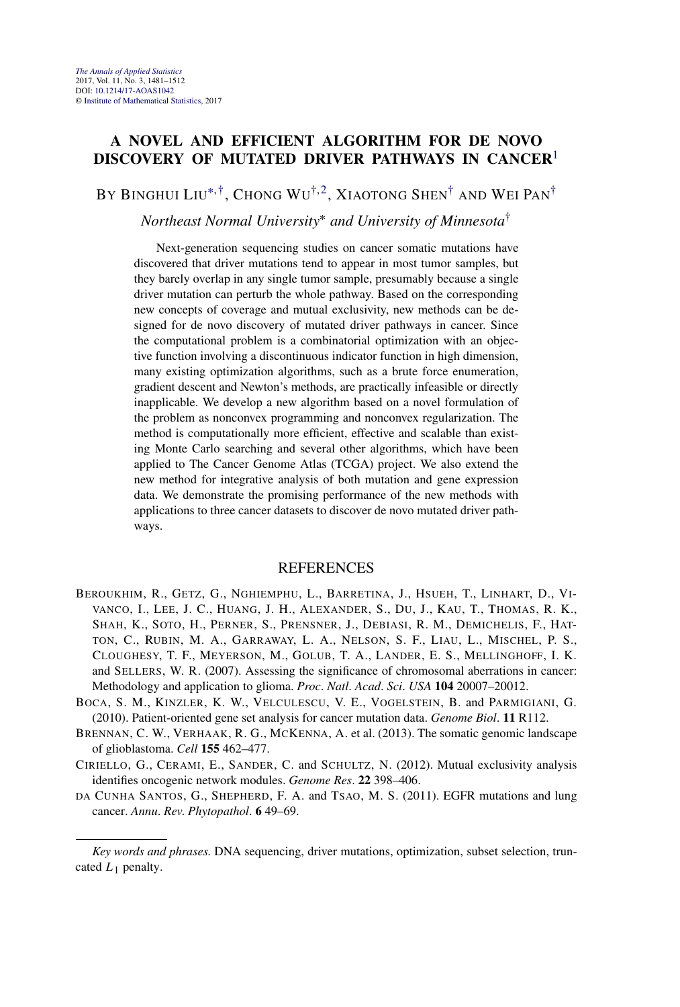## **A NOVEL AND EFFICIENT ALGORITHM FOR DE NOVO DISCOVERY OF MUTATED DRIVER PATHWAYS IN CANCER**[1](#page-23-0)

BY BINGHUI LIU<sup>[∗](#page-7-0),†</sup>, CHONG WU<sup>[†,](#page-7-0)2</sup>, XIAOTONG SHEN<sup>[†](#page-7-0)</sup> AND WEI PAN<sup>†</sup>

*Northeast Normal University*<sup>∗</sup> *and University of Minnesota*†

Next-generation sequencing studies on cancer somatic mutations have discovered that driver mutations tend to appear in most tumor samples, but they barely overlap in any single tumor sample, presumably because a single driver mutation can perturb the whole pathway. Based on the corresponding new concepts of coverage and mutual exclusivity, new methods can be designed for de novo discovery of mutated driver pathways in cancer. Since the computational problem is a combinatorial optimization with an objective function involving a discontinuous indicator function in high dimension, many existing optimization algorithms, such as a brute force enumeration, gradient descent and Newton's methods, are practically infeasible or directly inapplicable. We develop a new algorithm based on a novel formulation of the problem as nonconvex programming and nonconvex regularization. The method is computationally more efficient, effective and scalable than existing Monte Carlo searching and several other algorithms, which have been applied to The Cancer Genome Atlas (TCGA) project. We also extend the new method for integrative analysis of both mutation and gene expression data. We demonstrate the promising performance of the new methods with applications to three cancer datasets to discover de novo mutated driver pathways.

- BEROUKHIM, R., GETZ, G., NGHIEMPHU, L., BARRETINA, J., HSUEH, T., LINHART, D., VI-VANCO, I., LEE, J. C., HUANG, J. H., ALEXANDER, S., DU, J., KAU, T., THOMAS, R. K., SHAH, K., SOTO, H., PERNER, S., PRENSNER, J., DEBIASI, R. M., DEMICHELIS, F., HAT-TON, C., RUBIN, M. A., GARRAWAY, L. A., NELSON, S. F., LIAU, L., MISCHEL, P. S., CLOUGHESY, T. F., MEYERSON, M., GOLUB, T. A., LANDER, E. S., MELLINGHOFF, I. K. and SELLERS, W. R. (2007). Assessing the significance of chromosomal aberrations in cancer: Methodology and application to glioma. *Proc*. *Natl*. *Acad*. *Sci*. *USA* **104** 20007–20012.
- BOCA, S. M., KINZLER, K. W., VELCULESCU, V. E., VOGELSTEIN, B. and PARMIGIANI, G. (2010). Patient-oriented gene set analysis for cancer mutation data. *Genome Biol*. **11** R112.
- BRENNAN, C. W., VERHAAK, R. G., MCKENNA, A. et al. (2013). The somatic genomic landscape of glioblastoma. *Cell* **155** 462–477.
- CIRIELLO, G., CERAMI, E., SANDER, C. and SCHULTZ, N. (2012). Mutual exclusivity analysis identifies oncogenic network modules. *Genome Res*. **22** 398–406.
- DA CUNHA SANTOS, G., SHEPHERD, F. A. and TSAO, M. S. (2011). EGFR mutations and lung cancer. *Annu*. *Rev*. *Phytopathol*. **6** 49–69.

*Key words and phrases.* DNA sequencing, driver mutations, optimization, subset selection, truncated *L*1 penalty.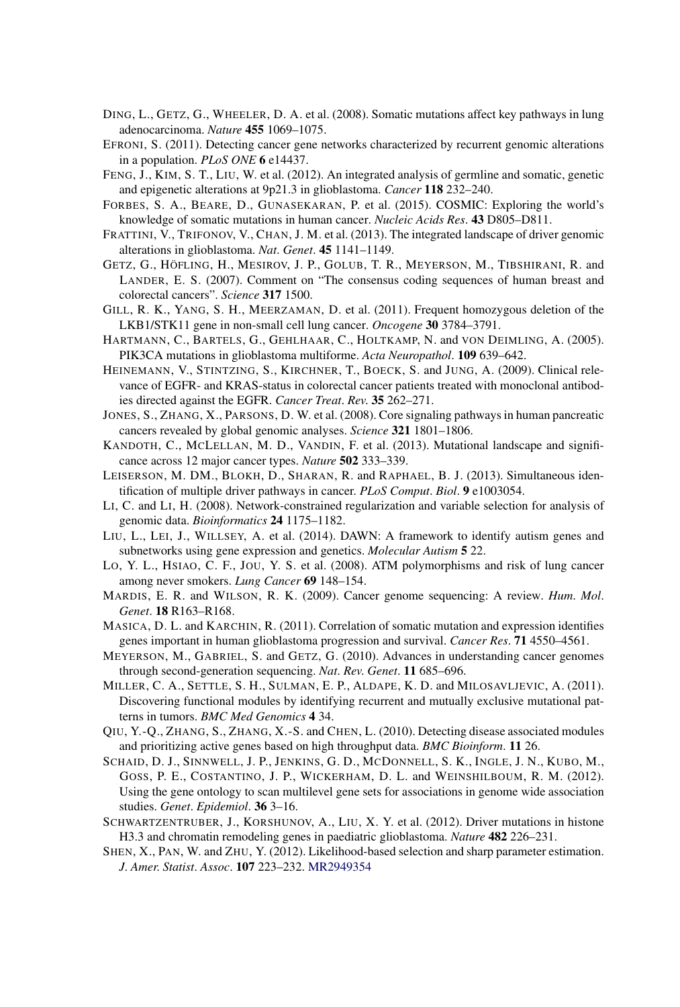- DING, L., GETZ, G., WHEELER, D. A. et al. (2008). Somatic mutations affect key pathways in lung adenocarcinoma. *Nature* **455** 1069–1075.
- EFRONI, S. (2011). Detecting cancer gene networks characterized by recurrent genomic alterations in a population. *PLoS ONE* **6** e14437.
- FENG, J., KIM, S. T., LIU, W. et al. (2012). An integrated analysis of germline and somatic, genetic and epigenetic alterations at 9p21.3 in glioblastoma. *Cancer* **118** 232–240.
- FORBES, S. A., BEARE, D., GUNASEKARAN, P. et al. (2015). COSMIC: Exploring the world's knowledge of somatic mutations in human cancer. *Nucleic Acids Res*. **43** D805–D811.
- FRATTINI, V., TRIFONOV, V., CHAN, J. M. et al. (2013). The integrated landscape of driver genomic alterations in glioblastoma. *Nat*. *Genet*. **45** 1141–1149.
- GETZ, G., HÖFLING, H., MESIROV, J. P., GOLUB, T. R., MEYERSON, M., TIBSHIRANI, R. and LANDER, E. S. (2007). Comment on "The consensus coding sequences of human breast and colorectal cancers". *Science* **317** 1500.
- GILL, R. K., YANG, S. H., MEERZAMAN, D. et al. (2011). Frequent homozygous deletion of the LKB1/STK11 gene in non-small cell lung cancer. *Oncogene* **30** 3784–3791.
- HARTMANN, C., BARTELS, G., GEHLHAAR, C., HOLTKAMP, N. and VON DEIMLING, A. (2005). PIK3CA mutations in glioblastoma multiforme. *Acta Neuropathol*. **109** 639–642.
- HEINEMANN, V., STINTZING, S., KIRCHNER, T., BOECK, S. and JUNG, A. (2009). Clinical relevance of EGFR- and KRAS-status in colorectal cancer patients treated with monoclonal antibodies directed against the EGFR. *Cancer Treat*. *Rev*. **35** 262–271.
- JONES, S., ZHANG, X., PARSONS, D. W. et al. (2008). Core signaling pathways in human pancreatic cancers revealed by global genomic analyses. *Science* **321** 1801–1806.
- KANDOTH, C., MCLELLAN, M. D., VANDIN, F. et al. (2013). Mutational landscape and significance across 12 major cancer types. *Nature* **502** 333–339.
- LEISERSON, M. DM., BLOKH, D., SHARAN, R. and RAPHAEL, B. J. (2013). Simultaneous identification of multiple driver pathways in cancer. *PLoS Comput*. *Biol*. **9** e1003054.
- LI, C. and LI, H. (2008). Network-constrained regularization and variable selection for analysis of genomic data. *Bioinformatics* **24** 1175–1182.
- LIU, L., LEI, J., WILLSEY, A. et al. (2014). DAWN: A framework to identify autism genes and subnetworks using gene expression and genetics. *Molecular Autism* **5** 22.
- LO, Y. L., HSIAO, C. F., JOU, Y. S. et al. (2008). ATM polymorphisms and risk of lung cancer among never smokers. *Lung Cancer* **69** 148–154.
- MARDIS, E. R. and WILSON, R. K. (2009). Cancer genome sequencing: A review. *Hum*. *Mol*. *Genet*. **18** R163–R168.
- MASICA, D. L. and KARCHIN, R. (2011). Correlation of somatic mutation and expression identifies genes important in human glioblastoma progression and survival. *Cancer Res*. **71** 4550–4561.
- MEYERSON, M., GABRIEL, S. and GETZ, G. (2010). Advances in understanding cancer genomes through second-generation sequencing. *Nat*. *Rev*. *Genet*. **11** 685–696.
- MILLER, C. A., SETTLE, S. H., SULMAN, E. P., ALDAPE, K. D. and MILOSAVLJEVIC, A. (2011). Discovering functional modules by identifying recurrent and mutually exclusive mutational patterns in tumors. *BMC Med Genomics* **4** 34.
- QIU, Y.-Q., ZHANG, S., ZHANG, X.-S. and CHEN, L. (2010). Detecting disease associated modules and prioritizing active genes based on high throughput data. *BMC Bioinform*. **11** 26.
- SCHAID, D. J., SINNWELL, J. P., JENKINS, G. D., MCDONNELL, S. K., INGLE, J. N., KUBO, M., GOSS, P. E., COSTANTINO, J. P., WICKERHAM, D. L. and WEINSHILBOUM, R. M. (2012). Using the gene ontology to scan multilevel gene sets for associations in genome wide association studies. *Genet*. *Epidemiol*. **36** 3–16.
- SCHWARTZENTRUBER, J., KORSHUNOV, A., LIU, X. Y. et al. (2012). Driver mutations in histone H3.3 and chromatin remodeling genes in paediatric glioblastoma. *Nature* **482** 226–231.
- SHEN, X., PAN, W. and ZHU, Y. (2012). Likelihood-based selection and sharp parameter estimation. *J*. *Amer*. *Statist*. *Assoc*. **107** 223–232. [MR2949354](http://www.ams.org/mathscinet-getitem?mr=2949354)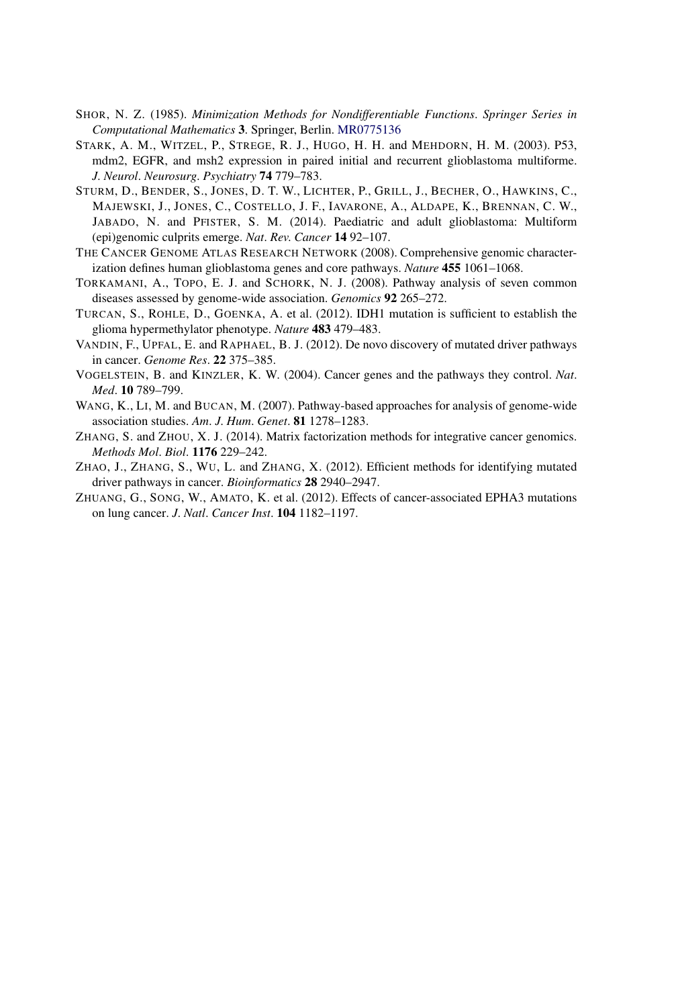- SHOR, N. Z. (1985). *Minimization Methods for Nondifferentiable Functions*. *Springer Series in Computational Mathematics* **3**. Springer, Berlin. [MR0775136](http://www.ams.org/mathscinet-getitem?mr=0775136)
- STARK, A. M., WITZEL, P., STREGE, R. J., HUGO, H. H. and MEHDORN, H. M. (2003). P53, mdm2, EGFR, and msh2 expression in paired initial and recurrent glioblastoma multiforme. *J*. *Neurol*. *Neurosurg*. *Psychiatry* **74** 779–783.
- STURM, D., BENDER, S., JONES, D. T. W., LICHTER, P., GRILL, J., BECHER, O., HAWKINS, C., MAJEWSKI, J., JONES, C., COSTELLO, J. F., IAVARONE, A., ALDAPE, K., BRENNAN, C. W., JABADO, N. and PFISTER, S. M. (2014). Paediatric and adult glioblastoma: Multiform (epi)genomic culprits emerge. *Nat*. *Rev*. *Cancer* **14** 92–107.
- THE CANCER GENOME ATLAS RESEARCH NETWORK (2008). Comprehensive genomic characterization defines human glioblastoma genes and core pathways. *Nature* **455** 1061–1068.
- TORKAMANI, A., TOPO, E. J. and SCHORK, N. J. (2008). Pathway analysis of seven common diseases assessed by genome-wide association. *Genomics* **92** 265–272.
- TURCAN, S., ROHLE, D., GOENKA, A. et al. (2012). IDH1 mutation is sufficient to establish the glioma hypermethylator phenotype. *Nature* **483** 479–483.
- VANDIN, F., UPFAL, E. and RAPHAEL, B. J. (2012). De novo discovery of mutated driver pathways in cancer. *Genome Res*. **22** 375–385.
- VOGELSTEIN, B. and KINZLER, K. W. (2004). Cancer genes and the pathways they control. *Nat*. *Med*. **10** 789–799.
- WANG, K., LI, M. and BUCAN, M. (2007). Pathway-based approaches for analysis of genome-wide association studies. *Am*. *J*. *Hum*. *Genet*. **81** 1278–1283.
- ZHANG, S. and ZHOU, X. J. (2014). Matrix factorization methods for integrative cancer genomics. *Methods Mol*. *Biol*. **1176** 229–242.
- ZHAO, J., ZHANG, S., WU, L. and ZHANG, X. (2012). Efficient methods for identifying mutated driver pathways in cancer. *Bioinformatics* **28** 2940–2947.
- ZHUANG, G., SONG, W., AMATO, K. et al. (2012). Effects of cancer-associated EPHA3 mutations on lung cancer. *J*. *Natl*. *Cancer Inst*. **104** 1182–1197.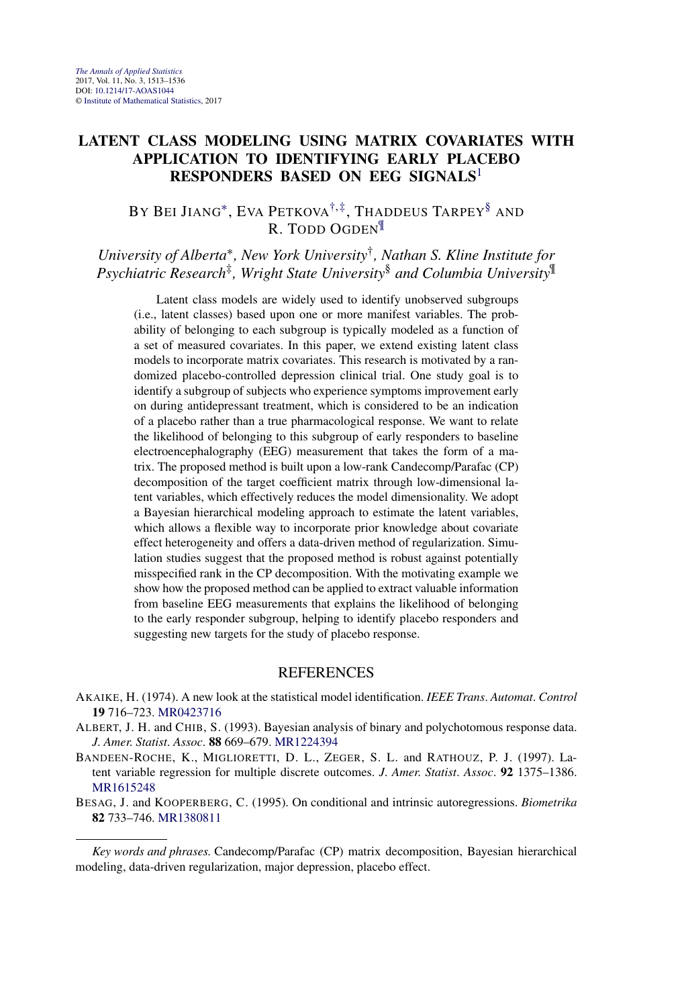### <span id="page-36-0"></span>**LATENT CLASS MODELING USING MATRIX COVARIATES WITH APPLICATION TO IDENTIFYING EARLY PLACEBO RESPONDERS BASED ON EEG SIGNALS**[1](#page-23-0)

BY BEI JIANG[∗](#page-7-0), EVA PETKOVA[†,‡,](#page-7-0) THADDEUS TARPEY[§](#page-7-0) AND R. TODD OGDEN¶

# *University of Alberta*∗*, New York University*†*, Nathan S. Kline Institute for Psychiatric Research*‡*, Wright State University*§ *and Columbia University*¶

Latent class models are widely used to identify unobserved subgroups (i.e., latent classes) based upon one or more manifest variables. The probability of belonging to each subgroup is typically modeled as a function of a set of measured covariates. In this paper, we extend existing latent class models to incorporate matrix covariates. This research is motivated by a randomized placebo-controlled depression clinical trial. One study goal is to identify a subgroup of subjects who experience symptoms improvement early on during antidepressant treatment, which is considered to be an indication of a placebo rather than a true pharmacological response. We want to relate the likelihood of belonging to this subgroup of early responders to baseline electroencephalography (EEG) measurement that takes the form of a matrix. The proposed method is built upon a low-rank Candecomp/Parafac (CP) decomposition of the target coefficient matrix through low-dimensional latent variables, which effectively reduces the model dimensionality. We adopt a Bayesian hierarchical modeling approach to estimate the latent variables, which allows a flexible way to incorporate prior knowledge about covariate effect heterogeneity and offers a data-driven method of regularization. Simulation studies suggest that the proposed method is robust against potentially misspecified rank in the CP decomposition. With the motivating example we show how the proposed method can be applied to extract valuable information from baseline EEG measurements that explains the likelihood of belonging to the early responder subgroup, helping to identify placebo responders and suggesting new targets for the study of placebo response.

- AKAIKE, H. (1974). A new look at the statistical model identification. *IEEE Trans*. *Automat*. *Control* **19** 716–723. [MR0423716](http://www.ams.org/mathscinet-getitem?mr=0423716)
- ALBERT, J. H. and CHIB, S. (1993). Bayesian analysis of binary and polychotomous response data. *J*. *Amer*. *Statist*. *Assoc*. **88** 669–679. [MR1224394](http://www.ams.org/mathscinet-getitem?mr=1224394)
- BANDEEN-ROCHE, K., MIGLIORETTI, D. L., ZEGER, S. L. and RATHOUZ, P. J. (1997). Latent variable regression for multiple discrete outcomes. *J*. *Amer*. *Statist*. *Assoc*. **92** 1375–1386. [MR1615248](http://www.ams.org/mathscinet-getitem?mr=1615248)
- BESAG, J. and KOOPERBERG, C. (1995). On conditional and intrinsic autoregressions. *Biometrika* **82** 733–746. [MR1380811](http://www.ams.org/mathscinet-getitem?mr=1380811)

*Key words and phrases.* Candecomp/Parafac (CP) matrix decomposition, Bayesian hierarchical modeling, data-driven regularization, major depression, placebo effect.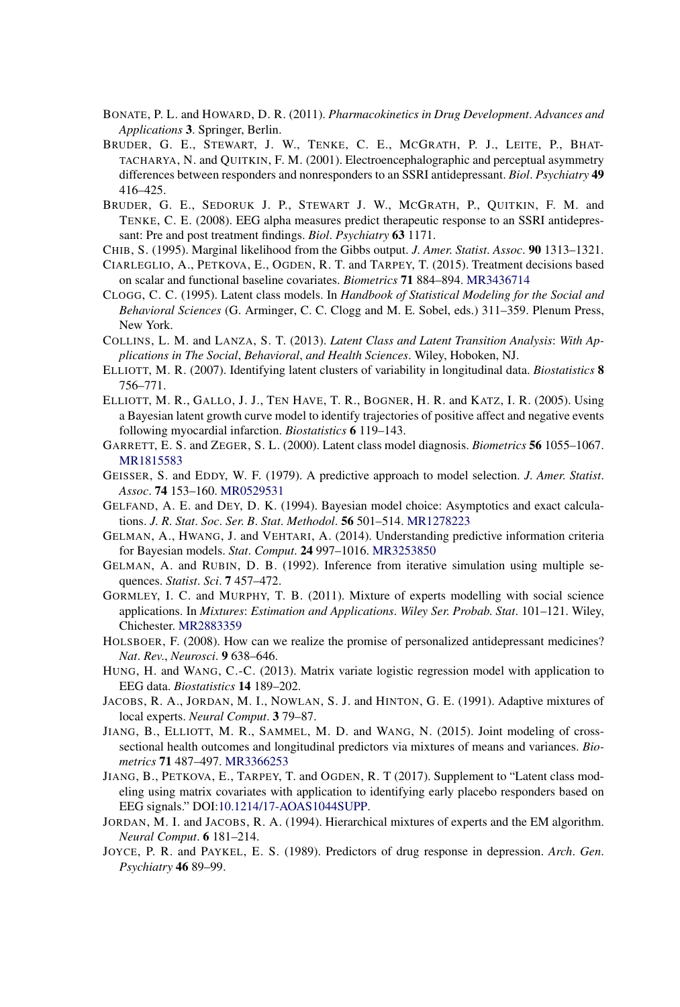- BONATE, P. L. and HOWARD, D. R. (2011). *Pharmacokinetics in Drug Development*. *Advances and Applications* **3**. Springer, Berlin.
- BRUDER, G. E., STEWART, J. W., TENKE, C. E., MCGRATH, P. J., LEITE, P., BHAT-TACHARYA, N. and QUITKIN, F. M. (2001). Electroencephalographic and perceptual asymmetry differences between responders and nonresponders to an SSRI antidepressant. *Biol*. *Psychiatry* **49** 416–425.
- BRUDER, G. E., SEDORUK J. P., STEWART J. W., MCGRATH, P., QUITKIN, F. M. and TENKE, C. E. (2008). EEG alpha measures predict therapeutic response to an SSRI antidepressant: Pre and post treatment findings. *Biol*. *Psychiatry* **63** 1171.
- CHIB, S. (1995). Marginal likelihood from the Gibbs output. *J*. *Amer*. *Statist*. *Assoc*. **90** 1313–1321.
- CIARLEGLIO, A., PETKOVA, E., OGDEN, R. T. and TARPEY, T. (2015). Treatment decisions based on scalar and functional baseline covariates. *Biometrics* **71** 884–894. [MR3436714](http://www.ams.org/mathscinet-getitem?mr=3436714)
- CLOGG, C. C. (1995). Latent class models. In *Handbook of Statistical Modeling for the Social and Behavioral Sciences* (G. Arminger, C. C. Clogg and M. E. Sobel, eds.) 311–359. Plenum Press, New York.
- COLLINS, L. M. and LANZA, S. T. (2013). *Latent Class and Latent Transition Analysis*: *With Applications in The Social*, *Behavioral*, *and Health Sciences*. Wiley, Hoboken, NJ.
- ELLIOTT, M. R. (2007). Identifying latent clusters of variability in longitudinal data. *Biostatistics* **8** 756–771.
- ELLIOTT, M. R., GALLO, J. J., TEN HAVE, T. R., BOGNER, H. R. and KATZ, I. R. (2005). Using a Bayesian latent growth curve model to identify trajectories of positive affect and negative events following myocardial infarction. *Biostatistics* **6** 119–143.
- GARRETT, E. S. and ZEGER, S. L. (2000). Latent class model diagnosis. *Biometrics* **56** 1055–1067. [MR1815583](http://www.ams.org/mathscinet-getitem?mr=1815583)
- GEISSER, S. and EDDY, W. F. (1979). A predictive approach to model selection. *J*. *Amer*. *Statist*. *Assoc*. **74** 153–160. [MR0529531](http://www.ams.org/mathscinet-getitem?mr=0529531)
- GELFAND, A. E. and DEY, D. K. (1994). Bayesian model choice: Asymptotics and exact calculations. *J*. *R*. *Stat*. *Soc*. *Ser*. *B*. *Stat*. *Methodol*. **56** 501–514. [MR1278223](http://www.ams.org/mathscinet-getitem?mr=1278223)
- GELMAN, A., HWANG, J. and VEHTARI, A. (2014). Understanding predictive information criteria for Bayesian models. *Stat*. *Comput*. **24** 997–1016. [MR3253850](http://www.ams.org/mathscinet-getitem?mr=3253850)
- GELMAN, A. and RUBIN, D. B. (1992). Inference from iterative simulation using multiple sequences. *Statist*. *Sci*. **7** 457–472.
- GORMLEY, I. C. and MURPHY, T. B. (2011). Mixture of experts modelling with social science applications. In *Mixtures*: *Estimation and Applications*. *Wiley Ser*. *Probab*. *Stat*. 101–121. Wiley, Chichester. [MR2883359](http://www.ams.org/mathscinet-getitem?mr=2883359)
- HOLSBOER, F. (2008). How can we realize the promise of personalized antidepressant medicines? *Nat*. *Rev*., *Neurosci*. **9** 638–646.
- HUNG, H. and WANG, C.-C. (2013). Matrix variate logistic regression model with application to EEG data. *Biostatistics* **14** 189–202.
- JACOBS, R. A., JORDAN, M. I., NOWLAN, S. J. and HINTON, G. E. (1991). Adaptive mixtures of local experts. *Neural Comput*. **3** 79–87.
- JIANG, B., ELLIOTT, M. R., SAMMEL, M. D. and WANG, N. (2015). Joint modeling of crosssectional health outcomes and longitudinal predictors via mixtures of means and variances. *Biometrics* **71** 487–497. [MR3366253](http://www.ams.org/mathscinet-getitem?mr=3366253)
- JIANG, B., PETKOVA, E., TARPEY, T. and OGDEN, R. T (2017). Supplement to "Latent class modeling using matrix covariates with application to identifying early placebo responders based on EEG signals." DOI[:10.1214/17-AOAS1044SUPP.](http://dx.doi.org/10.1214/17-AOAS1044SUPP)
- JORDAN, M. I. and JACOBS, R. A. (1994). Hierarchical mixtures of experts and the EM algorithm. *Neural Comput*. **6** 181–214.
- JOYCE, P. R. and PAYKEL, E. S. (1989). Predictors of drug response in depression. *Arch*. *Gen*. *Psychiatry* **46** 89–99.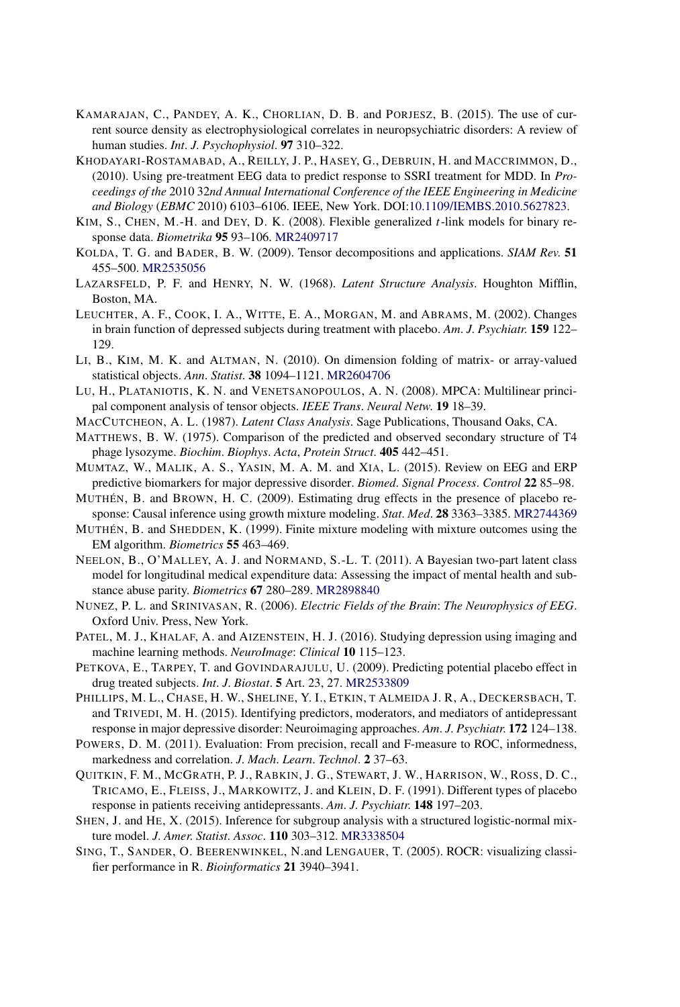- KAMARAJAN, C., PANDEY, A. K., CHORLIAN, D. B. and PORJESZ, B. (2015). The use of current source density as electrophysiological correlates in neuropsychiatric disorders: A review of human studies. *Int*. *J*. *Psychophysiol*. **97** 310–322.
- KHODAYARI-ROSTAMABAD, A., REILLY, J. P., HASEY, G., DEBRUIN, H. and MACCRIMMON, D., (2010). Using pre-treatment EEG data to predict response to SSRI treatment for MDD. In *Proceedings of the* 2010 32*nd Annual International Conference of the IEEE Engineering in Medicine and Biology* (*EBMC* 2010) 6103–6106. IEEE, New York. DOI[:10.1109/IEMBS.2010.5627823](http://dx.doi.org/10.1109/IEMBS.2010.5627823).
- KIM, S., CHEN, M.-H. and DEY, D. K. (2008). Flexible generalized *t*-link models for binary response data. *Biometrika* **95** 93–106. [MR2409717](http://www.ams.org/mathscinet-getitem?mr=2409717)
- KOLDA, T. G. and BADER, B. W. (2009). Tensor decompositions and applications. *SIAM Rev*. **51** 455–500. [MR2535056](http://www.ams.org/mathscinet-getitem?mr=2535056)
- LAZARSFELD, P. F. and HENRY, N. W. (1968). *Latent Structure Analysis*. Houghton Mifflin, Boston, MA.
- LEUCHTER, A. F., COOK, I. A., WITTE, E. A., MORGAN, M. and ABRAMS, M. (2002). Changes in brain function of depressed subjects during treatment with placebo. *Am*. *J*. *Psychiatr*. **159** 122– 129.
- LI, B., KIM, M. K. and ALTMAN, N. (2010). On dimension folding of matrix- or array-valued statistical objects. *Ann*. *Statist*. **38** 1094–1121. [MR2604706](http://www.ams.org/mathscinet-getitem?mr=2604706)
- LU, H., PLATANIOTIS, K. N. and VENETSANOPOULOS, A. N. (2008). MPCA: Multilinear principal component analysis of tensor objects. *IEEE Trans*. *Neural Netw*. **19** 18–39.
- MACCUTCHEON, A. L. (1987). *Latent Class Analysis*. Sage Publications, Thousand Oaks, CA.
- MATTHEWS, B. W. (1975). Comparison of the predicted and observed secondary structure of T4 phage lysozyme. *Biochim*. *Biophys*. *Acta*, *Protein Struct*. **405** 442–451.
- MUMTAZ, W., MALIK, A. S., YASIN, M. A. M. and XIA, L. (2015). Review on EEG and ERP predictive biomarkers for major depressive disorder. *Biomed*. *Signal Process*. *Control* **22** 85–98.
- MUTHÉN, B. and BROWN, H. C. (2009). Estimating drug effects in the presence of placebo response: Causal inference using growth mixture modeling. *Stat*. *Med*. **28** 3363–3385. [MR2744369](http://www.ams.org/mathscinet-getitem?mr=2744369)
- MUTHÉN, B. and SHEDDEN, K. (1999). Finite mixture modeling with mixture outcomes using the EM algorithm. *Biometrics* **55** 463–469.
- NEELON, B., O'MALLEY, A. J. and NORMAND, S.-L. T. (2011). A Bayesian two-part latent class model for longitudinal medical expenditure data: Assessing the impact of mental health and substance abuse parity. *Biometrics* **67** 280–289. [MR2898840](http://www.ams.org/mathscinet-getitem?mr=2898840)
- NUNEZ, P. L. and SRINIVASAN, R. (2006). *Electric Fields of the Brain*: *The Neurophysics of EEG*. Oxford Univ. Press, New York.
- PATEL, M. J., KHALAF, A. and AIZENSTEIN, H. J. (2016). Studying depression using imaging and machine learning methods. *NeuroImage*: *Clinical* **10** 115–123.
- PETKOVA, E., TARPEY, T. and GOVINDARAJULU, U. (2009). Predicting potential placebo effect in drug treated subjects. *Int*. *J*. *Biostat*. **5** Art. 23, 27. [MR2533809](http://www.ams.org/mathscinet-getitem?mr=2533809)
- PHILLIPS, M. L., CHASE, H. W., SHELINE, Y. I., ETKIN, T ALMEIDA J. R, A., DECKERSBACH, T. and TRIVEDI, M. H. (2015). Identifying predictors, moderators, and mediators of antidepressant response in major depressive disorder: Neuroimaging approaches. *Am*. *J*. *Psychiatr*. **172** 124–138.
- POWERS, D. M. (2011). Evaluation: From precision, recall and F-measure to ROC, informedness, markedness and correlation. *J*. *Mach*. *Learn*. *Technol*. **2** 37–63.
- QUITKIN, F. M., MCGRATH, P. J., RABKIN, J. G., STEWART, J. W., HARRISON, W., ROSS, D. C., TRICAMO, E., FLEISS, J., MARKOWITZ, J. and KLEIN, D. F. (1991). Different types of placebo response in patients receiving antidepressants. *Am*. *J*. *Psychiatr*. **148** 197–203.
- SHEN, J. and HE, X. (2015). Inference for subgroup analysis with a structured logistic-normal mixture model. *J*. *Amer*. *Statist*. *Assoc*. **110** 303–312. [MR3338504](http://www.ams.org/mathscinet-getitem?mr=3338504)
- SING, T., SANDER, O. BEERENWINKEL, N.and LENGAUER, T. (2005). ROCR: visualizing classifier performance in R. *Bioinformatics* **21** 3940–3941.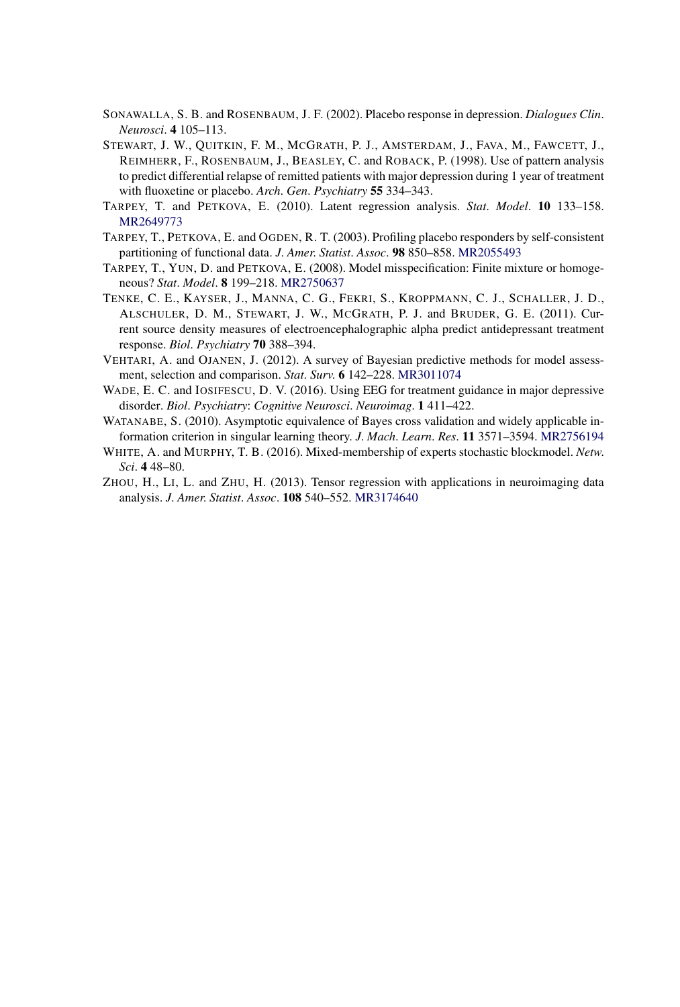- SONAWALLA, S. B. and ROSENBAUM, J. F. (2002). Placebo response in depression. *Dialogues Clin*. *Neurosci*. **4** 105–113.
- STEWART, J. W., QUITKIN, F. M., MCGRATH, P. J., AMSTERDAM, J., FAVA, M., FAWCETT, J., REIMHERR, F., ROSENBAUM, J., BEASLEY, C. and ROBACK, P. (1998). Use of pattern analysis to predict differential relapse of remitted patients with major depression during 1 year of treatment with fluoxetine or placebo. *Arch*. *Gen*. *Psychiatry* **55** 334–343.
- TARPEY, T. and PETKOVA, E. (2010). Latent regression analysis. *Stat*. *Model*. **10** 133–158. [MR2649773](http://www.ams.org/mathscinet-getitem?mr=2649773)
- TARPEY, T., PETKOVA, E. and OGDEN, R. T. (2003). Profiling placebo responders by self-consistent partitioning of functional data. *J*. *Amer*. *Statist*. *Assoc*. **98** 850–858. [MR2055493](http://www.ams.org/mathscinet-getitem?mr=2055493)
- TARPEY, T., YUN, D. and PETKOVA, E. (2008). Model misspecification: Finite mixture or homogeneous? *Stat*. *Model*. **8** 199–218. [MR2750637](http://www.ams.org/mathscinet-getitem?mr=2750637)
- TENKE, C. E., KAYSER, J., MANNA, C. G., FEKRI, S., KROPPMANN, C. J., SCHALLER, J. D., ALSCHULER, D. M., STEWART, J. W., MCGRATH, P. J. and BRUDER, G. E. (2011). Current source density measures of electroencephalographic alpha predict antidepressant treatment response. *Biol*. *Psychiatry* **70** 388–394.
- VEHTARI, A. and OJANEN, J. (2012). A survey of Bayesian predictive methods for model assessment, selection and comparison. *Stat*. *Surv*. **6** 142–228. [MR3011074](http://www.ams.org/mathscinet-getitem?mr=3011074)
- WADE, E. C. and IOSIFESCU, D. V. (2016). Using EEG for treatment guidance in major depressive disorder. *Biol*. *Psychiatry*: *Cognitive Neurosci*. *Neuroimag*. **1** 411–422.
- WATANABE, S. (2010). Asymptotic equivalence of Bayes cross validation and widely applicable information criterion in singular learning theory. *J*. *Mach*. *Learn*. *Res*. **11** 3571–3594. [MR2756194](http://www.ams.org/mathscinet-getitem?mr=2756194)
- WHITE, A. and MURPHY, T. B. (2016). Mixed-membership of experts stochastic blockmodel. *Netw*. *Sci*. **4** 48–80.
- ZHOU, H., LI, L. and ZHU, H. (2013). Tensor regression with applications in neuroimaging data analysis. *J*. *Amer*. *Statist*. *Assoc*. **108** 540–552. [MR3174640](http://www.ams.org/mathscinet-getitem?mr=3174640)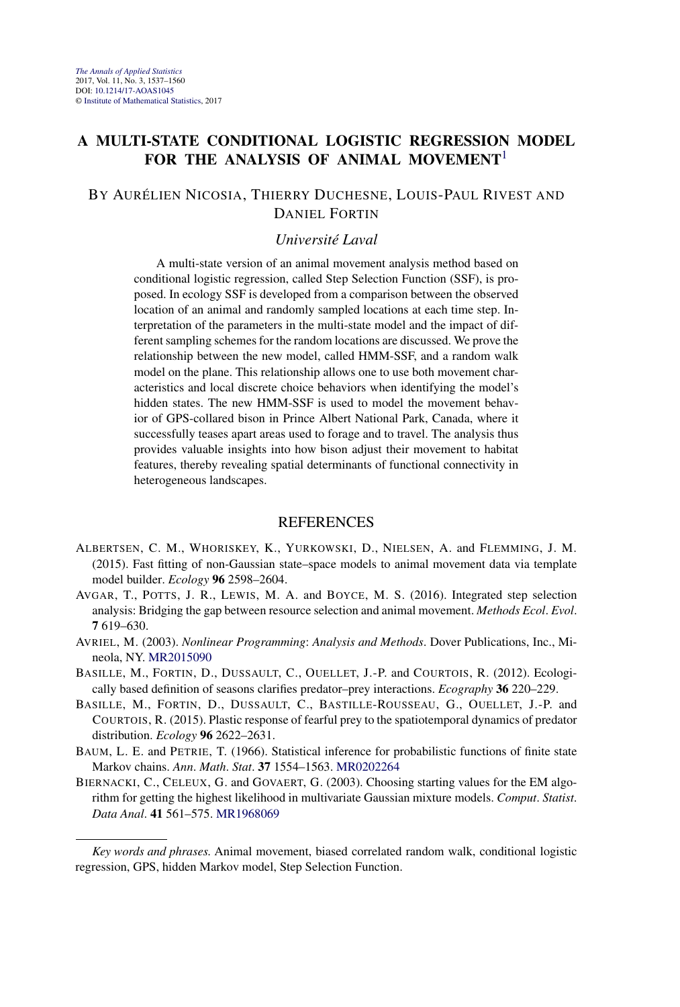### **A MULTI-STATE CONDITIONAL LOGISTIC REGRESSION MODEL FOR THE ANALYSIS OF ANIMAL MOVEMENT**[1](#page-75-0)

### BY AURÉLIEN NICOSIA, THIERRY DUCHESNE, LOUIS-PAUL RIVEST AND DANIEL FORTIN

#### *Université Laval*

A multi-state version of an animal movement analysis method based on conditional logistic regression, called Step Selection Function (SSF), is proposed. In ecology SSF is developed from a comparison between the observed location of an animal and randomly sampled locations at each time step. Interpretation of the parameters in the multi-state model and the impact of different sampling schemes for the random locations are discussed. We prove the relationship between the new model, called HMM-SSF, and a random walk model on the plane. This relationship allows one to use both movement characteristics and local discrete choice behaviors when identifying the model's hidden states. The new HMM-SSF is used to model the movement behavior of GPS-collared bison in Prince Albert National Park, Canada, where it successfully teases apart areas used to forage and to travel. The analysis thus provides valuable insights into how bison adjust their movement to habitat features, thereby revealing spatial determinants of functional connectivity in heterogeneous landscapes.

- ALBERTSEN, C. M., WHORISKEY, K., YURKOWSKI, D., NIELSEN, A. and FLEMMING, J. M. (2015). Fast fitting of non-Gaussian state–space models to animal movement data via template model builder. *Ecology* **96** 2598–2604.
- AVGAR, T., POTTS, J. R., LEWIS, M. A. and BOYCE, M. S. (2016). Integrated step selection analysis: Bridging the gap between resource selection and animal movement. *Methods Ecol*. *Evol*. **7** 619–630.
- AVRIEL, M. (2003). *Nonlinear Programming*: *Analysis and Methods*. Dover Publications, Inc., Mineola, NY. [MR2015090](http://www.ams.org/mathscinet-getitem?mr=2015090)
- BASILLE, M., FORTIN, D., DUSSAULT, C., OUELLET, J.-P. and COURTOIS, R. (2012). Ecologically based definition of seasons clarifies predator–prey interactions. *Ecography* **36** 220–229.
- BASILLE, M., FORTIN, D., DUSSAULT, C., BASTILLE-ROUSSEAU, G., OUELLET, J.-P. and COURTOIS, R. (2015). Plastic response of fearful prey to the spatiotemporal dynamics of predator distribution. *Ecology* **96** 2622–2631.
- BAUM, L. E. and PETRIE, T. (1966). Statistical inference for probabilistic functions of finite state Markov chains. *Ann*. *Math*. *Stat*. **37** 1554–1563. [MR0202264](http://www.ams.org/mathscinet-getitem?mr=0202264)
- BIERNACKI, C., CELEUX, G. and GOVAERT, G. (2003). Choosing starting values for the EM algorithm for getting the highest likelihood in multivariate Gaussian mixture models. *Comput*. *Statist*. *Data Anal*. **41** 561–575. [MR1968069](http://www.ams.org/mathscinet-getitem?mr=1968069)

*Key words and phrases.* Animal movement, biased correlated random walk, conditional logistic regression, GPS, hidden Markov model, Step Selection Function.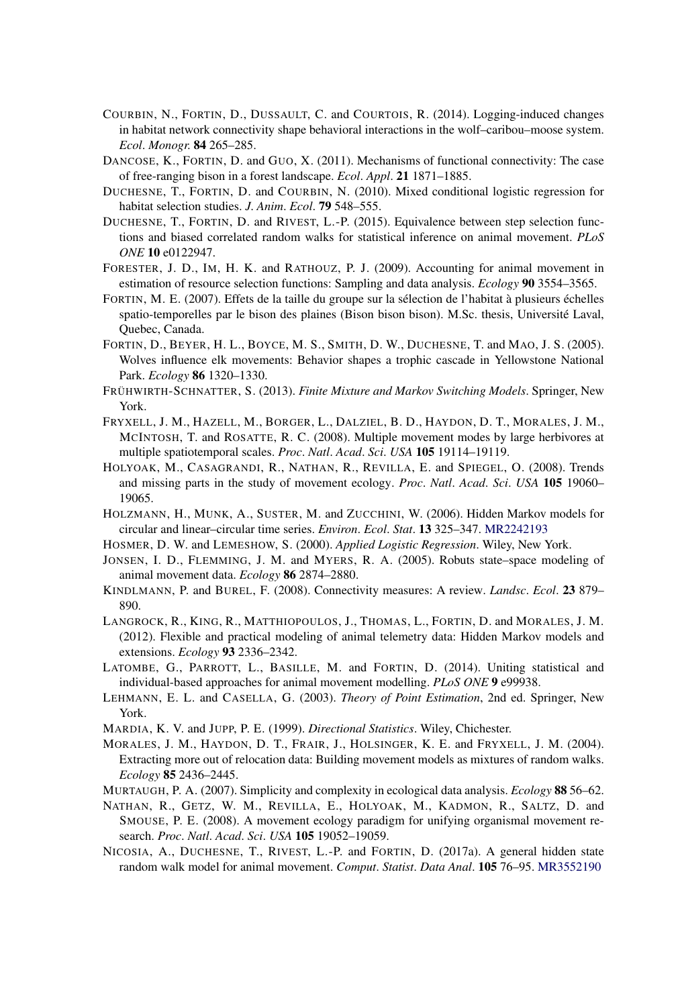- COURBIN, N., FORTIN, D., DUSSAULT, C. and COURTOIS, R. (2014). Logging-induced changes in habitat network connectivity shape behavioral interactions in the wolf–caribou–moose system. *Ecol*. *Monogr*. **84** 265–285.
- DANCOSE, K., FORTIN, D. and GUO, X. (2011). Mechanisms of functional connectivity: The case of free-ranging bison in a forest landscape. *Ecol*. *Appl*. **21** 1871–1885.
- DUCHESNE, T., FORTIN, D. and COURBIN, N. (2010). Mixed conditional logistic regression for habitat selection studies. *J*. *Anim*. *Ecol*. **79** 548–555.
- DUCHESNE, T., FORTIN, D. and RIVEST, L.-P. (2015). Equivalence between step selection functions and biased correlated random walks for statistical inference on animal movement. *PLoS ONE* **10** e0122947.
- FORESTER, J. D., IM, H. K. and RATHOUZ, P. J. (2009). Accounting for animal movement in estimation of resource selection functions: Sampling and data analysis. *Ecology* **90** 3554–3565.
- FORTIN, M. E. (2007). Effets de la taille du groupe sur la sélection de l'habitat à plusieurs échelles spatio-temporelles par le bison des plaines (Bison bison bison). M.Sc. thesis, Université Laval, Quebec, Canada.
- FORTIN, D., BEYER, H. L., BOYCE, M. S., SMITH, D. W., DUCHESNE, T. and MAO, J. S. (2005). Wolves influence elk movements: Behavior shapes a trophic cascade in Yellowstone National Park. *Ecology* **86** 1320–1330.
- FRÜHWIRTH-SCHNATTER, S. (2013). *Finite Mixture and Markov Switching Models*. Springer, New York.
- FRYXELL, J. M., HAZELL, M., BORGER, L., DALZIEL, B. D., HAYDON, D. T., MORALES, J. M., MCINTOSH, T. and ROSATTE, R. C. (2008). Multiple movement modes by large herbivores at multiple spatiotemporal scales. *Proc*. *Natl*. *Acad*. *Sci*. *USA* **105** 19114–19119.
- HOLYOAK, M., CASAGRANDI, R., NATHAN, R., REVILLA, E. and SPIEGEL, O. (2008). Trends and missing parts in the study of movement ecology. *Proc*. *Natl*. *Acad*. *Sci*. *USA* **105** 19060– 19065.
- HOLZMANN, H., MUNK, A., SUSTER, M. and ZUCCHINI, W. (2006). Hidden Markov models for circular and linear–circular time series. *Environ*. *Ecol*. *Stat*. **13** 325–347. [MR2242193](http://www.ams.org/mathscinet-getitem?mr=2242193)
- HOSMER, D. W. and LEMESHOW, S. (2000). *Applied Logistic Regression*. Wiley, New York.
- JONSEN, I. D., FLEMMING, J. M. and MYERS, R. A. (2005). Robuts state–space modeling of animal movement data. *Ecology* **86** 2874–2880.
- KINDLMANN, P. and BUREL, F. (2008). Connectivity measures: A review. *Landsc*. *Ecol*. **23** 879– 890.
- LANGROCK, R., KING, R., MATTHIOPOULOS, J., THOMAS, L., FORTIN, D. and MORALES, J. M. (2012). Flexible and practical modeling of animal telemetry data: Hidden Markov models and extensions. *Ecology* **93** 2336–2342.
- LATOMBE, G., PARROTT, L., BASILLE, M. and FORTIN, D. (2014). Uniting statistical and individual-based approaches for animal movement modelling. *PLoS ONE* **9** e99938.
- LEHMANN, E. L. and CASELLA, G. (2003). *Theory of Point Estimation*, 2nd ed. Springer, New York.
- MARDIA, K. V. and JUPP, P. E. (1999). *Directional Statistics*. Wiley, Chichester.
- MORALES, J. M., HAYDON, D. T., FRAIR, J., HOLSINGER, K. E. and FRYXELL, J. M. (2004). Extracting more out of relocation data: Building movement models as mixtures of random walks. *Ecology* **85** 2436–2445.
- MURTAUGH, P. A. (2007). Simplicity and complexity in ecological data analysis. *Ecology* **88** 56–62.
- NATHAN, R., GETZ, W. M., REVILLA, E., HOLYOAK, M., KADMON, R., SALTZ, D. and SMOUSE, P. E. (2008). A movement ecology paradigm for unifying organismal movement research. *Proc*. *Natl*. *Acad*. *Sci*. *USA* **105** 19052–19059.
- NICOSIA, A., DUCHESNE, T., RIVEST, L.-P. and FORTIN, D. (2017a). A general hidden state random walk model for animal movement. *Comput*. *Statist*. *Data Anal*. **105** 76–95. [MR3552190](http://www.ams.org/mathscinet-getitem?mr=3552190)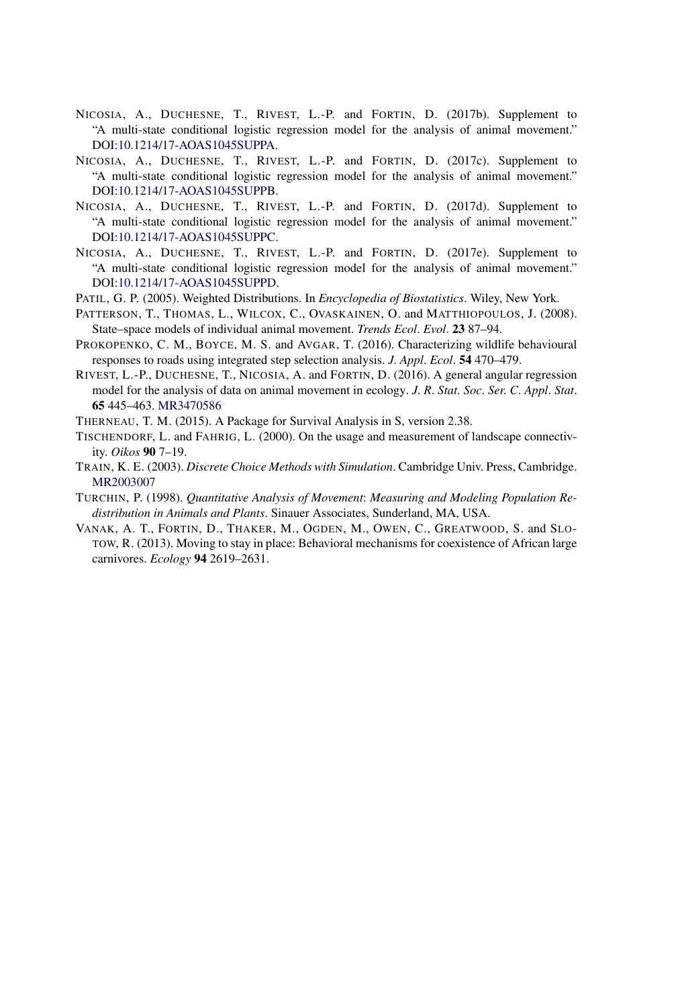- NICOSIA, A., DUCHESNE, T., RIVEST, L.-P. and FORTIN, D. (2017b). Supplement to "A multi-state conditional logistic regression model for the analysis of animal movement." DOI[:10.1214/17-AOAS1045SUPPA.](http://dx.doi.org/10.1214/17-AOAS1045SUPPA)
- NICOSIA, A., DUCHESNE, T., RIVEST, L.-P. and FORTIN, D. (2017c). Supplement to "A multi-state conditional logistic regression model for the analysis of animal movement." DOI[:10.1214/17-AOAS1045SUPPB.](http://dx.doi.org/10.1214/17-AOAS1045SUPPB)
- NICOSIA, A., DUCHESNE, T., RIVEST, L.-P. and FORTIN, D. (2017d). Supplement to "A multi-state conditional logistic regression model for the analysis of animal movement." DOI[:10.1214/17-AOAS1045SUPPC.](http://dx.doi.org/10.1214/17-AOAS1045SUPPC)
- NICOSIA, A., DUCHESNE, T., RIVEST, L.-P. and FORTIN, D. (2017e). Supplement to "A multi-state conditional logistic regression model for the analysis of animal movement." DOI[:10.1214/17-AOAS1045SUPPD](http://dx.doi.org/10.1214/17-AOAS1045SUPPD).
- PATIL, G. P. (2005). Weighted Distributions. In *Encyclopedia of Biostatistics*. Wiley, New York.
- PATTERSON, T., THOMAS, L., WILCOX, C., OVASKAINEN, O. and MATTHIOPOULOS, J. (2008). State–space models of individual animal movement. *Trends Ecol*. *Evol*. **23** 87–94.
- PROKOPENKO, C. M., BOYCE, M. S. and AVGAR, T. (2016). Characterizing wildlife behavioural responses to roads using integrated step selection analysis. *J*. *Appl*. *Ecol*. **54** 470–479.
- RIVEST, L.-P., DUCHESNE, T., NICOSIA, A. and FORTIN, D. (2016). A general angular regression model for the analysis of data on animal movement in ecology. *J*. *R*. *Stat*. *Soc*. *Ser*. *C*. *Appl*. *Stat*. **65** 445–463. [MR3470586](http://www.ams.org/mathscinet-getitem?mr=3470586)
- THERNEAU, T. M. (2015). A Package for Survival Analysis in S, version 2.38.
- TISCHENDORF, L. and FAHRIG, L. (2000). On the usage and measurement of landscape connectivity. *Oikos* **90** 7–19.
- TRAIN, K. E. (2003). *Discrete Choice Methods with Simulation*. Cambridge Univ. Press, Cambridge. [MR2003007](http://www.ams.org/mathscinet-getitem?mr=2003007)
- TURCHIN, P. (1998). *Quantitative Analysis of Movement*: *Measuring and Modeling Population Redistribution in Animals and Plants*. Sinauer Associates, Sunderland, MA, USA.
- VANAK, A. T., FORTIN, D., THAKER, M., OGDEN, M., OWEN, C., GREATWOOD, S. and SLO-TOW, R. (2013). Moving to stay in place: Behavioral mechanisms for coexistence of African large carnivores. *Ecology* **94** 2619–2631.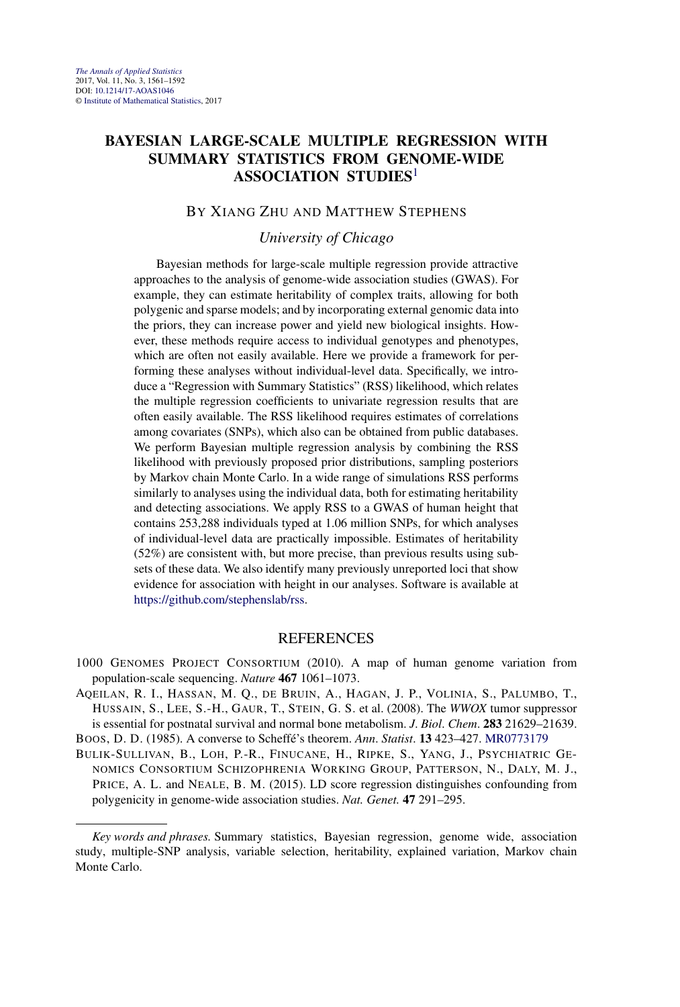### **BAYESIAN LARGE-SCALE MULTIPLE REGRESSION WITH SUMMARY STATISTICS FROM GENOME-WIDE ASSOCIATION STUDIES**[1](#page-23-0)

#### BY XIANG ZHU AND MATTHEW STEPHENS

#### *University of Chicago*

Bayesian methods for large-scale multiple regression provide attractive approaches to the analysis of genome-wide association studies (GWAS). For example, they can estimate heritability of complex traits, allowing for both polygenic and sparse models; and by incorporating external genomic data into the priors, they can increase power and yield new biological insights. However, these methods require access to individual genotypes and phenotypes, which are often not easily available. Here we provide a framework for performing these analyses without individual-level data. Specifically, we introduce a "Regression with Summary Statistics" (RSS) likelihood, which relates the multiple regression coefficients to univariate regression results that are often easily available. The RSS likelihood requires estimates of correlations among covariates (SNPs), which also can be obtained from public databases. We perform Bayesian multiple regression analysis by combining the RSS likelihood with previously proposed prior distributions, sampling posteriors by Markov chain Monte Carlo. In a wide range of simulations RSS performs similarly to analyses using the individual data, both for estimating heritability and detecting associations. We apply RSS to a GWAS of human height that contains 253,288 individuals typed at 1.06 million SNPs, for which analyses of individual-level data are practically impossible. Estimates of heritability (52%) are consistent with, but more precise, than previous results using subsets of these data. We also identify many previously unreported loci that show evidence for association with height in our analyses. Software is available at [https://github.com/stephenslab/rss.](https://github.com/stephenslab/rss)

#### **REFERENCES**

1000 GENOMES PROJECT CONSORTIUM (2010). A map of human genome variation from population-scale sequencing. *Nature* **467** 1061–1073.

AQEILAN, R. I., HASSAN, M. Q., DE BRUIN, A., HAGAN, J. P., VOLINIA, S., PALUMBO, T., HUSSAIN, S., LEE, S.-H., GAUR, T., STEIN, G. S. et al. (2008). The *WWOX* tumor suppressor is essential for postnatal survival and normal bone metabolism. *J*. *Biol*. *Chem*. **283** 21629–21639. BOOS, D. D. (1985). A converse to Scheffé's theorem. *Ann*. *Statist*. **13** 423–427. [MR0773179](http://www.ams.org/mathscinet-getitem?mr=0773179)

BULIK-SULLIVAN, B., LOH, P.-R., FINUCANE, H., RIPKE, S., YANG, J., PSYCHIATRIC GE-NOMICS CONSORTIUM SCHIZOPHRENIA WORKING GROUP, PATTERSON, N., DALY, M. J., PRICE, A. L. and NEALE, B. M. (2015). LD score regression distinguishes confounding from polygenicity in genome-wide association studies. *Nat. Genet.* **47** 291–295.

*Key words and phrases.* Summary statistics, Bayesian regression, genome wide, association study, multiple-SNP analysis, variable selection, heritability, explained variation, Markov chain Monte Carlo.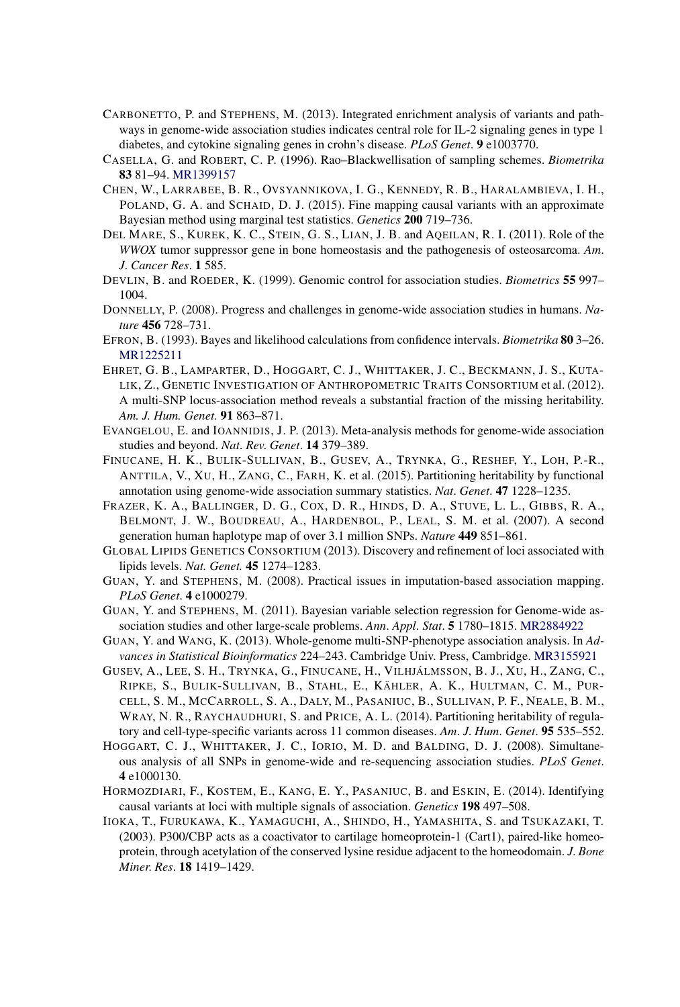- CARBONETTO, P. and STEPHENS, M. (2013). Integrated enrichment analysis of variants and pathways in genome-wide association studies indicates central role for IL-2 signaling genes in type 1 diabetes, and cytokine signaling genes in crohn's disease. *PLoS Genet*. **9** e1003770.
- CASELLA, G. and ROBERT, C. P. (1996). Rao–Blackwellisation of sampling schemes. *Biometrika* **83** 81–94. [MR1399157](http://www.ams.org/mathscinet-getitem?mr=1399157)
- CHEN, W., LARRABEE, B. R., OVSYANNIKOVA, I. G., KENNEDY, R. B., HARALAMBIEVA, I. H., POLAND, G. A. and SCHAID, D. J. (2015). Fine mapping causal variants with an approximate Bayesian method using marginal test statistics. *Genetics* **200** 719–736.
- DEL MARE, S., KUREK, K. C., STEIN, G. S., LIAN, J. B. and AQEILAN, R. I. (2011). Role of the *WWOX* tumor suppressor gene in bone homeostasis and the pathogenesis of osteosarcoma. *Am*. *J*. *Cancer Res*. **1** 585.
- DEVLIN, B. and ROEDER, K. (1999). Genomic control for association studies. *Biometrics* **55** 997– 1004.
- DONNELLY, P. (2008). Progress and challenges in genome-wide association studies in humans. *Nature* **456** 728–731.
- EFRON, B. (1993). Bayes and likelihood calculations from confidence intervals. *Biometrika* **80** 3–26. [MR1225211](http://www.ams.org/mathscinet-getitem?mr=1225211)
- EHRET, G. B., LAMPARTER, D., HOGGART, C. J., WHITTAKER, J. C., BECKMANN, J. S., KUTA-LIK, Z., GENETIC INVESTIGATION OF ANTHROPOMETRIC TRAITS CONSORTIUM et al. (2012). A multi-SNP locus-association method reveals a substantial fraction of the missing heritability. *Am. J. Hum. Genet.* **91** 863–871.
- EVANGELOU, E. and IOANNIDIS, J. P. (2013). Meta-analysis methods for genome-wide association studies and beyond. *Nat*. *Rev*. *Genet*. **14** 379–389.
- FINUCANE, H. K., BULIK-SULLIVAN, B., GUSEV, A., TRYNKA, G., RESHEF, Y., LOH, P.-R., ANTTILA, V., XU, H., ZANG, C., FARH, K. et al. (2015). Partitioning heritability by functional annotation using genome-wide association summary statistics. *Nat*. *Genet*. **47** 1228–1235.
- FRAZER, K. A., BALLINGER, D. G., COX, D. R., HINDS, D. A., STUVE, L. L., GIBBS, R. A., BELMONT, J. W., BOUDREAU, A., HARDENBOL, P., LEAL, S. M. et al. (2007). A second generation human haplotype map of over 3.1 million SNPs. *Nature* **449** 851–861.
- GLOBAL LIPIDS GENETICS CONSORTIUM (2013). Discovery and refinement of loci associated with lipids levels. *Nat. Genet.* **45** 1274–1283.
- GUAN, Y. and STEPHENS, M. (2008). Practical issues in imputation-based association mapping. *PLoS Genet*. **4** e1000279.
- GUAN, Y. and STEPHENS, M. (2011). Bayesian variable selection regression for Genome-wide association studies and other large-scale problems. *Ann*. *Appl*. *Stat*. **5** 1780–1815. [MR2884922](http://www.ams.org/mathscinet-getitem?mr=2884922)
- GUAN, Y. and WANG, K. (2013). Whole-genome multi-SNP-phenotype association analysis. In *Advances in Statistical Bioinformatics* 224–243. Cambridge Univ. Press, Cambridge. [MR3155921](http://www.ams.org/mathscinet-getitem?mr=3155921)
- GUSEV, A., LEE, S. H., TRYNKA, G., FINUCANE, H., VILHJÁLMSSON, B. J., XU, H., ZANG, C., RIPKE, S., BULIK-SULLIVAN, B., STAHL, E., KÄHLER, A. K., HULTMAN, C. M., PUR-CELL, S. M., MCCARROLL, S. A., DALY, M., PASANIUC, B., SULLIVAN, P. F., NEALE, B. M., WRAY, N. R., RAYCHAUDHURI, S. and PRICE, A. L. (2014). Partitioning heritability of regulatory and cell-type-specific variants across 11 common diseases. *Am*. *J*. *Hum*. *Genet*. **95** 535–552.
- HOGGART, C. J., WHITTAKER, J. C., IORIO, M. D. and BALDING, D. J. (2008). Simultaneous analysis of all SNPs in genome-wide and re-sequencing association studies. *PLoS Genet*. **4** e1000130.
- HORMOZDIARI, F., KOSTEM, E., KANG, E. Y., PASANIUC, B. and ESKIN, E. (2014). Identifying causal variants at loci with multiple signals of association. *Genetics* **198** 497–508.
- IIOKA, T., FURUKAWA, K., YAMAGUCHI, A., SHINDO, H., YAMASHITA, S. and TSUKAZAKI, T. (2003). P300/CBP acts as a coactivator to cartilage homeoprotein-1 (Cart1), paired-like homeoprotein, through acetylation of the conserved lysine residue adjacent to the homeodomain. *J*. *Bone Miner*. *Res*. **18** 1419–1429.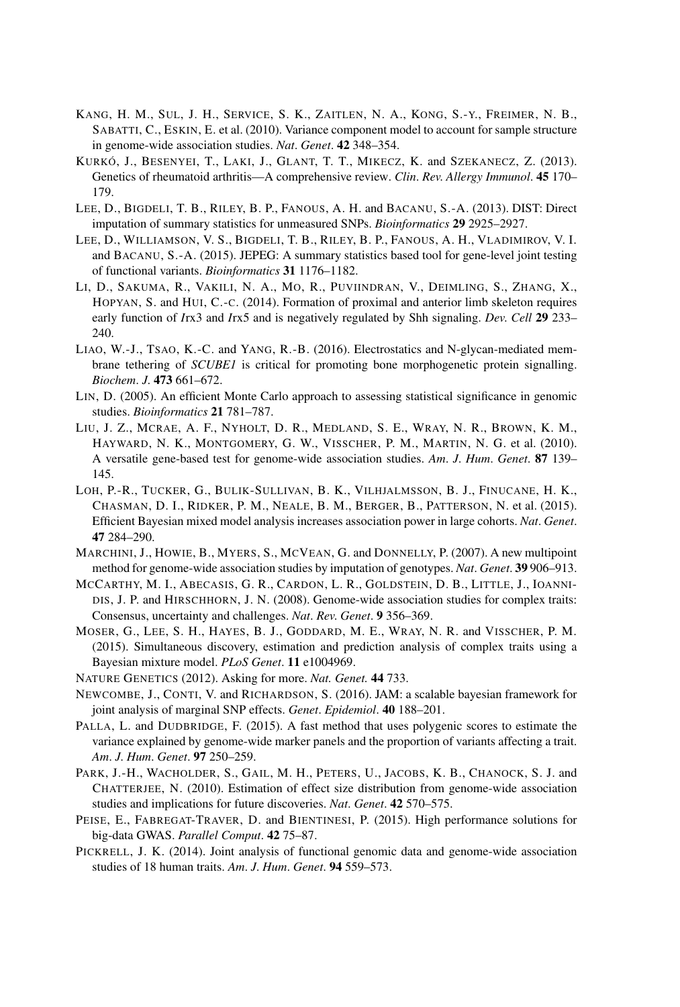- KANG, H. M., SUL, J. H., SERVICE, S. K., ZAITLEN, N. A., KONG, S.-Y., FREIMER, N. B., SABATTI, C., ESKIN, E. et al. (2010). Variance component model to account for sample structure in genome-wide association studies. *Nat*. *Genet*. **42** 348–354.
- KURKÓ, J., BESENYEI, T., LAKI, J., GLANT, T. T., MIKECZ, K. and SZEKANECZ, Z. (2013). Genetics of rheumatoid arthritis—A comprehensive review. *Clin*. *Rev*. *Allergy Immunol*. **45** 170– 179.
- LEE, D., BIGDELI, T. B., RILEY, B. P., FANOUS, A. H. and BACANU, S.-A. (2013). DIST: Direct imputation of summary statistics for unmeasured SNPs. *Bioinformatics* **29** 2925–2927.
- LEE, D., WILLIAMSON, V. S., BIGDELI, T. B., RILEY, B. P., FANOUS, A. H., VLADIMIROV, V. I. and BACANU, S.-A. (2015). JEPEG: A summary statistics based tool for gene-level joint testing of functional variants. *Bioinformatics* **31** 1176–1182.
- LI, D., SAKUMA, R., VAKILI, N. A., MO, R., PUVIINDRAN, V., DEIMLING, S., ZHANG, X., HOPYAN, S. and HUI, C.-C. (2014). Formation of proximal and anterior limb skeleton requires early function of *I*rx3 and *I*rx5 and is negatively regulated by Shh signaling. *Dev*. *Cell* **29** 233– 240.
- LIAO, W.-J., TSAO, K.-C. and YANG, R.-B. (2016). Electrostatics and N-glycan-mediated membrane tethering of *SCUBE1* is critical for promoting bone morphogenetic protein signalling. *Biochem*. *J*. **473** 661–672.
- LIN, D. (2005). An efficient Monte Carlo approach to assessing statistical significance in genomic studies. *Bioinformatics* **21** 781–787.
- LIU, J. Z., MCRAE, A. F., NYHOLT, D. R., MEDLAND, S. E., WRAY, N. R., BROWN, K. M., HAYWARD, N. K., MONTGOMERY, G. W., VISSCHER, P. M., MARTIN, N. G. et al. (2010). A versatile gene-based test for genome-wide association studies. *Am*. *J*. *Hum*. *Genet*. **87** 139– 145.
- LOH, P.-R., TUCKER, G., BULIK-SULLIVAN, B. K., VILHJALMSSON, B. J., FINUCANE, H. K., CHASMAN, D. I., RIDKER, P. M., NEALE, B. M., BERGER, B., PATTERSON, N. et al. (2015). Efficient Bayesian mixed model analysis increases association power in large cohorts. *Nat*. *Genet*. **47** 284–290.
- MARCHINI, J., HOWIE, B., MYERS, S., MCVEAN, G. and DONNELLY, P. (2007). A new multipoint method for genome-wide association studies by imputation of genotypes. *Nat*. *Genet*. **39** 906–913.
- MCCARTHY, M. I., ABECASIS, G. R., CARDON, L. R., GOLDSTEIN, D. B., LITTLE, J., IOANNI-DIS, J. P. and HIRSCHHORN, J. N. (2008). Genome-wide association studies for complex traits: Consensus, uncertainty and challenges. *Nat*. *Rev*. *Genet*. **9** 356–369.
- MOSER, G., LEE, S. H., HAYES, B. J., GODDARD, M. E., WRAY, N. R. and VISSCHER, P. M. (2015). Simultaneous discovery, estimation and prediction analysis of complex traits using a Bayesian mixture model. *PLoS Genet*. **11** e1004969.
- NATURE GENETICS (2012). Asking for more. *Nat. Genet.* **44** 733.
- NEWCOMBE, J., CONTI, V. and RICHARDSON, S. (2016). JAM: a scalable bayesian framework for joint analysis of marginal SNP effects. *Genet*. *Epidemiol*. **40** 188–201.
- PALLA, L. and DUDBRIDGE, F. (2015). A fast method that uses polygenic scores to estimate the variance explained by genome-wide marker panels and the proportion of variants affecting a trait. *Am*. *J*. *Hum*. *Genet*. **97** 250–259.
- PARK, J.-H., WACHOLDER, S., GAIL, M. H., PETERS, U., JACOBS, K. B., CHANOCK, S. J. and CHATTERJEE, N. (2010). Estimation of effect size distribution from genome-wide association studies and implications for future discoveries. *Nat*. *Genet*. **42** 570–575.
- PEISE, E., FABREGAT-TRAVER, D. and BIENTINESI, P. (2015). High performance solutions for big-data GWAS. *Parallel Comput*. **42** 75–87.
- PICKRELL, J. K. (2014). Joint analysis of functional genomic data and genome-wide association studies of 18 human traits. *Am*. *J*. *Hum*. *Genet*. **94** 559–573.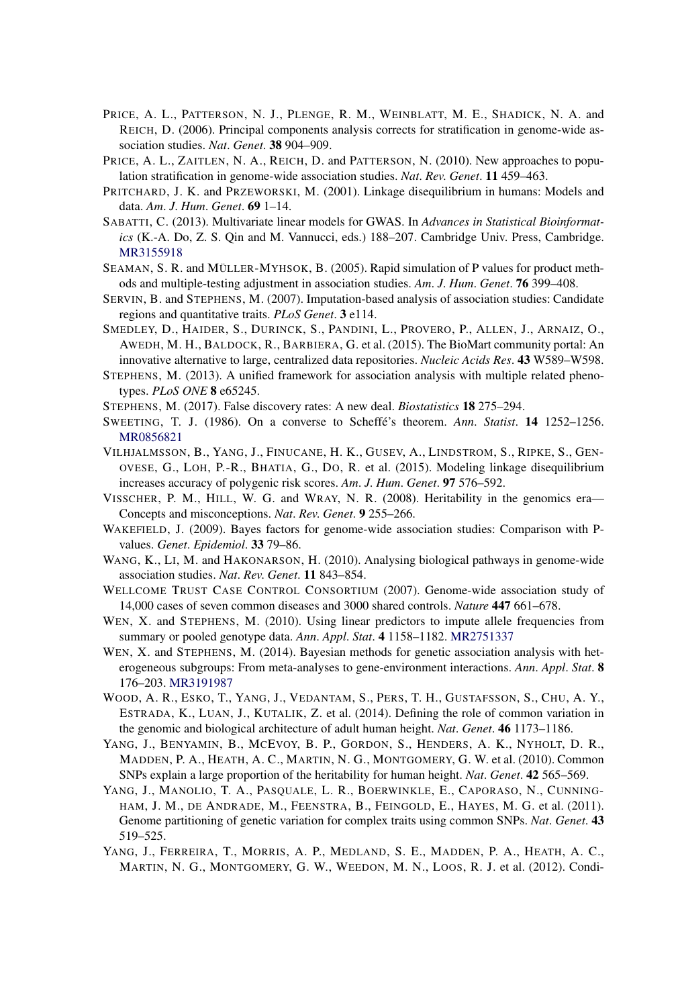- PRICE, A. L., PATTERSON, N. J., PLENGE, R. M., WEINBLATT, M. E., SHADICK, N. A. and REICH, D. (2006). Principal components analysis corrects for stratification in genome-wide association studies. *Nat*. *Genet*. **38** 904–909.
- PRICE, A. L., ZAITLEN, N. A., REICH, D. and PATTERSON, N. (2010). New approaches to population stratification in genome-wide association studies. *Nat*. *Rev*. *Genet*. **11** 459–463.
- PRITCHARD, J. K. and PRZEWORSKI, M. (2001). Linkage disequilibrium in humans: Models and data. *Am*. *J*. *Hum*. *Genet*. **69** 1–14.
- SABATTI, C. (2013). Multivariate linear models for GWAS. In *Advances in Statistical Bioinformatics* (K.-A. Do, Z. S. Qin and M. Vannucci, eds.) 188–207. Cambridge Univ. Press, Cambridge. [MR3155918](http://www.ams.org/mathscinet-getitem?mr=3155918)
- SEAMAN, S. R. and MÜLLER-MYHSOK, B. (2005). Rapid simulation of P values for product methods and multiple-testing adjustment in association studies. *Am*. *J*. *Hum*. *Genet*. **76** 399–408.
- SERVIN, B. and STEPHENS, M. (2007). Imputation-based analysis of association studies: Candidate regions and quantitative traits. *PLoS Genet*. **3** e114.
- SMEDLEY, D., HAIDER, S., DURINCK, S., PANDINI, L., PROVERO, P., ALLEN, J., ARNAIZ, O., AWEDH, M. H., BALDOCK, R., BARBIERA, G. et al. (2015). The BioMart community portal: An innovative alternative to large, centralized data repositories. *Nucleic Acids Res*. **43** W589–W598.
- STEPHENS, M. (2013). A unified framework for association analysis with multiple related phenotypes. *PLoS ONE* **8** e65245.
- STEPHENS, M. (2017). False discovery rates: A new deal. *Biostatistics* **18** 275–294.
- SWEETING, T. J. (1986). On a converse to Scheffé's theorem. *Ann*. *Statist*. **14** 1252–1256. [MR0856821](http://www.ams.org/mathscinet-getitem?mr=0856821)
- VILHJALMSSON, B., YANG, J., FINUCANE, H. K., GUSEV, A., LINDSTROM, S., RIPKE, S., GEN-OVESE, G., LOH, P.-R., BHATIA, G., DO, R. et al. (2015). Modeling linkage disequilibrium increases accuracy of polygenic risk scores. *Am*. *J*. *Hum*. *Genet*. **97** 576–592.
- VISSCHER, P. M., HILL, W. G. and WRAY, N. R. (2008). Heritability in the genomics era— Concepts and misconceptions. *Nat*. *Rev*. *Genet*. **9** 255–266.
- WAKEFIELD, J. (2009). Bayes factors for genome-wide association studies: Comparison with Pvalues. *Genet*. *Epidemiol*. **33** 79–86.
- WANG, K., LI, M. and HAKONARSON, H. (2010). Analysing biological pathways in genome-wide association studies. *Nat*. *Rev*. *Genet*. **11** 843–854.
- WELLCOME TRUST CASE CONTROL CONSORTIUM (2007). Genome-wide association study of 14,000 cases of seven common diseases and 3000 shared controls. *Nature* **447** 661–678.
- WEN, X. and STEPHENS, M. (2010). Using linear predictors to impute allele frequencies from summary or pooled genotype data. *Ann*. *Appl*. *Stat*. **4** 1158–1182. [MR2751337](http://www.ams.org/mathscinet-getitem?mr=2751337)
- WEN, X. and STEPHENS, M. (2014). Bayesian methods for genetic association analysis with heterogeneous subgroups: From meta-analyses to gene-environment interactions. *Ann*. *Appl*. *Stat*. **8** 176–203. [MR3191987](http://www.ams.org/mathscinet-getitem?mr=3191987)
- WOOD, A. R., ESKO, T., YANG, J., VEDANTAM, S., PERS, T. H., GUSTAFSSON, S., CHU, A. Y., ESTRADA, K., LUAN, J., KUTALIK, Z. et al. (2014). Defining the role of common variation in the genomic and biological architecture of adult human height. *Nat*. *Genet*. **46** 1173–1186.
- YANG, J., BENYAMIN, B., MCEVOY, B. P., GORDON, S., HENDERS, A. K., NYHOLT, D. R., MADDEN, P. A., HEATH, A. C., MARTIN, N. G., MONTGOMERY, G. W. et al. (2010). Common SNPs explain a large proportion of the heritability for human height. *Nat*. *Genet*. **42** 565–569.
- YANG, J., MANOLIO, T. A., PASQUALE, L. R., BOERWINKLE, E., CAPORASO, N., CUNNING-HAM, J. M., DE ANDRADE, M., FEENSTRA, B., FEINGOLD, E., HAYES, M. G. et al. (2011). Genome partitioning of genetic variation for complex traits using common SNPs. *Nat*. *Genet*. **43** 519–525.
- YANG, J., FERREIRA, T., MORRIS, A. P., MEDLAND, S. E., MADDEN, P. A., HEATH, A. C., MARTIN, N. G., MONTGOMERY, G. W., WEEDON, M. N., LOOS, R. J. et al. (2012). Condi-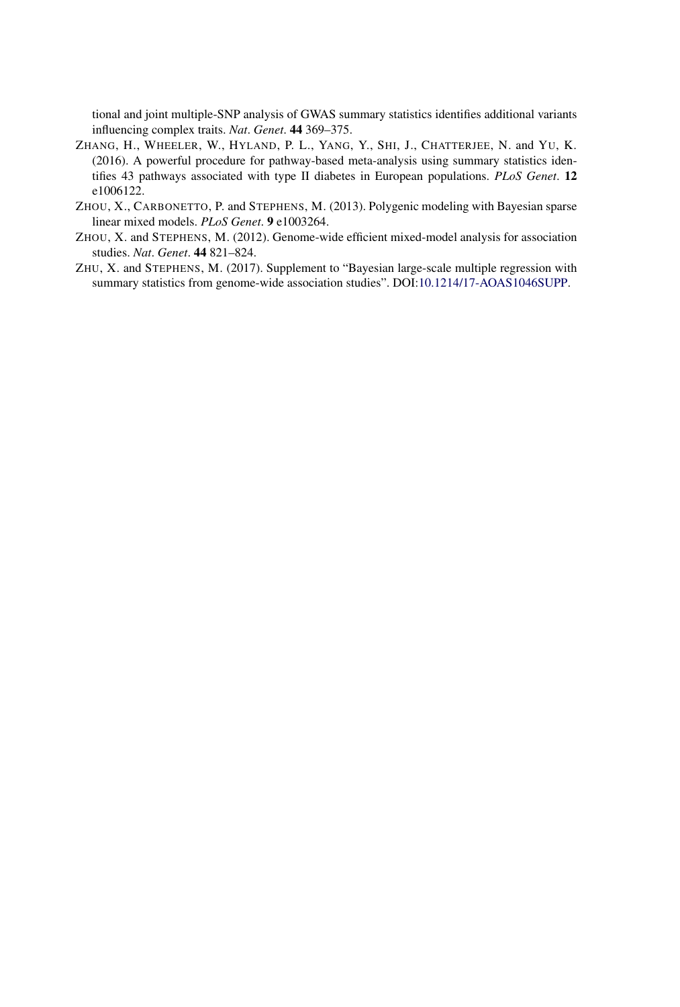tional and joint multiple-SNP analysis of GWAS summary statistics identifies additional variants influencing complex traits. *Nat*. *Genet*. **44** 369–375.

- ZHANG, H., WHEELER, W., HYLAND, P. L., YANG, Y., SHI, J., CHATTERJEE, N. and YU, K. (2016). A powerful procedure for pathway-based meta-analysis using summary statistics identifies 43 pathways associated with type II diabetes in European populations. *PLoS Genet*. **12** e1006122.
- ZHOU, X., CARBONETTO, P. and STEPHENS, M. (2013). Polygenic modeling with Bayesian sparse linear mixed models. *PLoS Genet*. **9** e1003264.
- ZHOU, X. and STEPHENS, M. (2012). Genome-wide efficient mixed-model analysis for association studies. *Nat*. *Genet*. **44** 821–824.
- ZHU, X. and STEPHENS, M. (2017). Supplement to "Bayesian large-scale multiple regression with summary statistics from genome-wide association studies". DOI[:10.1214/17-AOAS1046SUPP.](http://dx.doi.org/10.1214/17-AOAS1046SUPP)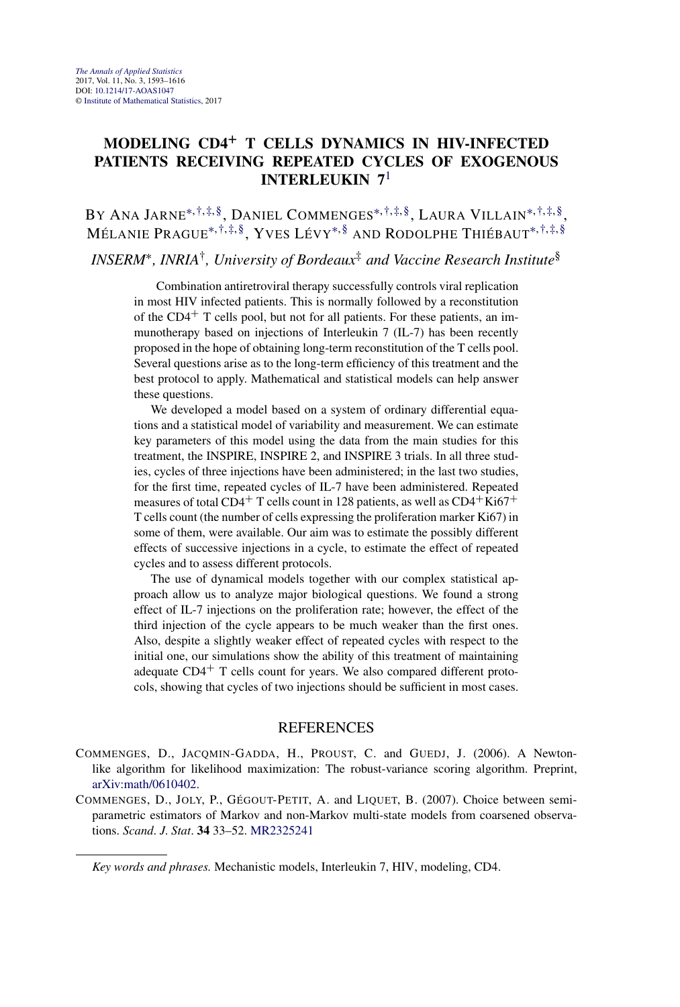# **MODELING CD4+ T CELLS DYNAMICS IN HIV-INFECTED PATIENTS RECEIVING REPEATED CYCLES OF EXOGENOUS INTERLEUKIN 7**[1](#page-75-0)

BY ANA JARNE<sup>[∗](#page-7-0),†,‡,§</sup>, DANIEL COMMENGES<sup>\*,†,‡,§</sup>, LAURA VILLAIN<sup>\*,†,‡,§</sup>, MÉLANIE PRAGUE<sup>\*, †,‡,§</sup>, YVES LÉVY<sup>\*,§</sup> AND RODOLPHE THIÉBAUT<sup>\*[,†,‡,§](#page-7-0)</sup>

*INSERM*∗*, INRIA*†*, University of Bordeaux*‡ *and Vaccine Research Institute*§

Combination antiretroviral therapy successfully controls viral replication in most HIV infected patients. This is normally followed by a reconstitution of the  $CD4<sup>+</sup>$  T cells pool, but not for all patients. For these patients, an immunotherapy based on injections of Interleukin 7 (IL-7) has been recently proposed in the hope of obtaining long-term reconstitution of the T cells pool. Several questions arise as to the long-term efficiency of this treatment and the best protocol to apply. Mathematical and statistical models can help answer these questions.

We developed a model based on a system of ordinary differential equations and a statistical model of variability and measurement. We can estimate key parameters of this model using the data from the main studies for this treatment, the INSPIRE, INSPIRE 2, and INSPIRE 3 trials. In all three studies, cycles of three injections have been administered; in the last two studies, for the first time, repeated cycles of IL-7 have been administered. Repeated measures of total CD4<sup>+</sup> T cells count in 128 patients, as well as  $CD4+Ki67+$ T cells count (the number of cells expressing the proliferation marker Ki67) in some of them, were available. Our aim was to estimate the possibly different effects of successive injections in a cycle, to estimate the effect of repeated cycles and to assess different protocols.

The use of dynamical models together with our complex statistical approach allow us to analyze major biological questions. We found a strong effect of IL-7 injections on the proliferation rate; however, the effect of the third injection of the cycle appears to be much weaker than the first ones. Also, despite a slightly weaker effect of repeated cycles with respect to the initial one, our simulations show the ability of this treatment of maintaining adequate  $CD4<sup>+</sup>$  T cells count for years. We also compared different protocols, showing that cycles of two injections should be sufficient in most cases.

- COMMENGES, D., JACQMIN-GADDA, H., PROUST, C. and GUEDJ, J. (2006). A Newtonlike algorithm for likelihood maximization: The robust-variance scoring algorithm. Preprint, [arXiv:math/0610402](http://arxiv.org/abs/arXiv:math/0610402).
- COMMENGES, D., JOLY, P., GÉGOUT-PETIT, A. and LIQUET, B. (2007). Choice between semiparametric estimators of Markov and non-Markov multi-state models from coarsened observations. *Scand*. *J*. *Stat*. **34** 33–52. [MR2325241](http://www.ams.org/mathscinet-getitem?mr=2325241)

*Key words and phrases.* Mechanistic models, Interleukin 7, HIV, modeling, CD4.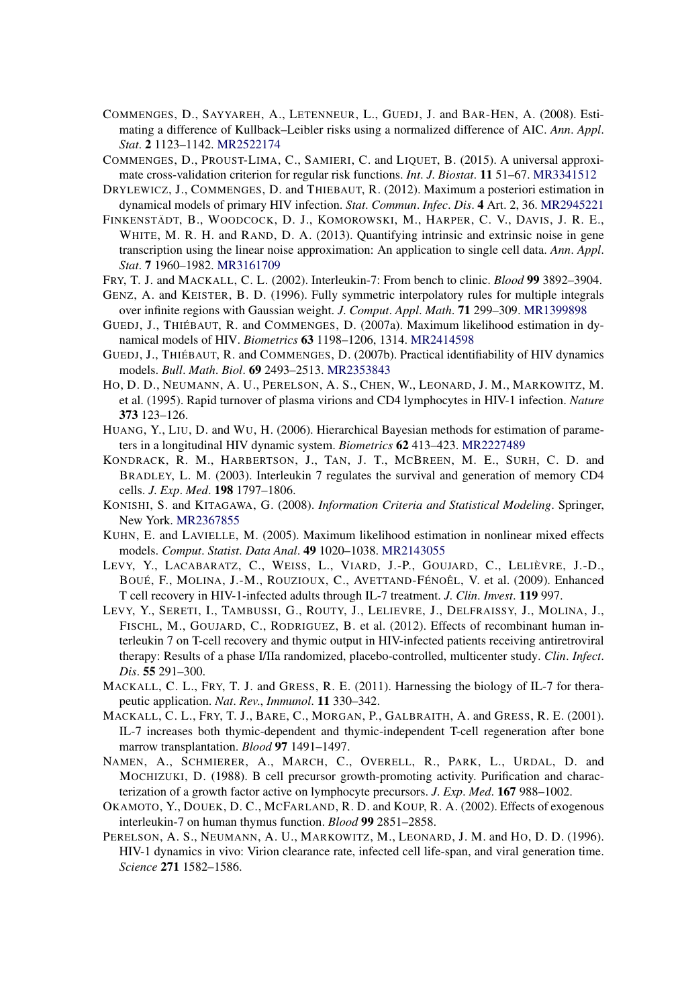- COMMENGES, D., SAYYAREH, A., LETENNEUR, L., GUEDJ, J. and BAR-HEN, A. (2008). Estimating a difference of Kullback–Leibler risks using a normalized difference of AIC. *Ann*. *Appl*. *Stat*. **2** 1123–1142. [MR2522174](http://www.ams.org/mathscinet-getitem?mr=2522174)
- COMMENGES, D., PROUST-LIMA, C., SAMIERI, C. and LIQUET, B. (2015). A universal approximate cross-validation criterion for regular risk functions. *Int*. *J*. *Biostat*. **11** 51–67. [MR3341512](http://www.ams.org/mathscinet-getitem?mr=3341512)
- DRYLEWICZ, J., COMMENGES, D. and THIEBAUT, R. (2012). Maximum a posteriori estimation in dynamical models of primary HIV infection. *Stat*. *Commun*. *Infec*. *Dis*. **4** Art. 2, 36. [MR2945221](http://www.ams.org/mathscinet-getitem?mr=2945221)
- FINKENSTÄDT, B., WOODCOCK, D. J., KOMOROWSKI, M., HARPER, C. V., DAVIS, J. R. E., WHITE, M. R. H. and RAND, D. A. (2013). Quantifying intrinsic and extrinsic noise in gene transcription using the linear noise approximation: An application to single cell data. *Ann*. *Appl*. *Stat*. **7** 1960–1982. [MR3161709](http://www.ams.org/mathscinet-getitem?mr=3161709)
- FRY, T. J. and MACKALL, C. L. (2002). Interleukin-7: From bench to clinic. *Blood* **99** 3892–3904.
- GENZ, A. and KEISTER, B. D. (1996). Fully symmetric interpolatory rules for multiple integrals over infinite regions with Gaussian weight. *J*. *Comput*. *Appl*. *Math*. **71** 299–309. [MR1399898](http://www.ams.org/mathscinet-getitem?mr=1399898)
- GUEDJ, J., THIÉBAUT, R. and COMMENGES, D. (2007a). Maximum likelihood estimation in dynamical models of HIV. *Biometrics* **63** 1198–1206, 1314. [MR2414598](http://www.ams.org/mathscinet-getitem?mr=2414598)
- GUEDJ, J., THIÉBAUT, R. and COMMENGES, D. (2007b). Practical identifiability of HIV dynamics models. *Bull*. *Math*. *Biol*. **69** 2493–2513. [MR2353843](http://www.ams.org/mathscinet-getitem?mr=2353843)
- HO, D. D., NEUMANN, A. U., PERELSON, A. S., CHEN, W., LEONARD, J. M., MARKOWITZ, M. et al. (1995). Rapid turnover of plasma virions and CD4 lymphocytes in HIV-1 infection. *Nature* **373** 123–126.
- HUANG, Y., LIU, D. and WU, H. (2006). Hierarchical Bayesian methods for estimation of parameters in a longitudinal HIV dynamic system. *Biometrics* **62** 413–423. [MR2227489](http://www.ams.org/mathscinet-getitem?mr=2227489)
- KONDRACK, R. M., HARBERTSON, J., TAN, J. T., MCBREEN, M. E., SURH, C. D. and BRADLEY, L. M. (2003). Interleukin 7 regulates the survival and generation of memory CD4 cells. *J*. *Exp*. *Med*. **198** 1797–1806.
- KONISHI, S. and KITAGAWA, G. (2008). *Information Criteria and Statistical Modeling*. Springer, New York. [MR2367855](http://www.ams.org/mathscinet-getitem?mr=2367855)
- KUHN, E. and LAVIELLE, M. (2005). Maximum likelihood estimation in nonlinear mixed effects models. *Comput*. *Statist*. *Data Anal*. **49** 1020–1038. [MR2143055](http://www.ams.org/mathscinet-getitem?mr=2143055)
- LEVY, Y., LACABARATZ, C., WEISS, L., VIARD, J.-P., GOUJARD, C., LELIÈVRE, J.-D., BOUÉ, F., MOLINA, J.-M., ROUZIOUX, C., AVETTAND-FÉNOÊL, V. et al. (2009). Enhanced T cell recovery in HIV-1-infected adults through IL-7 treatment. *J*. *Clin*. *Invest*. **119** 997.
- LEVY, Y., SERETI, I., TAMBUSSI, G., ROUTY, J., LELIEVRE, J., DELFRAISSY, J., MOLINA, J., FISCHL, M., GOUJARD, C., RODRIGUEZ, B. et al. (2012). Effects of recombinant human interleukin 7 on T-cell recovery and thymic output in HIV-infected patients receiving antiretroviral therapy: Results of a phase I/IIa randomized, placebo-controlled, multicenter study. *Clin*. *Infect*. *Dis*. **55** 291–300.
- MACKALL, C. L., FRY, T. J. and GRESS, R. E. (2011). Harnessing the biology of IL-7 for therapeutic application. *Nat*. *Rev*., *Immunol*. **11** 330–342.
- MACKALL, C. L., FRY, T. J., BARE, C., MORGAN, P., GALBRAITH, A. and GRESS, R. E. (2001). IL-7 increases both thymic-dependent and thymic-independent T-cell regeneration after bone marrow transplantation. *Blood* **97** 1491–1497.
- NAMEN, A., SCHMIERER, A., MARCH, C., OVERELL, R., PARK, L., URDAL, D. and MOCHIZUKI, D. (1988). B cell precursor growth-promoting activity. Purification and characterization of a growth factor active on lymphocyte precursors. *J*. *Exp*. *Med*. **167** 988–1002.
- OKAMOTO, Y., DOUEK, D. C., MCFARLAND, R. D. and KOUP, R. A. (2002). Effects of exogenous interleukin-7 on human thymus function. *Blood* **99** 2851–2858.
- PERELSON, A. S., NEUMANN, A. U., MARKOWITZ, M., LEONARD, J. M. and HO, D. D. (1996). HIV-1 dynamics in vivo: Virion clearance rate, infected cell life-span, and viral generation time. *Science* **271** 1582–1586.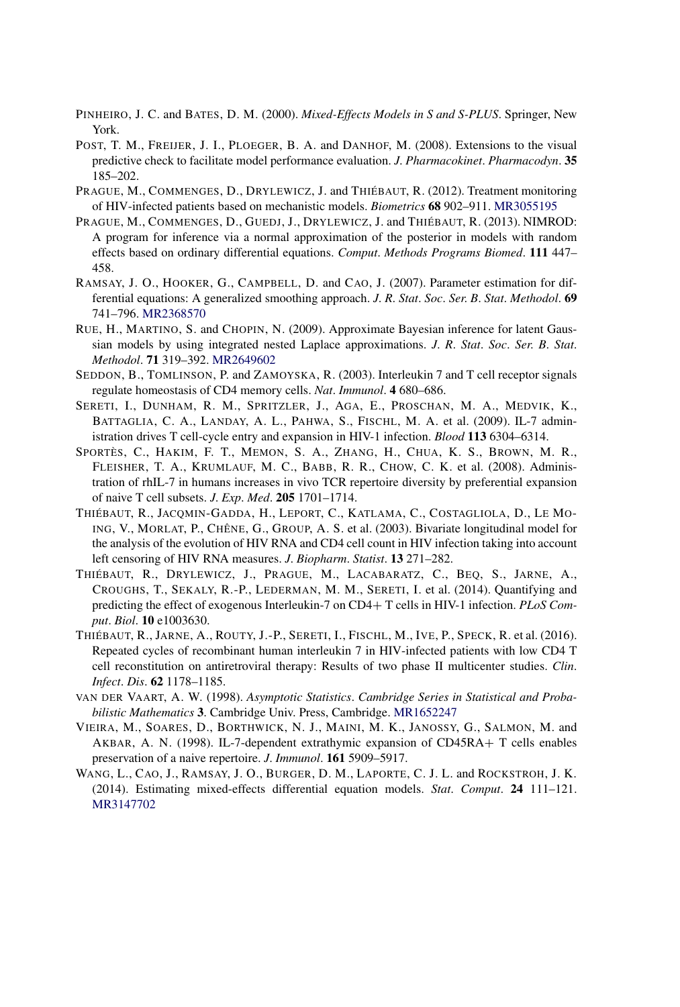- PINHEIRO, J. C. and BATES, D. M. (2000). *Mixed-Effects Models in S and S-PLUS*. Springer, New York.
- POST, T. M., FREIJER, J. I., PLOEGER, B. A. and DANHOF, M. (2008). Extensions to the visual predictive check to facilitate model performance evaluation. *J*. *Pharmacokinet*. *Pharmacodyn*. **35** 185–202.
- PRAGUE, M., COMMENGES, D., DRYLEWICZ, J. and THIÉBAUT, R. (2012). Treatment monitoring of HIV-infected patients based on mechanistic models. *Biometrics* **68** 902–911. [MR3055195](http://www.ams.org/mathscinet-getitem?mr=3055195)
- PRAGUE, M., COMMENGES, D., GUEDJ, J., DRYLEWICZ, J. and THIÉBAUT, R. (2013). NIMROD: A program for inference via a normal approximation of the posterior in models with random effects based on ordinary differential equations. *Comput*. *Methods Programs Biomed*. **111** 447– 458.
- RAMSAY, J. O., HOOKER, G., CAMPBELL, D. and CAO, J. (2007). Parameter estimation for differential equations: A generalized smoothing approach. *J*. *R*. *Stat*. *Soc*. *Ser*. *B*. *Stat*. *Methodol*. **69** 741–796. [MR2368570](http://www.ams.org/mathscinet-getitem?mr=2368570)
- RUE, H., MARTINO, S. and CHOPIN, N. (2009). Approximate Bayesian inference for latent Gaussian models by using integrated nested Laplace approximations. *J*. *R*. *Stat*. *Soc*. *Ser*. *B*. *Stat*. *Methodol*. **71** 319–392. [MR2649602](http://www.ams.org/mathscinet-getitem?mr=2649602)
- SEDDON, B., TOMLINSON, P. and ZAMOYSKA, R. (2003). Interleukin 7 and T cell receptor signals regulate homeostasis of CD4 memory cells. *Nat*. *Immunol*. **4** 680–686.
- SERETI, I., DUNHAM, R. M., SPRITZLER, J., AGA, E., PROSCHAN, M. A., MEDVIK, K., BATTAGLIA, C. A., LANDAY, A. L., PAHWA, S., FISCHL, M. A. et al. (2009). IL-7 administration drives T cell-cycle entry and expansion in HIV-1 infection. *Blood* **113** 6304–6314.
- SPORTÈS, C., HAKIM, F. T., MEMON, S. A., ZHANG, H., CHUA, K. S., BROWN, M. R., FLEISHER, T. A., KRUMLAUF, M. C., BABB, R. R., CHOW, C. K. et al. (2008). Administration of rhIL-7 in humans increases in vivo TCR repertoire diversity by preferential expansion of naive T cell subsets. *J*. *Exp*. *Med*. **205** 1701–1714.
- THIÉBAUT, R., JACQMIN-GADDA, H., LEPORT, C., KATLAMA, C., COSTAGLIOLA, D., LE MO-ING, V., MORLAT, P., CHÊNE, G., GROUP, A. S. et al. (2003). Bivariate longitudinal model for the analysis of the evolution of HIV RNA and CD4 cell count in HIV infection taking into account left censoring of HIV RNA measures. *J*. *Biopharm*. *Statist*. **13** 271–282.
- THIÉBAUT, R., DRYLEWICZ, J., PRAGUE, M., LACABARATZ, C., BEQ, S., JARNE, A., CROUGHS, T., SEKALY, R.-P., LEDERMAN, M. M., SERETI, I. et al. (2014). Quantifying and predicting the effect of exogenous Interleukin-7 on CD4+ T cells in HIV-1 infection. *PLoS Comput*. *Biol*. **10** e1003630.
- THIÉBAUT, R., JARNE, A., ROUTY, J.-P., SERETI, I., FISCHL, M., IVE, P., SPECK, R. et al. (2016). Repeated cycles of recombinant human interleukin 7 in HIV-infected patients with low CD4 T cell reconstitution on antiretroviral therapy: Results of two phase II multicenter studies. *Clin*. *Infect*. *Dis*. **62** 1178–1185.
- VAN DER VAART, A. W. (1998). *Asymptotic Statistics*. *Cambridge Series in Statistical and Probabilistic Mathematics* **3**. Cambridge Univ. Press, Cambridge. [MR1652247](http://www.ams.org/mathscinet-getitem?mr=1652247)
- VIEIRA, M., SOARES, D., BORTHWICK, N. J., MAINI, M. K., JANOSSY, G., SALMON, M. and AKBAR, A. N. (1998). IL-7-dependent extrathymic expansion of CD45RA+ T cells enables preservation of a naive repertoire. *J*. *Immunol*. **161** 5909–5917.
- WANG, L., CAO, J., RAMSAY, J. O., BURGER, D. M., LAPORTE, C. J. L. and ROCKSTROH, J. K. (2014). Estimating mixed-effects differential equation models. *Stat*. *Comput*. **24** 111–121. [MR3147702](http://www.ams.org/mathscinet-getitem?mr=3147702)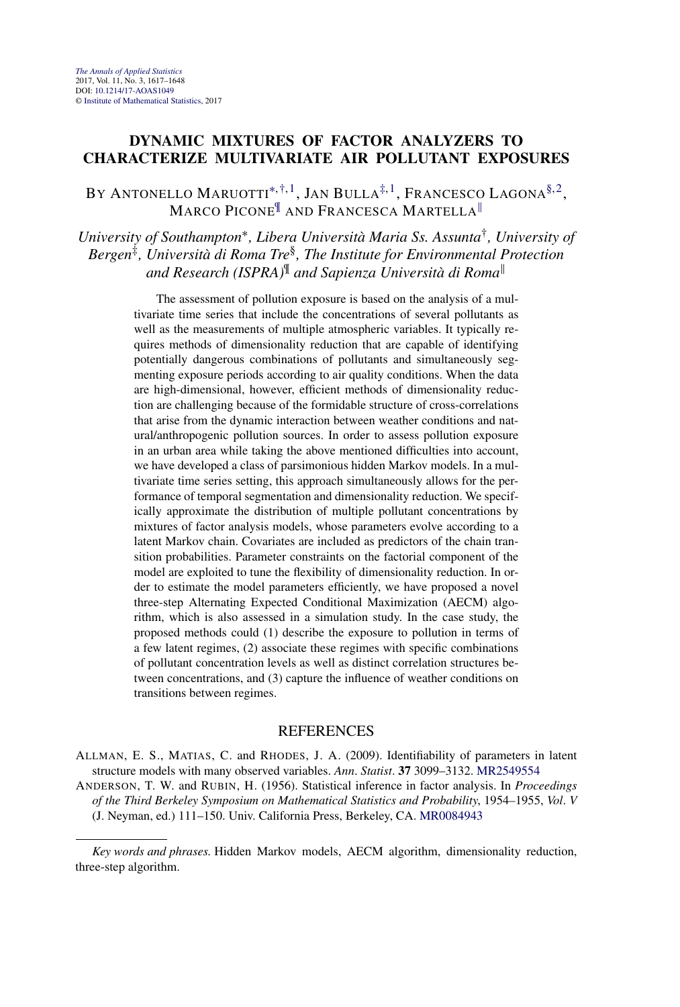### **DYNAMIC MIXTURES OF FACTOR ANALYZERS TO CHARACTERIZE MULTIVARIATE AIR POLLUTANT EXPOSURES**

# BY ANTONELLO MARUOTTI<sup>\*,[†,](#page-7-0)1</sup>, JAN BULLA<sup>[‡,](#page-7-0)1</sup>, FRANCESCO LAGONA<sup>[§,](#page-7-0)2</sup>, MARCO PICONE<sup>T</sup> AND FRANCESCA MARTELLA<sup>II</sup>

*University of Southampton*∗*, Libera Università Maria Ss. Assunta*†*, University of Bergen*‡*, Università di Roma Tre*§*, The Institute for Environmental Protection and Research (ISPRA)*¶ *and Sapienza Università di Roma*

> The assessment of pollution exposure is based on the analysis of a multivariate time series that include the concentrations of several pollutants as well as the measurements of multiple atmospheric variables. It typically requires methods of dimensionality reduction that are capable of identifying potentially dangerous combinations of pollutants and simultaneously segmenting exposure periods according to air quality conditions. When the data are high-dimensional, however, efficient methods of dimensionality reduction are challenging because of the formidable structure of cross-correlations that arise from the dynamic interaction between weather conditions and natural/anthropogenic pollution sources. In order to assess pollution exposure in an urban area while taking the above mentioned difficulties into account, we have developed a class of parsimonious hidden Markov models. In a multivariate time series setting, this approach simultaneously allows for the performance of temporal segmentation and dimensionality reduction. We specifically approximate the distribution of multiple pollutant concentrations by mixtures of factor analysis models, whose parameters evolve according to a latent Markov chain. Covariates are included as predictors of the chain transition probabilities. Parameter constraints on the factorial component of the model are exploited to tune the flexibility of dimensionality reduction. In order to estimate the model parameters efficiently, we have proposed a novel three-step Alternating Expected Conditional Maximization (AECM) algorithm, which is also assessed in a simulation study. In the case study, the proposed methods could (1) describe the exposure to pollution in terms of a few latent regimes, (2) associate these regimes with specific combinations of pollutant concentration levels as well as distinct correlation structures between concentrations, and (3) capture the influence of weather conditions on transitions between regimes.

#### REFERENCES

ALLMAN, E. S., MATIAS, C. and RHODES, J. A. (2009). Identifiability of parameters in latent structure models with many observed variables. *Ann*. *Statist*. **37** 3099–3132. [MR2549554](http://www.ams.org/mathscinet-getitem?mr=2549554)

ANDERSON, T. W. and RUBIN, H. (1956). Statistical inference in factor analysis. In *Proceedings of the Third Berkeley Symposium on Mathematical Statistics and Probability*, 1954*–*1955, *Vol*. *V* (J. Neyman, ed.) 111–150. Univ. California Press, Berkeley, CA. [MR0084943](http://www.ams.org/mathscinet-getitem?mr=0084943)

*Key words and phrases.* Hidden Markov models, AECM algorithm, dimensionality reduction, three-step algorithm.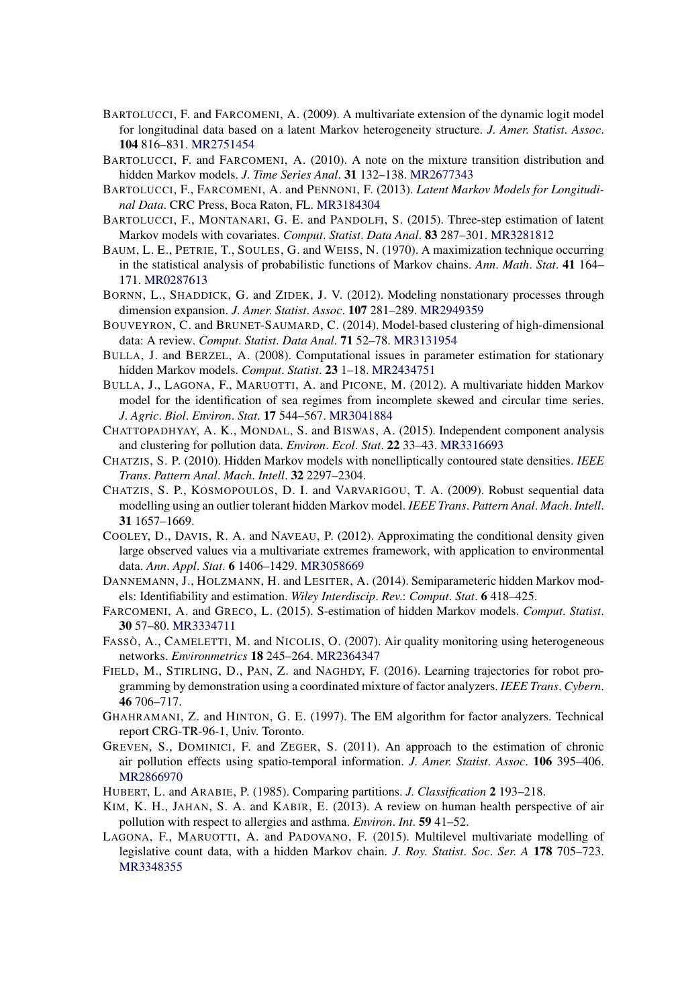- BARTOLUCCI, F. and FARCOMENI, A. (2009). A multivariate extension of the dynamic logit model for longitudinal data based on a latent Markov heterogeneity structure. *J*. *Amer*. *Statist*. *Assoc*. **104** 816–831. [MR2751454](http://www.ams.org/mathscinet-getitem?mr=2751454)
- BARTOLUCCI, F. and FARCOMENI, A. (2010). A note on the mixture transition distribution and hidden Markov models. *J*. *Time Series Anal*. **31** 132–138. [MR2677343](http://www.ams.org/mathscinet-getitem?mr=2677343)
- BARTOLUCCI, F., FARCOMENI, A. and PENNONI, F. (2013). *Latent Markov Models for Longitudinal Data*. CRC Press, Boca Raton, FL. [MR3184304](http://www.ams.org/mathscinet-getitem?mr=3184304)
- BARTOLUCCI, F., MONTANARI, G. E. and PANDOLFI, S. (2015). Three-step estimation of latent Markov models with covariates. *Comput*. *Statist*. *Data Anal*. **83** 287–301. [MR3281812](http://www.ams.org/mathscinet-getitem?mr=3281812)
- BAUM, L. E., PETRIE, T., SOULES, G. and WEISS, N. (1970). A maximization technique occurring in the statistical analysis of probabilistic functions of Markov chains. *Ann*. *Math*. *Stat*. **41** 164– 171. [MR0287613](http://www.ams.org/mathscinet-getitem?mr=0287613)
- BORNN, L., SHADDICK, G. and ZIDEK, J. V. (2012). Modeling nonstationary processes through dimension expansion. *J*. *Amer*. *Statist*. *Assoc*. **107** 281–289. [MR2949359](http://www.ams.org/mathscinet-getitem?mr=2949359)
- BOUVEYRON, C. and BRUNET-SAUMARD, C. (2014). Model-based clustering of high-dimensional data: A review. *Comput*. *Statist*. *Data Anal*. **71** 52–78. [MR3131954](http://www.ams.org/mathscinet-getitem?mr=3131954)
- BULLA, J. and BERZEL, A. (2008). Computational issues in parameter estimation for stationary hidden Markov models. *Comput*. *Statist*. **23** 1–18. [MR2434751](http://www.ams.org/mathscinet-getitem?mr=2434751)
- BULLA, J., LAGONA, F., MARUOTTI, A. and PICONE, M. (2012). A multivariate hidden Markov model for the identification of sea regimes from incomplete skewed and circular time series. *J*. *Agric*. *Biol*. *Environ*. *Stat*. **17** 544–567. [MR3041884](http://www.ams.org/mathscinet-getitem?mr=3041884)
- CHATTOPADHYAY, A. K., MONDAL, S. and BISWAS, A. (2015). Independent component analysis and clustering for pollution data. *Environ*. *Ecol*. *Stat*. **22** 33–43. [MR3316693](http://www.ams.org/mathscinet-getitem?mr=3316693)
- CHATZIS, S. P. (2010). Hidden Markov models with nonelliptically contoured state densities. *IEEE Trans*. *Pattern Anal*. *Mach*. *Intell*. **32** 2297–2304.
- CHATZIS, S. P., KOSMOPOULOS, D. I. and VARVARIGOU, T. A. (2009). Robust sequential data modelling using an outlier tolerant hidden Markov model. *IEEE Trans*. *Pattern Anal*. *Mach*. *Intell*. **31** 1657–1669.
- COOLEY, D., DAVIS, R. A. and NAVEAU, P. (2012). Approximating the conditional density given large observed values via a multivariate extremes framework, with application to environmental data. *Ann*. *Appl*. *Stat*. **6** 1406–1429. [MR3058669](http://www.ams.org/mathscinet-getitem?mr=3058669)
- DANNEMANN, J., HOLZMANN, H. and LESITER, A. (2014). Semiparameteric hidden Markov models: Identifiability and estimation. *Wiley Interdiscip*. *Rev*.: *Comput*. *Stat*. **6** 418–425.
- FARCOMENI, A. and GRECO, L. (2015). S-estimation of hidden Markov models. *Comput*. *Statist*. **30** 57–80. [MR3334711](http://www.ams.org/mathscinet-getitem?mr=3334711)
- FASSÒ, A., CAMELETTI, M. and NICOLIS, O. (2007). Air quality monitoring using heterogeneous networks. *Environmetrics* **18** 245–264. [MR2364347](http://www.ams.org/mathscinet-getitem?mr=2364347)
- FIELD, M., STIRLING, D., PAN, Z. and NAGHDY, F. (2016). Learning trajectories for robot programming by demonstration using a coordinated mixture of factor analyzers. *IEEE Trans*. *Cybern*. **46** 706–717.
- GHAHRAMANI, Z. and HINTON, G. E. (1997). The EM algorithm for factor analyzers. Technical report CRG-TR-96-1, Univ. Toronto.
- GREVEN, S., DOMINICI, F. and ZEGER, S. (2011). An approach to the estimation of chronic air pollution effects using spatio-temporal information. *J*. *Amer*. *Statist*. *Assoc*. **106** 395–406. [MR2866970](http://www.ams.org/mathscinet-getitem?mr=2866970)
- HUBERT, L. and ARABIE, P. (1985). Comparing partitions. *J*. *Classification* **2** 193–218.
- KIM, K. H., JAHAN, S. A. and KABIR, E. (2013). A review on human health perspective of air pollution with respect to allergies and asthma. *Environ*. *Int*. **59** 41–52.
- LAGONA, F., MARUOTTI, A. and PADOVANO, F. (2015). Multilevel multivariate modelling of legislative count data, with a hidden Markov chain. *J*. *Roy*. *Statist*. *Soc*. *Ser*. *A* **178** 705–723. [MR3348355](http://www.ams.org/mathscinet-getitem?mr=3348355)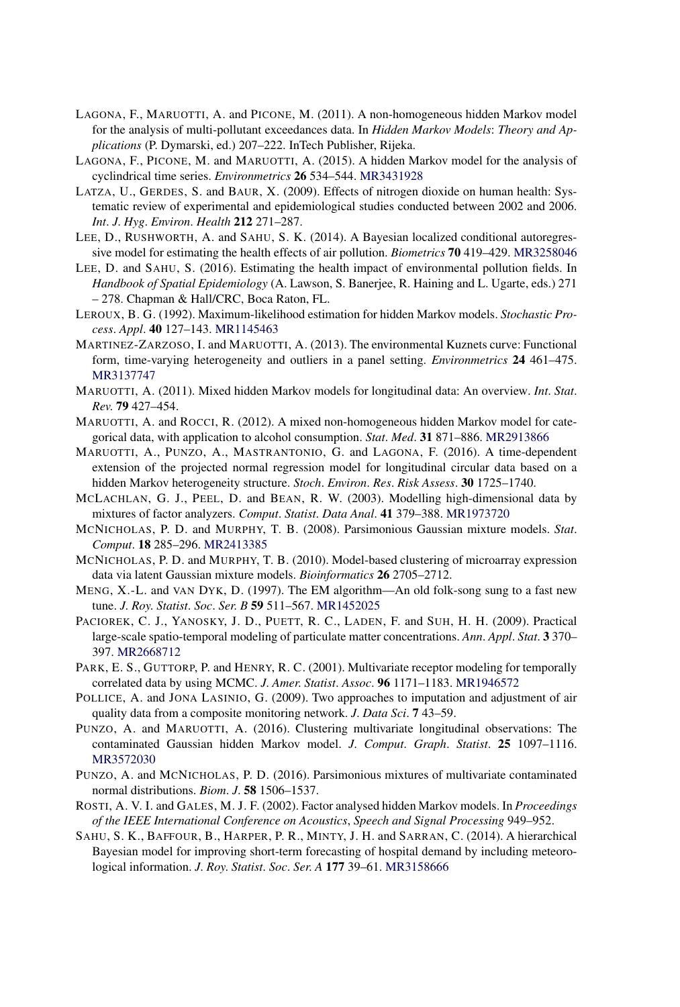- LAGONA, F., MARUOTTI, A. and PICONE, M. (2011). A non-homogeneous hidden Markov model for the analysis of multi-pollutant exceedances data. In *Hidden Markov Models*: *Theory and Applications* (P. Dymarski, ed.) 207–222. InTech Publisher, Rijeka.
- LAGONA, F., PICONE, M. and MARUOTTI, A. (2015). A hidden Markov model for the analysis of cyclindrical time series. *Environmetrics* **26** 534–544. [MR3431928](http://www.ams.org/mathscinet-getitem?mr=3431928)
- LATZA, U., GERDES, S. and BAUR, X. (2009). Effects of nitrogen dioxide on human health: Systematic review of experimental and epidemiological studies conducted between 2002 and 2006. *Int*. *J*. *Hyg*. *Environ*. *Health* **212** 271–287.
- LEE, D., RUSHWORTH, A. and SAHU, S. K. (2014). A Bayesian localized conditional autoregressive model for estimating the health effects of air pollution. *Biometrics* **70** 419–429. [MR3258046](http://www.ams.org/mathscinet-getitem?mr=3258046)
- LEE, D. and SAHU, S. (2016). Estimating the health impact of environmental pollution fields. In *Handbook of Spatial Epidemiology* (A. Lawson, S. Banerjee, R. Haining and L. Ugarte, eds.) 271 – 278. Chapman & Hall/CRC, Boca Raton, FL.
- LEROUX, B. G. (1992). Maximum-likelihood estimation for hidden Markov models. *Stochastic Process*. *Appl*. **40** 127–143. [MR1145463](http://www.ams.org/mathscinet-getitem?mr=1145463)
- MARTINEZ-ZARZOSO, I. and MARUOTTI, A. (2013). The environmental Kuznets curve: Functional form, time-varying heterogeneity and outliers in a panel setting. *Environmetrics* **24** 461–475. [MR3137747](http://www.ams.org/mathscinet-getitem?mr=3137747)
- MARUOTTI, A. (2011). Mixed hidden Markov models for longitudinal data: An overview. *Int*. *Stat*. *Rev*. **79** 427–454.
- MARUOTTI, A. and ROCCI, R. (2012). A mixed non-homogeneous hidden Markov model for categorical data, with application to alcohol consumption. *Stat*. *Med*. **31** 871–886. [MR2913866](http://www.ams.org/mathscinet-getitem?mr=2913866)
- MARUOTTI, A., PUNZO, A., MASTRANTONIO, G. and LAGONA, F. (2016). A time-dependent extension of the projected normal regression model for longitudinal circular data based on a hidden Markov heterogeneity structure. *Stoch*. *Environ*. *Res*. *Risk Assess*. **30** 1725–1740.
- MCLACHLAN, G. J., PEEL, D. and BEAN, R. W. (2003). Modelling high-dimensional data by mixtures of factor analyzers. *Comput*. *Statist*. *Data Anal*. **41** 379–388. [MR1973720](http://www.ams.org/mathscinet-getitem?mr=1973720)
- MCNICHOLAS, P. D. and MURPHY, T. B. (2008). Parsimonious Gaussian mixture models. *Stat*. *Comput*. **18** 285–296. [MR2413385](http://www.ams.org/mathscinet-getitem?mr=2413385)
- MCNICHOLAS, P. D. and MURPHY, T. B. (2010). Model-based clustering of microarray expression data via latent Gaussian mixture models. *Bioinformatics* **26** 2705–2712.
- MENG, X.-L. and VAN DYK, D. (1997). The EM algorithm—An old folk-song sung to a fast new tune. *J*. *Roy*. *Statist*. *Soc*. *Ser*. *B* **59** 511–567. [MR1452025](http://www.ams.org/mathscinet-getitem?mr=1452025)
- PACIOREK, C. J., YANOSKY, J. D., PUETT, R. C., LADEN, F. and SUH, H. H. (2009). Practical large-scale spatio-temporal modeling of particulate matter concentrations. *Ann*. *Appl*. *Stat*. **3** 370– 397. [MR2668712](http://www.ams.org/mathscinet-getitem?mr=2668712)
- PARK, E. S., GUTTORP, P. and HENRY, R. C. (2001). Multivariate receptor modeling for temporally correlated data by using MCMC. *J*. *Amer*. *Statist*. *Assoc*. **96** 1171–1183. [MR1946572](http://www.ams.org/mathscinet-getitem?mr=1946572)
- POLLICE, A. and JONA LASINIO, G. (2009). Two approaches to imputation and adjustment of air quality data from a composite monitoring network. *J*. *Data Sci*. **7** 43–59.
- PUNZO, A. and MARUOTTI, A. (2016). Clustering multivariate longitudinal observations: The contaminated Gaussian hidden Markov model. *J*. *Comput*. *Graph*. *Statist*. **25** 1097–1116. [MR3572030](http://www.ams.org/mathscinet-getitem?mr=3572030)
- PUNZO, A. and MCNICHOLAS, P. D. (2016). Parsimonious mixtures of multivariate contaminated normal distributions. *Biom*. *J*. **58** 1506–1537.
- ROSTI, A. V. I. and GALES, M. J. F. (2002). Factor analysed hidden Markov models. In *Proceedings of the IEEE International Conference on Acoustics*, *Speech and Signal Processing* 949–952.
- SAHU, S. K., BAFFOUR, B., HARPER, P. R., MINTY, J. H. and SARRAN, C. (2014). A hierarchical Bayesian model for improving short-term forecasting of hospital demand by including meteorological information. *J*. *Roy*. *Statist*. *Soc*. *Ser*. *A* **177** 39–61. [MR3158666](http://www.ams.org/mathscinet-getitem?mr=3158666)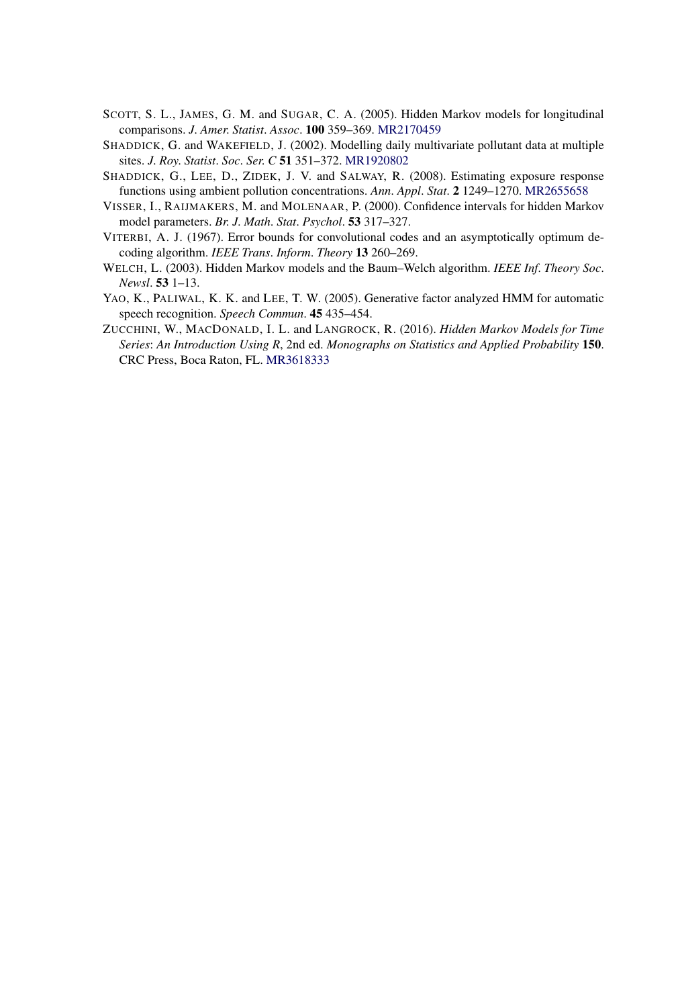- SCOTT, S. L., JAMES, G. M. and SUGAR, C. A. (2005). Hidden Markov models for longitudinal comparisons. *J*. *Amer*. *Statist*. *Assoc*. **100** 359–369. [MR2170459](http://www.ams.org/mathscinet-getitem?mr=2170459)
- SHADDICK, G. and WAKEFIELD, J. (2002). Modelling daily multivariate pollutant data at multiple sites. *J*. *Roy*. *Statist*. *Soc*. *Ser*. *C* **51** 351–372. [MR1920802](http://www.ams.org/mathscinet-getitem?mr=1920802)
- SHADDICK, G., LEE, D., ZIDEK, J. V. and SALWAY, R. (2008). Estimating exposure response functions using ambient pollution concentrations. *Ann*. *Appl*. *Stat*. **2** 1249–1270. [MR2655658](http://www.ams.org/mathscinet-getitem?mr=2655658)
- VISSER, I., RAIJMAKERS, M. and MOLENAAR, P. (2000). Confidence intervals for hidden Markov model parameters. *Br*. *J*. *Math*. *Stat*. *Psychol*. **53** 317–327.
- VITERBI, A. J. (1967). Error bounds for convolutional codes and an asymptotically optimum decoding algorithm. *IEEE Trans*. *Inform*. *Theory* **13** 260–269.
- WELCH, L. (2003). Hidden Markov models and the Baum–Welch algorithm. *IEEE Inf*. *Theory Soc*. *Newsl*. **53** 1–13.
- YAO, K., PALIWAL, K. K. and LEE, T. W. (2005). Generative factor analyzed HMM for automatic speech recognition. *Speech Commun*. **45** 435–454.
- ZUCCHINI, W., MACDONALD, I. L. and LANGROCK, R. (2016). *Hidden Markov Models for Time Series*: *An Introduction Using R*, 2nd ed. *Monographs on Statistics and Applied Probability* **150**. CRC Press, Boca Raton, FL. [MR3618333](http://www.ams.org/mathscinet-getitem?mr=3618333)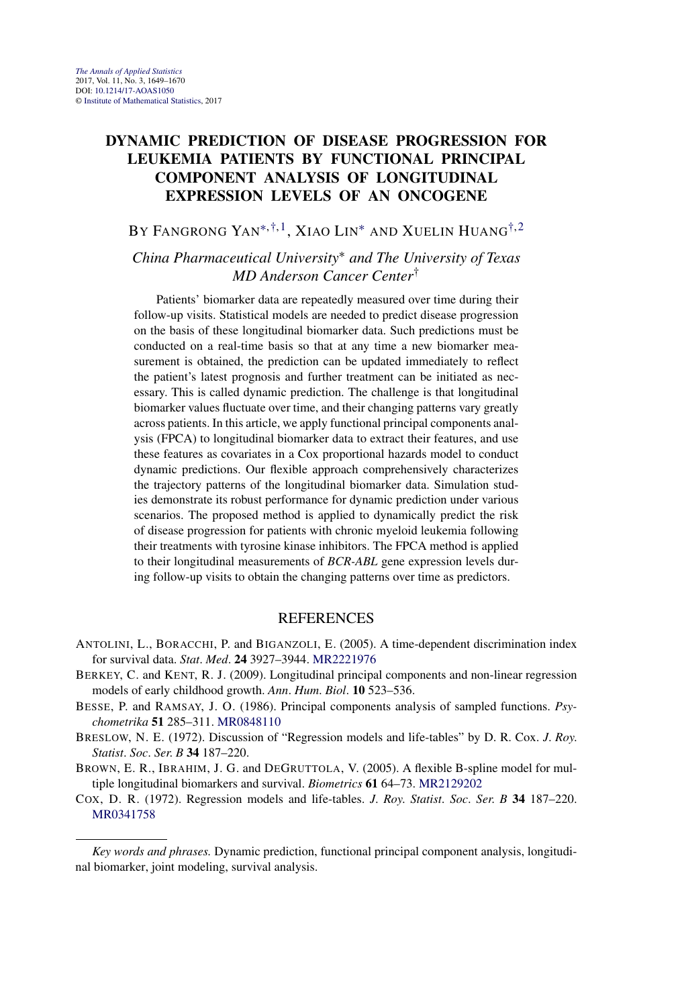# **DYNAMIC PREDICTION OF DISEASE PROGRESSION FOR LEUKEMIA PATIENTS BY FUNCTIONAL PRINCIPAL COMPONENT ANALYSIS OF LONGITUDINAL EXPRESSION LEVELS OF AN ONCOGENE**

### BY FANGRONG YAN<sup>\*[,†](#page-7-0),1</sup>, XIAO LIN<sup>\*</sup> AND XUELIN HUANG<sup>[†,](#page-7-0)[2](#page-75-0)</sup>

### *China Pharmaceutical University*∗ *and The University of Texas MD Anderson Cancer Center*†

Patients' biomarker data are repeatedly measured over time during their follow-up visits. Statistical models are needed to predict disease progression on the basis of these longitudinal biomarker data. Such predictions must be conducted on a real-time basis so that at any time a new biomarker measurement is obtained, the prediction can be updated immediately to reflect the patient's latest prognosis and further treatment can be initiated as necessary. This is called dynamic prediction. The challenge is that longitudinal biomarker values fluctuate over time, and their changing patterns vary greatly across patients. In this article, we apply functional principal components analysis (FPCA) to longitudinal biomarker data to extract their features, and use these features as covariates in a Cox proportional hazards model to conduct dynamic predictions. Our flexible approach comprehensively characterizes the trajectory patterns of the longitudinal biomarker data. Simulation studies demonstrate its robust performance for dynamic prediction under various scenarios. The proposed method is applied to dynamically predict the risk of disease progression for patients with chronic myeloid leukemia following their treatments with tyrosine kinase inhibitors. The FPCA method is applied to their longitudinal measurements of *BCR-ABL* gene expression levels during follow-up visits to obtain the changing patterns over time as predictors.

- ANTOLINI, L., BORACCHI, P. and BIGANZOLI, E. (2005). A time-dependent discrimination index for survival data. *Stat*. *Med*. **24** 3927–3944. [MR2221976](http://www.ams.org/mathscinet-getitem?mr=2221976)
- BERKEY, C. and KENT, R. J. (2009). Longitudinal principal components and non-linear regression models of early childhood growth. *Ann*. *Hum*. *Biol*. **10** 523–536.
- BESSE, P. and RAMSAY, J. O. (1986). Principal components analysis of sampled functions. *Psychometrika* **51** 285–311. [MR0848110](http://www.ams.org/mathscinet-getitem?mr=0848110)
- BRESLOW, N. E. (1972). Discussion of "Regression models and life-tables" by D. R. Cox. *J*. *Roy*. *Statist*. *Soc*. *Ser*. *B* **34** 187–220.
- BROWN, E. R., IBRAHIM, J. G. and DEGRUTTOLA, V. (2005). A flexible B-spline model for multiple longitudinal biomarkers and survival. *Biometrics* **61** 64–73. [MR2129202](http://www.ams.org/mathscinet-getitem?mr=2129202)
- COX, D. R. (1972). Regression models and life-tables. *J*. *Roy*. *Statist*. *Soc*. *Ser*. *B* **34** 187–220. [MR0341758](http://www.ams.org/mathscinet-getitem?mr=0341758)

*Key words and phrases.* Dynamic prediction, functional principal component analysis, longitudinal biomarker, joint modeling, survival analysis.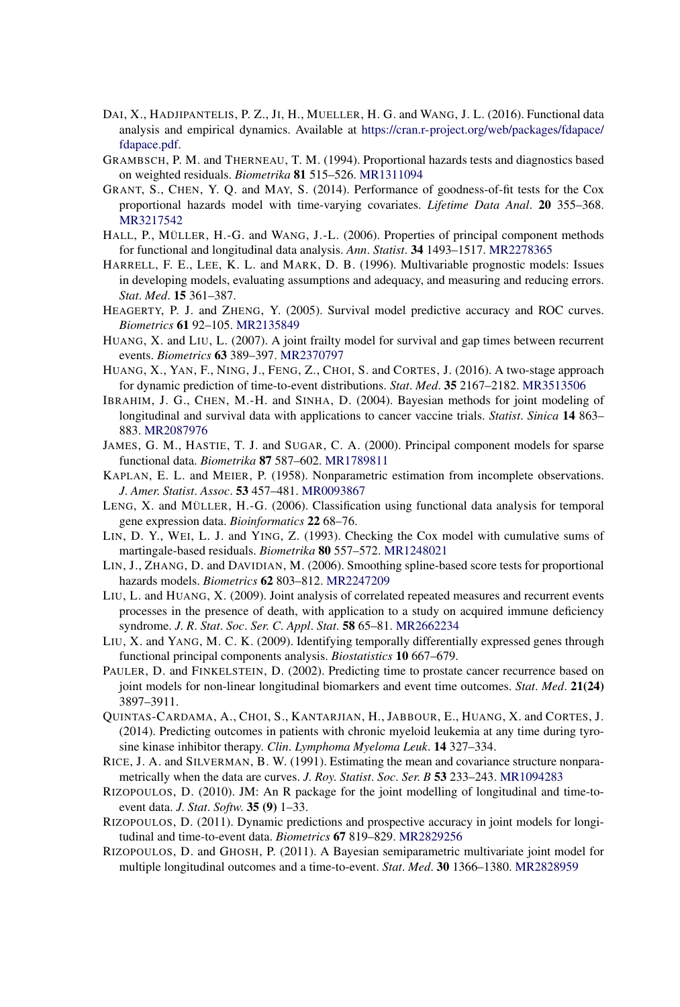- DAI, X., HADJIPANTELIS, P. Z., JI, H., MUELLER, H. G. and WANG, J. L. (2016). Functional data analysis and empirical dynamics. Available at [https://cran.r-project.org/web/packages/fdapace/](https://cran.r-project.org/web/packages/fdapace/fdapace.pdf) [fdapace.pdf](https://cran.r-project.org/web/packages/fdapace/fdapace.pdf).
- GRAMBSCH, P. M. and THERNEAU, T. M. (1994). Proportional hazards tests and diagnostics based on weighted residuals. *Biometrika* **81** 515–526. [MR1311094](http://www.ams.org/mathscinet-getitem?mr=1311094)
- GRANT, S., CHEN, Y. Q. and MAY, S. (2014). Performance of goodness-of-fit tests for the Cox proportional hazards model with time-varying covariates. *Lifetime Data Anal*. **20** 355–368. [MR3217542](http://www.ams.org/mathscinet-getitem?mr=3217542)
- HALL, P., MÜLLER, H.-G. and WANG, J.-L. (2006). Properties of principal component methods for functional and longitudinal data analysis. *Ann*. *Statist*. **34** 1493–1517. [MR2278365](http://www.ams.org/mathscinet-getitem?mr=2278365)
- HARRELL, F. E., LEE, K. L. and MARK, D. B. (1996). Multivariable prognostic models: Issues in developing models, evaluating assumptions and adequacy, and measuring and reducing errors. *Stat*. *Med*. **15** 361–387.
- HEAGERTY, P. J. and ZHENG, Y. (2005). Survival model predictive accuracy and ROC curves. *Biometrics* **61** 92–105. [MR2135849](http://www.ams.org/mathscinet-getitem?mr=2135849)
- HUANG, X. and LIU, L. (2007). A joint frailty model for survival and gap times between recurrent events. *Biometrics* **63** 389–397. [MR2370797](http://www.ams.org/mathscinet-getitem?mr=2370797)
- HUANG, X., YAN, F., NING, J., FENG, Z., CHOI, S. and CORTES, J. (2016). A two-stage approach for dynamic prediction of time-to-event distributions. *Stat*. *Med*. **35** 2167–2182. [MR3513506](http://www.ams.org/mathscinet-getitem?mr=3513506)
- IBRAHIM, J. G., CHEN, M.-H. and SINHA, D. (2004). Bayesian methods for joint modeling of longitudinal and survival data with applications to cancer vaccine trials. *Statist*. *Sinica* **14** 863– 883. [MR2087976](http://www.ams.org/mathscinet-getitem?mr=2087976)
- JAMES, G. M., HASTIE, T. J. and SUGAR, C. A. (2000). Principal component models for sparse functional data. *Biometrika* **87** 587–602. [MR1789811](http://www.ams.org/mathscinet-getitem?mr=1789811)
- KAPLAN, E. L. and MEIER, P. (1958). Nonparametric estimation from incomplete observations. *J*. *Amer*. *Statist*. *Assoc*. **53** 457–481. [MR0093867](http://www.ams.org/mathscinet-getitem?mr=0093867)
- LENG, X. and MÜLLER, H.-G. (2006). Classification using functional data analysis for temporal gene expression data. *Bioinformatics* **22** 68–76.
- LIN, D. Y., WEI, L. J. and YING, Z. (1993). Checking the Cox model with cumulative sums of martingale-based residuals. *Biometrika* **80** 557–572. [MR1248021](http://www.ams.org/mathscinet-getitem?mr=1248021)
- LIN, J., ZHANG, D. and DAVIDIAN, M. (2006). Smoothing spline-based score tests for proportional hazards models. *Biometrics* **62** 803–812. [MR2247209](http://www.ams.org/mathscinet-getitem?mr=2247209)
- LIU, L. and HUANG, X. (2009). Joint analysis of correlated repeated measures and recurrent events processes in the presence of death, with application to a study on acquired immune deficiency syndrome. *J*. *R*. *Stat*. *Soc*. *Ser*. *C*. *Appl*. *Stat*. **58** 65–81. [MR2662234](http://www.ams.org/mathscinet-getitem?mr=2662234)
- LIU, X. and YANG, M. C. K. (2009). Identifying temporally differentially expressed genes through functional principal components analysis. *Biostatistics* **10** 667–679.
- PAULER, D. and FINKELSTEIN, D. (2002). Predicting time to prostate cancer recurrence based on joint models for non-linear longitudinal biomarkers and event time outcomes. *Stat*. *Med*. **21(24)** 3897–3911.
- QUINTAS-CARDAMA, A., CHOI, S., KANTARJIAN, H., JABBOUR, E., HUANG, X. and CORTES, J. (2014). Predicting outcomes in patients with chronic myeloid leukemia at any time during tyrosine kinase inhibitor therapy. *Clin*. *Lymphoma Myeloma Leuk*. **14** 327–334.
- RICE, J. A. and SILVERMAN, B. W. (1991). Estimating the mean and covariance structure nonparametrically when the data are curves. *J*. *Roy*. *Statist*. *Soc*. *Ser*. *B* **53** 233–243. [MR1094283](http://www.ams.org/mathscinet-getitem?mr=1094283)
- RIZOPOULOS, D. (2010). JM: An R package for the joint modelling of longitudinal and time-toevent data. *J*. *Stat*. *Softw*. **35 (9)** 1–33.
- RIZOPOULOS, D. (2011). Dynamic predictions and prospective accuracy in joint models for longitudinal and time-to-event data. *Biometrics* **67** 819–829. [MR2829256](http://www.ams.org/mathscinet-getitem?mr=2829256)
- RIZOPOULOS, D. and GHOSH, P. (2011). A Bayesian semiparametric multivariate joint model for multiple longitudinal outcomes and a time-to-event. *Stat*. *Med*. **30** 1366–1380. [MR2828959](http://www.ams.org/mathscinet-getitem?mr=2828959)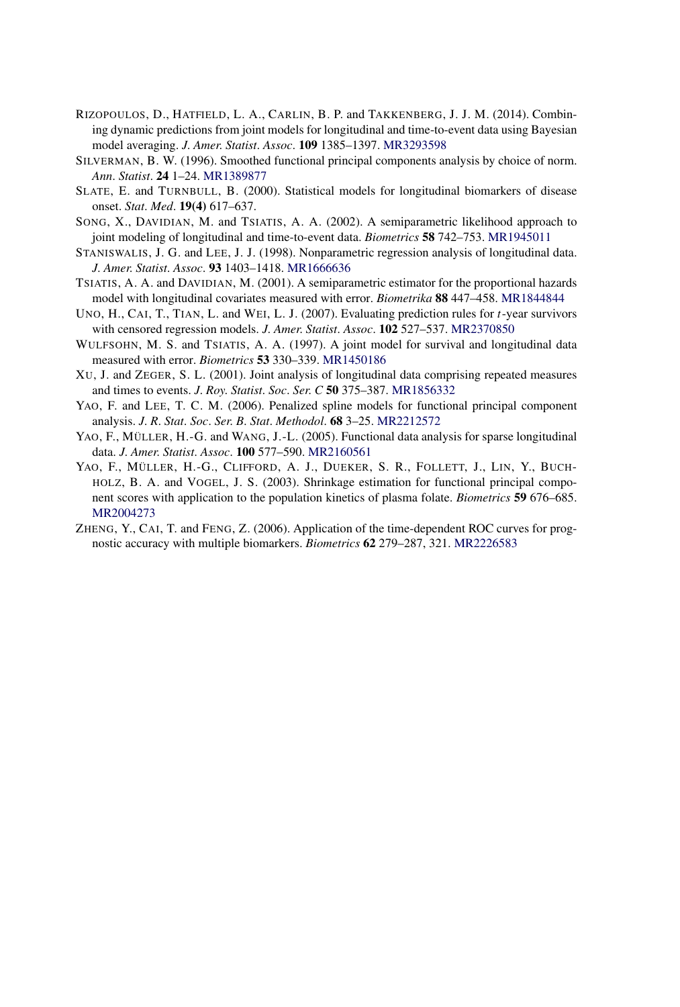- RIZOPOULOS, D., HATFIELD, L. A., CARLIN, B. P. and TAKKENBERG, J. J. M. (2014). Combining dynamic predictions from joint models for longitudinal and time-to-event data using Bayesian model averaging. *J*. *Amer*. *Statist*. *Assoc*. **109** 1385–1397. [MR3293598](http://www.ams.org/mathscinet-getitem?mr=3293598)
- SILVERMAN, B. W. (1996). Smoothed functional principal components analysis by choice of norm. *Ann*. *Statist*. **24** 1–24. [MR1389877](http://www.ams.org/mathscinet-getitem?mr=1389877)
- SLATE, E. and TURNBULL, B. (2000). Statistical models for longitudinal biomarkers of disease onset. *Stat*. *Med*. **19(4)** 617–637.
- SONG, X., DAVIDIAN, M. and TSIATIS, A. A. (2002). A semiparametric likelihood approach to joint modeling of longitudinal and time-to-event data. *Biometrics* **58** 742–753. [MR1945011](http://www.ams.org/mathscinet-getitem?mr=1945011)
- STANISWALIS, J. G. and LEE, J. J. (1998). Nonparametric regression analysis of longitudinal data. *J*. *Amer*. *Statist*. *Assoc*. **93** 1403–1418. [MR1666636](http://www.ams.org/mathscinet-getitem?mr=1666636)
- TSIATIS, A. A. and DAVIDIAN, M. (2001). A semiparametric estimator for the proportional hazards model with longitudinal covariates measured with error. *Biometrika* **88** 447–458. [MR1844844](http://www.ams.org/mathscinet-getitem?mr=1844844)
- UNO, H., CAI, T., TIAN, L. and WEI, L. J. (2007). Evaluating prediction rules for *t*-year survivors with censored regression models. *J*. *Amer*. *Statist*. *Assoc*. **102** 527–537. [MR2370850](http://www.ams.org/mathscinet-getitem?mr=2370850)
- WULFSOHN, M. S. and TSIATIS, A. A. (1997). A joint model for survival and longitudinal data measured with error. *Biometrics* **53** 330–339. [MR1450186](http://www.ams.org/mathscinet-getitem?mr=1450186)
- XU, J. and ZEGER, S. L. (2001). Joint analysis of longitudinal data comprising repeated measures and times to events. *J*. *Roy*. *Statist*. *Soc*. *Ser*. *C* **50** 375–387. [MR1856332](http://www.ams.org/mathscinet-getitem?mr=1856332)
- YAO, F. and LEE, T. C. M. (2006). Penalized spline models for functional principal component analysis. *J*. *R*. *Stat*. *Soc*. *Ser*. *B*. *Stat*. *Methodol*. **68** 3–25. [MR2212572](http://www.ams.org/mathscinet-getitem?mr=2212572)
- YAO, F., MÜLLER, H.-G. and WANG, J.-L. (2005). Functional data analysis for sparse longitudinal data. *J*. *Amer*. *Statist*. *Assoc*. **100** 577–590. [MR2160561](http://www.ams.org/mathscinet-getitem?mr=2160561)
- YAO, F., MÜLLER, H.-G., CLIFFORD, A. J., DUEKER, S. R., FOLLETT, J., LIN, Y., BUCH-HOLZ, B. A. and VOGEL, J. S. (2003). Shrinkage estimation for functional principal component scores with application to the population kinetics of plasma folate. *Biometrics* **59** 676–685. [MR2004273](http://www.ams.org/mathscinet-getitem?mr=2004273)
- ZHENG, Y., CAI, T. and FENG, Z. (2006). Application of the time-dependent ROC curves for prognostic accuracy with multiple biomarkers. *Biometrics* **62** 279–287, 321. [MR2226583](http://www.ams.org/mathscinet-getitem?mr=2226583)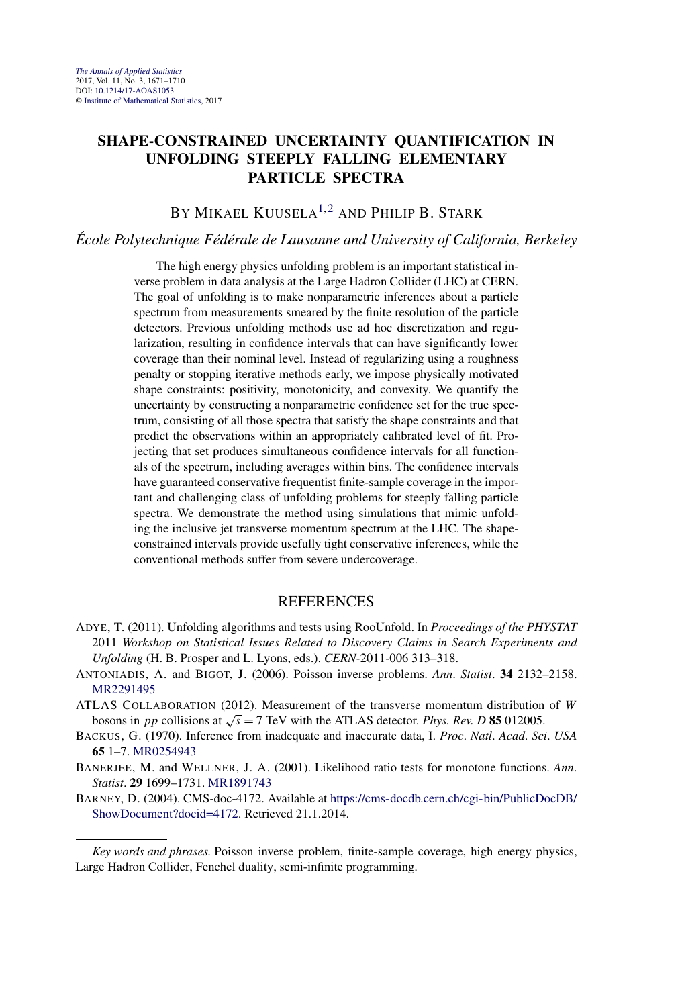# **SHAPE-CONSTRAINED UNCERTAINTY QUANTIFICATION IN UNFOLDING STEEPLY FALLING ELEMENTARY PARTICLE SPECTRA**

# BY MIKAEL KUUSELA<sup>[1,2](#page-23-0)</sup> AND PHILIP B. STARK

#### *École Polytechnique Fédérale de Lausanne and University of California, Berkeley*

The high energy physics unfolding problem is an important statistical inverse problem in data analysis at the Large Hadron Collider (LHC) at CERN. The goal of unfolding is to make nonparametric inferences about a particle spectrum from measurements smeared by the finite resolution of the particle detectors. Previous unfolding methods use ad hoc discretization and regularization, resulting in confidence intervals that can have significantly lower coverage than their nominal level. Instead of regularizing using a roughness penalty or stopping iterative methods early, we impose physically motivated shape constraints: positivity, monotonicity, and convexity. We quantify the uncertainty by constructing a nonparametric confidence set for the true spectrum, consisting of all those spectra that satisfy the shape constraints and that predict the observations within an appropriately calibrated level of fit. Projecting that set produces simultaneous confidence intervals for all functionals of the spectrum, including averages within bins. The confidence intervals have guaranteed conservative frequentist finite-sample coverage in the important and challenging class of unfolding problems for steeply falling particle spectra. We demonstrate the method using simulations that mimic unfolding the inclusive jet transverse momentum spectrum at the LHC. The shapeconstrained intervals provide usefully tight conservative inferences, while the conventional methods suffer from severe undercoverage.

- ADYE, T. (2011). Unfolding algorithms and tests using RooUnfold. In *Proceedings of the PHYSTAT* 2011 *Workshop on Statistical Issues Related to Discovery Claims in Search Experiments and Unfolding* (H. B. Prosper and L. Lyons, eds.). *CERN-*2011*-*006 313–318.
- ANTONIADIS, A. and BIGOT, J. (2006). Poisson inverse problems. *Ann*. *Statist*. **34** 2132–2158. [MR2291495](http://www.ams.org/mathscinet-getitem?mr=2291495)
- ATLAS COLLABORATION (2012). Measurement of the transverse momentum distribution of *W* bosons in *pp* collisions at  $\sqrt{s} = 7$  TeV with the ATLAS detector. *Phys. Rev. D* 85 012005.
- BACKUS, G. (1970). Inference from inadequate and inaccurate data, I. *Proc*. *Natl*. *Acad*. *Sci*. *USA* **65** 1–7. [MR0254943](http://www.ams.org/mathscinet-getitem?mr=0254943)
- BANERJEE, M. and WELLNER, J. A. (2001). Likelihood ratio tests for monotone functions. *Ann*. *Statist*. **29** 1699–1731. [MR1891743](http://www.ams.org/mathscinet-getitem?mr=1891743)
- BARNEY, D. (2004). CMS-doc-4172. Available at [https://cms-docdb.cern.ch/cgi-bin/PublicDocDB/](https://cms-docdb.cern.ch/cgi-bin/PublicDocDB/ShowDocument?docid=4172) [ShowDocument?docid=4172](https://cms-docdb.cern.ch/cgi-bin/PublicDocDB/ShowDocument?docid=4172). Retrieved 21.1.2014.

*Key words and phrases.* Poisson inverse problem, finite-sample coverage, high energy physics, Large Hadron Collider, Fenchel duality, semi-infinite programming.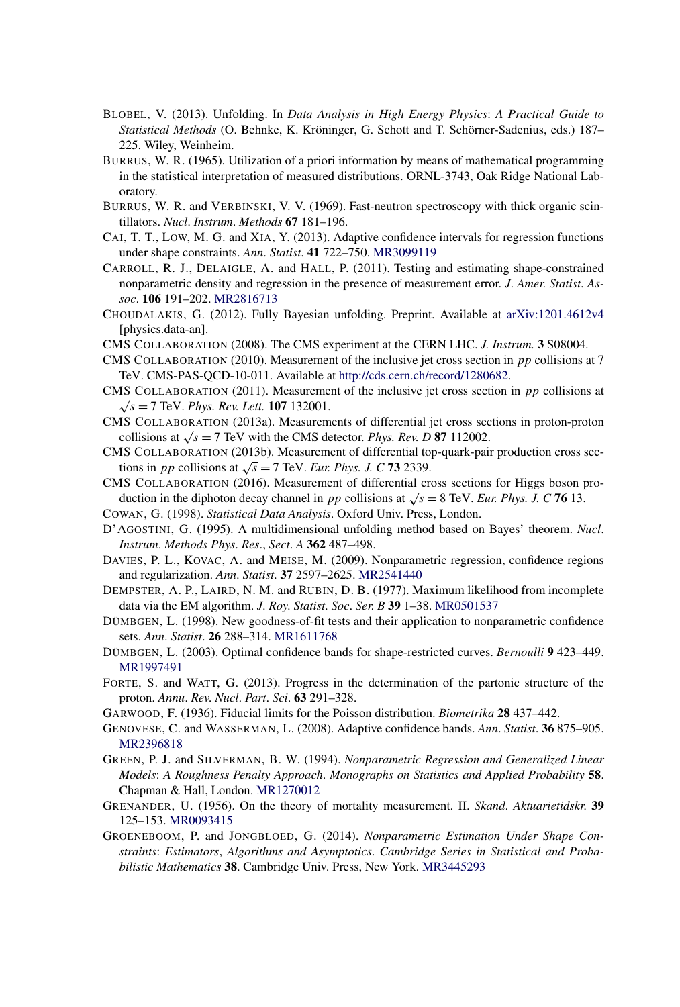- BLOBEL, V. (2013). Unfolding. In *Data Analysis in High Energy Physics*: *A Practical Guide to Statistical Methods* (O. Behnke, K. Kröninger, G. Schott and T. Schörner-Sadenius, eds.) 187– 225. Wiley, Weinheim.
- BURRUS, W. R. (1965). Utilization of a priori information by means of mathematical programming in the statistical interpretation of measured distributions. ORNL-3743, Oak Ridge National Laboratory.
- BURRUS, W. R. and VERBINSKI, V. V. (1969). Fast-neutron spectroscopy with thick organic scintillators. *Nucl*. *Instrum*. *Methods* **67** 181–196.
- CAI, T. T., LOW, M. G. and XIA, Y. (2013). Adaptive confidence intervals for regression functions under shape constraints. *Ann*. *Statist*. **41** 722–750. [MR3099119](http://www.ams.org/mathscinet-getitem?mr=3099119)
- CARROLL, R. J., DELAIGLE, A. and HALL, P. (2011). Testing and estimating shape-constrained nonparametric density and regression in the presence of measurement error. *J*. *Amer*. *Statist*. *Assoc*. **106** 191–202. [MR2816713](http://www.ams.org/mathscinet-getitem?mr=2816713)
- CHOUDALAKIS, G. (2012). Fully Bayesian unfolding. Preprint. Available at [arXiv:1201.4612v4](http://arxiv.org/abs/arXiv:1201.4612v4) [physics.data-an].
- CMS COLLABORATION (2008). The CMS experiment at the CERN LHC. *J. Instrum.* **3** S08004.
- CMS COLLABORATION (2010). Measurement of the inclusive jet cross section in *pp* collisions at 7 TeV. CMS-PAS-QCD-10-011. Available at <http://cds.cern.ch/record/1280682>.
- CMS COLLABORATION (2011). Measurement of the inclusive jet cross section in *pp* collisions at <sup>√</sup>*<sup>s</sup>* <sup>=</sup> 7 TeV. *Phys. Rev. Lett.* **<sup>107</sup>** 132001.
- CMS COLLABORATION (2013a). Measurements of differential jet cross sections in proton-proton collisions at  $\sqrt{s} = 7$  TeV with the CMS detector. *Phys. Rev. D* **87** 112002.
- CMS COLLABORATION (2013b). Measurement of differential top-quark-pair production cross sections in *pp* collisions at  $\sqrt{s} = 7$  TeV. *Eur. Phys. J. C* **73** 2339.
- CMS COLLABORATION (2016). Measurement of differential cross sections for Higgs boson production in the diphoton decay channel in *pp* collisions at  $\sqrt{s} = 8$  TeV. *Eur. Phys. J. C* **76** 13.
- COWAN, G. (1998). *Statistical Data Analysis*. Oxford Univ. Press, London.
- D'AGOSTINI, G. (1995). A multidimensional unfolding method based on Bayes' theorem. *Nucl*. *Instrum*. *Methods Phys*. *Res*., *Sect*. *A* **362** 487–498.
- DAVIES, P. L., KOVAC, A. and MEISE, M. (2009). Nonparametric regression, confidence regions and regularization. *Ann*. *Statist*. **37** 2597–2625. [MR2541440](http://www.ams.org/mathscinet-getitem?mr=2541440)
- DEMPSTER, A. P., LAIRD, N. M. and RUBIN, D. B. (1977). Maximum likelihood from incomplete data via the EM algorithm. *J*. *Roy*. *Statist*. *Soc*. *Ser*. *B* **39** 1–38. [MR0501537](http://www.ams.org/mathscinet-getitem?mr=0501537)
- DÜMBGEN, L. (1998). New goodness-of-fit tests and their application to nonparametric confidence sets. *Ann*. *Statist*. **26** 288–314. [MR1611768](http://www.ams.org/mathscinet-getitem?mr=1611768)
- DÜMBGEN, L. (2003). Optimal confidence bands for shape-restricted curves. *Bernoulli* **9** 423–449. [MR1997491](http://www.ams.org/mathscinet-getitem?mr=1997491)
- FORTE, S. and WATT, G. (2013). Progress in the determination of the partonic structure of the proton. *Annu*. *Rev*. *Nucl*. *Part*. *Sci*. **63** 291–328.
- GARWOOD, F. (1936). Fiducial limits for the Poisson distribution. *Biometrika* **28** 437–442.
- GENOVESE, C. and WASSERMAN, L. (2008). Adaptive confidence bands. *Ann*. *Statist*. **36** 875–905. [MR2396818](http://www.ams.org/mathscinet-getitem?mr=2396818)
- GREEN, P. J. and SILVERMAN, B. W. (1994). *Nonparametric Regression and Generalized Linear Models*: *A Roughness Penalty Approach*. *Monographs on Statistics and Applied Probability* **58**. Chapman & Hall, London. [MR1270012](http://www.ams.org/mathscinet-getitem?mr=1270012)
- GRENANDER, U. (1956). On the theory of mortality measurement. II. *Skand*. *Aktuarietidskr*. **39** 125–153. [MR0093415](http://www.ams.org/mathscinet-getitem?mr=0093415)
- GROENEBOOM, P. and JONGBLOED, G. (2014). *Nonparametric Estimation Under Shape Constraints*: *Estimators*, *Algorithms and Asymptotics*. *Cambridge Series in Statistical and Probabilistic Mathematics* **38**. Cambridge Univ. Press, New York. [MR3445293](http://www.ams.org/mathscinet-getitem?mr=3445293)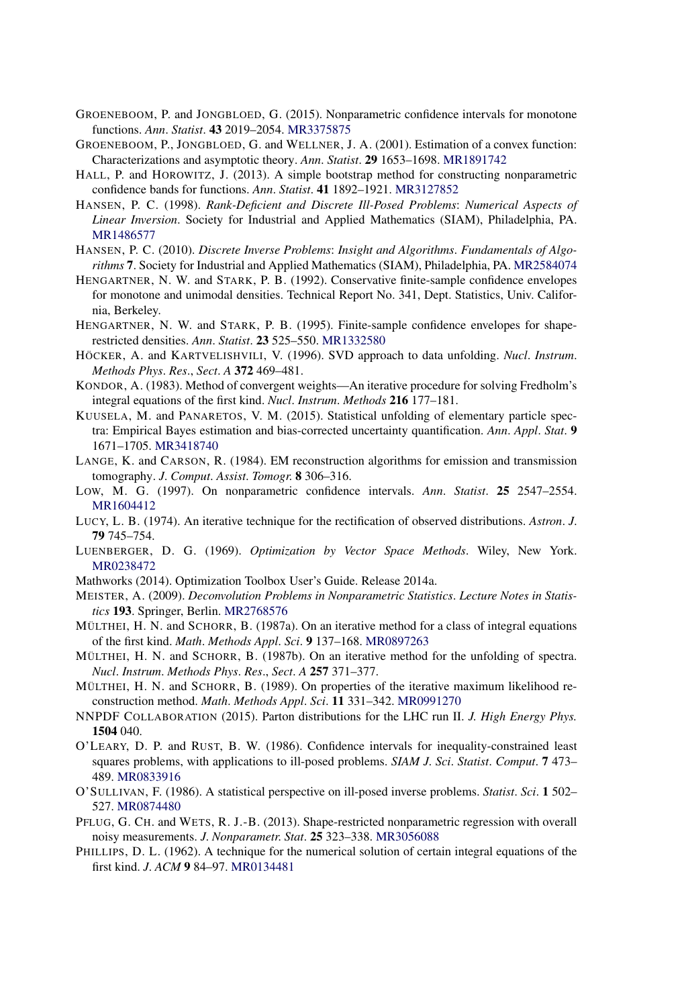- GROENEBOOM, P. and JONGBLOED, G. (2015). Nonparametric confidence intervals for monotone functions. *Ann*. *Statist*. **43** 2019–2054. [MR3375875](http://www.ams.org/mathscinet-getitem?mr=3375875)
- GROENEBOOM, P., JONGBLOED, G. and WELLNER, J. A. (2001). Estimation of a convex function: Characterizations and asymptotic theory. *Ann*. *Statist*. **29** 1653–1698. [MR1891742](http://www.ams.org/mathscinet-getitem?mr=1891742)
- HALL, P. and HOROWITZ, J. (2013). A simple bootstrap method for constructing nonparametric confidence bands for functions. *Ann*. *Statist*. **41** 1892–1921. [MR3127852](http://www.ams.org/mathscinet-getitem?mr=3127852)
- HANSEN, P. C. (1998). *Rank-Deficient and Discrete Ill-Posed Problems*: *Numerical Aspects of Linear Inversion*. Society for Industrial and Applied Mathematics (SIAM), Philadelphia, PA. [MR1486577](http://www.ams.org/mathscinet-getitem?mr=1486577)
- HANSEN, P. C. (2010). *Discrete Inverse Problems*: *Insight and Algorithms*. *Fundamentals of Algorithms* **7**. Society for Industrial and Applied Mathematics (SIAM), Philadelphia, PA. [MR2584074](http://www.ams.org/mathscinet-getitem?mr=2584074)
- HENGARTNER, N. W. and STARK, P. B. (1992). Conservative finite-sample confidence envelopes for monotone and unimodal densities. Technical Report No. 341, Dept. Statistics, Univ. California, Berkeley.
- HENGARTNER, N. W. and STARK, P. B. (1995). Finite-sample confidence envelopes for shaperestricted densities. *Ann*. *Statist*. **23** 525–550. [MR1332580](http://www.ams.org/mathscinet-getitem?mr=1332580)
- HÖCKER, A. and KARTVELISHVILI, V. (1996). SVD approach to data unfolding. *Nucl*. *Instrum*. *Methods Phys*. *Res*., *Sect*. *A* **372** 469–481.
- KONDOR, A. (1983). Method of convergent weights—An iterative procedure for solving Fredholm's integral equations of the first kind. *Nucl*. *Instrum*. *Methods* **216** 177–181.
- KUUSELA, M. and PANARETOS, V. M. (2015). Statistical unfolding of elementary particle spectra: Empirical Bayes estimation and bias-corrected uncertainty quantification. *Ann*. *Appl*. *Stat*. **9** 1671–1705. [MR3418740](http://www.ams.org/mathscinet-getitem?mr=3418740)
- LANGE, K. and CARSON, R. (1984). EM reconstruction algorithms for emission and transmission tomography. *J*. *Comput*. *Assist*. *Tomogr*. **8** 306–316.
- LOW, M. G. (1997). On nonparametric confidence intervals. *Ann*. *Statist*. **25** 2547–2554. [MR1604412](http://www.ams.org/mathscinet-getitem?mr=1604412)
- LUCY, L. B. (1974). An iterative technique for the rectification of observed distributions. *Astron*. *J*. **79** 745–754.
- LUENBERGER, D. G. (1969). *Optimization by Vector Space Methods*. Wiley, New York. [MR0238472](http://www.ams.org/mathscinet-getitem?mr=0238472)
- Mathworks (2014). Optimization Toolbox User's Guide. Release 2014a.
- MEISTER, A. (2009). *Deconvolution Problems in Nonparametric Statistics*. *Lecture Notes in Statistics* **193**. Springer, Berlin. [MR2768576](http://www.ams.org/mathscinet-getitem?mr=2768576)
- MÜLTHEI, H. N. and SCHORR, B. (1987a). On an iterative method for a class of integral equations of the first kind. *Math*. *Methods Appl*. *Sci*. **9** 137–168. [MR0897263](http://www.ams.org/mathscinet-getitem?mr=0897263)
- MÜLTHEI, H. N. and SCHORR, B. (1987b). On an iterative method for the unfolding of spectra. *Nucl*. *Instrum*. *Methods Phys*. *Res*., *Sect*. *A* **257** 371–377.
- MÜLTHEI, H. N. and SCHORR, B. (1989). On properties of the iterative maximum likelihood reconstruction method. *Math*. *Methods Appl*. *Sci*. **11** 331–342. [MR0991270](http://www.ams.org/mathscinet-getitem?mr=0991270)
- NNPDF COLLABORATION (2015). Parton distributions for the LHC run II. *J. High Energy Phys.* **1504** 040.
- O'LEARY, D. P. and RUST, B. W. (1986). Confidence intervals for inequality-constrained least squares problems, with applications to ill-posed problems. *SIAM J*. *Sci*. *Statist*. *Comput*. **7** 473– 489. [MR0833916](http://www.ams.org/mathscinet-getitem?mr=0833916)
- O'SULLIVAN, F. (1986). A statistical perspective on ill-posed inverse problems. *Statist*. *Sci*. **1** 502– 527. [MR0874480](http://www.ams.org/mathscinet-getitem?mr=0874480)
- PFLUG, G. CH. and WETS, R. J.-B. (2013). Shape-restricted nonparametric regression with overall noisy measurements. *J*. *Nonparametr*. *Stat*. **25** 323–338. [MR3056088](http://www.ams.org/mathscinet-getitem?mr=3056088)
- PHILLIPS, D. L. (1962). A technique for the numerical solution of certain integral equations of the first kind. *J*. *ACM* **9** 84–97. [MR0134481](http://www.ams.org/mathscinet-getitem?mr=0134481)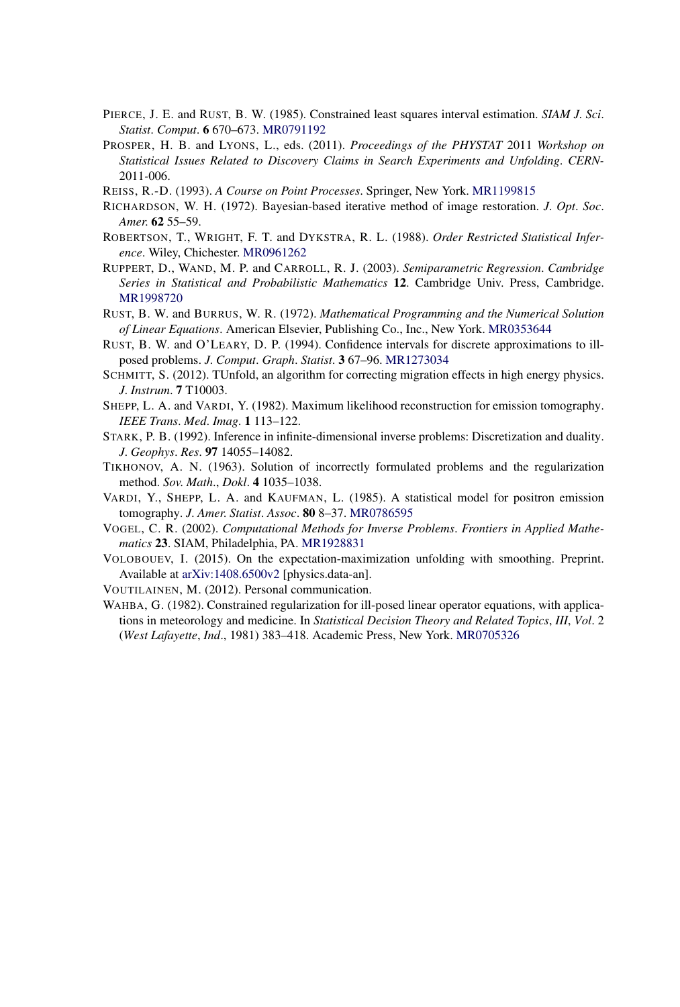- PIERCE, J. E. and RUST, B. W. (1985). Constrained least squares interval estimation. *SIAM J*. *Sci*. *Statist*. *Comput*. **6** 670–673. [MR0791192](http://www.ams.org/mathscinet-getitem?mr=0791192)
- PROSPER, H. B. and LYONS, L., eds. (2011). *Proceedings of the PHYSTAT* 2011 *Workshop on Statistical Issues Related to Discovery Claims in Search Experiments and Unfolding*. *CERN-*2011*-*006.
- REISS, R.-D. (1993). *A Course on Point Processes*. Springer, New York. [MR1199815](http://www.ams.org/mathscinet-getitem?mr=1199815)
- RICHARDSON, W. H. (1972). Bayesian-based iterative method of image restoration. *J*. *Opt*. *Soc*. *Amer*. **62** 55–59.
- ROBERTSON, T., WRIGHT, F. T. and DYKSTRA, R. L. (1988). *Order Restricted Statistical Inference*. Wiley, Chichester. [MR0961262](http://www.ams.org/mathscinet-getitem?mr=0961262)
- RUPPERT, D., WAND, M. P. and CARROLL, R. J. (2003). *Semiparametric Regression*. *Cambridge Series in Statistical and Probabilistic Mathematics* **12**. Cambridge Univ. Press, Cambridge. [MR1998720](http://www.ams.org/mathscinet-getitem?mr=1998720)
- RUST, B. W. and BURRUS, W. R. (1972). *Mathematical Programming and the Numerical Solution of Linear Equations*. American Elsevier, Publishing Co., Inc., New York. [MR0353644](http://www.ams.org/mathscinet-getitem?mr=0353644)
- RUST, B. W. and O'LEARY, D. P. (1994). Confidence intervals for discrete approximations to illposed problems. *J*. *Comput*. *Graph*. *Statist*. **3** 67–96. [MR1273034](http://www.ams.org/mathscinet-getitem?mr=1273034)
- SCHMITT, S. (2012). TUnfold, an algorithm for correcting migration effects in high energy physics. *J*. *Instrum*. **7** T10003.
- SHEPP, L. A. and VARDI, Y. (1982). Maximum likelihood reconstruction for emission tomography. *IEEE Trans*. *Med*. *Imag*. **1** 113–122.
- STARK, P. B. (1992). Inference in infinite-dimensional inverse problems: Discretization and duality. *J*. *Geophys*. *Res*. **97** 14055–14082.
- TIKHONOV, A. N. (1963). Solution of incorrectly formulated problems and the regularization method. *Sov*. *Math*., *Dokl*. **4** 1035–1038.
- VARDI, Y., SHEPP, L. A. and KAUFMAN, L. (1985). A statistical model for positron emission tomography. *J*. *Amer*. *Statist*. *Assoc*. **80** 8–37. [MR0786595](http://www.ams.org/mathscinet-getitem?mr=0786595)
- VOGEL, C. R. (2002). *Computational Methods for Inverse Problems*. *Frontiers in Applied Mathematics* **23**. SIAM, Philadelphia, PA. [MR1928831](http://www.ams.org/mathscinet-getitem?mr=1928831)
- VOLOBOUEV, I. (2015). On the expectation-maximization unfolding with smoothing. Preprint. Available at [arXiv:1408.6500v2](http://arxiv.org/abs/arXiv:1408.6500v2) [physics.data-an].
- VOUTILAINEN, M. (2012). Personal communication.
- WAHBA, G. (1982). Constrained regularization for ill-posed linear operator equations, with applications in meteorology and medicine. In *Statistical Decision Theory and Related Topics*, *III*, *Vol*. 2 (*West Lafayette*, *Ind*., 1981) 383–418. Academic Press, New York. [MR0705326](http://www.ams.org/mathscinet-getitem?mr=0705326)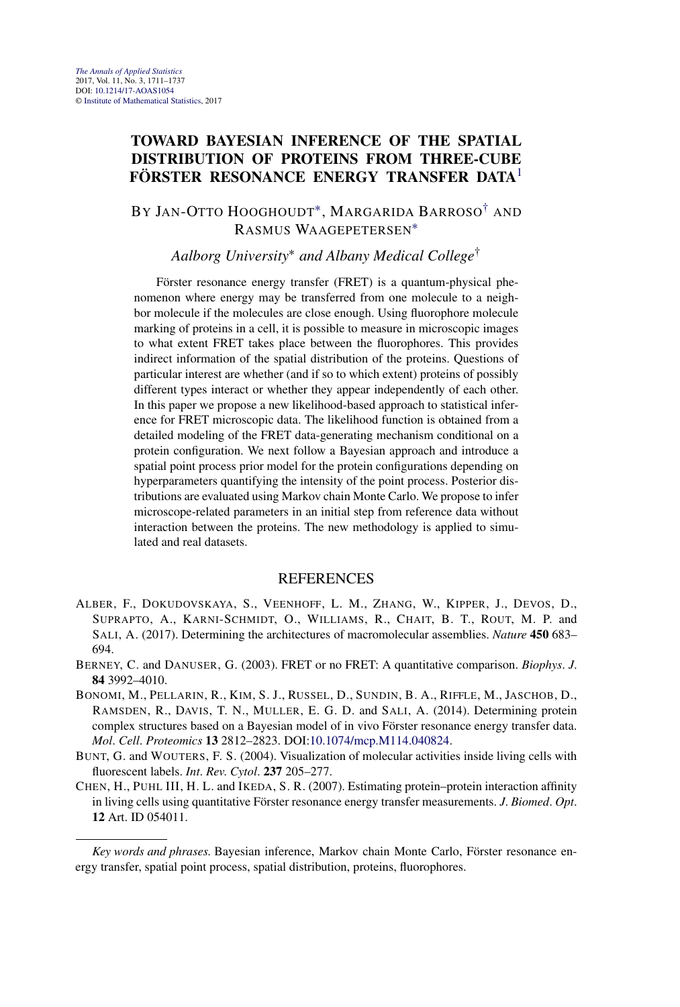# **TOWARD BAYESIAN INFERENCE OF THE SPATIAL DISTRIBUTION OF PROTEINS FROM THREE-CUBE FÖRSTER RESONANCE ENERGY TRANSFER DATA**[1](#page-23-0)

### BY JAN-OTTO HOOGHOUDT<sup>\*</sup>, MARGARIDA BARROSO<sup>[†](#page-7-0)</sup> AND RASMUS WAAGEPETERSEN[∗](#page-7-0)

*Aalborg University*<sup>∗</sup> *and Albany Medical College*†

Förster resonance energy transfer (FRET) is a quantum-physical phenomenon where energy may be transferred from one molecule to a neighbor molecule if the molecules are close enough. Using fluorophore molecule marking of proteins in a cell, it is possible to measure in microscopic images to what extent FRET takes place between the fluorophores. This provides indirect information of the spatial distribution of the proteins. Questions of particular interest are whether (and if so to which extent) proteins of possibly different types interact or whether they appear independently of each other. In this paper we propose a new likelihood-based approach to statistical inference for FRET microscopic data. The likelihood function is obtained from a detailed modeling of the FRET data-generating mechanism conditional on a protein configuration. We next follow a Bayesian approach and introduce a spatial point process prior model for the protein configurations depending on hyperparameters quantifying the intensity of the point process. Posterior distributions are evaluated using Markov chain Monte Carlo. We propose to infer microscope-related parameters in an initial step from reference data without interaction between the proteins. The new methodology is applied to simulated and real datasets.

- ALBER, F., DOKUDOVSKAYA, S., VEENHOFF, L. M., ZHANG, W., KIPPER, J., DEVOS, D., SUPRAPTO, A., KARNI-SCHMIDT, O., WILLIAMS, R., CHAIT, B. T., ROUT, M. P. and SALI, A. (2017). Determining the architectures of macromolecular assemblies. *Nature* **450** 683– 694.
- BERNEY, C. and DANUSER, G. (2003). FRET or no FRET: A quantitative comparison. *Biophys*. *J*. **84** 3992–4010.
- BONOMI, M., PELLARIN, R., KIM, S. J., RUSSEL, D., SUNDIN, B. A., RIFFLE, M., JASCHOB, D., RAMSDEN, R., DAVIS, T. N., MULLER, E. G. D. and SALI, A. (2014). Determining protein complex structures based on a Bayesian model of in vivo Förster resonance energy transfer data. *Mol*. *Cell*. *Proteomics* **13** 2812–2823. DOI[:10.1074/mcp.M114.040824](http://dx.doi.org/10.1074/mcp.M114.040824).
- BUNT, G. and WOUTERS, F. S. (2004). Visualization of molecular activities inside living cells with fluorescent labels. *Int*. *Rev*. *Cytol*. **237** 205–277.
- CHEN, H., PUHL III, H. L. and IKEDA, S. R. (2007). Estimating protein–protein interaction affinity in living cells using quantitative Förster resonance energy transfer measurements. *J*. *Biomed*. *Opt*. **12** Art. ID 054011.

*Key words and phrases.* Bayesian inference, Markov chain Monte Carlo, Förster resonance energy transfer, spatial point process, spatial distribution, proteins, fluorophores.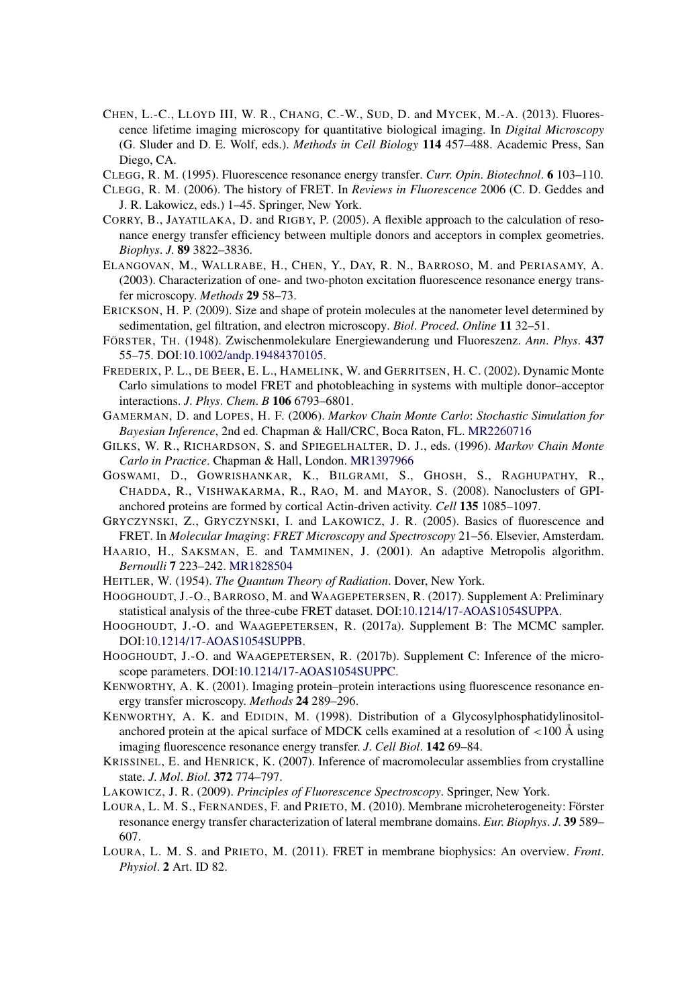- CHEN, L.-C., LLOYD III, W. R., CHANG, C.-W., SUD, D. and MYCEK, M.-A. (2013). Fluorescence lifetime imaging microscopy for quantitative biological imaging. In *Digital Microscopy* (G. Sluder and D. E. Wolf, eds.). *Methods in Cell Biology* **114** 457–488. Academic Press, San Diego, CA.
- CLEGG, R. M. (1995). Fluorescence resonance energy transfer. *Curr*. *Opin*. *Biotechnol*. **6** 103–110.
- CLEGG, R. M. (2006). The history of FRET. In *Reviews in Fluorescence* 2006 (C. D. Geddes and J. R. Lakowicz, eds.) 1–45. Springer, New York.
- CORRY, B., JAYATILAKA, D. and RIGBY, P. (2005). A flexible approach to the calculation of resonance energy transfer efficiency between multiple donors and acceptors in complex geometries. *Biophys*. *J*. **89** 3822–3836.
- ELANGOVAN, M., WALLRABE, H., CHEN, Y., DAY, R. N., BARROSO, M. and PERIASAMY, A. (2003). Characterization of one- and two-photon excitation fluorescence resonance energy transfer microscopy. *Methods* **29** 58–73.
- ERICKSON, H. P. (2009). Size and shape of protein molecules at the nanometer level determined by sedimentation, gel filtration, and electron microscopy. *Biol*. *Proced*. *Online* **11** 32–51.
- FÖRSTER, TH. (1948). Zwischenmolekulare Energiewanderung und Fluoreszenz. *Ann*. *Phys*. **437** 55–75. DOI[:10.1002/andp.19484370105](http://dx.doi.org/10.1002/andp.19484370105).
- FREDERIX, P. L., DE BEER, E. L., HAMELINK, W. and GERRITSEN, H. C. (2002). Dynamic Monte Carlo simulations to model FRET and photobleaching in systems with multiple donor–acceptor interactions. *J*. *Phys*. *Chem*. *B* **106** 6793–6801.
- GAMERMAN, D. and LOPES, H. F. (2006). *Markov Chain Monte Carlo*: *Stochastic Simulation for Bayesian Inference*, 2nd ed. Chapman & Hall/CRC, Boca Raton, FL. [MR2260716](http://www.ams.org/mathscinet-getitem?mr=2260716)
- GILKS, W. R., RICHARDSON, S. and SPIEGELHALTER, D. J., eds. (1996). *Markov Chain Monte Carlo in Practice*. Chapman & Hall, London. [MR1397966](http://www.ams.org/mathscinet-getitem?mr=1397966)
- GOSWAMI, D., GOWRISHANKAR, K., BILGRAMI, S., GHOSH, S., RAGHUPATHY, R., CHADDA, R., VISHWAKARMA, R., RAO, M. and MAYOR, S. (2008). Nanoclusters of GPIanchored proteins are formed by cortical Actin-driven activity. *Cell* **135** 1085–1097.
- GRYCZYNSKI, Z., GRYCZYNSKI, I. and LAKOWICZ, J. R. (2005). Basics of fluorescence and FRET. In *Molecular Imaging*: *FRET Microscopy and Spectroscopy* 21–56. Elsevier, Amsterdam.
- HAARIO, H., SAKSMAN, E. and TAMMINEN, J. (2001). An adaptive Metropolis algorithm. *Bernoulli* **7** 223–242. [MR1828504](http://www.ams.org/mathscinet-getitem?mr=1828504)
- HEITLER, W. (1954). *The Quantum Theory of Radiation*. Dover, New York.
- HOOGHOUDT, J.-O., BARROSO, M. and WAAGEPETERSEN, R. (2017). Supplement A: Preliminary statistical analysis of the three-cube FRET dataset. DOI[:10.1214/17-AOAS1054SUPPA.](http://dx.doi.org/10.1214/17-AOAS1054SUPPA)
- HOOGHOUDT, J.-O. and WAAGEPETERSEN, R. (2017a). Supplement B: The MCMC sampler. DOI[:10.1214/17-AOAS1054SUPPB](http://dx.doi.org/10.1214/17-AOAS1054SUPPB).
- HOOGHOUDT, J.-O. and WAAGEPETERSEN, R. (2017b). Supplement C: Inference of the microscope parameters. DOI[:10.1214/17-AOAS1054SUPPC.](http://dx.doi.org/10.1214/17-AOAS1054SUPPC)
- KENWORTHY, A. K. (2001). Imaging protein–protein interactions using fluorescence resonance energy transfer microscopy. *Methods* **24** 289–296.
- KENWORTHY, A. K. and EDIDIN, M. (1998). Distribution of a Glycosylphosphatidylinositolanchored protein at the apical surface of MDCK cells examined at a resolution of *<*100 Å using imaging fluorescence resonance energy transfer. *J*. *Cell Biol*. **142** 69–84.
- KRISSINEL, E. and HENRICK, K. (2007). Inference of macromolecular assemblies from crystalline state. *J*. *Mol*. *Biol*. **372** 774–797.
- LAKOWICZ, J. R. (2009). *Principles of Fluorescence Spectroscopy*. Springer, New York.
- LOURA, L. M. S., FERNANDES, F. and PRIETO, M. (2010). Membrane microheterogeneity: Förster resonance energy transfer characterization of lateral membrane domains. *Eur*. *Biophys*. *J*. **39** 589– 607.
- LOURA, L. M. S. and PRIETO, M. (2011). FRET in membrane biophysics: An overview. *Front*. *Physiol*. **2** Art. ID 82.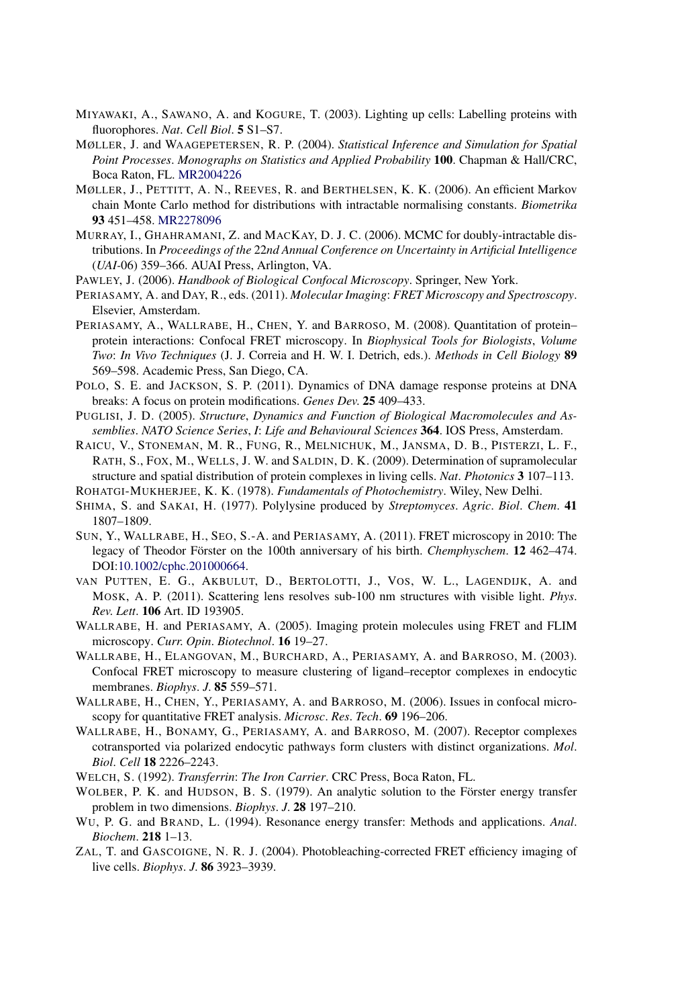- MIYAWAKI, A., SAWANO, A. and KOGURE, T. (2003). Lighting up cells: Labelling proteins with fluorophores. *Nat*. *Cell Biol*. **5** S1–S7.
- MØLLER, J. and WAAGEPETERSEN, R. P. (2004). *Statistical Inference and Simulation for Spatial Point Processes*. *Monographs on Statistics and Applied Probability* **100**. Chapman & Hall/CRC, Boca Raton, FL. [MR2004226](http://www.ams.org/mathscinet-getitem?mr=2004226)
- MØLLER, J., PETTITT, A. N., REEVES, R. and BERTHELSEN, K. K. (2006). An efficient Markov chain Monte Carlo method for distributions with intractable normalising constants. *Biometrika* **93** 451–458. [MR2278096](http://www.ams.org/mathscinet-getitem?mr=2278096)
- MURRAY, I., GHAHRAMANI, Z. and MACKAY, D. J. C. (2006). MCMC for doubly-intractable distributions. In *Proceedings of the* 22*nd Annual Conference on Uncertainty in Artificial Intelligence* (*UAI-*06) 359–366. AUAI Press, Arlington, VA.
- PAWLEY, J. (2006). *Handbook of Biological Confocal Microscopy*. Springer, New York.
- PERIASAMY, A. and DAY, R., eds. (2011). *Molecular Imaging*: *FRET Microscopy and Spectroscopy*. Elsevier, Amsterdam.
- PERIASAMY, A., WALLRABE, H., CHEN, Y. and BARROSO, M. (2008). Quantitation of protein– protein interactions: Confocal FRET microscopy. In *Biophysical Tools for Biologists*, *Volume Two*: *In Vivo Techniques* (J. J. Correia and H. W. I. Detrich, eds.). *Methods in Cell Biology* **89** 569–598. Academic Press, San Diego, CA.
- POLO, S. E. and JACKSON, S. P. (2011). Dynamics of DNA damage response proteins at DNA breaks: A focus on protein modifications. *Genes Dev*. **25** 409–433.
- PUGLISI, J. D. (2005). *Structure*, *Dynamics and Function of Biological Macromolecules and Assemblies*. *NATO Science Series*, *I*: *Life and Behavioural Sciences* **364**. IOS Press, Amsterdam.
- RAICU, V., STONEMAN, M. R., FUNG, R., MELNICHUK, M., JANSMA, D. B., PISTERZI, L. F., RATH, S., FOX, M., WELLS, J. W. and SALDIN, D. K. (2009). Determination of supramolecular structure and spatial distribution of protein complexes in living cells. *Nat*. *Photonics* **3** 107–113.
- ROHATGI-MUKHERJEE, K. K. (1978). *Fundamentals of Photochemistry*. Wiley, New Delhi.
- SHIMA, S. and SAKAI, H. (1977). Polylysine produced by *Streptomyces*. *Agric*. *Biol*. *Chem*. **41** 1807–1809.
- SUN, Y., WALLRABE, H., SEO, S.-A. and PERIASAMY, A. (2011). FRET microscopy in 2010: The legacy of Theodor Förster on the 100th anniversary of his birth. *Chemphyschem*. **12** 462–474. DOI[:10.1002/cphc.201000664.](http://dx.doi.org/10.1002/cphc.201000664)
- VAN PUTTEN, E. G., AKBULUT, D., BERTOLOTTI, J., VOS, W. L., LAGENDIJK, A. and MOSK, A. P. (2011). Scattering lens resolves sub-100 nm structures with visible light. *Phys*. *Rev*. *Lett*. **106** Art. ID 193905.
- WALLRABE, H. and PERIASAMY, A. (2005). Imaging protein molecules using FRET and FLIM microscopy. *Curr*. *Opin*. *Biotechnol*. **16** 19–27.
- WALLRABE, H., ELANGOVAN, M., BURCHARD, A., PERIASAMY, A. and BARROSO, M. (2003). Confocal FRET microscopy to measure clustering of ligand–receptor complexes in endocytic membranes. *Biophys*. *J*. **85** 559–571.
- WALLRABE, H., CHEN, Y., PERIASAMY, A. and BARROSO, M. (2006). Issues in confocal microscopy for quantitative FRET analysis. *Microsc*. *Res*. *Tech*. **69** 196–206.
- WALLRABE, H., BONAMY, G., PERIASAMY, A. and BARROSO, M. (2007). Receptor complexes cotransported via polarized endocytic pathways form clusters with distinct organizations. *Mol*. *Biol*. *Cell* **18** 2226–2243.
- WELCH, S. (1992). *Transferrin*: *The Iron Carrier*. CRC Press, Boca Raton, FL.
- WOLBER, P. K. and HUDSON, B. S. (1979). An analytic solution to the Förster energy transfer problem in two dimensions. *Biophys*. *J*. **28** 197–210.
- WU, P. G. and BRAND, L. (1994). Resonance energy transfer: Methods and applications. *Anal*. *Biochem*. **218** 1–13.
- ZAL, T. and GASCOIGNE, N. R. J. (2004). Photobleaching-corrected FRET efficiency imaging of live cells. *Biophys*. *J*. **86** 3923–3939.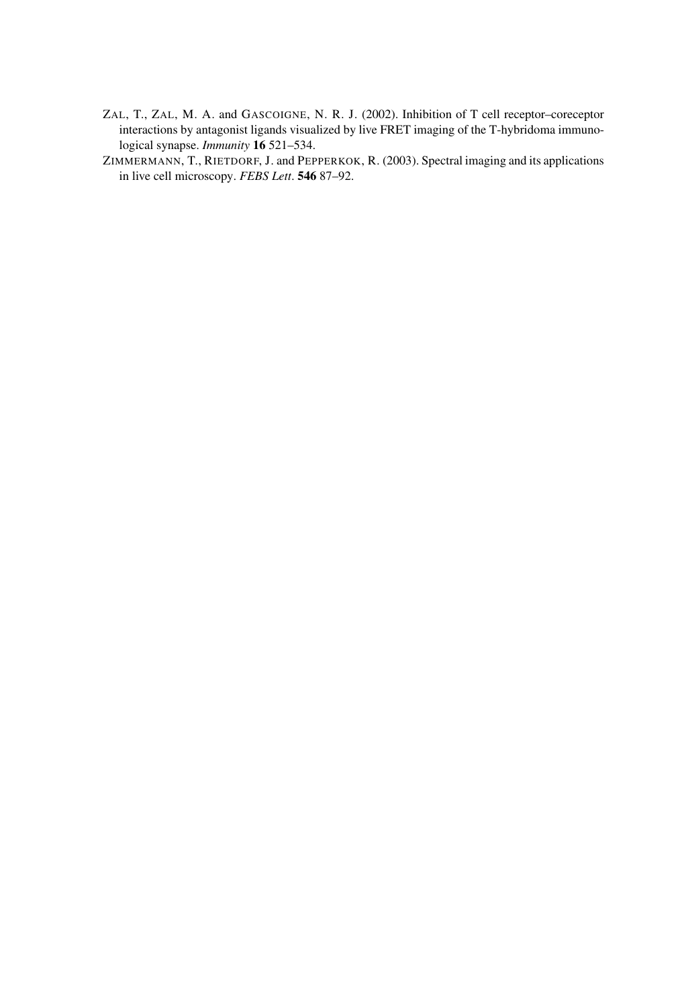- ZAL, T., ZAL, M. A. and GASCOIGNE, N. R. J. (2002). Inhibition of T cell receptor–coreceptor interactions by antagonist ligands visualized by live FRET imaging of the T-hybridoma immunological synapse. *Immunity* **16** 521–534.
- ZIMMERMANN, T., RIETDORF, J. and PEPPERKOK, R. (2003). Spectral imaging and its applications in live cell microscopy. *FEBS Lett*. **546** 87–92.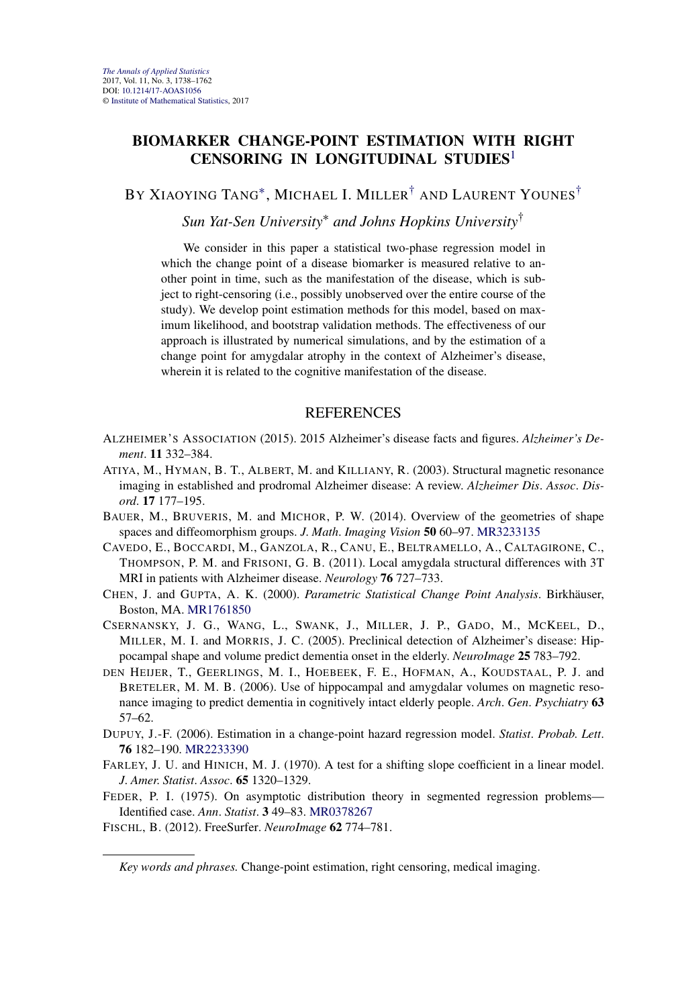# **BIOMARKER CHANGE-POINT ESTIMATION WITH RIGHT CENSORING IN LONGITUDINAL STUDIES**[1](#page-23-0)

BY XIAOYING TANG[∗](#page-7-0), MICHAEL I. MILLER[†](#page-7-0) AND LAURENT YOUNES[†](#page-7-0)

*Sun Yat-Sen University*<sup>∗</sup> *and Johns Hopkins University*†

We consider in this paper a statistical two-phase regression model in which the change point of a disease biomarker is measured relative to another point in time, such as the manifestation of the disease, which is subject to right-censoring (i.e., possibly unobserved over the entire course of the study). We develop point estimation methods for this model, based on maximum likelihood, and bootstrap validation methods. The effectiveness of our approach is illustrated by numerical simulations, and by the estimation of a change point for amygdalar atrophy in the context of Alzheimer's disease, wherein it is related to the cognitive manifestation of the disease.

- ALZHEIMER'S ASSOCIATION (2015). 2015 Alzheimer's disease facts and figures. *Alzheimer's Dement*. **11** 332–384.
- ATIYA, M., HYMAN, B. T., ALBERT, M. and KILLIANY, R. (2003). Structural magnetic resonance imaging in established and prodromal Alzheimer disease: A review. *Alzheimer Dis*. *Assoc*. *Disord*. **17** 177–195.
- BAUER, M., BRUVERIS, M. and MICHOR, P. W. (2014). Overview of the geometries of shape spaces and diffeomorphism groups. *J*. *Math*. *Imaging Vision* **50** 60–97. [MR3233135](http://www.ams.org/mathscinet-getitem?mr=3233135)
- CAVEDO, E., BOCCARDI, M., GANZOLA, R., CANU, E., BELTRAMELLO, A., CALTAGIRONE, C., THOMPSON, P. M. and FRISONI, G. B. (2011). Local amygdala structural differences with 3T MRI in patients with Alzheimer disease. *Neurology* **76** 727–733.
- CHEN, J. and GUPTA, A. K. (2000). *Parametric Statistical Change Point Analysis*. Birkhäuser, Boston, MA. [MR1761850](http://www.ams.org/mathscinet-getitem?mr=1761850)
- CSERNANSKY, J. G., WANG, L., SWANK, J., MILLER, J. P., GADO, M., MCKEEL, D., MILLER, M. I. and MORRIS, J. C. (2005). Preclinical detection of Alzheimer's disease: Hippocampal shape and volume predict dementia onset in the elderly. *NeuroImage* **25** 783–792.
- DEN HEIJER, T., GEERLINGS, M. I., HOEBEEK, F. E., HOFMAN, A., KOUDSTAAL, P. J. and BRETELER, M. M. B. (2006). Use of hippocampal and amygdalar volumes on magnetic resonance imaging to predict dementia in cognitively intact elderly people. *Arch*. *Gen*. *Psychiatry* **63** 57–62.
- DUPUY, J.-F. (2006). Estimation in a change-point hazard regression model. *Statist*. *Probab*. *Lett*. **76** 182–190. [MR2233390](http://www.ams.org/mathscinet-getitem?mr=2233390)
- FARLEY, J. U. and HINICH, M. J. (1970). A test for a shifting slope coefficient in a linear model. *J*. *Amer*. *Statist*. *Assoc*. **65** 1320–1329.
- FEDER, P. I. (1975). On asymptotic distribution theory in segmented regression problems— Identified case. *Ann*. *Statist*. **3** 49–83. [MR0378267](http://www.ams.org/mathscinet-getitem?mr=0378267)
- FISCHL, B. (2012). FreeSurfer. *NeuroImage* **62** 774–781.

*Key words and phrases.* Change-point estimation, right censoring, medical imaging.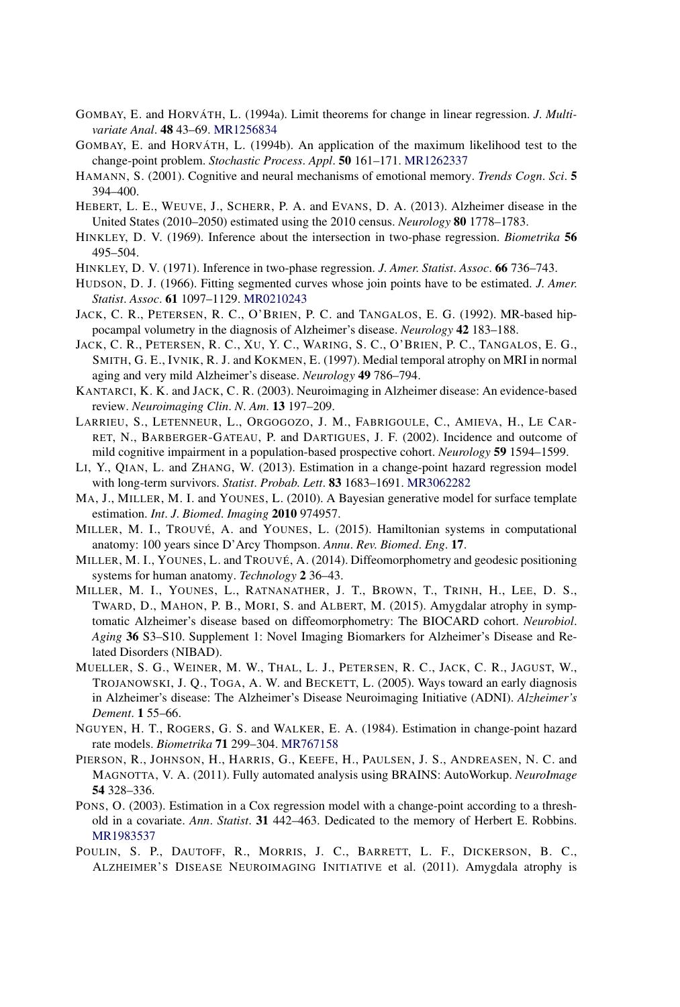- GOMBAY, E. and HORVÁTH, L. (1994a). Limit theorems for change in linear regression. *J*. *Multivariate Anal*. **48** 43–69. [MR1256834](http://www.ams.org/mathscinet-getitem?mr=1256834)
- GOMBAY, E. and HORVÁTH, L. (1994b). An application of the maximum likelihood test to the change-point problem. *Stochastic Process*. *Appl*. **50** 161–171. [MR1262337](http://www.ams.org/mathscinet-getitem?mr=1262337)
- HAMANN, S. (2001). Cognitive and neural mechanisms of emotional memory. *Trends Cogn*. *Sci*. **5** 394–400.
- HEBERT, L. E., WEUVE, J., SCHERR, P. A. and EVANS, D. A. (2013). Alzheimer disease in the United States (2010–2050) estimated using the 2010 census. *Neurology* **80** 1778–1783.
- HINKLEY, D. V. (1969). Inference about the intersection in two-phase regression. *Biometrika* **56** 495–504.
- HINKLEY, D. V. (1971). Inference in two-phase regression. *J*. *Amer*. *Statist*. *Assoc*. **66** 736–743.
- HUDSON, D. J. (1966). Fitting segmented curves whose join points have to be estimated. *J*. *Amer*. *Statist*. *Assoc*. **61** 1097–1129. [MR0210243](http://www.ams.org/mathscinet-getitem?mr=0210243)
- JACK, C. R., PETERSEN, R. C., O'BRIEN, P. C. and TANGALOS, E. G. (1992). MR-based hippocampal volumetry in the diagnosis of Alzheimer's disease. *Neurology* **42** 183–188.
- JACK, C. R., PETERSEN, R. C., XU, Y. C., WARING, S. C., O'BRIEN, P. C., TANGALOS, E. G., SMITH, G. E., IVNIK, R. J. and KOKMEN, E. (1997). Medial temporal atrophy on MRI in normal aging and very mild Alzheimer's disease. *Neurology* **49** 786–794.
- KANTARCI, K. K. and JACK, C. R. (2003). Neuroimaging in Alzheimer disease: An evidence-based review. *Neuroimaging Clin*. *N*. *Am*. **13** 197–209.
- LARRIEU, S., LETENNEUR, L., ORGOGOZO, J. M., FABRIGOULE, C., AMIEVA, H., LE CAR-RET, N., BARBERGER-GATEAU, P. and DARTIGUES, J. F. (2002). Incidence and outcome of mild cognitive impairment in a population-based prospective cohort. *Neurology* **59** 1594–1599.
- LI, Y., QIAN, L. and ZHANG, W. (2013). Estimation in a change-point hazard regression model with long-term survivors. *Statist*. *Probab*. *Lett*. **83** 1683–1691. [MR3062282](http://www.ams.org/mathscinet-getitem?mr=3062282)
- MA, J., MILLER, M. I. and YOUNES, L. (2010). A Bayesian generative model for surface template estimation. *Int*. *J*. *Biomed*. *Imaging* **2010** 974957.
- MILLER, M. I., TROUVÉ, A. and YOUNES, L. (2015). Hamiltonian systems in computational anatomy: 100 years since D'Arcy Thompson. *Annu*. *Rev*. *Biomed*. *Eng*. **17**.
- MILLER, M. I., YOUNES, L. and TROUVÉ, A. (2014). Diffeomorphometry and geodesic positioning systems for human anatomy. *Technology* **2** 36–43.
- MILLER, M. I., YOUNES, L., RATNANATHER, J. T., BROWN, T., TRINH, H., LEE, D. S., TWARD, D., MAHON, P. B., MORI, S. and ALBERT, M. (2015). Amygdalar atrophy in symptomatic Alzheimer's disease based on diffeomorphometry: The BIOCARD cohort. *Neurobiol*. *Aging* **36** S3–S10. Supplement 1: Novel Imaging Biomarkers for Alzheimer's Disease and Related Disorders (NIBAD).
- MUELLER, S. G., WEINER, M. W., THAL, L. J., PETERSEN, R. C., JACK, C. R., JAGUST, W., TROJANOWSKI, J. Q., TOGA, A. W. and BECKETT, L. (2005). Ways toward an early diagnosis in Alzheimer's disease: The Alzheimer's Disease Neuroimaging Initiative (ADNI). *Alzheimer's Dement*. **1** 55–66.
- NGUYEN, H. T., ROGERS, G. S. and WALKER, E. A. (1984). Estimation in change-point hazard rate models. *Biometrika* **71** 299–304. [MR767158](http://www.ams.org/mathscinet-getitem?mr=767158)
- PIERSON, R., JOHNSON, H., HARRIS, G., KEEFE, H., PAULSEN, J. S., ANDREASEN, N. C. and MAGNOTTA, V. A. (2011). Fully automated analysis using BRAINS: AutoWorkup. *NeuroImage* **54** 328–336.
- PONS, O. (2003). Estimation in a Cox regression model with a change-point according to a threshold in a covariate. *Ann*. *Statist*. **31** 442–463. Dedicated to the memory of Herbert E. Robbins. [MR1983537](http://www.ams.org/mathscinet-getitem?mr=1983537)
- POULIN, S. P., DAUTOFF, R., MORRIS, J. C., BARRETT, L. F., DICKERSON, B. C., ALZHEIMER'S DISEASE NEUROIMAGING INITIATIVE et al. (2011). Amygdala atrophy is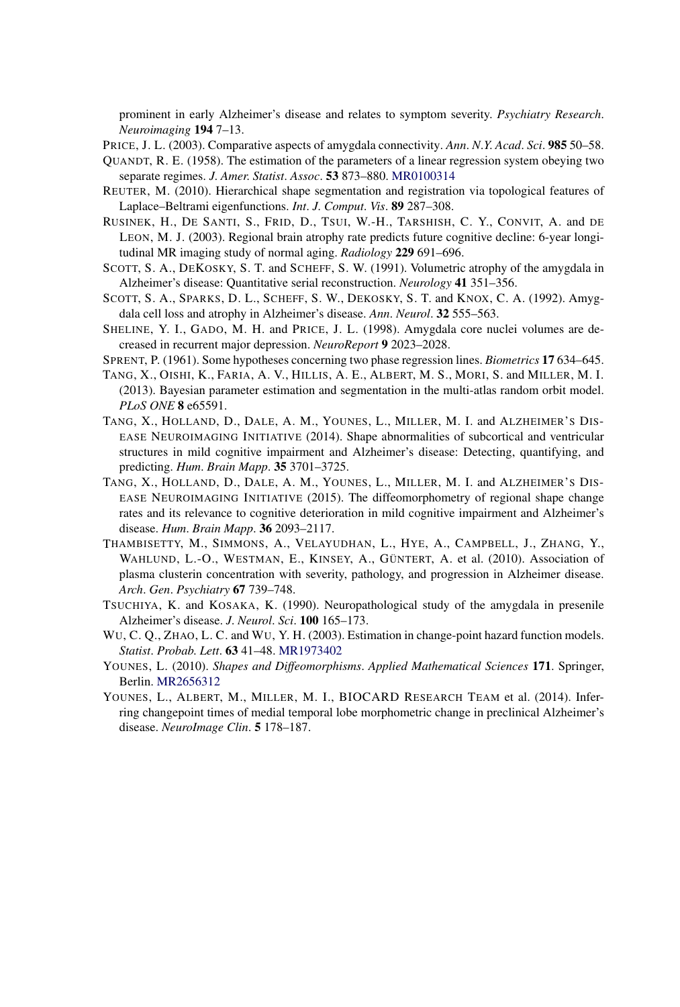prominent in early Alzheimer's disease and relates to symptom severity. *Psychiatry Research*. *Neuroimaging* **194** 7–13.

- PRICE, J. L. (2003). Comparative aspects of amygdala connectivity. *Ann*. *N*.*Y*. *Acad*. *Sci*. **985** 50–58.
- QUANDT, R. E. (1958). The estimation of the parameters of a linear regression system obeying two separate regimes. *J*. *Amer*. *Statist*. *Assoc*. **53** 873–880. [MR0100314](http://www.ams.org/mathscinet-getitem?mr=0100314)
- REUTER, M. (2010). Hierarchical shape segmentation and registration via topological features of Laplace–Beltrami eigenfunctions. *Int*. *J*. *Comput*. *Vis*. **89** 287–308.
- RUSINEK, H., DE SANTI, S., FRID, D., TSUI, W.-H., TARSHISH, C. Y., CONVIT, A. and DE LEON, M. J. (2003). Regional brain atrophy rate predicts future cognitive decline: 6-year longitudinal MR imaging study of normal aging. *Radiology* **229** 691–696.
- SCOTT, S. A., DEKOSKY, S. T. and SCHEFF, S. W. (1991). Volumetric atrophy of the amygdala in Alzheimer's disease: Quantitative serial reconstruction. *Neurology* **41** 351–356.
- SCOTT, S. A., SPARKS, D. L., SCHEFF, S. W., DEKOSKY, S. T. and KNOX, C. A. (1992). Amygdala cell loss and atrophy in Alzheimer's disease. *Ann*. *Neurol*. **32** 555–563.
- SHELINE, Y. I., GADO, M. H. and PRICE, J. L. (1998). Amygdala core nuclei volumes are decreased in recurrent major depression. *NeuroReport* **9** 2023–2028.
- SPRENT, P. (1961). Some hypotheses concerning two phase regression lines. *Biometrics* **17** 634–645.
- TANG, X., OISHI, K., FARIA, A. V., HILLIS, A. E., ALBERT, M. S., MORI, S. and MILLER, M. I. (2013). Bayesian parameter estimation and segmentation in the multi-atlas random orbit model. *PLoS ONE* **8** e65591.
- TANG, X., HOLLAND, D., DALE, A. M., YOUNES, L., MILLER, M. I. and ALZHEIMER'S DIS-EASE NEUROIMAGING INITIATIVE (2014). Shape abnormalities of subcortical and ventricular structures in mild cognitive impairment and Alzheimer's disease: Detecting, quantifying, and predicting. *Hum*. *Brain Mapp*. **35** 3701–3725.
- TANG, X., HOLLAND, D., DALE, A. M., YOUNES, L., MILLER, M. I. and ALZHEIMER'S DIS-EASE NEUROIMAGING INITIATIVE (2015). The diffeomorphometry of regional shape change rates and its relevance to cognitive deterioration in mild cognitive impairment and Alzheimer's disease. *Hum*. *Brain Mapp*. **36** 2093–2117.
- THAMBISETTY, M., SIMMONS, A., VELAYUDHAN, L., HYE, A., CAMPBELL, J., ZHANG, Y., WAHLUND, L.-O., WESTMAN, E., KINSEY, A., GÜNTERT, A. et al. (2010). Association of plasma clusterin concentration with severity, pathology, and progression in Alzheimer disease. *Arch*. *Gen*. *Psychiatry* **67** 739–748.
- TSUCHIYA, K. and KOSAKA, K. (1990). Neuropathological study of the amygdala in presenile Alzheimer's disease. *J*. *Neurol*. *Sci*. **100** 165–173.
- WU, C. Q., ZHAO, L. C. and WU, Y. H. (2003). Estimation in change-point hazard function models. *Statist*. *Probab*. *Lett*. **63** 41–48. [MR1973402](http://www.ams.org/mathscinet-getitem?mr=1973402)
- YOUNES, L. (2010). *Shapes and Diffeomorphisms*. *Applied Mathematical Sciences* **171**. Springer, Berlin. [MR2656312](http://www.ams.org/mathscinet-getitem?mr=2656312)
- YOUNES, L., ALBERT, M., MILLER, M. I., BIOCARD RESEARCH TEAM et al. (2014). Inferring changepoint times of medial temporal lobe morphometric change in preclinical Alzheimer's disease. *NeuroImage Clin*. **5** 178–187.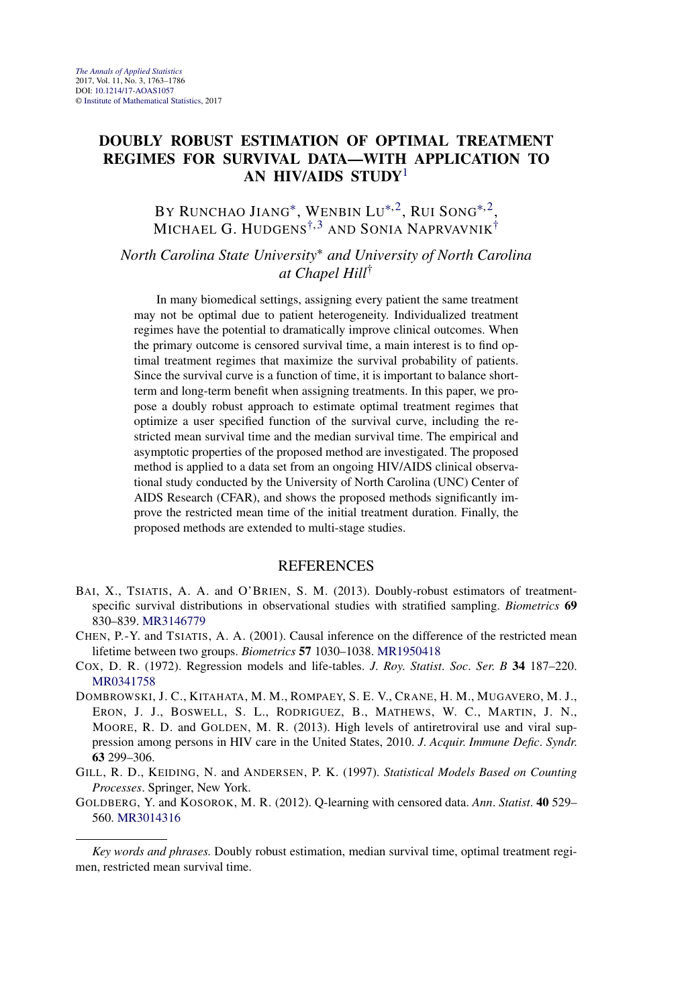### **DOUBLY ROBUST ESTIMATION OF OPTIMAL TREATMENT REGIMES FOR SURVIVAL DATA—WITH APPLICATION TO AN HIV/AIDS STUDY**[1](#page-23-0)

BY RUNCHAO JIANG<sup>\*</sup>, WENBIN LU<sup>\*[,2](#page-23-0)</sup>, RUI SONG<sup>\*,2</sup>, MICHAEL G. HUDGENS[†,](#page-12-0)3 AND SONIA NAPRVAVNIK[†](#page-12-0)

*North Carolina State University*∗ *and University of North Carolina at Chapel Hill*†

In many biomedical settings, assigning every patient the same treatment may not be optimal due to patient heterogeneity. Individualized treatment regimes have the potential to dramatically improve clinical outcomes. When the primary outcome is censored survival time, a main interest is to find optimal treatment regimes that maximize the survival probability of patients. Since the survival curve is a function of time, it is important to balance shortterm and long-term benefit when assigning treatments. In this paper, we propose a doubly robust approach to estimate optimal treatment regimes that optimize a user specified function of the survival curve, including the restricted mean survival time and the median survival time. The empirical and asymptotic properties of the proposed method are investigated. The proposed method is applied to a data set from an ongoing HIV/AIDS clinical observational study conducted by the University of North Carolina (UNC) Center of AIDS Research (CFAR), and shows the proposed methods significantly improve the restricted mean time of the initial treatment duration. Finally, the proposed methods are extended to multi-stage studies.

- BAI, X., TSIATIS, A. A. and O'BRIEN, S. M. (2013). Doubly-robust estimators of treatmentspecific survival distributions in observational studies with stratified sampling. *Biometrics* **69** 830–839. [MR3146779](http://www.ams.org/mathscinet-getitem?mr=3146779)
- CHEN, P.-Y. and TSIATIS, A. A. (2001). Causal inference on the difference of the restricted mean lifetime between two groups. *Biometrics* **57** 1030–1038. [MR1950418](http://www.ams.org/mathscinet-getitem?mr=1950418)
- COX, D. R. (1972). Regression models and life-tables. *J*. *Roy*. *Statist*. *Soc*. *Ser*. *B* **34** 187–220. [MR0341758](http://www.ams.org/mathscinet-getitem?mr=0341758)
- DOMBROWSKI, J. C., KITAHATA, M. M., ROMPAEY, S. E. V., CRANE, H. M., MUGAVERO, M. J., ERON, J. J., BOSWELL, S. L., RODRIGUEZ, B., MATHEWS, W. C., MARTIN, J. N., MOORE, R. D. and GOLDEN, M. R. (2013). High levels of antiretroviral use and viral suppression among persons in HIV care in the United States, 2010. *J*. *Acquir*. *Immune Defic*. *Syndr*. **63** 299–306.
- GILL, R. D., KEIDING, N. and ANDERSEN, P. K. (1997). *Statistical Models Based on Counting Processes*. Springer, New York.
- GOLDBERG, Y. and KOSOROK, M. R. (2012). Q-learning with censored data. *Ann*. *Statist*. **40** 529– 560. [MR3014316](http://www.ams.org/mathscinet-getitem?mr=3014316)

*Key words and phrases.* Doubly robust estimation, median survival time, optimal treatment regimen, restricted mean survival time.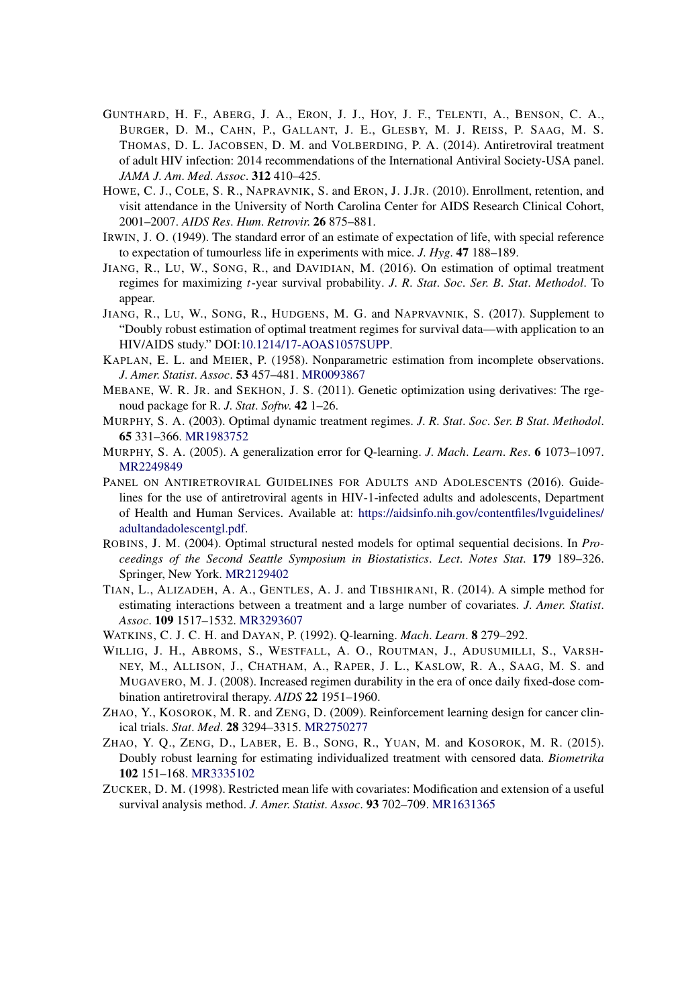- GUNTHARD, H. F., ABERG, J. A., ERON, J. J., HOY, J. F., TELENTI, A., BENSON, C. A., BURGER, D. M., CAHN, P., GALLANT, J. E., GLESBY, M. J. REISS, P. SAAG, M. S. THOMAS, D. L. JACOBSEN, D. M. and VOLBERDING, P. A. (2014). Antiretroviral treatment of adult HIV infection: 2014 recommendations of the International Antiviral Society-USA panel. *JAMA J*. *Am*. *Med*. *Assoc*. **312** 410–425.
- HOWE, C. J., COLE, S. R., NAPRAVNIK, S. and ERON, J. J.JR. (2010). Enrollment, retention, and visit attendance in the University of North Carolina Center for AIDS Research Clinical Cohort, 2001–2007. *AIDS Res*. *Hum*. *Retrovir*. **26** 875–881.
- IRWIN, J. O. (1949). The standard error of an estimate of expectation of life, with special reference to expectation of tumourless life in experiments with mice. *J*. *Hyg*. **47** 188–189.
- JIANG, R., LU, W., SONG, R., and DAVIDIAN, M. (2016). On estimation of optimal treatment regimes for maximizing *t*-year survival probability. *J*. *R*. *Stat*. *Soc*. *Ser*. *B*. *Stat*. *Methodol*. To appear.
- JIANG, R., LU, W., SONG, R., HUDGENS, M. G. and NAPRVAVNIK, S. (2017). Supplement to "Doubly robust estimation of optimal treatment regimes for survival data—with application to an HIV/AIDS study." DOI[:10.1214/17-AOAS1057SUPP.](http://dx.doi.org/10.1214/17-AOAS1057SUPP)
- KAPLAN, E. L. and MEIER, P. (1958). Nonparametric estimation from incomplete observations. *J*. *Amer*. *Statist*. *Assoc*. **53** 457–481. [MR0093867](http://www.ams.org/mathscinet-getitem?mr=0093867)
- MEBANE, W. R. JR. and SEKHON, J. S. (2011). Genetic optimization using derivatives: The rgenoud package for R. *J*. *Stat*. *Softw*. **42** 1–26.
- MURPHY, S. A. (2003). Optimal dynamic treatment regimes. *J*. *R*. *Stat*. *Soc*. *Ser*. *B Stat*. *Methodol*. **65** 331–366. [MR1983752](http://www.ams.org/mathscinet-getitem?mr=1983752)
- MURPHY, S. A. (2005). A generalization error for Q-learning. *J*. *Mach*. *Learn*. *Res*. **6** 1073–1097. [MR2249849](http://www.ams.org/mathscinet-getitem?mr=2249849)
- PANEL ON ANTIRETROVIRAL GUIDELINES FOR ADULTS AND ADOLESCENTS (2016). Guidelines for the use of antiretroviral agents in HIV-1-infected adults and adolescents, Department of Health and Human Services. Available at: [https://aidsinfo.nih.gov/contentfiles/lvguidelines/](https://aidsinfo.nih.gov/contentfiles/lvguidelines/adultandadolescentgl.pdf) [adultandadolescentgl.pdf](https://aidsinfo.nih.gov/contentfiles/lvguidelines/adultandadolescentgl.pdf).
- ROBINS, J. M. (2004). Optimal structural nested models for optimal sequential decisions. In *Proceedings of the Second Seattle Symposium in Biostatistics*. *Lect*. *Notes Stat*. **179** 189–326. Springer, New York. [MR2129402](http://www.ams.org/mathscinet-getitem?mr=2129402)
- TIAN, L., ALIZADEH, A. A., GENTLES, A. J. and TIBSHIRANI, R. (2014). A simple method for estimating interactions between a treatment and a large number of covariates. *J*. *Amer*. *Statist*. *Assoc*. **109** 1517–1532. [MR3293607](http://www.ams.org/mathscinet-getitem?mr=3293607)
- WATKINS, C. J. C. H. and DAYAN, P. (1992). Q-learning. *Mach*. *Learn*. **8** 279–292.
- WILLIG, J. H., ABROMS, S., WESTFALL, A. O., ROUTMAN, J., ADUSUMILLI, S., VARSH-NEY, M., ALLISON, J., CHATHAM, A., RAPER, J. L., KASLOW, R. A., SAAG, M. S. and MUGAVERO, M. J. (2008). Increased regimen durability in the era of once daily fixed-dose combination antiretroviral therapy. *AIDS* **22** 1951–1960.
- ZHAO, Y., KOSOROK, M. R. and ZENG, D. (2009). Reinforcement learning design for cancer clinical trials. *Stat*. *Med*. **28** 3294–3315. [MR2750277](http://www.ams.org/mathscinet-getitem?mr=2750277)
- ZHAO, Y. Q., ZENG, D., LABER, E. B., SONG, R., YUAN, M. and KOSOROK, M. R. (2015). Doubly robust learning for estimating individualized treatment with censored data. *Biometrika* **102** 151–168. [MR3335102](http://www.ams.org/mathscinet-getitem?mr=3335102)
- ZUCKER, D. M. (1998). Restricted mean life with covariates: Modification and extension of a useful survival analysis method. *J*. *Amer*. *Statist*. *Assoc*. **93** 702–709. [MR1631365](http://www.ams.org/mathscinet-getitem?mr=1631365)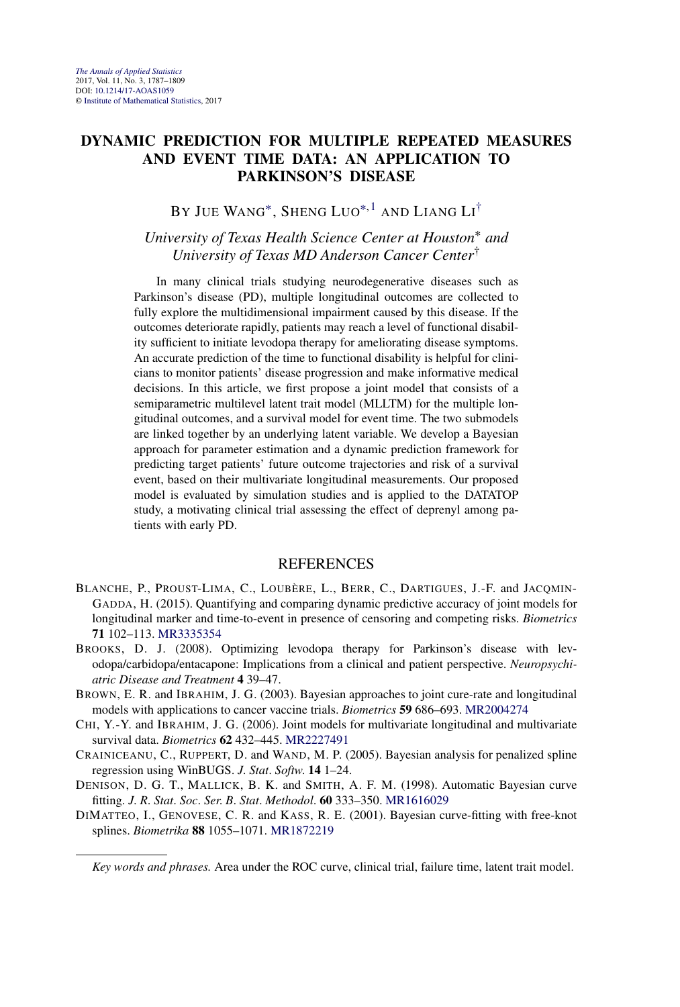### **DYNAMIC PREDICTION FOR MULTIPLE REPEATED MEASURES AND EVENT TIME DATA: AN APPLICATION TO PARKINSON'S DISEASE**

# BY JUE WANG\*, SHENG LUO\*<sup>, [1](#page-23-0)</sup> AND LIANG LI<sup>[†](#page-7-0)</sup>

### *University of Texas Health Science Center at Houston*∗ *and University of Texas MD Anderson Cancer Center*†

In many clinical trials studying neurodegenerative diseases such as Parkinson's disease (PD), multiple longitudinal outcomes are collected to fully explore the multidimensional impairment caused by this disease. If the outcomes deteriorate rapidly, patients may reach a level of functional disability sufficient to initiate levodopa therapy for ameliorating disease symptoms. An accurate prediction of the time to functional disability is helpful for clinicians to monitor patients' disease progression and make informative medical decisions. In this article, we first propose a joint model that consists of a semiparametric multilevel latent trait model (MLLTM) for the multiple longitudinal outcomes, and a survival model for event time. The two submodels are linked together by an underlying latent variable. We develop a Bayesian approach for parameter estimation and a dynamic prediction framework for predicting target patients' future outcome trajectories and risk of a survival event, based on their multivariate longitudinal measurements. Our proposed model is evaluated by simulation studies and is applied to the DATATOP study, a motivating clinical trial assessing the effect of deprenyl among patients with early PD.

- BLANCHE, P., PROUST-LIMA, C., LOUBÈRE, L., BERR, C., DARTIGUES, J.-F. and JACQMIN-GADDA, H. (2015). Quantifying and comparing dynamic predictive accuracy of joint models for longitudinal marker and time-to-event in presence of censoring and competing risks. *Biometrics* **71** 102–113. [MR3335354](http://www.ams.org/mathscinet-getitem?mr=3335354)
- BROOKS, D. J. (2008). Optimizing levodopa therapy for Parkinson's disease with levodopa/carbidopa/entacapone: Implications from a clinical and patient perspective. *Neuropsychiatric Disease and Treatment* **4** 39–47.
- BROWN, E. R. and IBRAHIM, J. G. (2003). Bayesian approaches to joint cure-rate and longitudinal models with applications to cancer vaccine trials. *Biometrics* **59** 686–693. [MR2004274](http://www.ams.org/mathscinet-getitem?mr=2004274)
- CHI, Y.-Y. and IBRAHIM, J. G. (2006). Joint models for multivariate longitudinal and multivariate survival data. *Biometrics* **62** 432–445. [MR2227491](http://www.ams.org/mathscinet-getitem?mr=2227491)
- CRAINICEANU, C., RUPPERT, D. and WAND, M. P. (2005). Bayesian analysis for penalized spline regression using WinBUGS. *J*. *Stat*. *Softw*. **14** 1–24.
- DENISON, D. G. T., MALLICK, B. K. and SMITH, A. F. M. (1998). Automatic Bayesian curve fitting. *J*. *R*. *Stat*. *Soc*. *Ser*. *B*. *Stat*. *Methodol*. **60** 333–350. [MR1616029](http://www.ams.org/mathscinet-getitem?mr=1616029)
- DIMATTEO, I., GENOVESE, C. R. and KASS, R. E. (2001). Bayesian curve-fitting with free-knot splines. *Biometrika* **88** 1055–1071. [MR1872219](http://www.ams.org/mathscinet-getitem?mr=1872219)

*Key words and phrases.* Area under the ROC curve, clinical trial, failure time, latent trait model.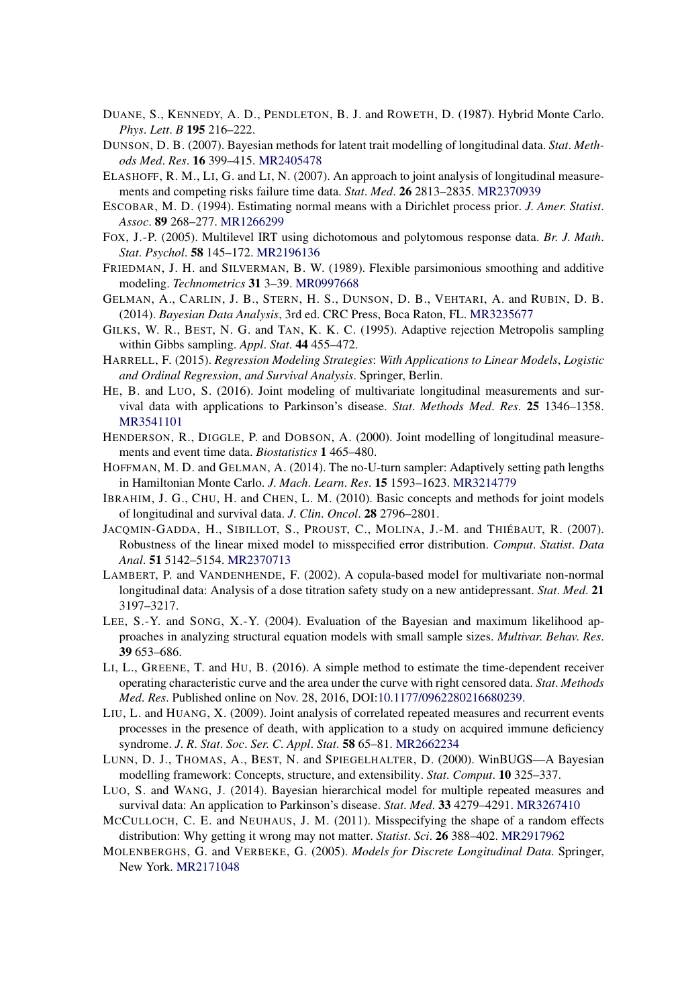- DUANE, S., KENNEDY, A. D., PENDLETON, B. J. and ROWETH, D. (1987). Hybrid Monte Carlo. *Phys*. *Lett*. *B* **195** 216–222.
- DUNSON, D. B. (2007). Bayesian methods for latent trait modelling of longitudinal data. *Stat*. *Methods Med*. *Res*. **16** 399–415. [MR2405478](http://www.ams.org/mathscinet-getitem?mr=2405478)
- ELASHOFF, R. M., LI, G. and LI, N. (2007). An approach to joint analysis of longitudinal measurements and competing risks failure time data. *Stat*. *Med*. **26** 2813–2835. [MR2370939](http://www.ams.org/mathscinet-getitem?mr=2370939)
- ESCOBAR, M. D. (1994). Estimating normal means with a Dirichlet process prior. *J*. *Amer*. *Statist*. *Assoc*. **89** 268–277. [MR1266299](http://www.ams.org/mathscinet-getitem?mr=1266299)
- FOX, J.-P. (2005). Multilevel IRT using dichotomous and polytomous response data. *Br*. *J*. *Math*. *Stat*. *Psychol*. **58** 145–172. [MR2196136](http://www.ams.org/mathscinet-getitem?mr=2196136)
- FRIEDMAN, J. H. and SILVERMAN, B. W. (1989). Flexible parsimonious smoothing and additive modeling. *Technometrics* **31** 3–39. [MR0997668](http://www.ams.org/mathscinet-getitem?mr=0997668)
- GELMAN, A., CARLIN, J. B., STERN, H. S., DUNSON, D. B., VEHTARI, A. and RUBIN, D. B. (2014). *Bayesian Data Analysis*, 3rd ed. CRC Press, Boca Raton, FL. [MR3235677](http://www.ams.org/mathscinet-getitem?mr=3235677)
- GILKS, W. R., BEST, N. G. and TAN, K. K. C. (1995). Adaptive rejection Metropolis sampling within Gibbs sampling. *Appl*. *Stat*. **44** 455–472.
- HARRELL, F. (2015). *Regression Modeling Strategies*: *With Applications to Linear Models*, *Logistic and Ordinal Regression*, *and Survival Analysis*. Springer, Berlin.
- HE, B. and LUO, S. (2016). Joint modeling of multivariate longitudinal measurements and survival data with applications to Parkinson's disease. *Stat*. *Methods Med*. *Res*. **25** 1346–1358. [MR3541101](http://www.ams.org/mathscinet-getitem?mr=3541101)
- HENDERSON, R., DIGGLE, P. and DOBSON, A. (2000). Joint modelling of longitudinal measurements and event time data. *Biostatistics* **1** 465–480.
- HOFFMAN, M. D. and GELMAN, A. (2014). The no-U-turn sampler: Adaptively setting path lengths in Hamiltonian Monte Carlo. *J*. *Mach*. *Learn*. *Res*. **15** 1593–1623. [MR3214779](http://www.ams.org/mathscinet-getitem?mr=3214779)
- IBRAHIM, J. G., CHU, H. and CHEN, L. M. (2010). Basic concepts and methods for joint models of longitudinal and survival data. *J*. *Clin*. *Oncol*. **28** 2796–2801.
- JACQMIN-GADDA, H., SIBILLOT, S., PROUST, C., MOLINA, J.-M. and THIÉBAUT, R. (2007). Robustness of the linear mixed model to misspecified error distribution. *Comput*. *Statist*. *Data Anal*. **51** 5142–5154. [MR2370713](http://www.ams.org/mathscinet-getitem?mr=2370713)
- LAMBERT, P. and VANDENHENDE, F. (2002). A copula-based model for multivariate non-normal longitudinal data: Analysis of a dose titration safety study on a new antidepressant. *Stat*. *Med*. **21** 3197–3217.
- LEE, S.-Y. and SONG, X.-Y. (2004). Evaluation of the Bayesian and maximum likelihood approaches in analyzing structural equation models with small sample sizes. *Multivar*. *Behav*. *Res*. **39** 653–686.
- LI, L., GREENE, T. and HU, B. (2016). A simple method to estimate the time-dependent receiver operating characteristic curve and the area under the curve with right censored data. *Stat*. *Methods Med*. *Res*. Published online on Nov. 28, 2016, DOI[:10.1177/0962280216680239](http://dx.doi.org/10.1177/0962280216680239).
- LIU, L. and HUANG, X. (2009). Joint analysis of correlated repeated measures and recurrent events processes in the presence of death, with application to a study on acquired immune deficiency syndrome. *J*. *R*. *Stat*. *Soc*. *Ser*. *C*. *Appl*. *Stat*. **58** 65–81. [MR2662234](http://www.ams.org/mathscinet-getitem?mr=2662234)
- LUNN, D. J., THOMAS, A., BEST, N. and SPIEGELHALTER, D. (2000). WinBUGS—A Bayesian modelling framework: Concepts, structure, and extensibility. *Stat*. *Comput*. **10** 325–337.
- LUO, S. and WANG, J. (2014). Bayesian hierarchical model for multiple repeated measures and survival data: An application to Parkinson's disease. *Stat*. *Med*. **33** 4279–4291. [MR3267410](http://www.ams.org/mathscinet-getitem?mr=3267410)
- MCCULLOCH, C. E. and NEUHAUS, J. M. (2011). Misspecifying the shape of a random effects distribution: Why getting it wrong may not matter. *Statist*. *Sci*. **26** 388–402. [MR2917962](http://www.ams.org/mathscinet-getitem?mr=2917962)
- MOLENBERGHS, G. and VERBEKE, G. (2005). *Models for Discrete Longitudinal Data*. Springer, New York. [MR2171048](http://www.ams.org/mathscinet-getitem?mr=2171048)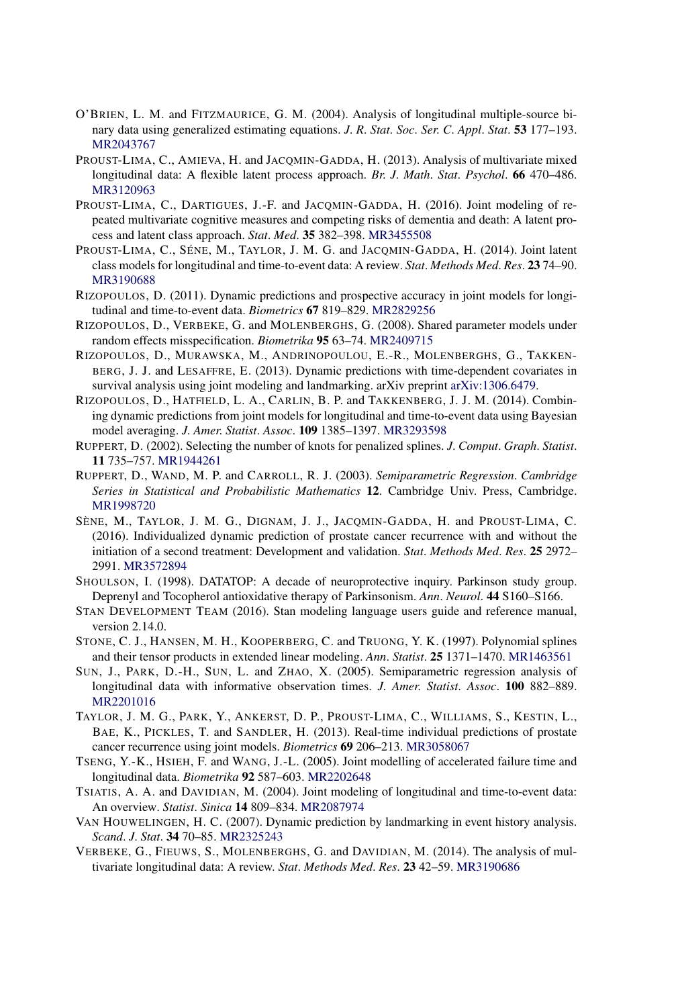- O'BRIEN, L. M. and FITZMAURICE, G. M. (2004). Analysis of longitudinal multiple-source binary data using generalized estimating equations. *J*. *R*. *Stat*. *Soc*. *Ser*. *C*. *Appl*. *Stat*. **53** 177–193. [MR2043767](http://www.ams.org/mathscinet-getitem?mr=2043767)
- PROUST-LIMA, C., AMIEVA, H. and JACQMIN-GADDA, H. (2013). Analysis of multivariate mixed longitudinal data: A flexible latent process approach. *Br*. *J*. *Math*. *Stat*. *Psychol*. **66** 470–486. [MR3120963](http://www.ams.org/mathscinet-getitem?mr=3120963)
- PROUST-LIMA, C., DARTIGUES, J.-F. and JACQMIN-GADDA, H. (2016). Joint modeling of repeated multivariate cognitive measures and competing risks of dementia and death: A latent process and latent class approach. *Stat*. *Med*. **35** 382–398. [MR3455508](http://www.ams.org/mathscinet-getitem?mr=3455508)
- PROUST-LIMA, C., SÉNE, M., TAYLOR, J. M. G. and JACQMIN-GADDA, H. (2014). Joint latent class models for longitudinal and time-to-event data: A review. *Stat*. *Methods Med*. *Res*. **23** 74–90. [MR3190688](http://www.ams.org/mathscinet-getitem?mr=3190688)
- RIZOPOULOS, D. (2011). Dynamic predictions and prospective accuracy in joint models for longitudinal and time-to-event data. *Biometrics* **67** 819–829. [MR2829256](http://www.ams.org/mathscinet-getitem?mr=2829256)
- RIZOPOULOS, D., VERBEKE, G. and MOLENBERGHS, G. (2008). Shared parameter models under random effects misspecification. *Biometrika* **95** 63–74. [MR2409715](http://www.ams.org/mathscinet-getitem?mr=2409715)
- RIZOPOULOS, D., MURAWSKA, M., ANDRINOPOULOU, E.-R., MOLENBERGHS, G., TAKKEN-BERG, J. J. and LESAFFRE, E. (2013). Dynamic predictions with time-dependent covariates in survival analysis using joint modeling and landmarking. arXiv preprint [arXiv:1306.6479](http://arxiv.org/abs/arXiv:1306.6479).
- RIZOPOULOS, D., HATFIELD, L. A., CARLIN, B. P. and TAKKENBERG, J. J. M. (2014). Combining dynamic predictions from joint models for longitudinal and time-to-event data using Bayesian model averaging. *J*. *Amer*. *Statist*. *Assoc*. **109** 1385–1397. [MR3293598](http://www.ams.org/mathscinet-getitem?mr=3293598)
- RUPPERT, D. (2002). Selecting the number of knots for penalized splines. *J*. *Comput*. *Graph*. *Statist*. **11** 735–757. [MR1944261](http://www.ams.org/mathscinet-getitem?mr=1944261)
- RUPPERT, D., WAND, M. P. and CARROLL, R. J. (2003). *Semiparametric Regression*. *Cambridge Series in Statistical and Probabilistic Mathematics* **12**. Cambridge Univ. Press, Cambridge. [MR1998720](http://www.ams.org/mathscinet-getitem?mr=1998720)
- SÈNE, M., TAYLOR, J. M. G., DIGNAM, J. J., JACQMIN-GADDA, H. and PROUST-LIMA, C. (2016). Individualized dynamic prediction of prostate cancer recurrence with and without the initiation of a second treatment: Development and validation. *Stat*. *Methods Med*. *Res*. **25** 2972– 2991. [MR3572894](http://www.ams.org/mathscinet-getitem?mr=3572894)
- SHOULSON, I. (1998). DATATOP: A decade of neuroprotective inquiry. Parkinson study group. Deprenyl and Tocopherol antioxidative therapy of Parkinsonism. *Ann*. *Neurol*. **44** S160–S166.
- STAN DEVELOPMENT TEAM (2016). Stan modeling language users guide and reference manual, version 2.14.0.
- STONE, C. J., HANSEN, M. H., KOOPERBERG, C. and TRUONG, Y. K. (1997). Polynomial splines and their tensor products in extended linear modeling. *Ann*. *Statist*. **25** 1371–1470. [MR1463561](http://www.ams.org/mathscinet-getitem?mr=1463561)
- SUN, J., PARK, D.-H., SUN, L. and ZHAO, X. (2005). Semiparametric regression analysis of longitudinal data with informative observation times. *J*. *Amer*. *Statist*. *Assoc*. **100** 882–889. [MR2201016](http://www.ams.org/mathscinet-getitem?mr=2201016)
- TAYLOR, J. M. G., PARK, Y., ANKERST, D. P., PROUST-LIMA, C., WILLIAMS, S., KESTIN, L., BAE, K., PICKLES, T. and SANDLER, H. (2013). Real-time individual predictions of prostate cancer recurrence using joint models. *Biometrics* **69** 206–213. [MR3058067](http://www.ams.org/mathscinet-getitem?mr=3058067)
- TSENG, Y.-K., HSIEH, F. and WANG, J.-L. (2005). Joint modelling of accelerated failure time and longitudinal data. *Biometrika* **92** 587–603. [MR2202648](http://www.ams.org/mathscinet-getitem?mr=2202648)
- TSIATIS, A. A. and DAVIDIAN, M. (2004). Joint modeling of longitudinal and time-to-event data: An overview. *Statist*. *Sinica* **14** 809–834. [MR2087974](http://www.ams.org/mathscinet-getitem?mr=2087974)
- VAN HOUWELINGEN, H. C. (2007). Dynamic prediction by landmarking in event history analysis. *Scand*. *J*. *Stat*. **34** 70–85. [MR2325243](http://www.ams.org/mathscinet-getitem?mr=2325243)
- VERBEKE, G., FIEUWS, S., MOLENBERGHS, G. and DAVIDIAN, M. (2014). The analysis of multivariate longitudinal data: A review. *Stat*. *Methods Med*. *Res*. **23** 42–59. [MR3190686](http://www.ams.org/mathscinet-getitem?mr=3190686)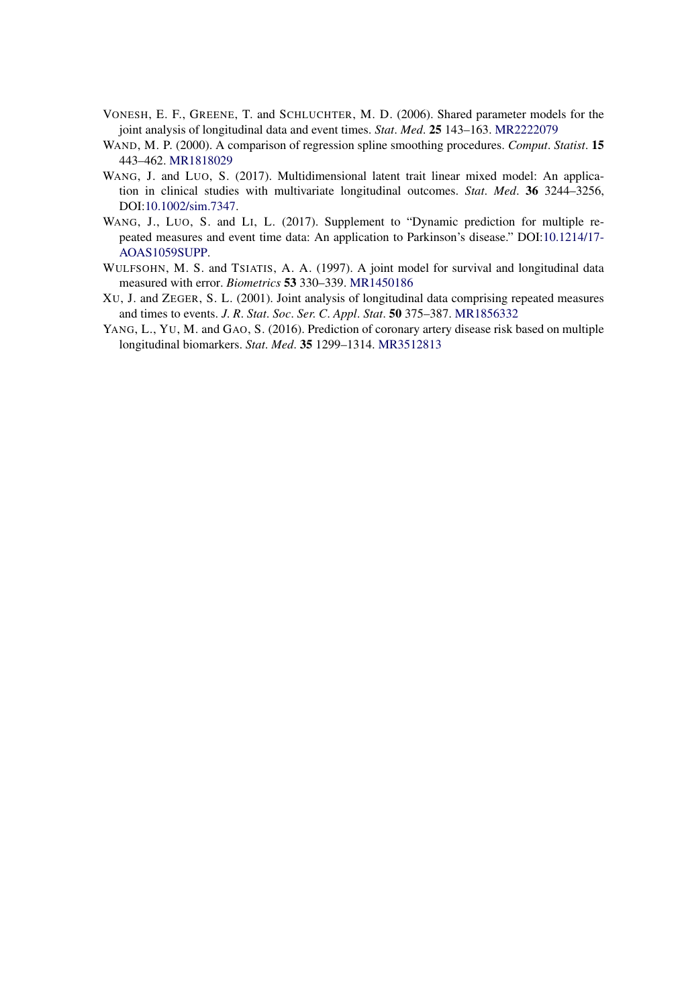- VONESH, E. F., GREENE, T. and SCHLUCHTER, M. D. (2006). Shared parameter models for the joint analysis of longitudinal data and event times. *Stat*. *Med*. **25** 143–163. [MR2222079](http://www.ams.org/mathscinet-getitem?mr=2222079)
- WAND, M. P. (2000). A comparison of regression spline smoothing procedures. *Comput*. *Statist*. **15** 443–462. [MR1818029](http://www.ams.org/mathscinet-getitem?mr=1818029)
- WANG, J. and LUO, S. (2017). Multidimensional latent trait linear mixed model: An application in clinical studies with multivariate longitudinal outcomes. *Stat*. *Med*. **36** 3244–3256, DOI[:10.1002/sim.7347](http://dx.doi.org/10.1002/sim.7347).
- WANG, J., LUO, S. and LI, L. (2017). Supplement to "Dynamic prediction for multiple repeated measures and event time data: An application to Parkinson's disease." DOI[:10.1214/17-](http://dx.doi.org/10.1214/17-AOAS1059SUPP) [AOAS1059SUPP](http://dx.doi.org/10.1214/17-AOAS1059SUPP).
- WULFSOHN, M. S. and TSIATIS, A. A. (1997). A joint model for survival and longitudinal data measured with error. *Biometrics* **53** 330–339. [MR1450186](http://www.ams.org/mathscinet-getitem?mr=1450186)
- XU, J. and ZEGER, S. L. (2001). Joint analysis of longitudinal data comprising repeated measures and times to events. *J*. *R*. *Stat*. *Soc*. *Ser*. *C*. *Appl*. *Stat*. **50** 375–387. [MR1856332](http://www.ams.org/mathscinet-getitem?mr=1856332)
- YANG, L., YU, M. and GAO, S. (2016). Prediction of coronary artery disease risk based on multiple longitudinal biomarkers. *Stat*. *Med*. **35** 1299–1314. [MR3512813](http://www.ams.org/mathscinet-getitem?mr=3512813)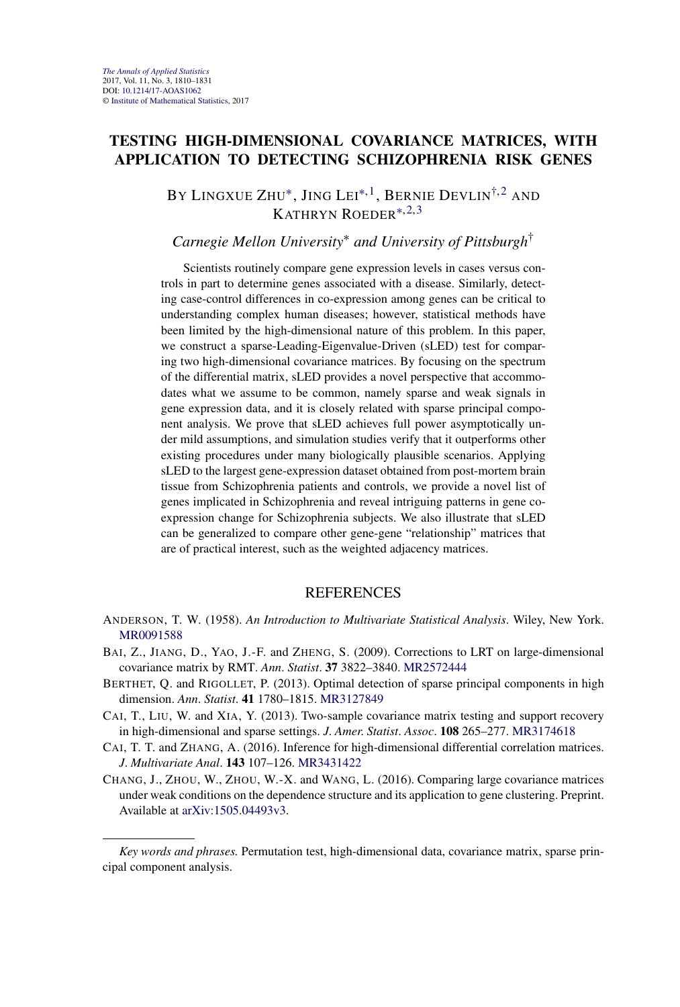## **TESTING HIGH-DIMENSIONAL COVARIANCE MATRICES, WITH APPLICATION TO DETECTING SCHIZOPHRENIA RISK GENES**

BY LINGXUE ZHU<sup>\*</sup>, JING LEI<sup>\*, 1</sup>, BERNIE DEVLIN<sup>†, 2</sup> AND KATHRYN ROEDER∗,[2,3](#page-23-0)

*Carnegie Mellon University*<sup>∗</sup> *and University of Pittsburgh*†

Scientists routinely compare gene expression levels in cases versus controls in part to determine genes associated with a disease. Similarly, detecting case-control differences in co-expression among genes can be critical to understanding complex human diseases; however, statistical methods have been limited by the high-dimensional nature of this problem. In this paper, we construct a sparse-Leading-Eigenvalue-Driven (sLED) test for comparing two high-dimensional covariance matrices. By focusing on the spectrum of the differential matrix, sLED provides a novel perspective that accommodates what we assume to be common, namely sparse and weak signals in gene expression data, and it is closely related with sparse principal component analysis. We prove that sLED achieves full power asymptotically under mild assumptions, and simulation studies verify that it outperforms other existing procedures under many biologically plausible scenarios. Applying sLED to the largest gene-expression dataset obtained from post-mortem brain tissue from Schizophrenia patients and controls, we provide a novel list of genes implicated in Schizophrenia and reveal intriguing patterns in gene coexpression change for Schizophrenia subjects. We also illustrate that sLED can be generalized to compare other gene-gene "relationship" matrices that are of practical interest, such as the weighted adjacency matrices.

## REFERENCES

- ANDERSON, T. W. (1958). *An Introduction to Multivariate Statistical Analysis*. Wiley, New York. [MR0091588](http://www.ams.org/mathscinet-getitem?mr=0091588)
- BAI, Z., JIANG, D., YAO, J.-F. and ZHENG, S. (2009). Corrections to LRT on large-dimensional covariance matrix by RMT. *Ann*. *Statist*. **37** 3822–3840. [MR2572444](http://www.ams.org/mathscinet-getitem?mr=2572444)
- BERTHET, Q. and RIGOLLET, P. (2013). Optimal detection of sparse principal components in high dimension. *Ann*. *Statist*. **41** 1780–1815. [MR3127849](http://www.ams.org/mathscinet-getitem?mr=3127849)
- CAI, T., LIU, W. and XIA, Y. (2013). Two-sample covariance matrix testing and support recovery in high-dimensional and sparse settings. *J*. *Amer*. *Statist*. *Assoc*. **108** 265–277. [MR3174618](http://www.ams.org/mathscinet-getitem?mr=3174618)
- CAI, T. T. and ZHANG, A. (2016). Inference for high-dimensional differential correlation matrices. *J*. *Multivariate Anal*. **143** 107–126. [MR3431422](http://www.ams.org/mathscinet-getitem?mr=3431422)
- CHANG, J., ZHOU, W., ZHOU, W.-X. and WANG, L. (2016). Comparing large covariance matrices under weak conditions on the dependence structure and its application to gene clustering. Preprint. Available at [arXiv:1505.04493v3](http://arxiv.org/abs/arXiv:1505.04493v3).

*Key words and phrases.* Permutation test, high-dimensional data, covariance matrix, sparse principal component analysis.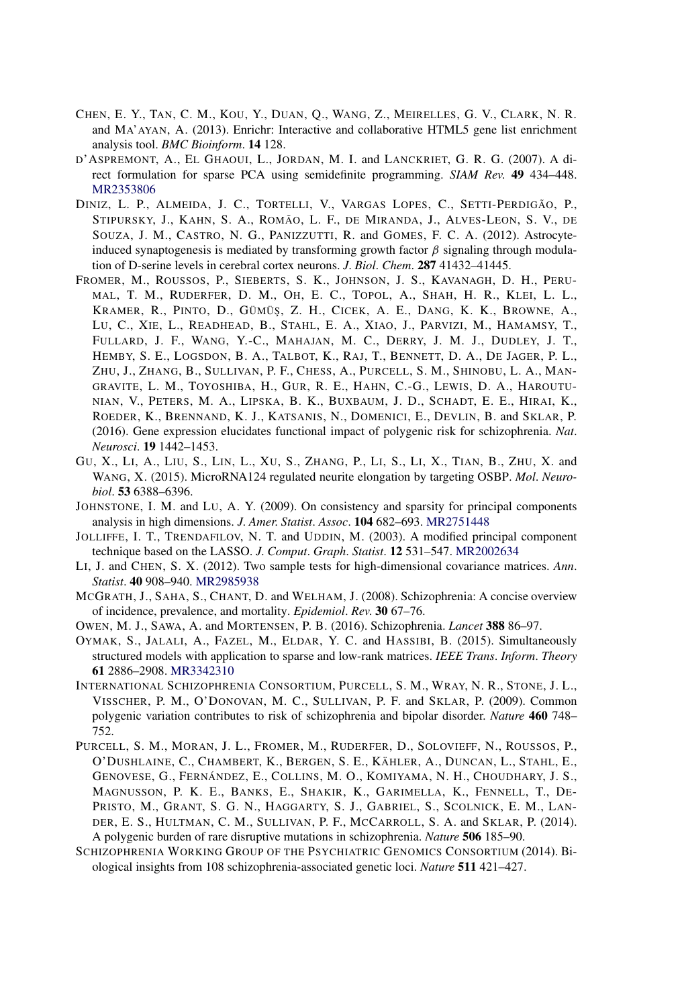- CHEN, E. Y., TAN, C. M., KOU, Y., DUAN, Q., WANG, Z., MEIRELLES, G. V., CLARK, N. R. and MA'AYAN, A. (2013). Enrichr: Interactive and collaborative HTML5 gene list enrichment analysis tool. *BMC Bioinform*. **14** 128.
- D'ASPREMONT, A., EL GHAOUI, L., JORDAN, M. I. and LANCKRIET, G. R. G. (2007). A direct formulation for sparse PCA using semidefinite programming. *SIAM Rev*. **49** 434–448. [MR2353806](http://www.ams.org/mathscinet-getitem?mr=2353806)
- DINIZ, L. P., ALMEIDA, J. C., TORTELLI, V., VARGAS LOPES, C., SETTI-PERDIGÃO, P., STIPURSKY, J., KAHN, S. A., ROMÃO, L. F., DE MIRANDA, J., ALVES-LEON, S. V., DE SOUZA, J. M., CASTRO, N. G., PANIZZUTTI, R. and GOMES, F. C. A. (2012). Astrocyteinduced synaptogenesis is mediated by transforming growth factor  $\beta$  signaling through modulation of D-serine levels in cerebral cortex neurons. *J*. *Biol*. *Chem*. **287** 41432–41445.
- FROMER, M., ROUSSOS, P., SIEBERTS, S. K., JOHNSON, J. S., KAVANAGH, D. H., PERU-MAL, T. M., RUDERFER, D. M., OH, E. C., TOPOL, A., SHAH, H. R., KLEI, L. L., KRAMER, R., PINTO, D., GÜMÜŞ, Z. H., CICEK, A. E., DANG, K. K., BROWNE, A., LU, C., XIE, L., READHEAD, B., STAHL, E. A., XIAO, J., PARVIZI, M., HAMAMSY, T., FULLARD, J. F., WANG, Y.-C., MAHAJAN, M. C., DERRY, J. M. J., DUDLEY, J. T., HEMBY, S. E., LOGSDON, B. A., TALBOT, K., RAJ, T., BENNETT, D. A., DE JAGER, P. L., ZHU, J., ZHANG, B., SULLIVAN, P. F., CHESS, A., PURCELL, S. M., SHINOBU, L. A., MAN-GRAVITE, L. M., TOYOSHIBA, H., GUR, R. E., HAHN, C.-G., LEWIS, D. A., HAROUTU-NIAN, V., PETERS, M. A., LIPSKA, B. K., BUXBAUM, J. D., SCHADT, E. E., HIRAI, K., ROEDER, K., BRENNAND, K. J., KATSANIS, N., DOMENICI, E., DEVLIN, B. and SKLAR, P. (2016). Gene expression elucidates functional impact of polygenic risk for schizophrenia. *Nat*. *Neurosci*. **19** 1442–1453.
- GU, X., LI, A., LIU, S., LIN, L., XU, S., ZHANG, P., LI, S., LI, X., TIAN, B., ZHU, X. and WANG, X. (2015). MicroRNA124 regulated neurite elongation by targeting OSBP. *Mol*. *Neurobiol*. **53** 6388–6396.
- JOHNSTONE, I. M. and LU, A. Y. (2009). On consistency and sparsity for principal components analysis in high dimensions. *J*. *Amer*. *Statist*. *Assoc*. **104** 682–693. [MR2751448](http://www.ams.org/mathscinet-getitem?mr=2751448)
- JOLLIFFE, I. T., TRENDAFILOV, N. T. and UDDIN, M. (2003). A modified principal component technique based on the LASSO. *J*. *Comput*. *Graph*. *Statist*. **12** 531–547. [MR2002634](http://www.ams.org/mathscinet-getitem?mr=2002634)
- LI, J. and CHEN, S. X. (2012). Two sample tests for high-dimensional covariance matrices. *Ann*. *Statist*. **40** 908–940. [MR2985938](http://www.ams.org/mathscinet-getitem?mr=2985938)
- MCGRATH, J., SAHA, S., CHANT, D. and WELHAM, J. (2008). Schizophrenia: A concise overview of incidence, prevalence, and mortality. *Epidemiol*. *Rev*. **30** 67–76.
- OWEN, M. J., SAWA, A. and MORTENSEN, P. B. (2016). Schizophrenia. *Lancet* **388** 86–97.
- OYMAK, S., JALALI, A., FAZEL, M., ELDAR, Y. C. and HASSIBI, B. (2015). Simultaneously structured models with application to sparse and low-rank matrices. *IEEE Trans*. *Inform*. *Theory* **61** 2886–2908. [MR3342310](http://www.ams.org/mathscinet-getitem?mr=3342310)
- INTERNATIONAL SCHIZOPHRENIA CONSORTIUM, PURCELL, S. M., WRAY, N. R., STONE, J. L., VISSCHER, P. M., O'DONOVAN, M. C., SULLIVAN, P. F. and SKLAR, P. (2009). Common polygenic variation contributes to risk of schizophrenia and bipolar disorder. *Nature* **460** 748– 752.
- PURCELL, S. M., MORAN, J. L., FROMER, M., RUDERFER, D., SOLOVIEFF, N., ROUSSOS, P., O'DUSHLAINE, C., CHAMBERT, K., BERGEN, S. E., KÄHLER, A., DUNCAN, L., STAHL, E., GENOVESE, G., FERNÁNDEZ, E., COLLINS, M. O., KOMIYAMA, N. H., CHOUDHARY, J. S., MAGNUSSON, P. K. E., BANKS, E., SHAKIR, K., GARIMELLA, K., FENNELL, T., DE-PRISTO, M., GRANT, S. G. N., HAGGARTY, S. J., GABRIEL, S., SCOLNICK, E. M., LAN-DER, E. S., HULTMAN, C. M., SULLIVAN, P. F., MCCARROLL, S. A. and SKLAR, P. (2014). A polygenic burden of rare disruptive mutations in schizophrenia. *Nature* **506** 185–90.
- SCHIZOPHRENIA WORKING GROUP OF THE PSYCHIATRIC GENOMICS CONSORTIUM (2014). Biological insights from 108 schizophrenia-associated genetic loci. *Nature* **511** 421–427.